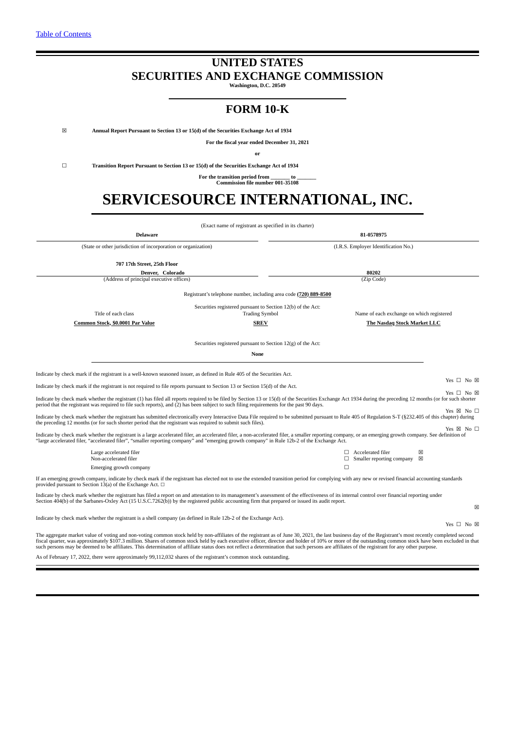# **UNITED STATES**

**SECURITIES AND EXCHANGE COMMISSION**

**Washington, D.C. 20549**

# **FORM 10-K**

☒ **Annual Report Pursuant to Section 13 or 15(d) of the Securities Exchange Act of 1934**

**For the fiscal year ended December 31, 2021**

**or**

☐ **Transition Report Pursuant to Section 13 or 15(d) of the Securities Exchange Act of 1934**

**For the transition period from \_\_\_\_\_\_\_ to \_\_\_\_\_\_\_ Commission file number 001-35108**

# **SERVICESOURCE INTERNATIONAL, INC.**

|                                                                                                                                                                                                                                                                                                                                                          | (Exact name of registrant as specified in its charter)                     |            |                                           |                              |  |  |  |  |
|----------------------------------------------------------------------------------------------------------------------------------------------------------------------------------------------------------------------------------------------------------------------------------------------------------------------------------------------------------|----------------------------------------------------------------------------|------------|-------------------------------------------|------------------------------|--|--|--|--|
| <b>Delaware</b>                                                                                                                                                                                                                                                                                                                                          |                                                                            | 81-0578975 |                                           |                              |  |  |  |  |
| (State or other jurisdiction of incorporation or organization)                                                                                                                                                                                                                                                                                           |                                                                            |            | (I.R.S. Employer Identification No.)      |                              |  |  |  |  |
| 707 17th Street, 25th Floor                                                                                                                                                                                                                                                                                                                              |                                                                            |            |                                           |                              |  |  |  |  |
| Denver, Colorado                                                                                                                                                                                                                                                                                                                                         |                                                                            |            | 80202                                     |                              |  |  |  |  |
| (Address of principal executive offices)                                                                                                                                                                                                                                                                                                                 |                                                                            |            | (Zip Code)                                |                              |  |  |  |  |
|                                                                                                                                                                                                                                                                                                                                                          | Registrant's telephone number, including area code (720) 889-8500          |            |                                           |                              |  |  |  |  |
|                                                                                                                                                                                                                                                                                                                                                          | Securities registered pursuant to Section 12(b) of the Act:                |            |                                           |                              |  |  |  |  |
| Title of each class                                                                                                                                                                                                                                                                                                                                      | <b>Trading Symbol</b>                                                      |            | Name of each exchange on which registered |                              |  |  |  |  |
| Common Stock, \$0.0001 Par Value                                                                                                                                                                                                                                                                                                                         | <b>SREV</b>                                                                |            | The Nasdaq Stock Market LLC               |                              |  |  |  |  |
|                                                                                                                                                                                                                                                                                                                                                          | Securities registered pursuant to Section 12(g) of the Act:<br><b>None</b> |            |                                           |                              |  |  |  |  |
|                                                                                                                                                                                                                                                                                                                                                          |                                                                            |            |                                           |                              |  |  |  |  |
|                                                                                                                                                                                                                                                                                                                                                          |                                                                            |            |                                           |                              |  |  |  |  |
| Indicate by check mark if the registrant is a well-known seasoned issuer, as defined in Rule 405 of the Securities Act.                                                                                                                                                                                                                                  |                                                                            |            |                                           | Yes $\Box$ No $\boxtimes$    |  |  |  |  |
| Indicate by check mark if the registrant is not required to file reports pursuant to Section 13 or Section 15(d) of the Act.                                                                                                                                                                                                                             |                                                                            |            |                                           |                              |  |  |  |  |
| Indicate by check mark whether the registrant (1) has filed all reports required to be filed by Section 13 or 15(d) of the Securities Exchange Act 1934 during the preceding 12 months (or for such shorter<br>period that the registrant was required to file such reports), and (2) has been subject to such filing requirements for the past 90 days. |                                                                            |            |                                           | Yes $\Box$ No $\boxtimes$    |  |  |  |  |
| Indicate by check mark whether the registrant has submitted electronically every Interactive Data File required to be submitted pursuant to Rule 405 of Regulation S-T (§232.405 of this chapter) during                                                                                                                                                 |                                                                            |            |                                           | Yes $\boxtimes$ No $\square$ |  |  |  |  |
| the preceding 12 months (or for such shorter period that the registrant was required to submit such files).                                                                                                                                                                                                                                              |                                                                            |            |                                           |                              |  |  |  |  |
| Indicate by check mark whether the registrant is a large accelerated filer, an accelerated filer, a non-accelerated filer, a smaller reporting company, or an emerging growth company. See definition of<br>"large accelerated filer, "accelerated filer", "smaller reporting company" and "emerging growth company" in Rule 12b-2 of the Exchange Act.  |                                                                            |            |                                           | Yes $\boxtimes$ No $\square$ |  |  |  |  |
| Large accelerated filer                                                                                                                                                                                                                                                                                                                                  |                                                                            |            | $\Box$ Accelerated filer                  | 区                            |  |  |  |  |
| Non-accelerated filer                                                                                                                                                                                                                                                                                                                                    |                                                                            | □          | Smaller reporting company $\boxtimes$     |                              |  |  |  |  |
| Emerging growth company                                                                                                                                                                                                                                                                                                                                  |                                                                            | □          |                                           |                              |  |  |  |  |
| If an emerging growth company, indicate by check mark if the registrant has elected not to use the extended transition period for complying with any new or revised financial accounting standards<br>provided pursuant to Section 13(a) of the Exchange Act. $\Box$                                                                                     |                                                                            |            |                                           |                              |  |  |  |  |
| Indicate by check mark whether the registrant has filed a report on and attestation to its management's assessment of the effectiveness of its internal control over financial reporting under<br>Section 404(b) of the Sarbanes-Oxley Act (15 U.S.C.7262(b)) by the registered public accounting firm that prepared or issued its audit report.         |                                                                            |            |                                           |                              |  |  |  |  |
|                                                                                                                                                                                                                                                                                                                                                          |                                                                            |            |                                           | 区                            |  |  |  |  |
| Indicate by check mark whether the registrant is a shell company (as defined in Rule 12b-2 of the Exchange Act).                                                                                                                                                                                                                                         |                                                                            |            |                                           | Yes $\square$ No $\square$   |  |  |  |  |
|                                                                                                                                                                                                                                                                                                                                                          |                                                                            |            |                                           |                              |  |  |  |  |

The aggregate market value of voting and non-voting common stock held by non-affiliates of the registrant as of June 30, 2021, the last business day of the Registrant's most recently completed second<br>fiscal quarter, was ap

As of February 17, 2022, there were approximately 99,112,032 shares of the registrant's common stock outstanding.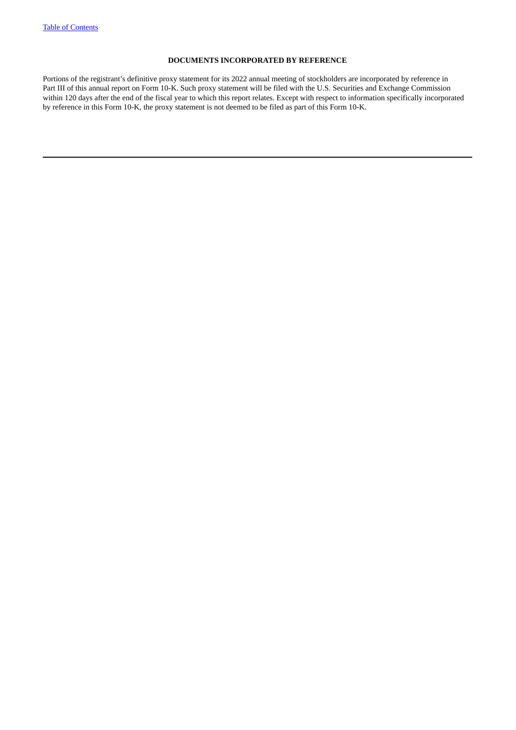# **DOCUMENTS INCORPORATED BY REFERENCE**

Portions of the registrant's definitive proxy statement for its 2022 annual meeting of stockholders are incorporated by reference in Part III of this annual report on Form 10-K. Such proxy statement will be filed with the U.S. Securities and Exchange Commission within 120 days after the end of the fiscal year to which this report relates. Except with respect to information specifically incorporated by reference in this Form 10-K, the proxy statement is not deemed to be filed as part of this Form 10-K.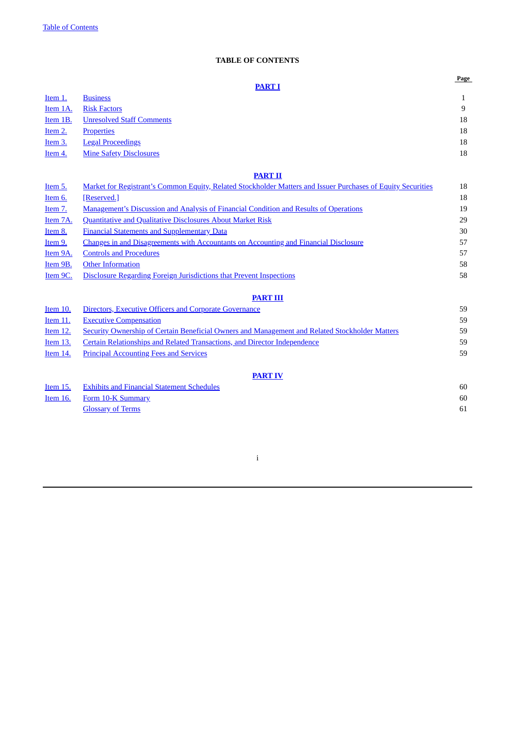# **TABLE OF CONTENTS**

<span id="page-2-0"></span>

|          |                                  | Page |
|----------|----------------------------------|------|
|          | <b>PART I</b>                    |      |
| Item 1.  | <b>Business</b>                  |      |
| Item 1A. | <b>Risk Factors</b>              | 9    |
| Item 1B. | <b>Unresolved Staff Comments</b> | 18   |
| Item 2.  | <b>Properties</b>                | 18   |
| Item 3.  | <b>Legal Proceedings</b>         | 18   |
| Item 4.  | <b>Mine Safety Disclosures</b>   | 18   |

# **[PART](#page-20-5) II**

| Item 5.        | Market for Registrant's Common Equity, Related Stockholder Matters and Issuer Purchases of Equity Securities | 18 |
|----------------|--------------------------------------------------------------------------------------------------------------|----|
| Item 6.        | [Reserved.]                                                                                                  | 18 |
| Item 7.        | <u>Management's Discussion and Analysis of Financial Condition and Results of Operations</u>                 | 19 |
| Item 7A.       | <b>Quantitative and Qualitative Disclosures About Market Risk</b>                                            | 29 |
| <u>Item 8.</u> | <b>Financial Statements and Supplementary Data</b>                                                           | 30 |
| Item 9.        | Changes in and Disagreements with Accountants on Accounting and Financial Disclosure                         | 57 |
| Item 9A.       | <b>Controls and Procedures</b>                                                                               | 57 |
| Item 9B.       | <b>Other Information</b>                                                                                     | 58 |
| Item 9C.       | <b>Disclosure Regarding Foreign Jurisdictions that Prevent Inspections</b>                                   | 58 |

# **[PART](#page-61-0) III**

| Item 10. | Directors, Executive Officers and Corporate Governance                                         | 59 |
|----------|------------------------------------------------------------------------------------------------|----|
| Item 11. | <b>Executive Compensation</b>                                                                  | 59 |
| Item 12. | Security Ownership of Certain Beneficial Owners and Management and Related Stockholder Matters | 59 |
| Item 13. | <b>Certain Relationships and Related Transactions, and Director Independence</b>               | 59 |
| Item 14. | <b>Principal Accounting Fees and Services</b>                                                  | 59 |
|          |                                                                                                |    |

# **[PART](#page-62-0) IV**

| 60                                                                                                                   |
|----------------------------------------------------------------------------------------------------------------------|
| 60                                                                                                                   |
| 61                                                                                                                   |
| Item 15. Exhibits and Financial Statement Schedules<br><u>Item 16. Form 10-K Summary</u><br><b>Glossary of Terms</b> |

# i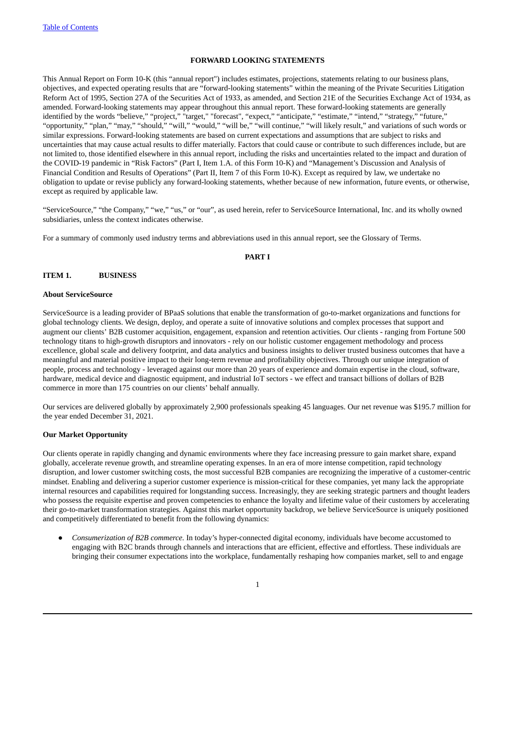#### **FORWARD LOOKING STATEMENTS**

This Annual Report on Form 10-K (this "annual report") includes estimates, projections, statements relating to our business plans, objectives, and expected operating results that are "forward-looking statements" within the meaning of the Private Securities Litigation Reform Act of 1995, Section 27A of the Securities Act of 1933, as amended, and Section 21E of the Securities Exchange Act of 1934, as amended. Forward-looking statements may appear throughout this annual report. These forward-looking statements are generally identified by the words "believe," "project," "target," "forecast", "expect," "anticipate," "estimate," "intend," "strategy," "future," "opportunity," "plan," "may," "should," "will," "would," "will be," "will continue," "will likely result," and variations of such words or similar expressions. Forward-looking statements are based on current expectations and assumptions that are subject to risks and uncertainties that may cause actual results to differ materially. Factors that could cause or contribute to such differences include, but are not limited to, those identified elsewhere in this annual report, including the risks and uncertainties related to the impact and duration of the COVID-19 pandemic in "Risk Factors" (Part I, Item 1.A. of this Form 10-K) and "Management's Discussion and Analysis of Financial Condition and Results of Operations" (Part II, Item 7 of this Form 10-K). Except as required by law, we undertake no obligation to update or revise publicly any forward-looking statements, whether because of new information, future events, or otherwise, except as required by applicable law.

"ServiceSource," "the Company," "we," "us," or "our", as used herein, refer to ServiceSource International, Inc. and its wholly owned subsidiaries, unless the context indicates otherwise.

<span id="page-3-0"></span>For a summary of commonly used industry terms and abbreviations used in this annual report, see the Glossary of Terms.

#### **PART I**

#### <span id="page-3-1"></span>**ITEM 1. BUSINESS**

#### **About ServiceSource**

ServiceSource is a leading provider of BPaaS solutions that enable the transformation of go-to-market organizations and functions for global technology clients. We design, deploy, and operate a suite of innovative solutions and complex processes that support and augment our clients' B2B customer acquisition, engagement, expansion and retention activities. Our clients - ranging from Fortune 500 technology titans to high-growth disruptors and innovators - rely on our holistic customer engagement methodology and process excellence, global scale and delivery footprint, and data analytics and business insights to deliver trusted business outcomes that have a meaningful and material positive impact to their long-term revenue and profitability objectives. Through our unique integration of people, process and technology - leveraged against our more than 20 years of experience and domain expertise in the cloud, software, hardware, medical device and diagnostic equipment, and industrial IoT sectors - we effect and transact billions of dollars of B2B commerce in more than 175 countries on our clients' behalf annually.

Our services are delivered globally by approximately 2,900 professionals speaking 45 languages. Our net revenue was \$195.7 million for the year ended December 31, 2021.

#### **Our Market Opportunity**

Our clients operate in rapidly changing and dynamic environments where they face increasing pressure to gain market share, expand globally, accelerate revenue growth, and streamline operating expenses. In an era of more intense competition, rapid technology disruption, and lower customer switching costs, the most successful B2B companies are recognizing the imperative of a customer-centric mindset. Enabling and delivering a superior customer experience is mission-critical for these companies, yet many lack the appropriate internal resources and capabilities required for longstanding success. Increasingly, they are seeking strategic partners and thought leaders who possess the requisite expertise and proven competencies to enhance the loyalty and lifetime value of their customers by accelerating their go-to-market transformation strategies. Against this market opportunity backdrop, we believe ServiceSource is uniquely positioned and competitively differentiated to benefit from the following dynamics:

● *Consumerization of B2B commerce.* In today's hyper-connected digital economy, individuals have become accustomed to engaging with B2C brands through channels and interactions that are efficient, effective and effortless. These individuals are bringing their consumer expectations into the workplace, fundamentally reshaping how companies market, sell to and engage

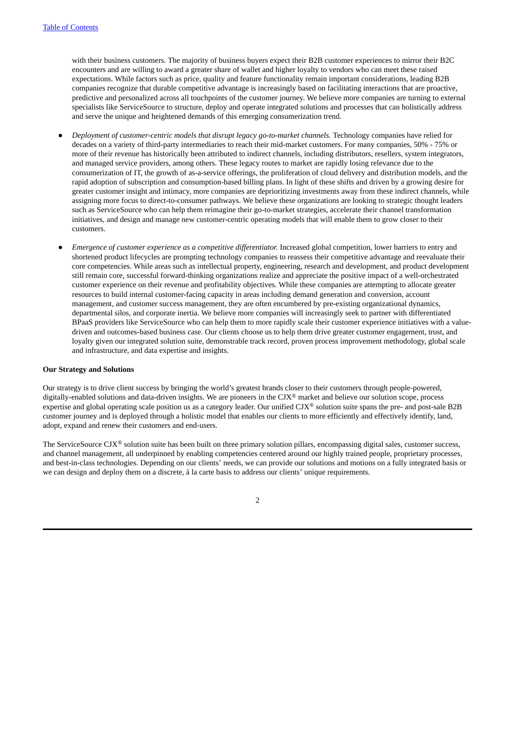with their business customers. The majority of business buyers expect their B2B customer experiences to mirror their B2C encounters and are willing to award a greater share of wallet and higher loyalty to vendors who can meet these raised expectations. While factors such as price, quality and feature functionality remain important considerations, leading B2B companies recognize that durable competitive advantage is increasingly based on facilitating interactions that are proactive, predictive and personalized across all touchpoints of the customer journey. We believe more companies are turning to external specialists like ServiceSource to structure, deploy and operate integrated solutions and processes that can holistically address and serve the unique and heightened demands of this emerging consumerization trend.

- *Deployment of customer-centric models that disrupt legacy go-to-market channels.* Technology companies have relied for decades on a variety of third-party intermediaries to reach their mid-market customers. For many companies, 50% - 75% or more of their revenue has historically been attributed to indirect channels, including distributors, resellers, system integrators, and managed service providers, among others. These legacy routes to market are rapidly losing relevance due to the consumerization of IT, the growth of as-a-service offerings, the proliferation of cloud delivery and distribution models, and the rapid adoption of subscription and consumption-based billing plans. In light of these shifts and driven by a growing desire for greater customer insight and intimacy, more companies are deprioritizing investments away from these indirect channels, while assigning more focus to direct-to-consumer pathways. We believe these organizations are looking to strategic thought leaders such as ServiceSource who can help them reimagine their go-to-market strategies, accelerate their channel transformation initiatives, and design and manage new customer-centric operating models that will enable them to grow closer to their customers.
- *Emergence of customer experience as a competitive differentiator.* Increased global competition, lower barriers to entry and shortened product lifecycles are prompting technology companies to reassess their competitive advantage and reevaluate their core competencies. While areas such as intellectual property, engineering, research and development, and product development still remain core, successful forward-thinking organizations realize and appreciate the positive impact of a well-orchestrated customer experience on their revenue and profitability objectives. While these companies are attempting to allocate greater resources to build internal customer-facing capacity in areas including demand generation and conversion, account management, and customer success management, they are often encumbered by pre-existing organizational dynamics, departmental silos, and corporate inertia. We believe more companies will increasingly seek to partner with differentiated BPaaS providers like ServiceSource who can help them to more rapidly scale their customer experience initiatives with a valuedriven and outcomes-based business case. Our clients choose us to help them drive greater customer engagement, trust, and loyalty given our integrated solution suite, demonstrable track record, proven process improvement methodology, global scale and infrastructure, and data expertise and insights.

#### **Our Strategy and Solutions**

Our strategy is to drive client success by bringing the world's greatest brands closer to their customers through people-powered, digitally-enabled solutions and data-driven insights. We are pioneers in the  $CJX^{\otimes}$  market and believe our solution scope, process expertise and global operating scale position us as a category leader. Our unified CJX® solution suite spans the pre- and post-sale B2B customer journey and is deployed through a holistic model that enables our clients to more efficiently and effectively identify, land, adopt, expand and renew their customers and end-users.

The ServiceSource  $CJX^{\otimes}$  solution suite has been built on three primary solution pillars, encompassing digital sales, customer success, and channel management, all underpinned by enabling competencies centered around our highly trained people, proprietary processes, and best-in-class technologies. Depending on our clients' needs, we can provide our solutions and motions on a fully integrated basis or we can design and deploy them on a discrete, á la carte basis to address our clients' unique requirements.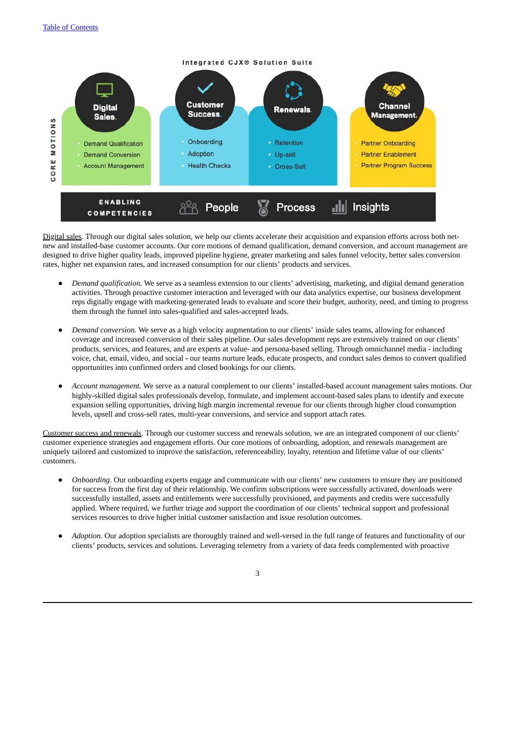

Digital sales. Through our digital sales solution, we help our clients accelerate their acquisition and expansion efforts across both netnew and installed-base customer accounts. Our core motions of demand qualification, demand conversion, and account management are designed to drive higher quality leads, improved pipeline hygiene, greater marketing and sales funnel velocity, better sales conversion rates, higher net expansion rates, and increased consumption for our clients' products and services.

- *Demand qualification.* We serve as a seamless extension to our clients' advertising, marketing, and digital demand generation activities. Through proactive customer interaction and leveraged with our data analytics expertise, our business development reps digitally engage with marketing-generated leads to evaluate and score their budget, authority, need, and timing to progress them through the funnel into sales-qualified and sales-accepted leads.
- *Demand conversion.* We serve as a high velocity augmentation to our clients' inside sales teams, allowing for enhanced coverage and increased conversion of their sales pipeline. Our sales development reps are extensively trained on our clients' products, services, and features, and are experts at value- and persona-based selling. Through omnichannel media - including voice, chat, email, video, and social - our teams nurture leads, educate prospects, and conduct sales demos to convert qualified opportunities into confirmed orders and closed bookings for our clients.
- *Account management.* We serve as a natural complement to our clients' installed-based account management sales motions. Our highly-skilled digital sales professionals develop, formulate, and implement account-based sales plans to identify and execute expansion selling opportunities, driving high margin incremental revenue for our clients through higher cloud consumption levels, upsell and cross-sell rates, multi-year conversions, and service and support attach rates.

Customer success and renewals. Through our customer success and renewals solution, we are an integrated component of our clients' customer experience strategies and engagement efforts. Our core motions of onboarding, adoption, and renewals management are uniquely tailored and customized to improve the satisfaction, referenceability, loyalty, retention and lifetime value of our clients' customers.

- *Onboarding*. Our onboarding experts engage and communicate with our clients' new customers to ensure they are positioned for success from the first day of their relationship. We confirm subscriptions were successfully activated, downloads were successfully installed, assets and entitlements were successfully provisioned, and payments and credits were successfully applied. Where required, we further triage and support the coordination of our clients' technical support and professional services resources to drive higher initial customer satisfaction and issue resolution outcomes.
- Adoption. Our adoption specialists are thoroughly trained and well-versed in the full range of features and functionality of our clients' products, services and solutions. Leveraging telemetry from a variety of data feeds complemented with proactive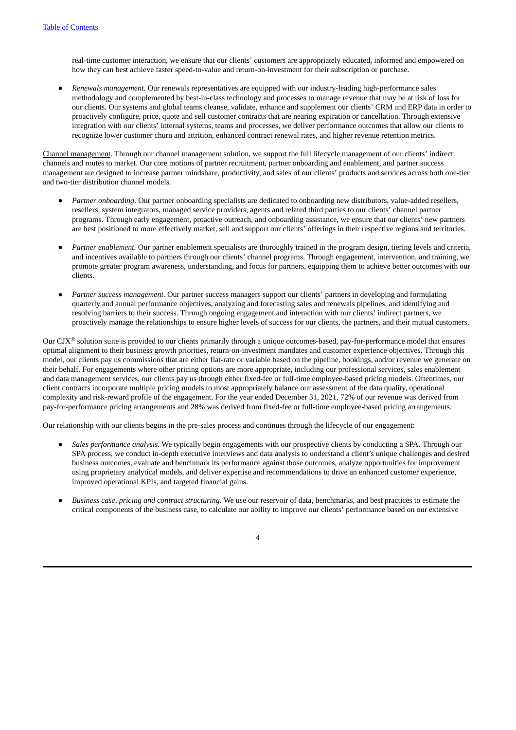real-time customer interaction, we ensure that our clients' customers are appropriately educated, informed and empowered on how they can best achieve faster speed-to-value and return-on-investment for their subscription or purchase.

● *Renewals management*. Our renewals representatives are equipped with our industry-leading high-performance sales methodology and complemented by best-in-class technology and processes to manage revenue that may be at risk of loss for our clients. Our systems and global teams cleanse, validate, enhance and supplement our clients' CRM and ERP data in order to proactively configure, price, quote and sell customer contracts that are nearing expiration or cancellation. Through extensive integration with our clients' internal systems, teams and processes, we deliver performance outcomes that allow our clients to recognize lower customer churn and attrition, enhanced contract renewal rates, and higher revenue retention metrics.

Channel management. Through our channel management solution, we support the full lifecycle management of our clients' indirect channels and routes to market. Our core motions of partner recruitment, partner onboarding and enablement, and partner success management are designed to increase partner mindshare, productivity, and sales of our clients' products and services across both one-tier and two-tier distribution channel models.

- *Partner onboarding*. Our partner onboarding specialists are dedicated to onboarding new distributors, value-added resellers, resellers, system integrators, managed service providers, agents and related third parties to our clients' channel partner programs. Through early engagement, proactive outreach, and onboarding assistance, we ensure that our clients' new partners are best positioned to more effectively market, sell and support our clients' offerings in their respective regions and territories.
- Partner enablement. Our partner enablement specialists are thoroughly trained in the program design, tiering levels and criteria, and incentives available to partners through our clients' channel programs. Through engagement, intervention, and training, we promote greater program awareness, understanding, and focus for partners, equipping them to achieve better outcomes with our clients.
- *Partner success management.* Our partner success managers support our clients' partners in developing and formulating quarterly and annual performance objectives, analyzing and forecasting sales and renewals pipelines, and identifying and resolving barriers to their success. Through ongoing engagement and interaction with our clients' indirect partners, we proactively manage the relationships to ensure higher levels of success for our clients, the partners, and their mutual customers.

Our CJX® solution suite is provided to our clients primarily through a unique outcomes-based, pay-for-performance model that ensures optimal alignment to their business growth priorities, return-on-investment mandates and customer experience objectives. Through this model, our clients pay us commissions that are either flat-rate or variable based on the pipeline, bookings, and/or revenue we generate on their behalf. For engagements where other pricing options are more appropriate, including our professional services, sales enablement and data management services, our clients pay us through either fixed-fee or full-time employee-based pricing models. Oftentimes, our client contracts incorporate multiple pricing models to most appropriately balance our assessment of the data quality, operational complexity and risk-reward profile of the engagement. For the year ended December 31, 2021, 72% of our revenue was derived from pay-for-performance pricing arrangements and 28% was derived from fixed-fee or full-time employee-based pricing arrangements.

Our relationship with our clients begins in the pre-sales process and continues through the lifecycle of our engagement:

- *Sales performance analysis.* We typically begin engagements with our prospective clients by conducting a SPA. Through our SPA process, we conduct in-depth executive interviews and data analysis to understand a client's unique challenges and desired business outcomes, evaluate and benchmark its performance against those outcomes, analyze opportunities for improvement using proprietary analytical models, and deliver expertise and recommendations to drive an enhanced customer experience, improved operational KPIs, and targeted financial gains.
- *Business case, pricing and contract structuring.* We use our reservoir of data, benchmarks, and best practices to estimate the critical components of the business case, to calculate our ability to improve our clients' performance based on our extensive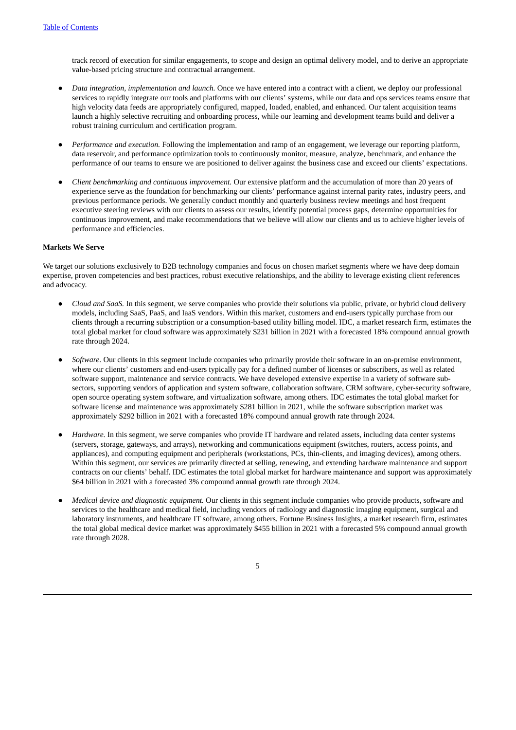track record of execution for similar engagements, to scope and design an optimal delivery model, and to derive an appropriate value-based pricing structure and contractual arrangement.

- *Data integration, implementation and launch.* Once we have entered into a contract with a client, we deploy our professional services to rapidly integrate our tools and platforms with our clients' systems, while our data and ops services teams ensure that high velocity data feeds are appropriately configured, mapped, loaded, enabled, and enhanced. Our talent acquisition teams launch a highly selective recruiting and onboarding process, while our learning and development teams build and deliver a robust training curriculum and certification program.
- *Performance and execution.* Following the implementation and ramp of an engagement, we leverage our reporting platform, data reservoir, and performance optimization tools to continuously monitor, measure, analyze, benchmark, and enhance the performance of our teams to ensure we are positioned to deliver against the business case and exceed our clients' expectations.
- *Client benchmarking and continuous improvement.* Our extensive platform and the accumulation of more than 20 years of experience serve as the foundation for benchmarking our clients' performance against internal parity rates, industry peers, and previous performance periods. We generally conduct monthly and quarterly business review meetings and host frequent executive steering reviews with our clients to assess our results, identify potential process gaps, determine opportunities for continuous improvement, and make recommendations that we believe will allow our clients and us to achieve higher levels of performance and efficiencies.

#### **Markets We Serve**

We target our solutions exclusively to B2B technology companies and focus on chosen market segments where we have deep domain expertise, proven competencies and best practices, robust executive relationships, and the ability to leverage existing client references and advocacy.

- *Cloud and SaaS.* In this segment, we serve companies who provide their solutions via public, private, or hybrid cloud delivery models, including SaaS, PaaS, and IaaS vendors. Within this market, customers and end-users typically purchase from our clients through a recurring subscription or a consumption-based utility billing model. IDC, a market research firm, estimates the total global market for cloud software was approximately \$231 billion in 2021 with a forecasted 18% compound annual growth rate through 2024.
- *Software.* Our clients in this segment include companies who primarily provide their software in an on-premise environment, where our clients' customers and end-users typically pay for a defined number of licenses or subscribers, as well as related software support, maintenance and service contracts. We have developed extensive expertise in a variety of software subsectors, supporting vendors of application and system software, collaboration software, CRM software, cyber-security software, open source operating system software, and virtualization software, among others. IDC estimates the total global market for software license and maintenance was approximately \$281 billion in 2021, while the software subscription market was approximately \$292 billion in 2021 with a forecasted 18% compound annual growth rate through 2024.
- Hardware. In this segment, we serve companies who provide IT hardware and related assets, including data center systems (servers, storage, gateways, and arrays), networking and communications equipment (switches, routers, access points, and appliances), and computing equipment and peripherals (workstations, PCs, thin-clients, and imaging devices), among others. Within this segment, our services are primarily directed at selling, renewing, and extending hardware maintenance and support contracts on our clients' behalf. IDC estimates the total global market for hardware maintenance and support was approximately \$64 billion in 2021 with a forecasted 3% compound annual growth rate through 2024.
- *Medical device and diagnostic equipment.* Our clients in this segment include companies who provide products, software and services to the healthcare and medical field, including vendors of radiology and diagnostic imaging equipment, surgical and laboratory instruments, and healthcare IT software, among others. Fortune Business Insights, a market research firm, estimates the total global medical device market was approximately \$455 billion in 2021 with a forecasted 5% compound annual growth rate through 2028.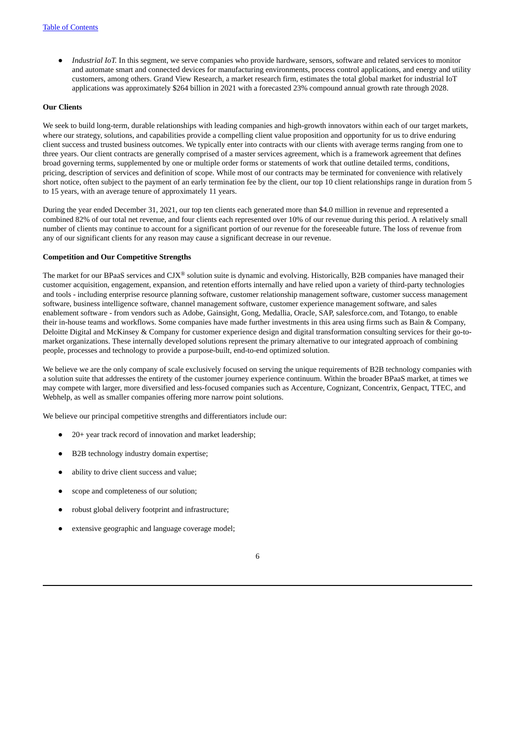● *Industrial IoT.* In this segment, we serve companies who provide hardware, sensors, software and related services to monitor and automate smart and connected devices for manufacturing environments, process control applications, and energy and utility customers, among others. Grand View Research, a market research firm, estimates the total global market for industrial IoT applications was approximately \$264 billion in 2021 with a forecasted 23% compound annual growth rate through 2028.

#### **Our Clients**

We seek to build long-term, durable relationships with leading companies and high-growth innovators within each of our target markets, where our strategy, solutions, and capabilities provide a compelling client value proposition and opportunity for us to drive enduring client success and trusted business outcomes. We typically enter into contracts with our clients with average terms ranging from one to three years. Our client contracts are generally comprised of a master services agreement, which is a framework agreement that defines broad governing terms, supplemented by one or multiple order forms or statements of work that outline detailed terms, conditions, pricing, description of services and definition of scope. While most of our contracts may be terminated for convenience with relatively short notice, often subject to the payment of an early termination fee by the client, our top 10 client relationships range in duration from 5 to 15 years, with an average tenure of approximately 11 years.

During the year ended December 31, 2021, our top ten clients each generated more than \$4.0 million in revenue and represented a combined 82% of our total net revenue, and four clients each represented over 10% of our revenue during this period. A relatively small number of clients may continue to account for a significant portion of our revenue for the foreseeable future. The loss of revenue from any of our significant clients for any reason may cause a significant decrease in our revenue.

#### **Competition and Our Competitive Strengths**

The market for our BPaaS services and CJX® solution suite is dynamic and evolving. Historically, B2B companies have managed their customer acquisition, engagement, expansion, and retention efforts internally and have relied upon a variety of third-party technologies and tools - including enterprise resource planning software, customer relationship management software, customer success management software, business intelligence software, channel management software, customer experience management software, and sales enablement software - from vendors such as Adobe, Gainsight, Gong, Medallia, Oracle, SAP, salesforce.com, and Totango, to enable their in-house teams and workflows. Some companies have made further investments in this area using firms such as Bain & Company, Deloitte Digital and McKinsey & Company for customer experience design and digital transformation consulting services for their go-tomarket organizations. These internally developed solutions represent the primary alternative to our integrated approach of combining people, processes and technology to provide a purpose-built, end-to-end optimized solution.

We believe we are the only company of scale exclusively focused on serving the unique requirements of B2B technology companies with a solution suite that addresses the entirety of the customer journey experience continuum. Within the broader BPaaS market, at times we may compete with larger, more diversified and less-focused companies such as Accenture, Cognizant, Concentrix, Genpact, TTEC, and Webhelp, as well as smaller companies offering more narrow point solutions.

We believe our principal competitive strengths and differentiators include our:

- 20+ year track record of innovation and market leadership;
- B2B technology industry domain expertise;
- ability to drive client success and value;
- scope and completeness of our solution;
- robust global delivery footprint and infrastructure;
- extensive geographic and language coverage model;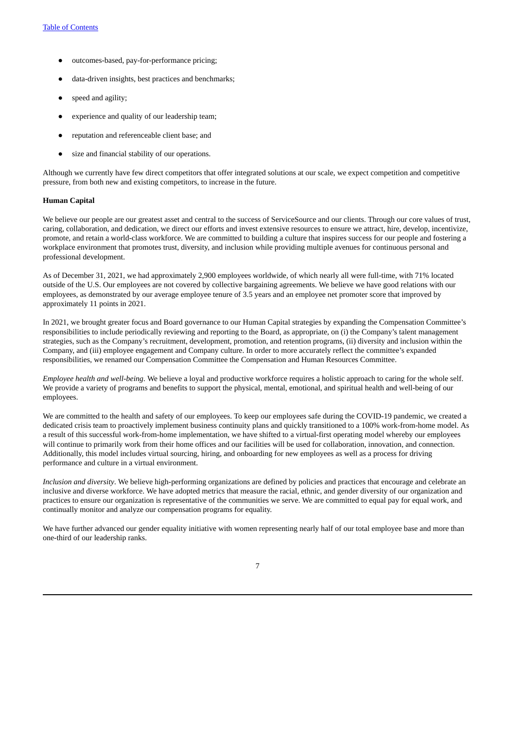- outcomes-based, pay-for-performance pricing;
- data-driven insights, best practices and benchmarks;
- speed and agility;
- experience and quality of our leadership team;
- reputation and referenceable client base; and
- size and financial stability of our operations.

Although we currently have few direct competitors that offer integrated solutions at our scale, we expect competition and competitive pressure, from both new and existing competitors, to increase in the future.

#### **Human Capital**

We believe our people are our greatest asset and central to the success of ServiceSource and our clients. Through our core values of trust, caring, collaboration, and dedication, we direct our efforts and invest extensive resources to ensure we attract, hire, develop, incentivize, promote, and retain a world-class workforce. We are committed to building a culture that inspires success for our people and fostering a workplace environment that promotes trust, diversity, and inclusion while providing multiple avenues for continuous personal and professional development.

As of December 31, 2021, we had approximately 2,900 employees worldwide, of which nearly all were full-time, with 71% located outside of the U.S. Our employees are not covered by collective bargaining agreements. We believe we have good relations with our employees, as demonstrated by our average employee tenure of 3.5 years and an employee net promoter score that improved by approximately 11 points in 2021.

In 2021, we brought greater focus and Board governance to our Human Capital strategies by expanding the Compensation Committee's responsibilities to include periodically reviewing and reporting to the Board, as appropriate, on (i) the Company's talent management strategies, such as the Company's recruitment, development, promotion, and retention programs, (ii) diversity and inclusion within the Company, and (iii) employee engagement and Company culture. In order to more accurately reflect the committee's expanded responsibilities, we renamed our Compensation Committee the Compensation and Human Resources Committee.

*Employee health and well-being*. We believe a loyal and productive workforce requires a holistic approach to caring for the whole self. We provide a variety of programs and benefits to support the physical, mental, emotional, and spiritual health and well-being of our employees.

We are committed to the health and safety of our employees. To keep our employees safe during the COVID-19 pandemic, we created a dedicated crisis team to proactively implement business continuity plans and quickly transitioned to a 100% work-from-home model. As a result of this successful work-from-home implementation, we have shifted to a virtual-first operating model whereby our employees will continue to primarily work from their home offices and our facilities will be used for collaboration, innovation, and connection. Additionally, this model includes virtual sourcing, hiring, and onboarding for new employees as well as a process for driving performance and culture in a virtual environment.

*Inclusion and diversity*. We believe high-performing organizations are defined by policies and practices that encourage and celebrate an inclusive and diverse workforce. We have adopted metrics that measure the racial, ethnic, and gender diversity of our organization and practices to ensure our organization is representative of the communities we serve. We are committed to equal pay for equal work, and continually monitor and analyze our compensation programs for equality.

We have further advanced our gender equality initiative with women representing nearly half of our total employee base and more than one-third of our leadership ranks.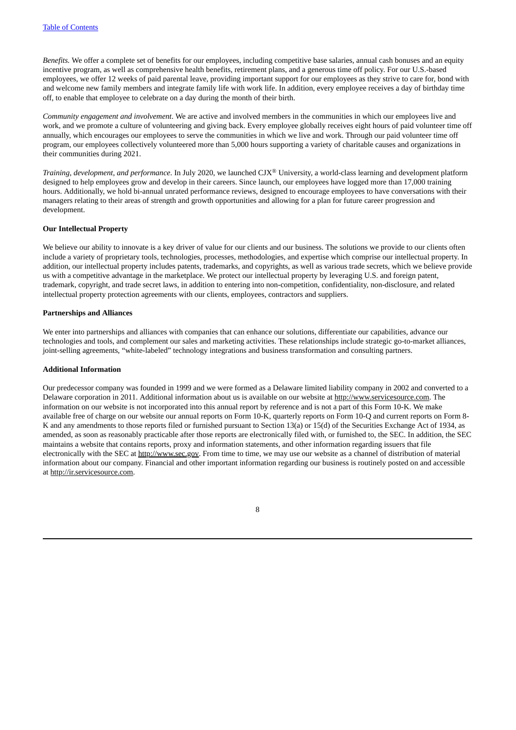*Benefits.* We offer a complete set of benefits for our employees, including competitive base salaries, annual cash bonuses and an equity incentive program, as well as comprehensive health benefits, retirement plans, and a generous time off policy. For our U.S.-based employees, we offer 12 weeks of paid parental leave, providing important support for our employees as they strive to care for, bond with and welcome new family members and integrate family life with work life. In addition, every employee receives a day of birthday time off, to enable that employee to celebrate on a day during the month of their birth.

*Community engagement and involvement*. We are active and involved members in the communities in which our employees live and work, and we promote a culture of volunteering and giving back. Every employee globally receives eight hours of paid volunteer time off annually, which encourages our employees to serve the communities in which we live and work. Through our paid volunteer time off program, our employees collectively volunteered more than 5,000 hours supporting a variety of charitable causes and organizations in their communities during 2021.

*Training, development, and performance*. In July 2020, we launched CJX® University, a world-class learning and development platform designed to help employees grow and develop in their careers. Since launch, our employees have logged more than 17,000 training hours. Additionally, we hold bi-annual unrated performance reviews, designed to encourage employees to have conversations with their managers relating to their areas of strength and growth opportunities and allowing for a plan for future career progression and development.

#### **Our Intellectual Property**

We believe our ability to innovate is a key driver of value for our clients and our business. The solutions we provide to our clients often include a variety of proprietary tools, technologies, processes, methodologies, and expertise which comprise our intellectual property. In addition, our intellectual property includes patents, trademarks, and copyrights, as well as various trade secrets, which we believe provide us with a competitive advantage in the marketplace. We protect our intellectual property by leveraging U.S. and foreign patent, trademark, copyright, and trade secret laws, in addition to entering into non-competition, confidentiality, non-disclosure, and related intellectual property protection agreements with our clients, employees, contractors and suppliers.

#### **Partnerships and Alliances**

We enter into partnerships and alliances with companies that can enhance our solutions, differentiate our capabilities, advance our technologies and tools, and complement our sales and marketing activities. These relationships include strategic go-to-market alliances, joint-selling agreements, "white-labeled" technology integrations and business transformation and consulting partners.

#### **Additional Information**

<span id="page-10-0"></span>Our predecessor company was founded in 1999 and we were formed as a Delaware limited liability company in 2002 and converted to a Delaware corporation in 2011. Additional information about us is available on our website at http://www.servicesource.com. The information on our website is not incorporated into this annual report by reference and is not a part of this Form 10-K. We make available free of charge on our website our annual reports on Form 10-K, quarterly reports on Form 10-Q and current reports on Form 8- K and any amendments to those reports filed or furnished pursuant to Section 13(a) or 15(d) of the Securities Exchange Act of 1934, as amended, as soon as reasonably practicable after those reports are electronically filed with, or furnished to, the SEC. In addition, the SEC maintains a website that contains reports, proxy and information statements, and other information regarding issuers that file electronically with the SEC at http://www.sec.gov. From time to time, we may use our website as a channel of distribution of material information about our company. Financial and other important information regarding our business is routinely posted on and accessible at http://ir.servicesource.com.

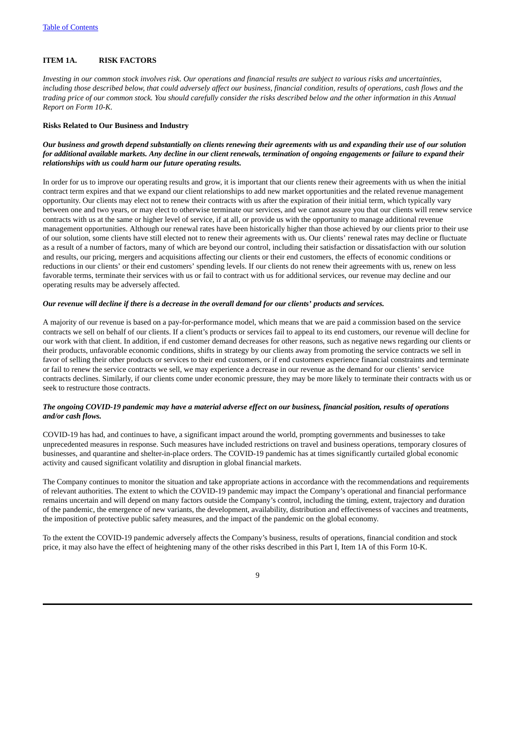# <span id="page-11-0"></span>**ITEM 1A. RISK FACTORS**

Investing in our common stock involves risk. Our operations and financial results are subject to various risks and uncertainties, including those described below, that could adversely affect our business, financial condition, results of operations, cash flows and the trading price of our common stock. You should carefully consider the risks described below and the other information in this Annual *Report on Form 10-K.*

#### **Risks Related to Our Business and Industry**

## Our business and growth depend substantially on clients renewing their agreements with us and expanding their use of our solution for additional available markets. Any decline in our client renewals, termination of ongoing engagements or failure to expand their *relationships with us could harm our future operating results.*

In order for us to improve our operating results and grow, it is important that our clients renew their agreements with us when the initial contract term expires and that we expand our client relationships to add new market opportunities and the related revenue management opportunity. Our clients may elect not to renew their contracts with us after the expiration of their initial term, which typically vary between one and two years, or may elect to otherwise terminate our services, and we cannot assure you that our clients will renew service contracts with us at the same or higher level of service, if at all, or provide us with the opportunity to manage additional revenue management opportunities. Although our renewal rates have been historically higher than those achieved by our clients prior to their use of our solution, some clients have still elected not to renew their agreements with us. Our clients' renewal rates may decline or fluctuate as a result of a number of factors, many of which are beyond our control, including their satisfaction or dissatisfaction with our solution and results, our pricing, mergers and acquisitions affecting our clients or their end customers, the effects of economic conditions or reductions in our clients' or their end customers' spending levels. If our clients do not renew their agreements with us, renew on less favorable terms, terminate their services with us or fail to contract with us for additional services, our revenue may decline and our operating results may be adversely affected.

#### Our revenue will decline if there is a decrease in the overall demand for our clients' products and services.

A majority of our revenue is based on a pay-for-performance model, which means that we are paid a commission based on the service contracts we sell on behalf of our clients. If a client's products or services fail to appeal to its end customers, our revenue will decline for our work with that client. In addition, if end customer demand decreases for other reasons, such as negative news regarding our clients or their products, unfavorable economic conditions, shifts in strategy by our clients away from promoting the service contracts we sell in favor of selling their other products or services to their end customers, or if end customers experience financial constraints and terminate or fail to renew the service contracts we sell, we may experience a decrease in our revenue as the demand for our clients' service contracts declines. Similarly, if our clients come under economic pressure, they may be more likely to terminate their contracts with us or seek to restructure those contracts.

#### The ongoing COVID-19 pandemic may have a material adverse effect on our business, financial position, results of operations *and/or cash flows.*

COVID-19 has had, and continues to have, a significant impact around the world, prompting governments and businesses to take unprecedented measures in response. Such measures have included restrictions on travel and business operations, temporary closures of businesses, and quarantine and shelter-in-place orders. The COVID-19 pandemic has at times significantly curtailed global economic activity and caused significant volatility and disruption in global financial markets.

The Company continues to monitor the situation and take appropriate actions in accordance with the recommendations and requirements of relevant authorities. The extent to which the COVID-19 pandemic may impact the Company's operational and financial performance remains uncertain and will depend on many factors outside the Company's control, including the timing, extent, trajectory and duration of the pandemic, the emergence of new variants, the development, availability, distribution and effectiveness of vaccines and treatments, the imposition of protective public safety measures, and the impact of the pandemic on the global economy.

To the extent the COVID-19 pandemic adversely affects the Company's business, results of operations, financial condition and stock price, it may also have the effect of heightening many of the other risks described in this Part I, Item 1A of this Form 10-K.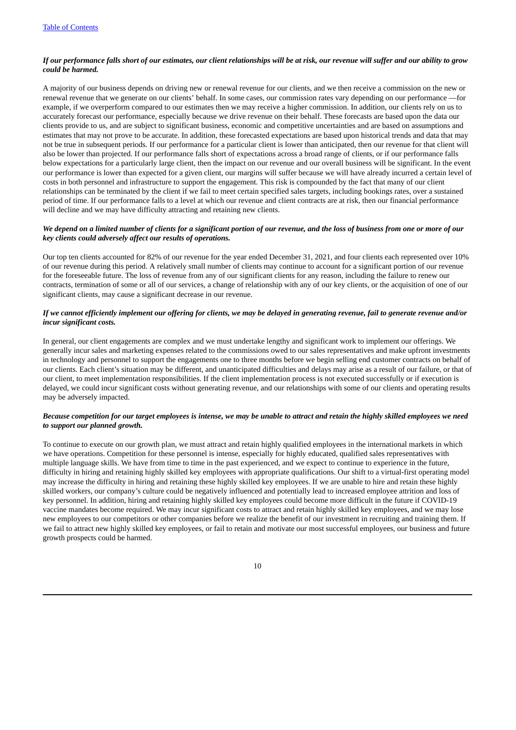# If our performance falls short of our estimates, our client relationships will be at risk, our revenue will suffer and our ability to grow *could be harmed.*

A majority of our business depends on driving new or renewal revenue for our clients, and we then receive a commission on the new or renewal revenue that we generate on our clients' behalf. In some cases, our commission rates vary depending on our performance —for example, if we overperform compared to our estimates then we may receive a higher commission. In addition, our clients rely on us to accurately forecast our performance, especially because we drive revenue on their behalf. These forecasts are based upon the data our clients provide to us, and are subject to significant business, economic and competitive uncertainties and are based on assumptions and estimates that may not prove to be accurate. In addition, these forecasted expectations are based upon historical trends and data that may not be true in subsequent periods. If our performance for a particular client is lower than anticipated, then our revenue for that client will also be lower than projected. If our performance falls short of expectations across a broad range of clients, or if our performance falls below expectations for a particularly large client, then the impact on our revenue and our overall business will be significant. In the event our performance is lower than expected for a given client, our margins will suffer because we will have already incurred a certain level of costs in both personnel and infrastructure to support the engagement. This risk is compounded by the fact that many of our client relationships can be terminated by the client if we fail to meet certain specified sales targets, including bookings rates, over a sustained period of time. If our performance falls to a level at which our revenue and client contracts are at risk, then our financial performance will decline and we may have difficulty attracting and retaining new clients.

## We depend on a limited number of clients for a significant portion of our revenue, and the loss of business from one or more of our *key clients could adversely affect our results of operations.*

Our top ten clients accounted for 82% of our revenue for the year ended December 31, 2021, and four clients each represented over 10% of our revenue during this period. A relatively small number of clients may continue to account for a significant portion of our revenue for the foreseeable future. The loss of revenue from any of our significant clients for any reason, including the failure to renew our contracts, termination of some or all of our services, a change of relationship with any of our key clients, or the acquisition of one of our significant clients, may cause a significant decrease in our revenue.

# If we cannot efficiently implement our offering for clients, we may be delayed in generating revenue, fail to generate revenue and/or *incur significant costs.*

In general, our client engagements are complex and we must undertake lengthy and significant work to implement our offerings. We generally incur sales and marketing expenses related to the commissions owed to our sales representatives and make upfront investments in technology and personnel to support the engagements one to three months before we begin selling end customer contracts on behalf of our clients. Each client's situation may be different, and unanticipated difficulties and delays may arise as a result of our failure, or that of our client, to meet implementation responsibilities. If the client implementation process is not executed successfully or if execution is delayed, we could incur significant costs without generating revenue, and our relationships with some of our clients and operating results may be adversely impacted.

# Because competition for our target employees is intense, we may be unable to attract and retain the highly skilled employees we need *to support our planned growth.*

To continue to execute on our growth plan, we must attract and retain highly qualified employees in the international markets in which we have operations. Competition for these personnel is intense, especially for highly educated, qualified sales representatives with multiple language skills. We have from time to time in the past experienced, and we expect to continue to experience in the future, difficulty in hiring and retaining highly skilled key employees with appropriate qualifications. Our shift to a virtual-first operating model may increase the difficulty in hiring and retaining these highly skilled key employees. If we are unable to hire and retain these highly skilled workers, our company's culture could be negatively influenced and potentially lead to increased employee attrition and loss of key personnel. In addition, hiring and retaining highly skilled key employees could become more difficult in the future if COVID-19 vaccine mandates become required. We may incur significant costs to attract and retain highly skilled key employees, and we may lose new employees to our competitors or other companies before we realize the benefit of our investment in recruiting and training them. If we fail to attract new highly skilled key employees, or fail to retain and motivate our most successful employees, our business and future growth prospects could be harmed.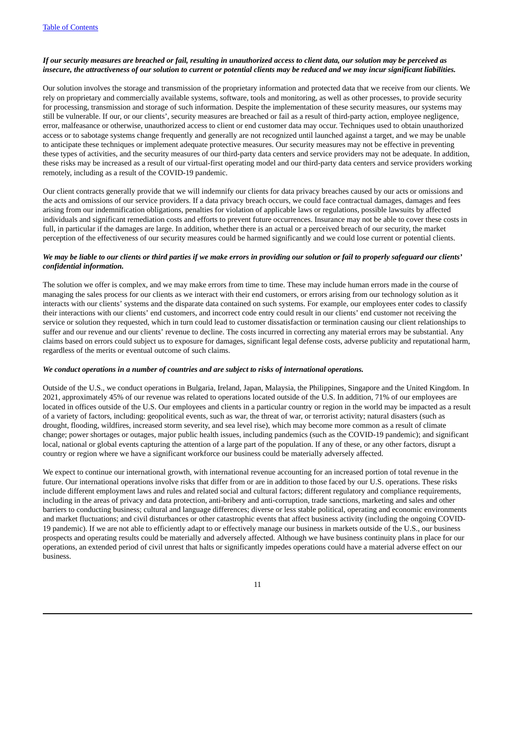# If our security measures are breached or fail, resulting in unauthorized access to client data, our solution may be perceived as insecure, the attractiveness of our solution to current or potential clients may be reduced and we may incur significant liabilities.

Our solution involves the storage and transmission of the proprietary information and protected data that we receive from our clients. We rely on proprietary and commercially available systems, software, tools and monitoring, as well as other processes, to provide security for processing, transmission and storage of such information. Despite the implementation of these security measures, our systems may still be vulnerable. If our, or our clients', security measures are breached or fail as a result of third-party action, employee negligence, error, malfeasance or otherwise, unauthorized access to client or end customer data may occur. Techniques used to obtain unauthorized access or to sabotage systems change frequently and generally are not recognized until launched against a target, and we may be unable to anticipate these techniques or implement adequate protective measures. Our security measures may not be effective in preventing these types of activities, and the security measures of our third-party data centers and service providers may not be adequate. In addition, these risks may be increased as a result of our virtual-first operating model and our third-party data centers and service providers working remotely, including as a result of the COVID-19 pandemic.

Our client contracts generally provide that we will indemnify our clients for data privacy breaches caused by our acts or omissions and the acts and omissions of our service providers. If a data privacy breach occurs, we could face contractual damages, damages and fees arising from our indemnification obligations, penalties for violation of applicable laws or regulations, possible lawsuits by affected individuals and significant remediation costs and efforts to prevent future occurrences. Insurance may not be able to cover these costs in full, in particular if the damages are large. In addition, whether there is an actual or a perceived breach of our security, the market perception of the effectiveness of our security measures could be harmed significantly and we could lose current or potential clients.

# We may be liable to our clients or third parties if we make errors in providing our solution or fail to properly safeguard our clients' *confidential information.*

The solution we offer is complex, and we may make errors from time to time. These may include human errors made in the course of managing the sales process for our clients as we interact with their end customers, or errors arising from our technology solution as it interacts with our clients' systems and the disparate data contained on such systems. For example, our employees enter codes to classify their interactions with our clients' end customers, and incorrect code entry could result in our clients' end customer not receiving the service or solution they requested, which in turn could lead to customer dissatisfaction or termination causing our client relationships to suffer and our revenue and our clients' revenue to decline. The costs incurred in correcting any material errors may be substantial. Any claims based on errors could subject us to exposure for damages, significant legal defense costs, adverse publicity and reputational harm, regardless of the merits or eventual outcome of such claims.

## *We conduct operations in a number of countries and are subject to risks of international operations.*

Outside of the U.S., we conduct operations in Bulgaria, Ireland, Japan, Malaysia, the Philippines, Singapore and the United Kingdom. In 2021, approximately 45% of our revenue was related to operations located outside of the U.S. In addition, 71% of our employees are located in offices outside of the U.S. Our employees and clients in a particular country or region in the world may be impacted as a result of a variety of factors, including: geopolitical events, such as war, the threat of war, or terrorist activity; natural disasters (such as drought, flooding, wildfires, increased storm severity, and sea level rise), which may become more common as a result of climate change; power shortages or outages, major public health issues, including pandemics (such as the COVID-19 pandemic); and significant local, national or global events capturing the attention of a large part of the population. If any of these, or any other factors, disrupt a country or region where we have a significant workforce our business could be materially adversely affected.

We expect to continue our international growth, with international revenue accounting for an increased portion of total revenue in the future. Our international operations involve risks that differ from or are in addition to those faced by our U.S. operations. These risks include different employment laws and rules and related social and cultural factors; different regulatory and compliance requirements, including in the areas of privacy and data protection, anti-bribery and anti-corruption, trade sanctions, marketing and sales and other barriers to conducting business; cultural and language differences; diverse or less stable political, operating and economic environments and market fluctuations; and civil disturbances or other catastrophic events that affect business activity (including the ongoing COVID-19 pandemic). If we are not able to efficiently adapt to or effectively manage our business in markets outside of the U.S., our business prospects and operating results could be materially and adversely affected. Although we have business continuity plans in place for our operations, an extended period of civil unrest that halts or significantly impedes operations could have a material adverse effect on our business.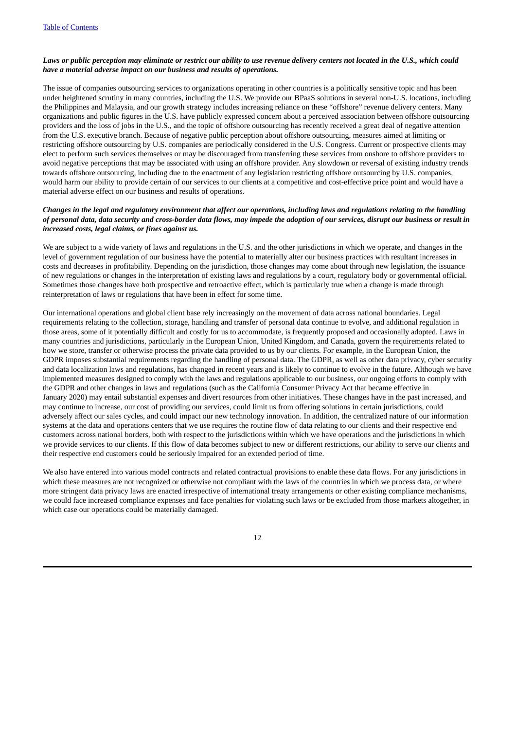## Laws or public perception may eliminate or restrict our ability to use revenue delivery centers not located in the U.S., which could *have a material adverse impact on our business and results of operations.*

The issue of companies outsourcing services to organizations operating in other countries is a politically sensitive topic and has been under heightened scrutiny in many countries, including the U.S. We provide our BPaaS solutions in several non-U.S. locations, including the Philippines and Malaysia, and our growth strategy includes increasing reliance on these "offshore" revenue delivery centers. Many organizations and public figures in the U.S. have publicly expressed concern about a perceived association between offshore outsourcing providers and the loss of jobs in the U.S., and the topic of offshore outsourcing has recently received a great deal of negative attention from the U.S. executive branch. Because of negative public perception about offshore outsourcing, measures aimed at limiting or restricting offshore outsourcing by U.S. companies are periodically considered in the U.S. Congress. Current or prospective clients may elect to perform such services themselves or may be discouraged from transferring these services from onshore to offshore providers to avoid negative perceptions that may be associated with using an offshore provider. Any slowdown or reversal of existing industry trends towards offshore outsourcing, including due to the enactment of any legislation restricting offshore outsourcing by U.S. companies, would harm our ability to provide certain of our services to our clients at a competitive and cost-effective price point and would have a material adverse effect on our business and results of operations.

# Changes in the legal and regulatory environment that affect our operations, including laws and regulations relating to the handling of personal data, data security and cross-border data flows, may impede the adoption of our services, disrupt our business or result in *increased costs, legal claims, or fines against us.*

We are subject to a wide variety of laws and regulations in the U.S. and the other jurisdictions in which we operate, and changes in the level of government regulation of our business have the potential to materially alter our business practices with resultant increases in costs and decreases in profitability. Depending on the jurisdiction, those changes may come about through new legislation, the issuance of new regulations or changes in the interpretation of existing laws and regulations by a court, regulatory body or governmental official. Sometimes those changes have both prospective and retroactive effect, which is particularly true when a change is made through reinterpretation of laws or regulations that have been in effect for some time.

Our international operations and global client base rely increasingly on the movement of data across national boundaries. Legal requirements relating to the collection, storage, handling and transfer of personal data continue to evolve, and additional regulation in those areas, some of it potentially difficult and costly for us to accommodate, is frequently proposed and occasionally adopted. Laws in many countries and jurisdictions, particularly in the European Union, United Kingdom, and Canada, govern the requirements related to how we store, transfer or otherwise process the private data provided to us by our clients. For example, in the European Union, the GDPR imposes substantial requirements regarding the handling of personal data. The GDPR, as well as other data privacy, cyber security and data localization laws and regulations, has changed in recent years and is likely to continue to evolve in the future. Although we have implemented measures designed to comply with the laws and regulations applicable to our business, our ongoing efforts to comply with the GDPR and other changes in laws and regulations (such as the California Consumer Privacy Act that became effective in January 2020) may entail substantial expenses and divert resources from other initiatives. These changes have in the past increased, and may continue to increase, our cost of providing our services, could limit us from offering solutions in certain jurisdictions, could adversely affect our sales cycles, and could impact our new technology innovation. In addition, the centralized nature of our information systems at the data and operations centers that we use requires the routine flow of data relating to our clients and their respective end customers across national borders, both with respect to the jurisdictions within which we have operations and the jurisdictions in which we provide services to our clients. If this flow of data becomes subject to new or different restrictions, our ability to serve our clients and their respective end customers could be seriously impaired for an extended period of time.

We also have entered into various model contracts and related contractual provisions to enable these data flows. For any jurisdictions in which these measures are not recognized or otherwise not compliant with the laws of the countries in which we process data, or where more stringent data privacy laws are enacted irrespective of international treaty arrangements or other existing compliance mechanisms, we could face increased compliance expenses and face penalties for violating such laws or be excluded from those markets altogether, in which case our operations could be materially damaged.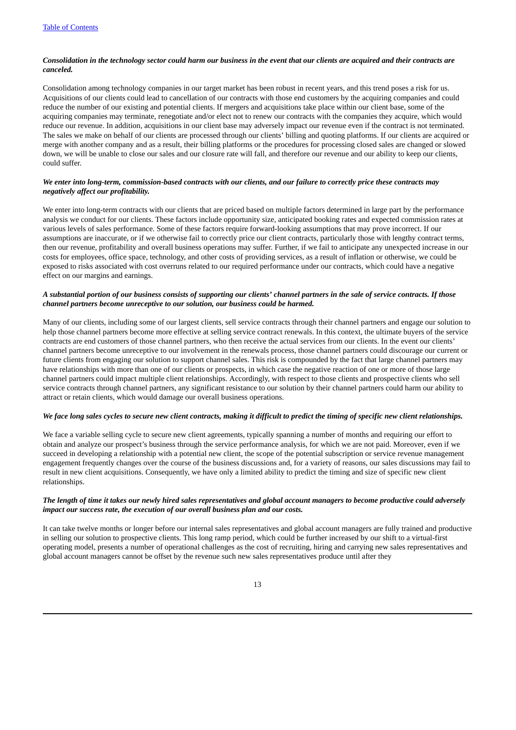# Consolidation in the technology sector could harm our business in the event that our clients are acquired and their contracts are *canceled.*

Consolidation among technology companies in our target market has been robust in recent years, and this trend poses a risk for us. Acquisitions of our clients could lead to cancellation of our contracts with those end customers by the acquiring companies and could reduce the number of our existing and potential clients. If mergers and acquisitions take place within our client base, some of the acquiring companies may terminate, renegotiate and/or elect not to renew our contracts with the companies they acquire, which would reduce our revenue. In addition, acquisitions in our client base may adversely impact our revenue even if the contract is not terminated. The sales we make on behalf of our clients are processed through our clients' billing and quoting platforms. If our clients are acquired or merge with another company and as a result, their billing platforms or the procedures for processing closed sales are changed or slowed down, we will be unable to close our sales and our closure rate will fall, and therefore our revenue and our ability to keep our clients, could suffer.

# We enter into long-term, commission-based contracts with our clients, and our failure to correctly price these contracts may *negatively affect our profitability.*

We enter into long-term contracts with our clients that are priced based on multiple factors determined in large part by the performance analysis we conduct for our clients. These factors include opportunity size, anticipated booking rates and expected commission rates at various levels of sales performance. Some of these factors require forward-looking assumptions that may prove incorrect. If our assumptions are inaccurate, or if we otherwise fail to correctly price our client contracts, particularly those with lengthy contract terms, then our revenue, profitability and overall business operations may suffer. Further, if we fail to anticipate any unexpected increase in our costs for employees, office space, technology, and other costs of providing services, as a result of inflation or otherwise, we could be exposed to risks associated with cost overruns related to our required performance under our contracts, which could have a negative effect on our margins and earnings.

# A substantial portion of our business consists of supporting our clients' channel partners in the sale of service contracts. If those *channel partners become unreceptive to our solution, our business could be harmed.*

Many of our clients, including some of our largest clients, sell service contracts through their channel partners and engage our solution to help those channel partners become more effective at selling service contract renewals. In this context, the ultimate buyers of the service contracts are end customers of those channel partners, who then receive the actual services from our clients. In the event our clients' channel partners become unreceptive to our involvement in the renewals process, those channel partners could discourage our current or future clients from engaging our solution to support channel sales. This risk is compounded by the fact that large channel partners may have relationships with more than one of our clients or prospects, in which case the negative reaction of one or more of those large channel partners could impact multiple client relationships. Accordingly, with respect to those clients and prospective clients who sell service contracts through channel partners, any significant resistance to our solution by their channel partners could harm our ability to attract or retain clients, which would damage our overall business operations.

# We face long sales cycles to secure new client contracts, making it difficult to predict the timing of specific new client relationships.

We face a variable selling cycle to secure new client agreements, typically spanning a number of months and requiring our effort to obtain and analyze our prospect's business through the service performance analysis, for which we are not paid. Moreover, even if we succeed in developing a relationship with a potential new client, the scope of the potential subscription or service revenue management engagement frequently changes over the course of the business discussions and, for a variety of reasons, our sales discussions may fail to result in new client acquisitions. Consequently, we have only a limited ability to predict the timing and size of specific new client relationships.

#### The length of time it takes our newly hired sales representatives and global account managers to become productive could adversely *impact our success rate, the execution of our overall business plan and our costs.*

It can take twelve months or longer before our internal sales representatives and global account managers are fully trained and productive in selling our solution to prospective clients. This long ramp period, which could be further increased by our shift to a virtual-first operating model, presents a number of operational challenges as the cost of recruiting, hiring and carrying new sales representatives and global account managers cannot be offset by the revenue such new sales representatives produce until after they

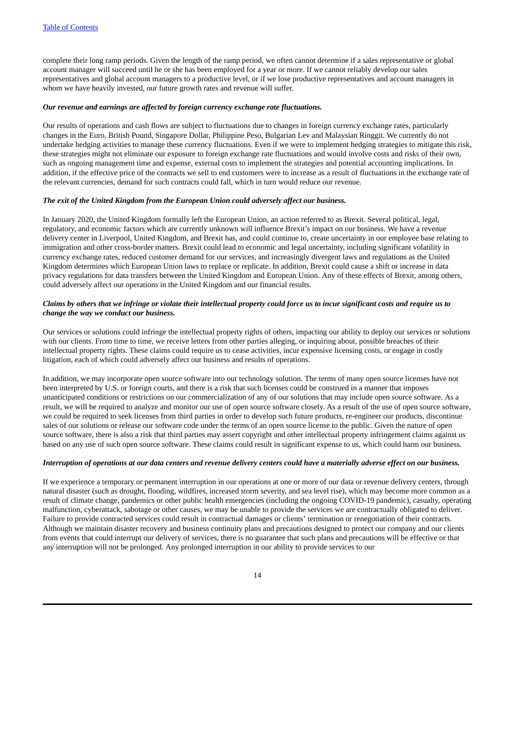complete their long ramp periods. Given the length of the ramp period, we often cannot determine if a sales representative or global account manager will succeed until he or she has been employed for a year or more. If we cannot reliably develop our sales representatives and global account managers to a productive level, or if we lose productive representatives and account managers in whom we have heavily invested, our future growth rates and revenue will suffer.

#### *Our revenue and earnings are affected by foreign currency exchange rate fluctuations.*

Our results of operations and cash flows are subject to fluctuations due to changes in foreign currency exchange rates, particularly changes in the Euro, British Pound, Singapore Dollar, Philippine Peso, Bulgarian Lev and Malaysian Ringgit. We currently do not undertake hedging activities to manage these currency fluctuations. Even if we were to implement hedging strategies to mitigate this risk, these strategies might not eliminate our exposure to foreign exchange rate fluctuations and would involve costs and risks of their own, such as ongoing management time and expense, external costs to implement the strategies and potential accounting implications. In addition, if the effective price of the contracts we sell to end customers were to increase as a result of fluctuations in the exchange rate of the relevant currencies, demand for such contracts could fall, which in turn would reduce our revenue.

#### *The exit of the United Kingdom from the European Union could adversely affect our business.*

In January 2020, the United Kingdom formally left the European Union, an action referred to as Brexit. Several political, legal, regulatory, and economic factors which are currently unknown will influence Brexit's impact on our business. We have a revenue delivery center in Liverpool, United Kingdom, and Brexit has, and could continue to, create uncertainty in our employee base relating to immigration and other cross-border matters. Brexit could lead to economic and legal uncertainty, including significant volatility in currency exchange rates, reduced customer demand for our services, and increasingly divergent laws and regulations as the United Kingdom determines which European Union laws to replace or replicate. In addition, Brexit could cause a shift or increase in data privacy regulations for data transfers between the United Kingdom and European Union. Any of these effects of Brexit, among others, could adversely affect our operations in the United Kingdom and our financial results.

## Claims by others that we infringe or violate their intellectual property could force us to incur significant costs and require us to *change the way we conduct our business.*

Our services or solutions could infringe the intellectual property rights of others, impacting our ability to deploy our services or solutions with our clients. From time to time, we receive letters from other parties alleging, or inquiring about, possible breaches of their intellectual property rights. These claims could require us to cease activities, incur expensive licensing costs, or engage in costly litigation, each of which could adversely affect our business and results of operations.

In addition, we may incorporate open source software into our technology solution. The terms of many open source licenses have not been interpreted by U.S. or foreign courts, and there is a risk that such licenses could be construed in a manner that imposes unanticipated conditions or restrictions on our commercialization of any of our solutions that may include open source software. As a result, we will be required to analyze and monitor our use of open source software closely. As a result of the use of open source software, we could be required to seek licenses from third parties in order to develop such future products, re-engineer our products, discontinue sales of our solutions or release our software code under the terms of an open source license to the public. Given the nature of open source software, there is also a risk that third parties may assert copyright and other intellectual property infringement claims against us based on any use of such open source software. These claims could result in significant expense to us, which could harm our business.

### Interruption of operations at our data centers and revenue delivery centers could have a materially adverse effect on our business.

If we experience a temporary or permanent interruption in our operations at one or more of our data or revenue delivery centers, through natural disaster (such as drought, flooding, wildfires, increased storm severity, and sea level rise), which may become more common as a result of climate change, pandemics or other public health emergencies (including the ongoing COVID-19 pandemic), casualty, operating malfunction, cyberattack, sabotage or other causes, we may be unable to provide the services we are contractually obligated to deliver. Failure to provide contracted services could result in contractual damages or clients' termination or renegotiation of their contracts. Although we maintain disaster recovery and business continuity plans and precautions designed to protect our company and our clients from events that could interrupt our delivery of services, there is no guarantee that such plans and precautions will be effective or that any interruption will not be prolonged. Any prolonged interruption in our ability to provide services to our

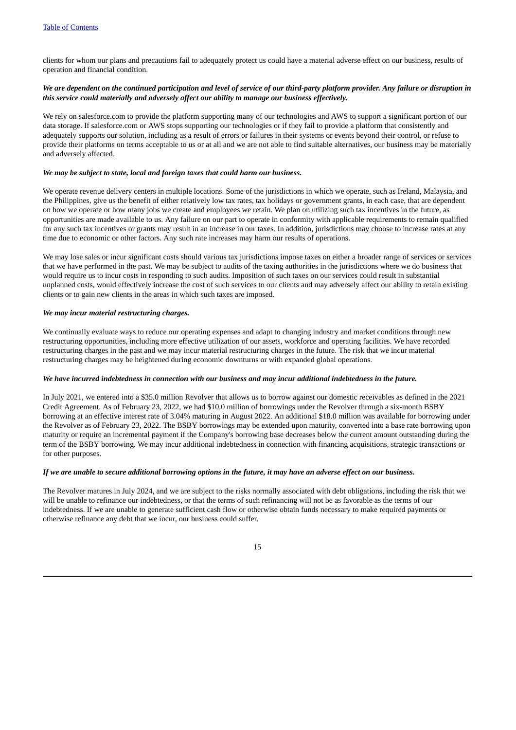clients for whom our plans and precautions fail to adequately protect us could have a material adverse effect on our business, results of operation and financial condition.

## We are dependent on the continued participation and level of service of our third-party platform provider. Any failure or disruption in *this service could materially and adversely affect our ability to manage our business effectively.*

We rely on salesforce.com to provide the platform supporting many of our technologies and AWS to support a significant portion of our data storage. If salesforce.com or AWS stops supporting our technologies or if they fail to provide a platform that consistently and adequately supports our solution, including as a result of errors or failures in their systems or events beyond their control, or refuse to provide their platforms on terms acceptable to us or at all and we are not able to find suitable alternatives, our business may be materially and adversely affected.

## *We may be subject to state, local and foreign taxes that could harm our business.*

We operate revenue delivery centers in multiple locations. Some of the jurisdictions in which we operate, such as Ireland, Malaysia, and the Philippines, give us the benefit of either relatively low tax rates, tax holidays or government grants, in each case, that are dependent on how we operate or how many jobs we create and employees we retain. We plan on utilizing such tax incentives in the future, as opportunities are made available to us. Any failure on our part to operate in conformity with applicable requirements to remain qualified for any such tax incentives or grants may result in an increase in our taxes. In addition, jurisdictions may choose to increase rates at any time due to economic or other factors. Any such rate increases may harm our results of operations.

We may lose sales or incur significant costs should various tax jurisdictions impose taxes on either a broader range of services or services that we have performed in the past. We may be subject to audits of the taxing authorities in the jurisdictions where we do business that would require us to incur costs in responding to such audits. Imposition of such taxes on our services could result in substantial unplanned costs, would effectively increase the cost of such services to our clients and may adversely affect our ability to retain existing clients or to gain new clients in the areas in which such taxes are imposed.

#### *We may incur material restructuring charges.*

We continually evaluate ways to reduce our operating expenses and adapt to changing industry and market conditions through new restructuring opportunities, including more effective utilization of our assets, workforce and operating facilities. We have recorded restructuring charges in the past and we may incur material restructuring charges in the future. The risk that we incur material restructuring charges may be heightened during economic downturns or with expanded global operations.

#### We have incurred indebtedness in connection with our business and may incur additional indebtedness in the future.

In July 2021, we entered into a \$35.0 million Revolver that allows us to borrow against our domestic receivables as defined in the 2021 Credit Agreement. As of February 23, 2022, we had \$10.0 million of borrowings under the Revolver through a six-month BSBY borrowing at an effective interest rate of 3.04% maturing in August 2022. An additional \$18.0 million was available for borrowing under the Revolver as of February 23, 2022. The BSBY borrowings may be extended upon maturity, converted into a base rate borrowing upon maturity or require an incremental payment if the Company's borrowing base decreases below the current amount outstanding during the term of the BSBY borrowing. We may incur additional indebtedness in connection with financing acquisitions, strategic transactions or for other purposes.

#### If we are unable to secure additional borrowing options in the future, it may have an adverse effect on our business.

The Revolver matures in July 2024, and we are subject to the risks normally associated with debt obligations, including the risk that we will be unable to refinance our indebtedness, or that the terms of such refinancing will not be as favorable as the terms of our indebtedness. If we are unable to generate sufficient cash flow or otherwise obtain funds necessary to make required payments or otherwise refinance any debt that we incur, our business could suffer.

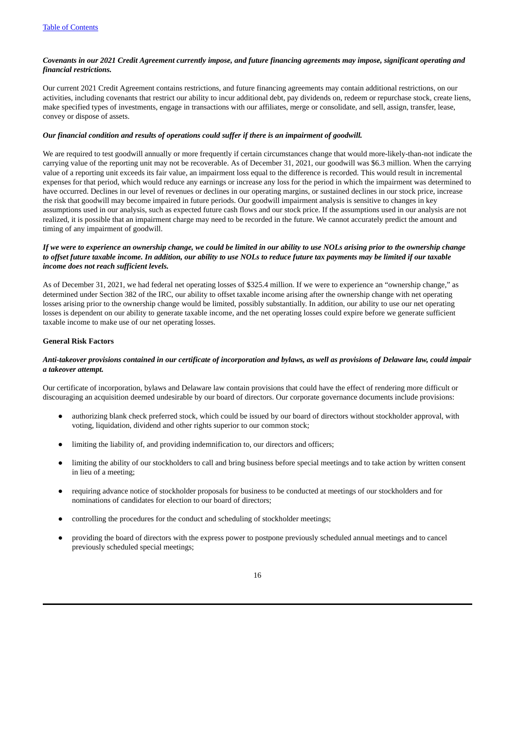# Covenants in our 2021 Credit Agreement currently impose, and future financing agreements may impose, significant operating and *financial restrictions.*

Our current 2021 Credit Agreement contains restrictions, and future financing agreements may contain additional restrictions, on our activities, including covenants that restrict our ability to incur additional debt, pay dividends on, redeem or repurchase stock, create liens, make specified types of investments, engage in transactions with our affiliates, merge or consolidate, and sell, assign, transfer, lease, convey or dispose of assets.

# *Our financial condition and results of operations could suffer if there is an impairment of goodwill.*

We are required to test goodwill annually or more frequently if certain circumstances change that would more-likely-than-not indicate the carrying value of the reporting unit may not be recoverable. As of December 31, 2021, our goodwill was \$6.3 million. When the carrying value of a reporting unit exceeds its fair value, an impairment loss equal to the difference is recorded. This would result in incremental expenses for that period, which would reduce any earnings or increase any loss for the period in which the impairment was determined to have occurred. Declines in our level of revenues or declines in our operating margins, or sustained declines in our stock price, increase the risk that goodwill may become impaired in future periods. Our goodwill impairment analysis is sensitive to changes in key assumptions used in our analysis, such as expected future cash flows and our stock price. If the assumptions used in our analysis are not realized, it is possible that an impairment charge may need to be recorded in the future. We cannot accurately predict the amount and timing of any impairment of goodwill.

# If we were to experience an ownership change, we could be limited in our ability to use NOLs arising prior to the ownership change to offset future taxable income. In addition, our ability to use NOLs to reduce future tax payments may be limited if our taxable *income does not reach sufficient levels.*

As of December 31, 2021, we had federal net operating losses of \$325.4 million. If we were to experience an "ownership change," as determined under Section 382 of the IRC, our ability to offset taxable income arising after the ownership change with net operating losses arising prior to the ownership change would be limited, possibly substantially. In addition, our ability to use our net operating losses is dependent on our ability to generate taxable income, and the net operating losses could expire before we generate sufficient taxable income to make use of our net operating losses.

# **General Risk Factors**

## Anti-takeover provisions contained in our certificate of incorporation and bylaws, as well as provisions of Delaware law, could impair *a takeover attempt.*

Our certificate of incorporation, bylaws and Delaware law contain provisions that could have the effect of rendering more difficult or discouraging an acquisition deemed undesirable by our board of directors. Our corporate governance documents include provisions:

- authorizing blank check preferred stock, which could be issued by our board of directors without stockholder approval, with voting, liquidation, dividend and other rights superior to our common stock;
- limiting the liability of, and providing indemnification to, our directors and officers;
- limiting the ability of our stockholders to call and bring business before special meetings and to take action by written consent in lieu of a meeting;
- requiring advance notice of stockholder proposals for business to be conducted at meetings of our stockholders and for nominations of candidates for election to our board of directors;
- controlling the procedures for the conduct and scheduling of stockholder meetings;
- providing the board of directors with the express power to postpone previously scheduled annual meetings and to cancel previously scheduled special meetings;

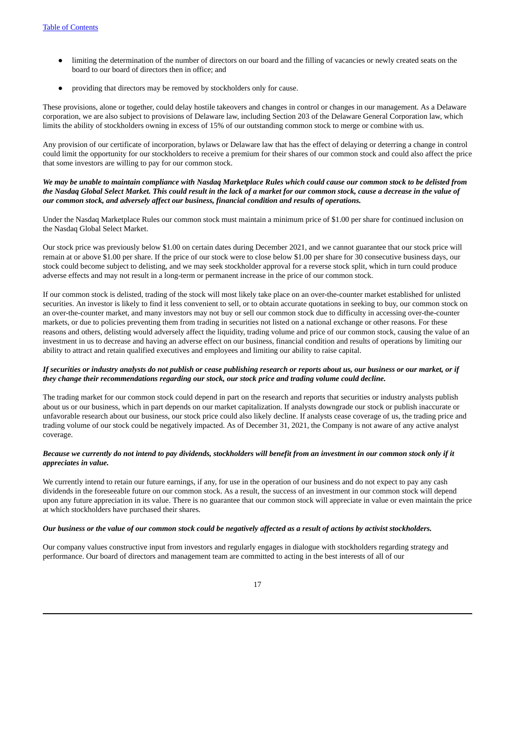- limiting the determination of the number of directors on our board and the filling of vacancies or newly created seats on the board to our board of directors then in office; and
- providing that directors may be removed by stockholders only for cause.

These provisions, alone or together, could delay hostile takeovers and changes in control or changes in our management. As a Delaware corporation, we are also subject to provisions of Delaware law, including Section 203 of the Delaware General Corporation law, which limits the ability of stockholders owning in excess of 15% of our outstanding common stock to merge or combine with us.

Any provision of our certificate of incorporation, bylaws or Delaware law that has the effect of delaying or deterring a change in control could limit the opportunity for our stockholders to receive a premium for their shares of our common stock and could also affect the price that some investors are willing to pay for our common stock.

## We may be unable to maintain compliance with Nasdaq Marketplace Rules which could cause our common stock to be delisted from the Nasdaq Global Select Market. This could result in the lack of a market for our common stock, cause a decrease in the value of *our common stock, and adversely affect our business, financial condition and results of operations.*

Under the Nasdaq Marketplace Rules our common stock must maintain a minimum price of \$1.00 per share for continued inclusion on the Nasdaq Global Select Market.

Our stock price was previously below \$1.00 on certain dates during December 2021, and we cannot guarantee that our stock price will remain at or above \$1.00 per share. If the price of our stock were to close below \$1.00 per share for 30 consecutive business days, our stock could become subject to delisting, and we may seek stockholder approval for a reverse stock split, which in turn could produce adverse effects and may not result in a long-term or permanent increase in the price of our common stock.

If our common stock is delisted, trading of the stock will most likely take place on an over-the-counter market established for unlisted securities. An investor is likely to find it less convenient to sell, or to obtain accurate quotations in seeking to buy, our common stock on an over-the-counter market, and many investors may not buy or sell our common stock due to difficulty in accessing over-the-counter markets, or due to policies preventing them from trading in securities not listed on a national exchange or other reasons. For these reasons and others, delisting would adversely affect the liquidity, trading volume and price of our common stock, causing the value of an investment in us to decrease and having an adverse effect on our business, financial condition and results of operations by limiting our ability to attract and retain qualified executives and employees and limiting our ability to raise capital.

#### If securities or industry analysts do not publish or cease publishing research or reports about us, our business or our market, or if *they change their recommendations regarding our stock, our stock price and trading volume could decline.*

The trading market for our common stock could depend in part on the research and reports that securities or industry analysts publish about us or our business, which in part depends on our market capitalization. If analysts downgrade our stock or publish inaccurate or unfavorable research about our business, our stock price could also likely decline. If analysts cease coverage of us, the trading price and trading volume of our stock could be negatively impacted. As of December 31, 2021, the Company is not aware of any active analyst coverage.

#### Because we currently do not intend to pay dividends, stockholders will benefit from an investment in our common stock only if it *appreciates in value.*

We currently intend to retain our future earnings, if any, for use in the operation of our business and do not expect to pay any cash dividends in the foreseeable future on our common stock. As a result, the success of an investment in our common stock will depend upon any future appreciation in its value. There is no guarantee that our common stock will appreciate in value or even maintain the price at which stockholders have purchased their shares.

# Our business or the value of our common stock could be negatively affected as a result of actions by activist stockholders.

Our company values constructive input from investors and regularly engages in dialogue with stockholders regarding strategy and performance. Our board of directors and management team are committed to acting in the best interests of all of our

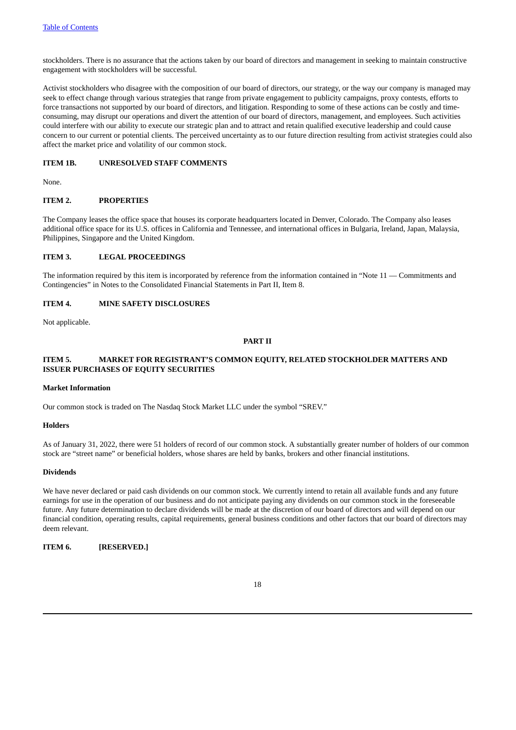stockholders. There is no assurance that the actions taken by our board of directors and management in seeking to maintain constructive engagement with stockholders will be successful.

Activist stockholders who disagree with the composition of our board of directors, our strategy, or the way our company is managed may seek to effect change through various strategies that range from private engagement to publicity campaigns, proxy contests, efforts to force transactions not supported by our board of directors, and litigation. Responding to some of these actions can be costly and timeconsuming, may disrupt our operations and divert the attention of our board of directors, management, and employees. Such activities could interfere with our ability to execute our strategic plan and to attract and retain qualified executive leadership and could cause concern to our current or potential clients. The perceived uncertainty as to our future direction resulting from activist strategies could also affect the market price and volatility of our common stock.

## <span id="page-20-0"></span>**ITEM 1B. UNRESOLVED STAFF COMMENTS**

None.

#### <span id="page-20-1"></span>**ITEM 2. PROPERTIES**

The Company leases the office space that houses its corporate headquarters located in Denver, Colorado. The Company also leases additional office space for its U.S. offices in California and Tennessee, and international offices in Bulgaria, Ireland, Japan, Malaysia, Philippines, Singapore and the United Kingdom.

# <span id="page-20-2"></span>**ITEM 3. LEGAL PROCEEDINGS**

The information required by this item is incorporated by reference from the information contained in "Note 11 — Commitments and Contingencies" in Notes to the Consolidated Financial Statements in Part II, Item 8.

#### <span id="page-20-4"></span><span id="page-20-3"></span>**ITEM 4. MINE SAFETY DISCLOSURES**

<span id="page-20-5"></span>Not applicable.

# **PART II**

# <span id="page-20-6"></span>**ITEM 5. MARKET FOR REGISTRANT'S COMMON EQUITY, RELATED STOCKHOLDER MATTERS AND ISSUER PURCHASES OF EQUITY SECURITIES**

#### **Market Information**

Our common stock is traded on The Nasdaq Stock Market LLC under the symbol "SREV."

#### **Holders**

As of January 31, 2022, there were 51 holders of record of our common stock. A substantially greater number of holders of our common stock are "street name" or beneficial holders, whose shares are held by banks, brokers and other financial institutions.

# **Dividends**

We have never declared or paid cash dividends on our common stock. We currently intend to retain all available funds and any future earnings for use in the operation of our business and do not anticipate paying any dividends on our common stock in the foreseeable future. Any future determination to declare dividends will be made at the discretion of our board of directors and will depend on our financial condition, operating results, capital requirements, general business conditions and other factors that our board of directors may deem relevant.

<span id="page-20-7"></span>**ITEM 6. [RESERVED.]**

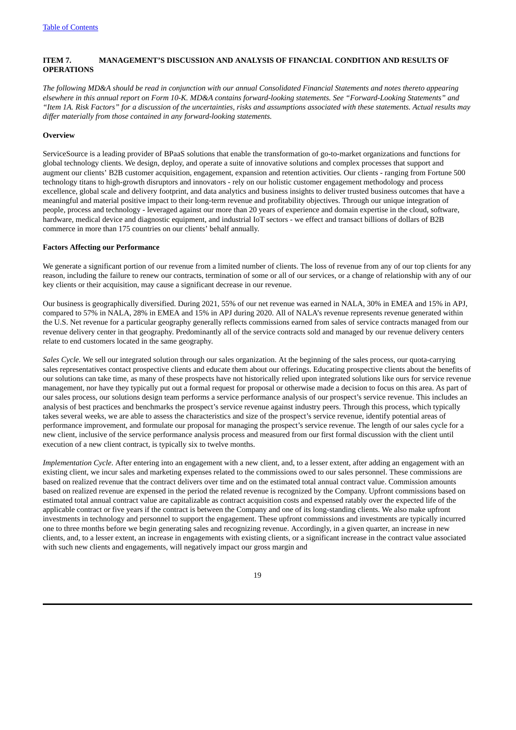# <span id="page-21-0"></span>**ITEM 7. MANAGEMENT'S DISCUSSION AND ANALYSIS OF FINANCIAL CONDITION AND RESULTS OF OPERATIONS**

The following MD&A should be read in conjunction with our annual Consolidated Financial Statements and notes thereto appearing elsewhere in this annual report on Form 10-K. MD&A contains forward-looking statements. See "Forward-Looking Statements" and "Item 1A. Risk Factors" for a discussion of the uncertainties, risks and assumptions associated with these statements. Actual results may *differ materially from those contained in any forward-looking statements.*

## **Overview**

ServiceSource is a leading provider of BPaaS solutions that enable the transformation of go-to-market organizations and functions for global technology clients. We design, deploy, and operate a suite of innovative solutions and complex processes that support and augment our clients' B2B customer acquisition, engagement, expansion and retention activities. Our clients - ranging from Fortune 500 technology titans to high-growth disruptors and innovators - rely on our holistic customer engagement methodology and process excellence, global scale and delivery footprint, and data analytics and business insights to deliver trusted business outcomes that have a meaningful and material positive impact to their long-term revenue and profitability objectives. Through our unique integration of people, process and technology - leveraged against our more than 20 years of experience and domain expertise in the cloud, software, hardware, medical device and diagnostic equipment, and industrial IoT sectors - we effect and transact billions of dollars of B2B commerce in more than 175 countries on our clients' behalf annually.

#### **Factors Affecting our Performance**

We generate a significant portion of our revenue from a limited number of clients. The loss of revenue from any of our top clients for any reason, including the failure to renew our contracts, termination of some or all of our services, or a change of relationship with any of our key clients or their acquisition, may cause a significant decrease in our revenue.

Our business is geographically diversified. During 2021, 55% of our net revenue was earned in NALA, 30% in EMEA and 15% in APJ, compared to 57% in NALA, 28% in EMEA and 15% in APJ during 2020. All of NALA's revenue represents revenue generated within the U.S. Net revenue for a particular geography generally reflects commissions earned from sales of service contracts managed from our revenue delivery center in that geography. Predominantly all of the service contracts sold and managed by our revenue delivery centers relate to end customers located in the same geography.

*Sales Cycle.* We sell our integrated solution through our sales organization. At the beginning of the sales process, our quota-carrying sales representatives contact prospective clients and educate them about our offerings. Educating prospective clients about the benefits of our solutions can take time, as many of these prospects have not historically relied upon integrated solutions like ours for service revenue management, nor have they typically put out a formal request for proposal or otherwise made a decision to focus on this area. As part of our sales process, our solutions design team performs a service performance analysis of our prospect's service revenue. This includes an analysis of best practices and benchmarks the prospect's service revenue against industry peers. Through this process, which typically takes several weeks, we are able to assess the characteristics and size of the prospect's service revenue, identify potential areas of performance improvement, and formulate our proposal for managing the prospect's service revenue. The length of our sales cycle for a new client, inclusive of the service performance analysis process and measured from our first formal discussion with the client until execution of a new client contract, is typically six to twelve months.

*Implementation Cycle*. After entering into an engagement with a new client, and, to a lesser extent, after adding an engagement with an existing client, we incur sales and marketing expenses related to the commissions owed to our sales personnel. These commissions are based on realized revenue that the contract delivers over time and on the estimated total annual contract value. Commission amounts based on realized revenue are expensed in the period the related revenue is recognized by the Company. Upfront commissions based on estimated total annual contract value are capitalizable as contract acquisition costs and expensed ratably over the expected life of the applicable contract or five years if the contract is between the Company and one of its long-standing clients. We also make upfront investments in technology and personnel to support the engagement. These upfront commissions and investments are typically incurred one to three months before we begin generating sales and recognizing revenue. Accordingly, in a given quarter, an increase in new clients, and, to a lesser extent, an increase in engagements with existing clients, or a significant increase in the contract value associated with such new clients and engagements, will negatively impact our gross margin and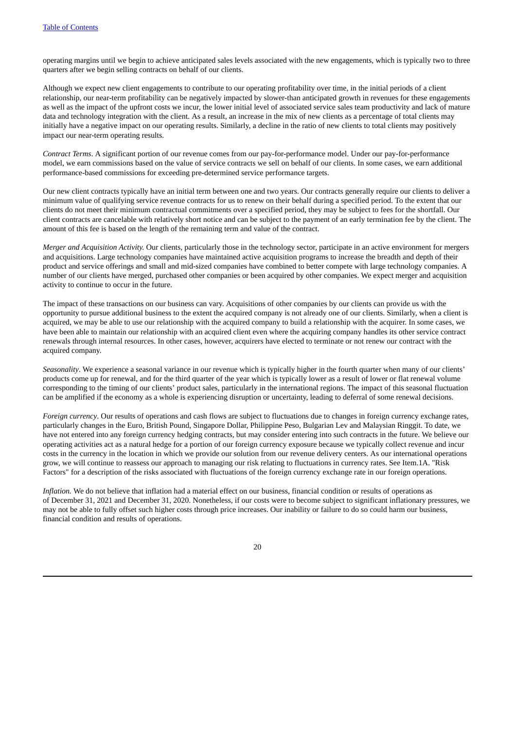operating margins until we begin to achieve anticipated sales levels associated with the new engagements, which is typically two to three quarters after we begin selling contracts on behalf of our clients.

Although we expect new client engagements to contribute to our operating profitability over time, in the initial periods of a client relationship, our near-term profitability can be negatively impacted by slower-than anticipated growth in revenues for these engagements as well as the impact of the upfront costs we incur, the lower initial level of associated service sales team productivity and lack of mature data and technology integration with the client. As a result, an increase in the mix of new clients as a percentage of total clients may initially have a negative impact on our operating results. Similarly, a decline in the ratio of new clients to total clients may positively impact our near-term operating results.

*Contract Terms*. A significant portion of our revenue comes from our pay-for-performance model. Under our pay-for-performance model, we earn commissions based on the value of service contracts we sell on behalf of our clients. In some cases, we earn additional performance-based commissions for exceeding pre-determined service performance targets.

Our new client contracts typically have an initial term between one and two years. Our contracts generally require our clients to deliver a minimum value of qualifying service revenue contracts for us to renew on their behalf during a specified period. To the extent that our clients do not meet their minimum contractual commitments over a specified period, they may be subject to fees for the shortfall. Our client contracts are cancelable with relatively short notice and can be subject to the payment of an early termination fee by the client. The amount of this fee is based on the length of the remaining term and value of the contract.

*Merger and Acquisition Activity.* Our clients, particularly those in the technology sector, participate in an active environment for mergers and acquisitions. Large technology companies have maintained active acquisition programs to increase the breadth and depth of their product and service offerings and small and mid-sized companies have combined to better compete with large technology companies. A number of our clients have merged, purchased other companies or been acquired by other companies. We expect merger and acquisition activity to continue to occur in the future.

The impact of these transactions on our business can vary. Acquisitions of other companies by our clients can provide us with the opportunity to pursue additional business to the extent the acquired company is not already one of our clients. Similarly, when a client is acquired, we may be able to use our relationship with the acquired company to build a relationship with the acquirer. In some cases, we have been able to maintain our relationship with an acquired client even where the acquiring company handles its other service contract renewals through internal resources. In other cases, however, acquirers have elected to terminate or not renew our contract with the acquired company.

*Seasonality*. We experience a seasonal variance in our revenue which is typically higher in the fourth quarter when many of our clients' products come up for renewal, and for the third quarter of the year which is typically lower as a result of lower or flat renewal volume corresponding to the timing of our clients' product sales, particularly in the international regions. The impact of this seasonal fluctuation can be amplified if the economy as a whole is experiencing disruption or uncertainty, leading to deferral of some renewal decisions.

*Foreign currency*. Our results of operations and cash flows are subject to fluctuations due to changes in foreign currency exchange rates, particularly changes in the Euro, British Pound, Singapore Dollar, Philippine Peso, Bulgarian Lev and Malaysian Ringgit. To date, we have not entered into any foreign currency hedging contracts, but may consider entering into such contracts in the future. We believe our operating activities act as a natural hedge for a portion of our foreign currency exposure because we typically collect revenue and incur costs in the currency in the location in which we provide our solution from our revenue delivery centers. As our international operations grow, we will continue to reassess our approach to managing our risk relating to fluctuations in currency rates. See Item.1A. "Risk Factors" for a description of the risks associated with fluctuations of the foreign currency exchange rate in our foreign operations.

*Inflation.* We do not believe that inflation had a material effect on our business, financial condition or results of operations as of December 31, 2021 and December 31, 2020. Nonetheless, if our costs were to become subject to significant inflationary pressures, we may not be able to fully offset such higher costs through price increases. Our inability or failure to do so could harm our business, financial condition and results of operations.

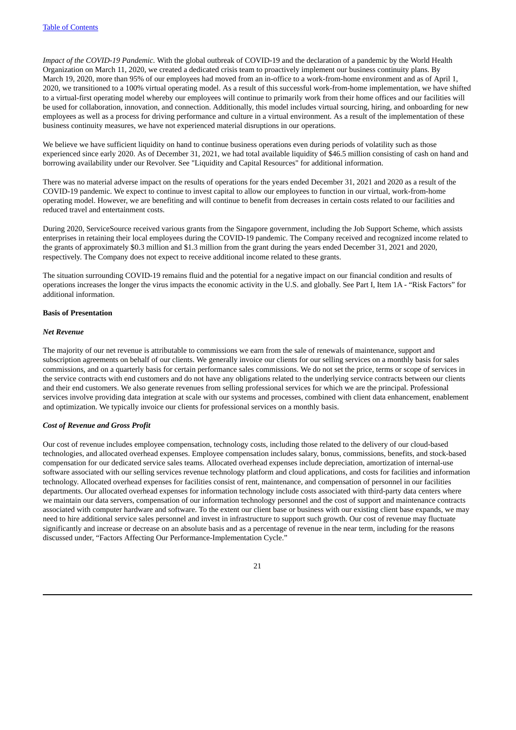*Impact of the COVID-19 Pandemic.* With the global outbreak of COVID-19 and the declaration of a pandemic by the World Health Organization on March 11, 2020, we created a dedicated crisis team to proactively implement our business continuity plans. By March 19, 2020, more than 95% of our employees had moved from an in-office to a work-from-home environment and as of April 1, 2020, we transitioned to a 100% virtual operating model. As a result of this successful work-from-home implementation, we have shifted to a virtual-first operating model whereby our employees will continue to primarily work from their home offices and our facilities will be used for collaboration, innovation, and connection. Additionally, this model includes virtual sourcing, hiring, and onboarding for new employees as well as a process for driving performance and culture in a virtual environment. As a result of the implementation of these business continuity measures, we have not experienced material disruptions in our operations.

We believe we have sufficient liquidity on hand to continue business operations even during periods of volatility such as those experienced since early 2020. As of December 31, 2021, we had total available liquidity of \$46.5 million consisting of cash on hand and borrowing availability under our Revolver. See "Liquidity and Capital Resources" for additional information.

There was no material adverse impact on the results of operations for the years ended December 31, 2021 and 2020 as a result of the COVID-19 pandemic. We expect to continue to invest capital to allow our employees to function in our virtual, work-from-home operating model. However, we are benefiting and will continue to benefit from decreases in certain costs related to our facilities and reduced travel and entertainment costs.

During 2020, ServiceSource received various grants from the Singapore government, including the Job Support Scheme, which assists enterprises in retaining their local employees during the COVID-19 pandemic. The Company received and recognized income related to the grants of approximately \$0.3 million and \$1.3 million from the grant during the years ended December 31, 2021 and 2020, respectively. The Company does not expect to receive additional income related to these grants.

The situation surrounding COVID-19 remains fluid and the potential for a negative impact on our financial condition and results of operations increases the longer the virus impacts the economic activity in the U.S. and globally. See Part I, Item 1A - "Risk Factors" for additional information.

#### **Basis of Presentation**

#### *Net Revenue*

The majority of our net revenue is attributable to commissions we earn from the sale of renewals of maintenance, support and subscription agreements on behalf of our clients. We generally invoice our clients for our selling services on a monthly basis for sales commissions, and on a quarterly basis for certain performance sales commissions. We do not set the price, terms or scope of services in the service contracts with end customers and do not have any obligations related to the underlying service contracts between our clients and their end customers. We also generate revenues from selling professional services for which we are the principal. Professional services involve providing data integration at scale with our systems and processes, combined with client data enhancement, enablement and optimization. We typically invoice our clients for professional services on a monthly basis.

#### *Cost of Revenue and Gross Profit*

Our cost of revenue includes employee compensation, technology costs, including those related to the delivery of our cloud-based technologies, and allocated overhead expenses. Employee compensation includes salary, bonus, commissions, benefits, and stock-based compensation for our dedicated service sales teams. Allocated overhead expenses include depreciation, amortization of internal-use software associated with our selling services revenue technology platform and cloud applications, and costs for facilities and information technology. Allocated overhead expenses for facilities consist of rent, maintenance, and compensation of personnel in our facilities departments. Our allocated overhead expenses for information technology include costs associated with third-party data centers where we maintain our data servers, compensation of our information technology personnel and the cost of support and maintenance contracts associated with computer hardware and software. To the extent our client base or business with our existing client base expands, we may need to hire additional service sales personnel and invest in infrastructure to support such growth. Our cost of revenue may fluctuate significantly and increase or decrease on an absolute basis and as a percentage of revenue in the near term, including for the reasons discussed under, "Factors Affecting Our Performance-Implementation Cycle."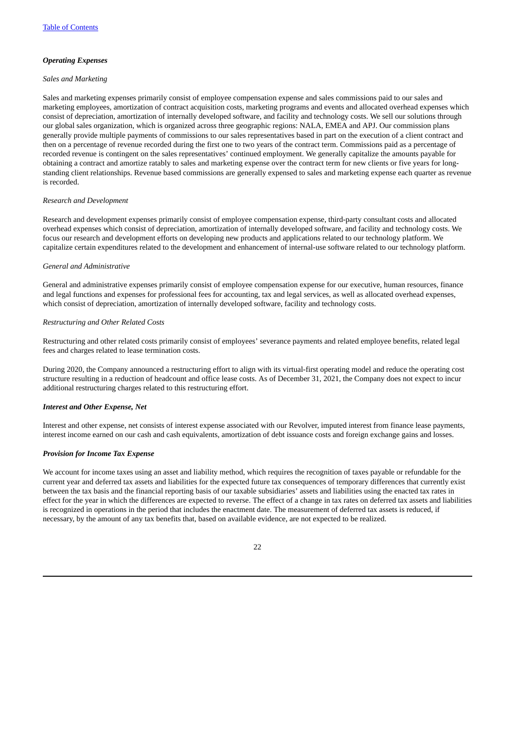## *Operating Expenses*

# *Sales and Marketing*

Sales and marketing expenses primarily consist of employee compensation expense and sales commissions paid to our sales and marketing employees, amortization of contract acquisition costs, marketing programs and events and allocated overhead expenses which consist of depreciation, amortization of internally developed software, and facility and technology costs. We sell our solutions through our global sales organization, which is organized across three geographic regions: NALA, EMEA and APJ. Our commission plans generally provide multiple payments of commissions to our sales representatives based in part on the execution of a client contract and then on a percentage of revenue recorded during the first one to two years of the contract term. Commissions paid as a percentage of recorded revenue is contingent on the sales representatives' continued employment. We generally capitalize the amounts payable for obtaining a contract and amortize ratably to sales and marketing expense over the contract term for new clients or five years for longstanding client relationships. Revenue based commissions are generally expensed to sales and marketing expense each quarter as revenue is recorded.

#### *Research and Development*

Research and development expenses primarily consist of employee compensation expense, third-party consultant costs and allocated overhead expenses which consist of depreciation, amortization of internally developed software, and facility and technology costs. We focus our research and development efforts on developing new products and applications related to our technology platform. We capitalize certain expenditures related to the development and enhancement of internal-use software related to our technology platform.

#### *General and Administrative*

General and administrative expenses primarily consist of employee compensation expense for our executive, human resources, finance and legal functions and expenses for professional fees for accounting, tax and legal services, as well as allocated overhead expenses, which consist of depreciation, amortization of internally developed software, facility and technology costs.

#### *Restructuring and Other Related Costs*

Restructuring and other related costs primarily consist of employees' severance payments and related employee benefits, related legal fees and charges related to lease termination costs.

During 2020, the Company announced a restructuring effort to align with its virtual-first operating model and reduce the operating cost structure resulting in a reduction of headcount and office lease costs. As of December 31, 2021, the Company does not expect to incur additional restructuring charges related to this restructuring effort.

#### *Interest and Other Expense, Net*

Interest and other expense, net consists of interest expense associated with our Revolver, imputed interest from finance lease payments, interest income earned on our cash and cash equivalents, amortization of debt issuance costs and foreign exchange gains and losses.

#### *Provision for Income Tax Expense*

We account for income taxes using an asset and liability method, which requires the recognition of taxes payable or refundable for the current year and deferred tax assets and liabilities for the expected future tax consequences of temporary differences that currently exist between the tax basis and the financial reporting basis of our taxable subsidiaries' assets and liabilities using the enacted tax rates in effect for the year in which the differences are expected to reverse. The effect of a change in tax rates on deferred tax assets and liabilities is recognized in operations in the period that includes the enactment date. The measurement of deferred tax assets is reduced, if necessary, by the amount of any tax benefits that, based on available evidence, are not expected to be realized.

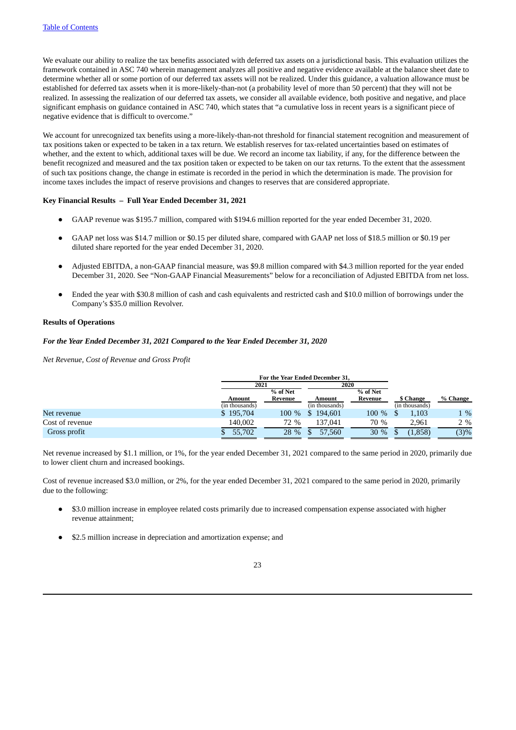We evaluate our ability to realize the tax benefits associated with deferred tax assets on a jurisdictional basis. This evaluation utilizes the framework contained in ASC 740 wherein management analyzes all positive and negative evidence available at the balance sheet date to determine whether all or some portion of our deferred tax assets will not be realized. Under this guidance, a valuation allowance must be established for deferred tax assets when it is more-likely-than-not (a probability level of more than 50 percent) that they will not be realized. In assessing the realization of our deferred tax assets, we consider all available evidence, both positive and negative, and place significant emphasis on guidance contained in ASC 740, which states that "a cumulative loss in recent years is a significant piece of negative evidence that is difficult to overcome."

We account for unrecognized tax benefits using a more-likely-than-not threshold for financial statement recognition and measurement of tax positions taken or expected to be taken in a tax return. We establish reserves for tax-related uncertainties based on estimates of whether, and the extent to which, additional taxes will be due. We record an income tax liability, if any, for the difference between the benefit recognized and measured and the tax position taken or expected to be taken on our tax returns. To the extent that the assessment of such tax positions change, the change in estimate is recorded in the period in which the determination is made. The provision for income taxes includes the impact of reserve provisions and changes to reserves that are considered appropriate.

#### **Key Financial Results – Full Year Ended December 31, 2021**

- GAAP revenue was \$195.7 million, compared with \$194.6 million reported for the year ended December 31, 2020.
- GAAP net loss was \$14.7 million or \$0.15 per diluted share, compared with GAAP net loss of \$18.5 million or \$0.19 per diluted share reported for the year ended December 31, 2020.
- Adjusted EBITDA, a non-GAAP financial measure, was \$9.8 million compared with \$4.3 million reported for the year ended December 31, 2020. See "Non-GAAP Financial Measurements" below for a reconciliation of Adjusted EBITDA from net loss.
- Ended the year with \$30.8 million of cash and cash equivalents and restricted cash and \$10.0 million of borrowings under the Company's \$35.0 million Revolver.

#### **Results of Operations**

#### *For the Year Ended December 31, 2021 Compared to the Year Ended December 31, 2020*

*Net Revenue, Cost of Revenue and Gross Profit*

|                 |                | For the Year Ended December 31. |                |                     |                |          |
|-----------------|----------------|---------------------------------|----------------|---------------------|----------------|----------|
|                 |                | 2021                            |                | 2020                |                |          |
|                 | Amount         | % of Net<br>Revenue             | Amount         | % of Net<br>Revenue | \$ Change      | % Change |
|                 | (in thousands) |                                 | (in thousands) |                     | (in thousands) |          |
| Net revenue     | \$195,704      | 100 %                           | \$194,601      | 100 %               | 1,103          | $1\%$    |
| Cost of revenue | 140,002        | 72 %                            | 137.041        | 70 %                | 2.961          | 2 %      |
| Gross profit    | 55,702         | 28 %                            | 57,560         | 30%                 | (1, 858)       | (3)%     |

Net revenue increased by \$1.1 million, or 1%, for the year ended December 31, 2021 compared to the same period in 2020, primarily due to lower client churn and increased bookings.

Cost of revenue increased \$3.0 million, or 2%, for the year ended December 31, 2021 compared to the same period in 2020, primarily due to the following:

- \$3.0 million increase in employee related costs primarily due to increased compensation expense associated with higher revenue attainment;
- \$2.5 million increase in depreciation and amortization expense; and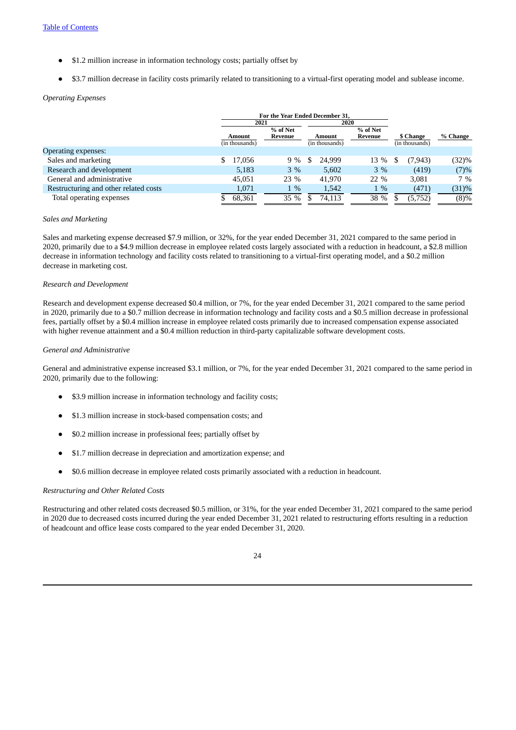- \$1.2 million increase in information technology costs; partially offset by
- \$3.7 million decrease in facility costs primarily related to transitioning to a virtual-first operating model and sublease income.

#### *Operating Expenses*

|                                       | For the Year Ended December 31. |                |                     |  |  |                |      |                     |   |                |          |
|---------------------------------------|---------------------------------|----------------|---------------------|--|--|----------------|------|---------------------|---|----------------|----------|
|                                       |                                 | 2021           |                     |  |  |                | 2020 |                     |   |                |          |
|                                       |                                 | Amount         | % of Net<br>Revenue |  |  | Amount         |      | % of Net<br>Revenue |   | \$ Change      | % Change |
|                                       |                                 | (in thousands) |                     |  |  | (in thousands) |      |                     |   | (in thousands) |          |
| Operating expenses:                   |                                 |                |                     |  |  |                |      |                     |   |                |          |
| Sales and marketing                   | \$                              | 17,056         | 9%                  |  |  | 24,999         |      | 13 %                | S | (7, 943)       | $(32)\%$ |
| Research and development              |                                 | 5,183          | 3%                  |  |  | 5.602          |      | $3\%$               |   | (419)          | (7)%     |
| General and administrative            |                                 | 45,051         | 23 %                |  |  | 41,970         |      | 22 %                |   | 3,081          | $7\%$    |
| Restructuring and other related costs |                                 | 1,071          | 1 %                 |  |  | 1,542          |      | $1\%$               |   | (471)          | (31)%    |
| Total operating expenses              |                                 | 68,361         | 35 %                |  |  | 74,113         |      | 38 %                |   | (5,752)        | (8)%     |

#### *Sales and Marketing*

Sales and marketing expense decreased \$7.9 million, or 32%, for the year ended December 31, 2021 compared to the same period in 2020, primarily due to a \$4.9 million decrease in employee related costs largely associated with a reduction in headcount, a \$2.8 million decrease in information technology and facility costs related to transitioning to a virtual-first operating model, and a \$0.2 million decrease in marketing cost.

#### *Research and Development*

Research and development expense decreased \$0.4 million, or 7%, for the year ended December 31, 2021 compared to the same period in 2020, primarily due to a \$0.7 million decrease in information technology and facility costs and a \$0.5 million decrease in professional fees, partially offset by a \$0.4 million increase in employee related costs primarily due to increased compensation expense associated with higher revenue attainment and a \$0.4 million reduction in third-party capitalizable software development costs.

#### *General and Administrative*

General and administrative expense increased \$3.1 million, or 7%, for the year ended December 31, 2021 compared to the same period in 2020, primarily due to the following:

- \$3.9 million increase in information technology and facility costs;
- \$1.3 million increase in stock-based compensation costs; and
- \$0.2 million increase in professional fees; partially offset by
- \$1.7 million decrease in depreciation and amortization expense; and
- \$0.6 million decrease in employee related costs primarily associated with a reduction in headcount.

## *Restructuring and Other Related Costs*

Restructuring and other related costs decreased \$0.5 million, or 31%, for the year ended December 31, 2021 compared to the same period in 2020 due to decreased costs incurred during the year ended December 31, 2021 related to restructuring efforts resulting in a reduction of headcount and office lease costs compared to the year ended December 31, 2020.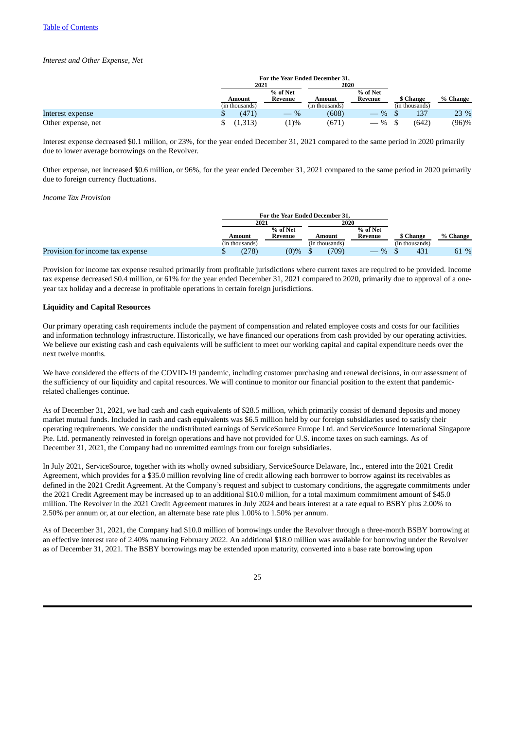#### *Interest and Other Expense, Net*

|                    |      | For the Year Ended December 31. |                     |                          |                     |  |                             |          |
|--------------------|------|---------------------------------|---------------------|--------------------------|---------------------|--|-----------------------------|----------|
|                    | 2021 |                                 | 2020                |                          |                     |  |                             |          |
|                    |      | Amount<br>(in thousands)        | % of Net<br>Revenue | Amount<br>(in thousands) | % of Net<br>Revenue |  | \$ Change<br>(in thousands) | % Change |
| Interest expense   |      | (471)                           | $\%$                | (608)                    | $\%$                |  | 137                         | 23 %     |
| Other expense, net |      | (1,313)                         | 1)%                 | (671)                    | $\%$                |  | (642)                       | (96)%    |

Interest expense decreased \$0.1 million, or 23%, for the year ended December 31, 2021 compared to the same period in 2020 primarily due to lower average borrowings on the Revolver.

Other expense, net increased \$0.6 million, or 96%, for the year ended December 31, 2021 compared to the same period in 2020 primarily due to foreign currency fluctuations.

*Income Tax Provision*

|                                  | For the Year Ended December 31. |                |          |      |                |                  |  |                |          |
|----------------------------------|---------------------------------|----------------|----------|------|----------------|------------------|--|----------------|----------|
|                                  | 2021                            |                |          | 2020 |                |                  |  |                |          |
|                                  |                                 |                | % of Net |      |                | % of Net         |  |                |          |
|                                  |                                 | Amount         | Revenue  |      | Amount         | Revenue          |  | \$ Change      | % Change |
|                                  |                                 | (in thousands) |          |      | (in thousands) |                  |  | (in thousands) |          |
| Provision for income tax expense |                                 | (278)          | $(0)\%$  |      | (709)          | $\%$<br>$\equiv$ |  | 431            | 61 %     |

Provision for income tax expense resulted primarily from profitable jurisdictions where current taxes are required to be provided. Income tax expense decreased \$0.4 million, or 61% for the year ended December 31, 2021 compared to 2020, primarily due to approval of a oneyear tax holiday and a decrease in profitable operations in certain foreign jurisdictions.

## **Liquidity and Capital Resources**

Our primary operating cash requirements include the payment of compensation and related employee costs and costs for our facilities and information technology infrastructure. Historically, we have financed our operations from cash provided by our operating activities. We believe our existing cash and cash equivalents will be sufficient to meet our working capital and capital expenditure needs over the next twelve months.

We have considered the effects of the COVID-19 pandemic, including customer purchasing and renewal decisions, in our assessment of the sufficiency of our liquidity and capital resources. We will continue to monitor our financial position to the extent that pandemicrelated challenges continue.

As of December 31, 2021, we had cash and cash equivalents of \$28.5 million, which primarily consist of demand deposits and money market mutual funds. Included in cash and cash equivalents was \$6.5 million held by our foreign subsidiaries used to satisfy their operating requirements. We consider the undistributed earnings of ServiceSource Europe Ltd. and ServiceSource International Singapore Pte. Ltd. permanently reinvested in foreign operations and have not provided for U.S. income taxes on such earnings. As of December 31, 2021, the Company had no unremitted earnings from our foreign subsidiaries.

In July 2021, ServiceSource, together with its wholly owned subsidiary, ServiceSource Delaware, Inc., entered into the 2021 Credit Agreement, which provides for a \$35.0 million revolving line of credit allowing each borrower to borrow against its receivables as defined in the 2021 Credit Agreement. At the Company's request and subject to customary conditions, the aggregate commitments under the 2021 Credit Agreement may be increased up to an additional \$10.0 million, for a total maximum commitment amount of \$45.0 million. The Revolver in the 2021 Credit Agreement matures in July 2024 and bears interest at a rate equal to BSBY plus 2.00% to 2.50% per annum or, at our election, an alternate base rate plus 1.00% to 1.50% per annum.

As of December 31, 2021, the Company had \$10.0 million of borrowings under the Revolver through a three-month BSBY borrowing at an effective interest rate of 2.40% maturing February 2022. An additional \$18.0 million was available for borrowing under the Revolver as of December 31, 2021. The BSBY borrowings may be extended upon maturity, converted into a base rate borrowing upon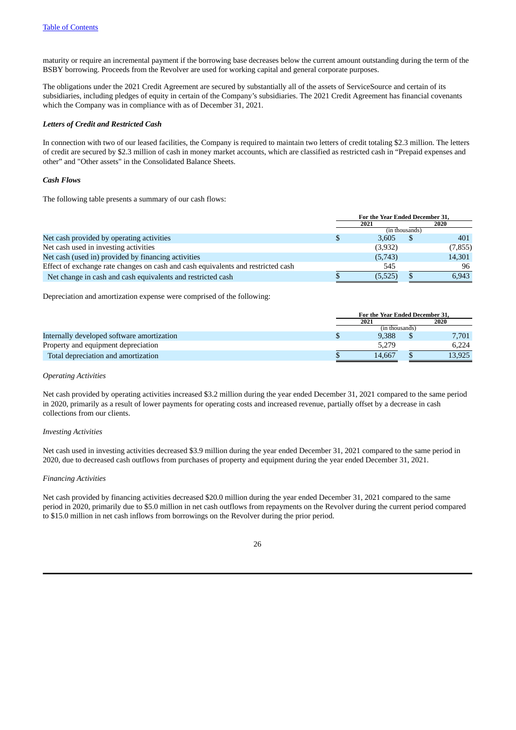maturity or require an incremental payment if the borrowing base decreases below the current amount outstanding during the term of the BSBY borrowing. Proceeds from the Revolver are used for working capital and general corporate purposes.

The obligations under the 2021 Credit Agreement are secured by substantially all of the assets of ServiceSource and certain of its subsidiaries, including pledges of equity in certain of the Company's subsidiaries. The 2021 Credit Agreement has financial covenants which the Company was in compliance with as of December 31, 2021.

#### *Letters of Credit and Restricted Cash*

In connection with two of our leased facilities, the Company is required to maintain two letters of credit totaling \$2.3 million. The letters of credit are secured by \$2.3 million of cash in money market accounts, which are classified as restricted cash in "Prepaid expenses and other" and "Other assets" in the Consolidated Balance Sheets.

#### *Cash Flows*

The following table presents a summary of our cash flows:

|                                                                                  | For the Year Ended December 31. |                |  |         |
|----------------------------------------------------------------------------------|---------------------------------|----------------|--|---------|
|                                                                                  |                                 | 2021           |  | 2020    |
|                                                                                  |                                 | (in thousands) |  |         |
| Net cash provided by operating activities                                        |                                 | 3,605          |  | 401     |
| Net cash used in investing activities                                            |                                 | (3,932)        |  | (7,855) |
| Net cash (used in) provided by financing activities                              |                                 | (5,743)        |  | 14,301  |
| Effect of exchange rate changes on cash and cash equivalents and restricted cash |                                 | 545            |  | 96      |
| Net change in cash and cash equivalents and restricted cash                      |                                 | (5,525)        |  | 6,943   |

Depreciation and amortization expense were comprised of the following:

|                                            | For the Year Ended December 31. |  |        |  |  |
|--------------------------------------------|---------------------------------|--|--------|--|--|
|                                            | 2021                            |  | 2020   |  |  |
|                                            | (in thousands)                  |  |        |  |  |
| Internally developed software amortization | 9.388                           |  | 7.701  |  |  |
| Property and equipment depreciation        | 5.279                           |  | 6.224  |  |  |
| Total depreciation and amortization        | 14.667                          |  | 13.925 |  |  |

#### *Operating Activities*

Net cash provided by operating activities increased \$3.2 million during the year ended December 31, 2021 compared to the same period in 2020, primarily as a result of lower payments for operating costs and increased revenue, partially offset by a decrease in cash collections from our clients.

#### *Investing Activities*

Net cash used in investing activities decreased \$3.9 million during the year ended December 31, 2021 compared to the same period in 2020, due to decreased cash outflows from purchases of property and equipment during the year ended December 31, 2021.

#### *Financing Activities*

Net cash provided by financing activities decreased \$20.0 million during the year ended December 31, 2021 compared to the same period in 2020, primarily due to \$5.0 million in net cash outflows from repayments on the Revolver during the current period compared to \$15.0 million in net cash inflows from borrowings on the Revolver during the prior period.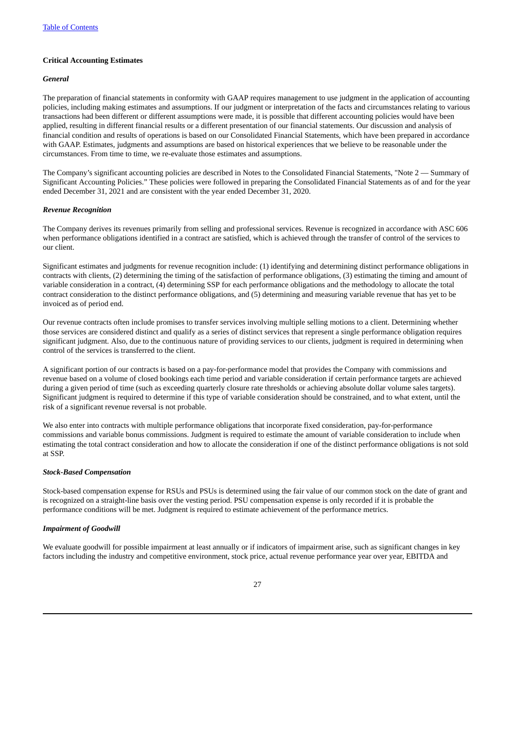## **Critical Accounting Estimates**

#### *General*

The preparation of financial statements in conformity with GAAP requires management to use judgment in the application of accounting policies, including making estimates and assumptions. If our judgment or interpretation of the facts and circumstances relating to various transactions had been different or different assumptions were made, it is possible that different accounting policies would have been applied, resulting in different financial results or a different presentation of our financial statements. Our discussion and analysis of financial condition and results of operations is based on our Consolidated Financial Statements, which have been prepared in accordance with GAAP. Estimates, judgments and assumptions are based on historical experiences that we believe to be reasonable under the circumstances. From time to time, we re-evaluate those estimates and assumptions.

The Company's significant accounting policies are described in Notes to the Consolidated Financial Statements, "Note 2 — Summary of Significant Accounting Policies." These policies were followed in preparing the Consolidated Financial Statements as of and for the year ended December 31, 2021 and are consistent with the year ended December 31, 2020.

#### *Revenue Recognition*

The Company derives its revenues primarily from selling and professional services. Revenue is recognized in accordance with ASC 606 when performance obligations identified in a contract are satisfied, which is achieved through the transfer of control of the services to our client.

Significant estimates and judgments for revenue recognition include: (1) identifying and determining distinct performance obligations in contracts with clients, (2) determining the timing of the satisfaction of performance obligations, (3) estimating the timing and amount of variable consideration in a contract, (4) determining SSP for each performance obligations and the methodology to allocate the total contract consideration to the distinct performance obligations, and (5) determining and measuring variable revenue that has yet to be invoiced as of period end.

Our revenue contracts often include promises to transfer services involving multiple selling motions to a client. Determining whether those services are considered distinct and qualify as a series of distinct services that represent a single performance obligation requires significant judgment. Also, due to the continuous nature of providing services to our clients, judgment is required in determining when control of the services is transferred to the client.

A significant portion of our contracts is based on a pay-for-performance model that provides the Company with commissions and revenue based on a volume of closed bookings each time period and variable consideration if certain performance targets are achieved during a given period of time (such as exceeding quarterly closure rate thresholds or achieving absolute dollar volume sales targets). Significant judgment is required to determine if this type of variable consideration should be constrained, and to what extent, until the risk of a significant revenue reversal is not probable.

We also enter into contracts with multiple performance obligations that incorporate fixed consideration, pay-for-performance commissions and variable bonus commissions. Judgment is required to estimate the amount of variable consideration to include when estimating the total contract consideration and how to allocate the consideration if one of the distinct performance obligations is not sold at SSP.

# *Stock-Based Compensation*

Stock-based compensation expense for RSUs and PSUs is determined using the fair value of our common stock on the date of grant and is recognized on a straight-line basis over the vesting period. PSU compensation expense is only recorded if it is probable the performance conditions will be met. Judgment is required to estimate achievement of the performance metrics.

# *Impairment of Goodwill*

We evaluate goodwill for possible impairment at least annually or if indicators of impairment arise, such as significant changes in key factors including the industry and competitive environment, stock price, actual revenue performance year over year, EBITDA and

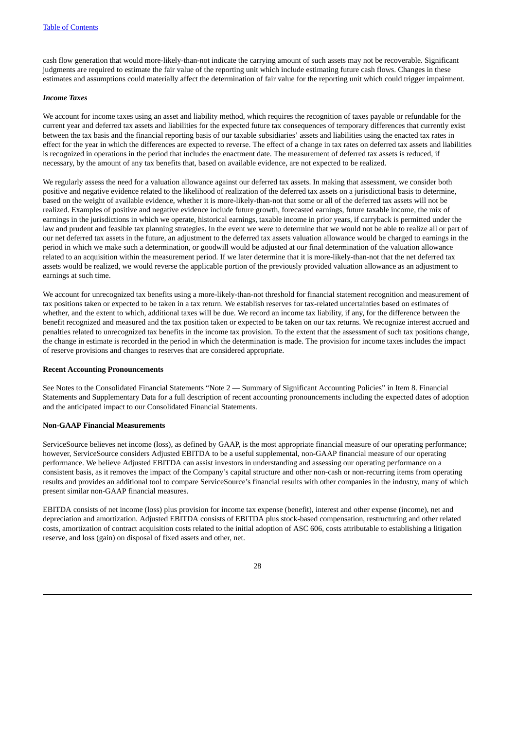cash flow generation that would more-likely-than-not indicate the carrying amount of such assets may not be recoverable. Significant judgments are required to estimate the fair value of the reporting unit which include estimating future cash flows. Changes in these estimates and assumptions could materially affect the determination of fair value for the reporting unit which could trigger impairment.

#### *Income Taxes*

We account for income taxes using an asset and liability method, which requires the recognition of taxes payable or refundable for the current year and deferred tax assets and liabilities for the expected future tax consequences of temporary differences that currently exist between the tax basis and the financial reporting basis of our taxable subsidiaries' assets and liabilities using the enacted tax rates in effect for the year in which the differences are expected to reverse. The effect of a change in tax rates on deferred tax assets and liabilities is recognized in operations in the period that includes the enactment date. The measurement of deferred tax assets is reduced, if necessary, by the amount of any tax benefits that, based on available evidence, are not expected to be realized.

We regularly assess the need for a valuation allowance against our deferred tax assets. In making that assessment, we consider both positive and negative evidence related to the likelihood of realization of the deferred tax assets on a jurisdictional basis to determine, based on the weight of available evidence, whether it is more-likely-than-not that some or all of the deferred tax assets will not be realized. Examples of positive and negative evidence include future growth, forecasted earnings, future taxable income, the mix of earnings in the jurisdictions in which we operate, historical earnings, taxable income in prior years, if carryback is permitted under the law and prudent and feasible tax planning strategies. In the event we were to determine that we would not be able to realize all or part of our net deferred tax assets in the future, an adjustment to the deferred tax assets valuation allowance would be charged to earnings in the period in which we make such a determination*,* or goodwill would be adjusted at our final determination of the valuation allowance related to an acquisition within the measurement period. If we later determine that it is more-likely-than-not that the net deferred tax assets would be realized, we would reverse the applicable portion of the previously provided valuation allowance as an adjustment to earnings at such time.

We account for unrecognized tax benefits using a more-likely-than-not threshold for financial statement recognition and measurement of tax positions taken or expected to be taken in a tax return. We establish reserves for tax-related uncertainties based on estimates of whether, and the extent to which, additional taxes will be due. We record an income tax liability, if any, for the difference between the benefit recognized and measured and the tax position taken or expected to be taken on our tax returns. We recognize interest accrued and penalties related to unrecognized tax benefits in the income tax provision. To the extent that the assessment of such tax positions change, the change in estimate is recorded in the period in which the determination is made. The provision for income taxes includes the impact of reserve provisions and changes to reserves that are considered appropriate.

#### **Recent Accounting Pronouncements**

See Notes to the Consolidated Financial Statements "Note 2 — Summary of Significant Accounting Policies" in Item 8. Financial Statements and Supplementary Data for a full description of recent accounting pronouncements including the expected dates of adoption and the anticipated impact to our Consolidated Financial Statements.

#### **Non-GAAP Financial Measurements**

ServiceSource believes net income (loss), as defined by GAAP, is the most appropriate financial measure of our operating performance; however, ServiceSource considers Adjusted EBITDA to be a useful supplemental, non-GAAP financial measure of our operating performance. We believe Adjusted EBITDA can assist investors in understanding and assessing our operating performance on a consistent basis, as it removes the impact of the Company's capital structure and other non-cash or non-recurring items from operating results and provides an additional tool to compare ServiceSource's financial results with other companies in the industry, many of which present similar non-GAAP financial measures.

EBITDA consists of net income (loss) plus provision for income tax expense (benefit), interest and other expense (income), net and depreciation and amortization. Adjusted EBITDA consists of EBITDA plus stock-based compensation, restructuring and other related costs, amortization of contract acquisition costs related to the initial adoption of ASC 606, costs attributable to establishing a litigation reserve, and loss (gain) on disposal of fixed assets and other, net.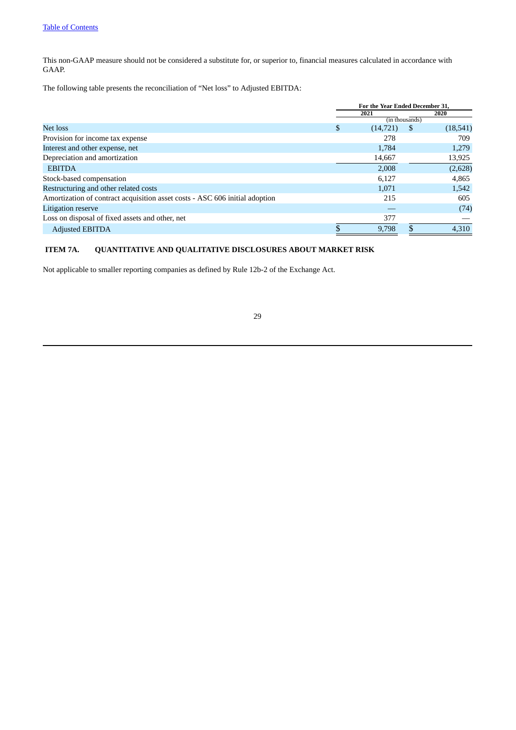This non-GAAP measure should not be considered a substitute for, or superior to, financial measures calculated in accordance with GAAP.

The following table presents the reconciliation of "Net loss" to Adjusted EBITDA:

|                                                                             | For the Year Ended December 31, |           |                |           |  |
|-----------------------------------------------------------------------------|---------------------------------|-----------|----------------|-----------|--|
|                                                                             |                                 | 2021      |                | 2020      |  |
|                                                                             |                                 |           | (in thousands) |           |  |
| Net loss                                                                    | S                               | (14, 721) | - \$           | (18, 541) |  |
| Provision for income tax expense                                            |                                 | 278       |                | 709       |  |
| Interest and other expense, net                                             |                                 | 1,784     |                | 1,279     |  |
| Depreciation and amortization                                               |                                 | 14,667    |                | 13,925    |  |
| <b>EBITDA</b>                                                               |                                 | 2.008     |                | (2,628)   |  |
| Stock-based compensation                                                    |                                 | 6,127     |                | 4,865     |  |
| Restructuring and other related costs                                       |                                 | 1,071     |                | 1,542     |  |
| Amortization of contract acquisition asset costs - ASC 606 initial adoption |                                 | 215       |                | 605       |  |
| Litigation reserve                                                          |                                 |           |                | (74)      |  |
| Loss on disposal of fixed assets and other, net                             |                                 | 377       |                |           |  |
| <b>Adjusted EBITDA</b>                                                      |                                 | 9,798     |                | 4,310     |  |

# <span id="page-31-0"></span>**ITEM 7A. QUANTITATIVE AND QUALITATIVE DISCLOSURES ABOUT MARKET RISK**

Not applicable to smaller reporting companies as defined by Rule 12b-2 of the Exchange Act.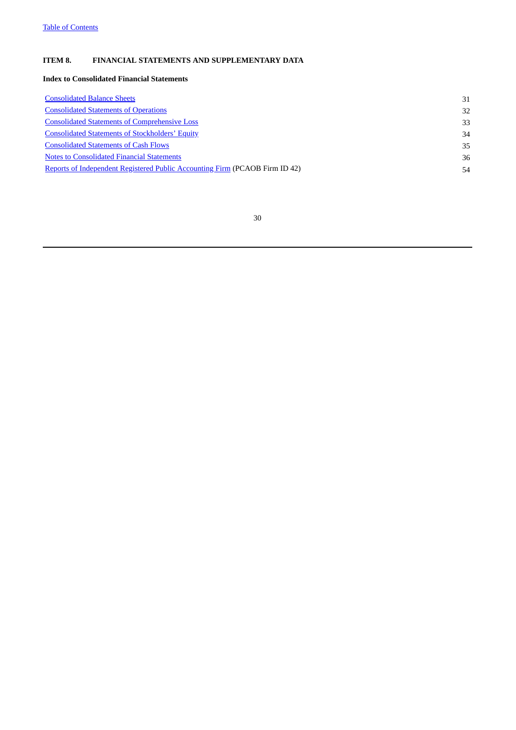# <span id="page-32-0"></span>**ITEM 8. FINANCIAL STATEMENTS AND SUPPLEMENTARY DATA**

# **Index to Consolidated Financial Statements**

| 31 |
|----|
| 32 |
| 33 |
| 34 |
| 35 |
| 36 |
| 54 |
|    |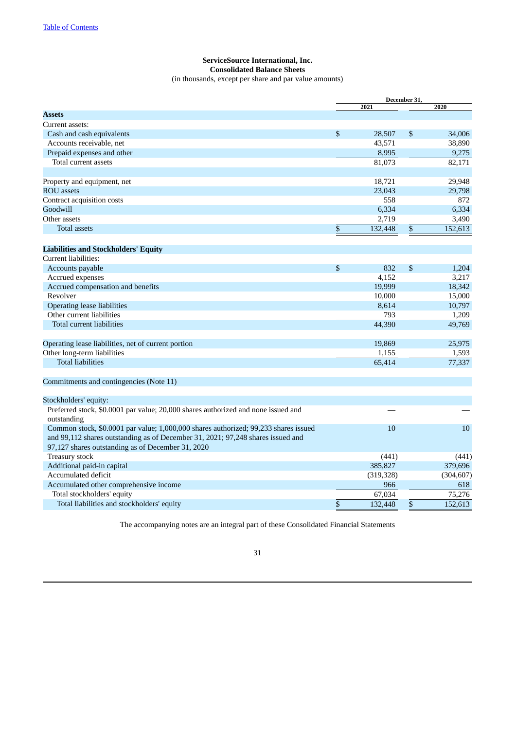# **ServiceSource International, Inc. Consolidated Balance Sheets** (in thousands, except per share and par value amounts)

<span id="page-33-0"></span>

|                                                                                     | December 31, |            |    |            |
|-------------------------------------------------------------------------------------|--------------|------------|----|------------|
|                                                                                     |              | 2021       |    | 2020       |
| <b>Assets</b>                                                                       |              |            |    |            |
| Current assets:                                                                     |              |            |    |            |
| Cash and cash equivalents                                                           | \$           | 28,507     | \$ | 34,006     |
| Accounts receivable, net                                                            |              | 43,571     |    | 38,890     |
| Prepaid expenses and other                                                          |              | 8,995      |    | 9,275      |
| Total current assets                                                                |              | 81,073     |    | 82,171     |
|                                                                                     |              |            |    |            |
| Property and equipment, net                                                         |              | 18,721     |    | 29,948     |
| <b>ROU</b> assets                                                                   |              | 23,043     |    | 29,798     |
| Contract acquisition costs                                                          |              | 558        |    | 872        |
| Goodwill                                                                            |              | 6,334      |    | 6,334      |
| Other assets                                                                        |              | 2,719      |    | 3,490      |
| <b>Total assets</b>                                                                 | \$           | 132,448    | \$ | 152,613    |
| <b>Liabilities and Stockholders' Equity</b>                                         |              |            |    |            |
| Current liabilities:                                                                |              |            |    |            |
| Accounts payable                                                                    | \$           | 832        | \$ | 1,204      |
| Accrued expenses                                                                    |              | 4,152      |    | 3,217      |
| Accrued compensation and benefits                                                   |              | 19,999     |    | 18,342     |
| Revolver                                                                            |              | 10,000     |    | 15,000     |
| <b>Operating lease liabilities</b>                                                  |              | 8,614      |    | 10,797     |
| Other current liabilities                                                           |              | 793        |    | 1,209      |
| <b>Total current liabilities</b>                                                    |              | 44,390     |    | 49,769     |
|                                                                                     |              |            |    |            |
| Operating lease liabilities, net of current portion                                 |              | 19,869     |    | 25,975     |
| Other long-term liabilities                                                         |              | 1,155      |    | 1,593      |
| <b>Total liabilities</b>                                                            |              | 65,414     |    | 77,337     |
|                                                                                     |              |            |    |            |
| Commitments and contingencies (Note 11)                                             |              |            |    |            |
|                                                                                     |              |            |    |            |
| Stockholders' equity:                                                               |              |            |    |            |
| Preferred stock, \$0.0001 par value; 20,000 shares authorized and none issued and   |              |            |    |            |
| outstanding                                                                         |              |            |    |            |
| Common stock, \$0.0001 par value; 1,000,000 shares authorized; 99,233 shares issued |              | 10         |    | 10         |
| and 99,112 shares outstanding as of December 31, 2021; 97,248 shares issued and     |              |            |    |            |
| 97,127 shares outstanding as of December 31, 2020                                   |              |            |    |            |
| Treasury stock                                                                      |              | (441)      |    | (441)      |
| Additional paid-in capital                                                          |              | 385,827    |    | 379,696    |
| Accumulated deficit                                                                 |              | (319, 328) |    | (304, 607) |
| Accumulated other comprehensive income                                              |              | 966        |    | 618        |
| Total stockholders' equity                                                          |              | 67,034     |    | 75,276     |
| Total liabilities and stockholders' equity                                          | \$           | 132,448    | \$ | 152,613    |
|                                                                                     |              |            |    |            |

The accompanying notes are an integral part of these Consolidated Financial Statements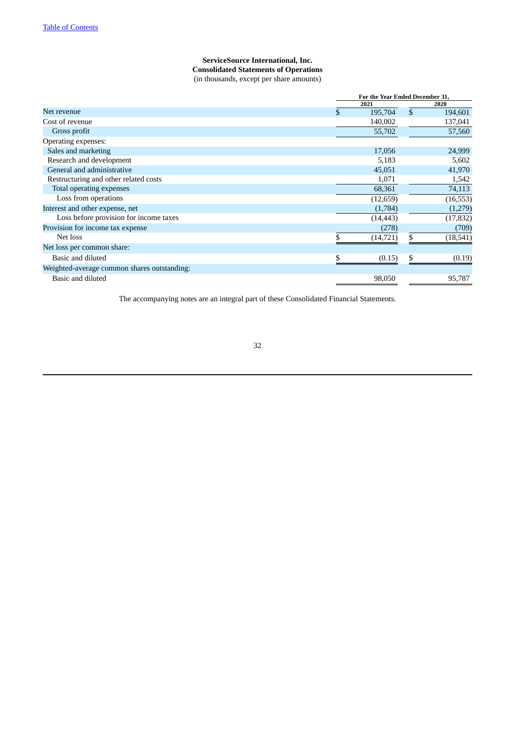# **ServiceSource International, Inc. Consolidated Statements of Operations** (in thousands, except per share amounts)

<span id="page-34-0"></span>

|                                             | For the Year Ended December 31, |               |           |
|---------------------------------------------|---------------------------------|---------------|-----------|
|                                             | 2021                            |               | 2020      |
| Net revenue                                 | \$<br>195,704                   | $\mathbf{\$}$ | 194,601   |
| Cost of revenue                             | 140,002                         |               | 137,041   |
| Gross profit                                | 55,702                          |               | 57,560    |
| Operating expenses:                         |                                 |               |           |
| Sales and marketing                         | 17,056                          |               | 24,999    |
| Research and development                    | 5,183                           |               | 5,602     |
| General and administrative                  | 45,051                          |               | 41,970    |
| Restructuring and other related costs       | 1,071                           |               | 1,542     |
| Total operating expenses                    | 68,361                          |               | 74,113    |
| Loss from operations                        | (12, 659)                       |               | (16, 553) |
| Interest and other expense, net             | (1,784)                         |               | (1,279)   |
| Loss before provision for income taxes      | (14, 443)                       |               | (17, 832) |
| Provision for income tax expense            | (278)                           |               | (709)     |
| Net loss                                    | (14,721)                        | \$            | (18, 541) |
| Net loss per common share:                  |                                 |               |           |
| Basic and diluted                           | (0.15)                          | \$            | (0.19)    |
| Weighted-average common shares outstanding: |                                 |               |           |
| Basic and diluted                           | 98,050                          |               | 95,787    |

The accompanying notes are an integral part of these Consolidated Financial Statements.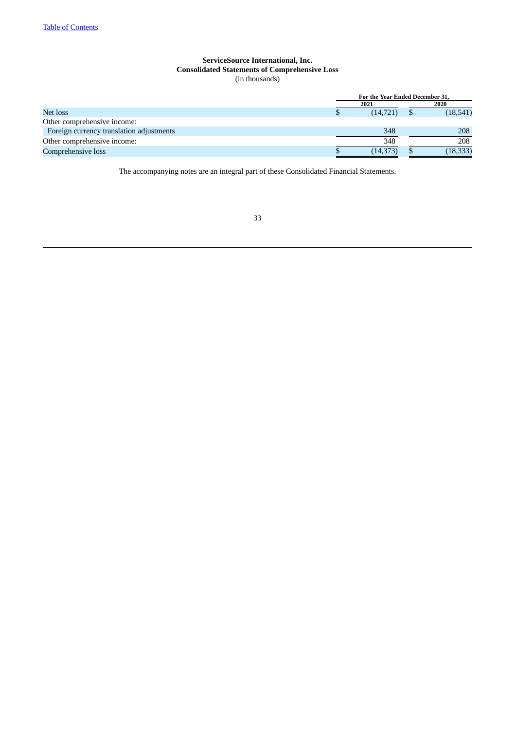# **ServiceSource International, Inc. Consolidated Statements of Comprehensive Loss** (in thousands)

<span id="page-35-0"></span>

|                                          | For the Year Ended December 31, |           |  |           |
|------------------------------------------|---------------------------------|-----------|--|-----------|
|                                          |                                 | 2021      |  | 2020      |
| Net loss                                 |                                 | (14, 721) |  | (18, 541) |
| Other comprehensive income:              |                                 |           |  |           |
| Foreign currency translation adjustments |                                 | 348       |  | 208       |
| Other comprehensive income:              |                                 | 348       |  | 208       |
| Comprehensive loss                       |                                 | (14, 373) |  | (18, 333) |

The accompanying notes are an integral part of these Consolidated Financial Statements.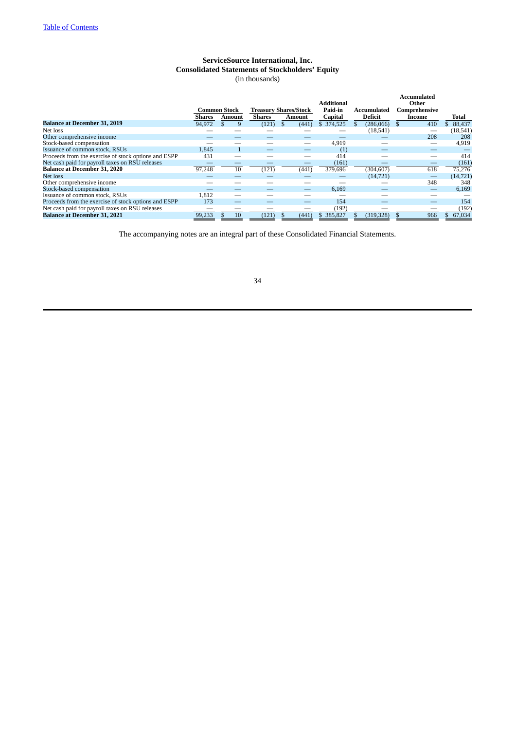## **ServiceSource International, Inc. Consolidated Statements of Stockholders' Equity** (in thousands)

|                                                      |                     |               |    |                              |        |                   |             | <b>Accumulated</b> |           |
|------------------------------------------------------|---------------------|---------------|----|------------------------------|--------|-------------------|-------------|--------------------|-----------|
|                                                      |                     |               |    |                              |        | <b>Additional</b> |             | Other              |           |
|                                                      | <b>Common Stock</b> |               |    | <b>Treasury Shares/Stock</b> |        | Paid-in           | Accumulated | Comprehensive      |           |
|                                                      | Shares              | <b>Amount</b> |    | <b>Shares</b>                | Amount | Capital           | Deficit     | Income             | Total     |
| <b>Balance at December 31, 2019</b>                  | 94,972              |               | 9  | (121)                        | (441)  | \$ 374,525        | (286,066)   | 410                | 88,437    |
| Net loss                                             |                     |               |    |                              |        |                   | (18, 541)   |                    | (18, 541) |
| Other comprehensive income                           |                     |               |    |                              |        |                   |             | 208                | 208       |
| Stock-based compensation                             |                     |               |    |                              |        | 4,919             |             |                    | 4,919     |
| Issuance of common stock, RSUs                       | 1,845               |               |    |                              |        | (1)               |             |                    |           |
| Proceeds from the exercise of stock options and ESPP | 431                 |               |    |                              |        | 414               |             |                    | 414       |
| Net cash paid for payroll taxes on RSU releases      |                     |               |    |                              |        | (161)             |             |                    | (161)     |
| <b>Balance at December 31, 2020</b>                  | 97,248              |               | 10 | (121)                        | (441)  | 379,696           | (304, 607)  | 618                | 75,276    |
| Net loss                                             |                     |               |    |                              |        |                   | (14, 721)   |                    | (14, 721) |
| Other comprehensive income                           |                     |               |    |                              |        |                   |             | 348                | 348       |
| Stock-based compensation                             |                     |               |    |                              |        | 6,169             |             |                    | 6,169     |
| Issuance of common stock, RSUs                       | 1,812               |               |    |                              |        |                   |             |                    |           |
| Proceeds from the exercise of stock options and ESPP | 173                 |               |    |                              |        | 154               |             |                    | 154       |
| Net cash paid for payroll taxes on RSU releases      |                     |               |    |                              |        | (192)             |             |                    | (192)     |
| <b>Balance at December 31, 2021</b>                  | 99,233              |               | 10 | (121)                        | (441)  | 385,827           | (319, 328)  | 966                | 67,034    |

The accompanying notes are an integral part of these Consolidated Financial Statements.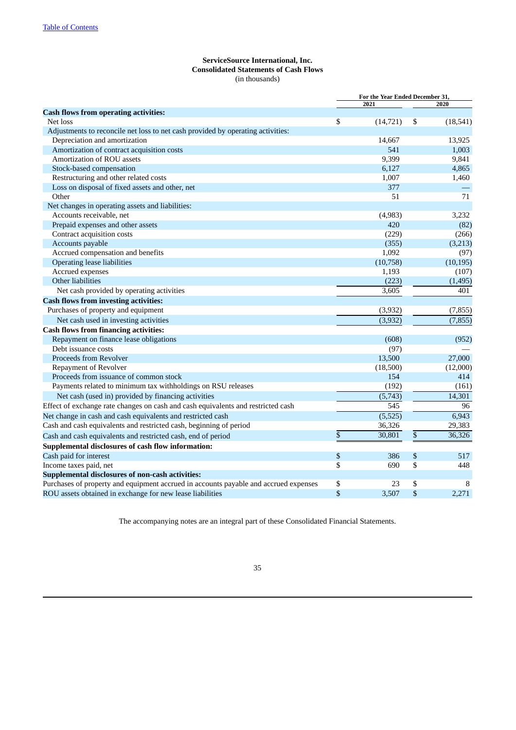## **ServiceSource International, Inc. Consolidated Statements of Cash Flows** (in thousands)

|                                                                                      | For the Year Ended December 31, |           |    |           |  |
|--------------------------------------------------------------------------------------|---------------------------------|-----------|----|-----------|--|
|                                                                                      |                                 | 2021      |    | 2020      |  |
| <b>Cash flows from operating activities:</b>                                         |                                 |           |    |           |  |
| Net loss                                                                             | \$                              | (14, 721) | \$ | (18, 541) |  |
| Adjustments to reconcile net loss to net cash provided by operating activities:      |                                 |           |    |           |  |
| Depreciation and amortization                                                        |                                 | 14,667    |    | 13,925    |  |
| Amortization of contract acquisition costs                                           |                                 | 541       |    | 1,003     |  |
| Amortization of ROU assets                                                           |                                 | 9,399     |    | 9,841     |  |
| Stock-based compensation                                                             |                                 | 6,127     |    | 4,865     |  |
| Restructuring and other related costs                                                |                                 | 1,007     |    | 1,460     |  |
| Loss on disposal of fixed assets and other, net                                      |                                 | 377       |    |           |  |
| Other                                                                                |                                 | 51        |    | 71        |  |
| Net changes in operating assets and liabilities:                                     |                                 |           |    |           |  |
| Accounts receivable, net                                                             |                                 | (4,983)   |    | 3,232     |  |
| Prepaid expenses and other assets                                                    |                                 | 420       |    | (82)      |  |
| Contract acquisition costs                                                           |                                 | (229)     |    | (266)     |  |
| Accounts payable                                                                     |                                 | (355)     |    | (3,213)   |  |
| Accrued compensation and benefits                                                    |                                 | 1,092     |    | (97)      |  |
| <b>Operating lease liabilities</b>                                                   |                                 | (10,758)  |    | (10, 195) |  |
| Accrued expenses                                                                     |                                 | 1,193     |    | (107)     |  |
| Other liabilities                                                                    |                                 | (223)     |    | (1, 495)  |  |
| Net cash provided by operating activities                                            |                                 | 3,605     |    | 401       |  |
| <b>Cash flows from investing activities:</b>                                         |                                 |           |    |           |  |
| Purchases of property and equipment                                                  |                                 | (3,932)   |    | (7, 855)  |  |
| Net cash used in investing activities                                                |                                 | (3,932)   |    | (7, 855)  |  |
| <b>Cash flows from financing activities:</b>                                         |                                 |           |    |           |  |
| Repayment on finance lease obligations                                               |                                 | (608)     |    | (952)     |  |
| Debt issuance costs                                                                  |                                 | (97)      |    |           |  |
| Proceeds from Revolver                                                               |                                 | 13,500    |    | 27,000    |  |
| Repayment of Revolver                                                                |                                 | (18,500)  |    | (12,000)  |  |
| Proceeds from issuance of common stock                                               |                                 | 154       |    | 414       |  |
| Payments related to minimum tax withholdings on RSU releases                         |                                 | (192)     |    | (161)     |  |
| Net cash (used in) provided by financing activities                                  |                                 | (5,743)   |    | 14,301    |  |
| Effect of exchange rate changes on cash and cash equivalents and restricted cash     |                                 | 545       |    | 96        |  |
| Net change in cash and cash equivalents and restricted cash                          |                                 | (5, 525)  |    | 6,943     |  |
| Cash and cash equivalents and restricted cash, beginning of period                   |                                 | 36,326    |    | 29,383    |  |
| Cash and cash equivalents and restricted cash, end of period                         | $\$$                            | 30,801    | \$ | 36,326    |  |
| Supplemental disclosures of cash flow information:                                   |                                 |           |    |           |  |
| Cash paid for interest                                                               | \$                              | 386       | \$ | 517       |  |
| Income taxes paid, net                                                               | \$                              | 690       | \$ | 448       |  |
| <b>Supplemental disclosures of non-cash activities:</b>                              |                                 |           |    |           |  |
| Purchases of property and equipment accrued in accounts payable and accrued expenses | \$                              | 23        | \$ | 8         |  |
|                                                                                      | \$                              | 3.507     | \$ | 2.271     |  |
| ROU assets obtained in exchange for new lease liabilities                            |                                 |           |    |           |  |

The accompanying notes are an integral part of these Consolidated Financial Statements.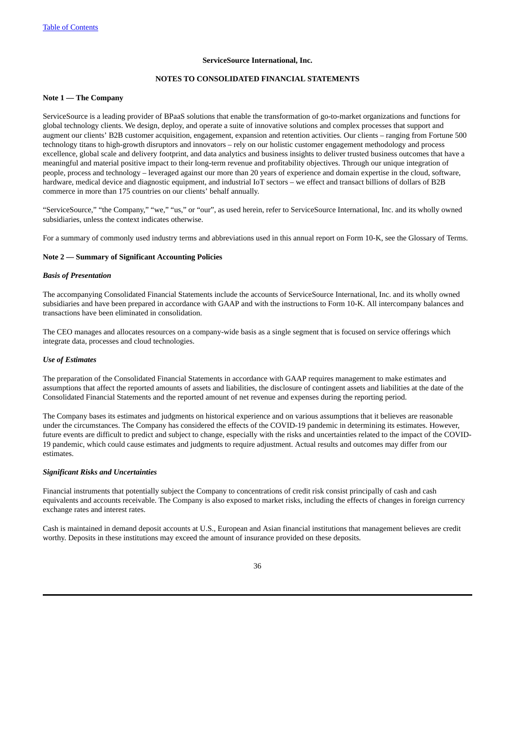#### **ServiceSource International, Inc.**

## **NOTES TO CONSOLIDATED FINANCIAL STATEMENTS**

#### **Note 1 — The Company**

ServiceSource is a leading provider of BPaaS solutions that enable the transformation of go-to-market organizations and functions for global technology clients. We design, deploy, and operate a suite of innovative solutions and complex processes that support and augment our clients' B2B customer acquisition, engagement, expansion and retention activities. Our clients – ranging from Fortune 500 technology titans to high-growth disruptors and innovators – rely on our holistic customer engagement methodology and process excellence, global scale and delivery footprint, and data analytics and business insights to deliver trusted business outcomes that have a meaningful and material positive impact to their long-term revenue and profitability objectives. Through our unique integration of people, process and technology – leveraged against our more than 20 years of experience and domain expertise in the cloud, software, hardware, medical device and diagnostic equipment, and industrial IoT sectors – we effect and transact billions of dollars of B2B commerce in more than 175 countries on our clients' behalf annually.

"ServiceSource," "the Company," "we," "us," or "our", as used herein, refer to ServiceSource International, Inc. and its wholly owned subsidiaries, unless the context indicates otherwise.

For a summary of commonly used industry terms and abbreviations used in this annual report on Form 10-K, see the Glossary of Terms.

#### **Note 2 — Summary of Significant Accounting Policies**

#### *Basis of Presentation*

The accompanying Consolidated Financial Statements include the accounts of ServiceSource International, Inc. and its wholly owned subsidiaries and have been prepared in accordance with GAAP and with the instructions to Form 10-K. All intercompany balances and transactions have been eliminated in consolidation.

The CEO manages and allocates resources on a company-wide basis as a single segment that is focused on service offerings which integrate data, processes and cloud technologies.

### *Use of Estimates*

The preparation of the Consolidated Financial Statements in accordance with GAAP requires management to make estimates and assumptions that affect the reported amounts of assets and liabilities, the disclosure of contingent assets and liabilities at the date of the Consolidated Financial Statements and the reported amount of net revenue and expenses during the reporting period.

The Company bases its estimates and judgments on historical experience and on various assumptions that it believes are reasonable under the circumstances. The Company has considered the effects of the COVID-19 pandemic in determining its estimates. However, future events are difficult to predict and subject to change, especially with the risks and uncertainties related to the impact of the COVID-19 pandemic, which could cause estimates and judgments to require adjustment. Actual results and outcomes may differ from our estimates.

### *Significant Risks and Uncertainties*

Financial instruments that potentially subject the Company to concentrations of credit risk consist principally of cash and cash equivalents and accounts receivable. The Company is also exposed to market risks, including the effects of changes in foreign currency exchange rates and interest rates.

Cash is maintained in demand deposit accounts at U.S., European and Asian financial institutions that management believes are credit worthy. Deposits in these institutions may exceed the amount of insurance provided on these deposits.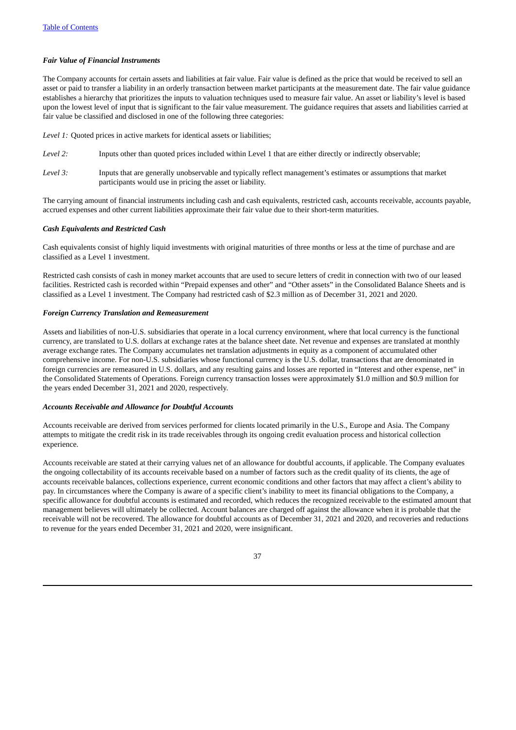### *Fair Value of Financial Instruments*

The Company accounts for certain assets and liabilities at fair value. Fair value is defined as the price that would be received to sell an asset or paid to transfer a liability in an orderly transaction between market participants at the measurement date. The fair value guidance establishes a hierarchy that prioritizes the inputs to valuation techniques used to measure fair value. An asset or liability's level is based upon the lowest level of input that is significant to the fair value measurement. The guidance requires that assets and liabilities carried at fair value be classified and disclosed in one of the following three categories:

*Level 1:* Quoted prices in active markets for identical assets or liabilities;

- *Level 2:* Inputs other than quoted prices included within Level 1 that are either directly or indirectly observable;
- *Level 3:* Inputs that are generally unobservable and typically reflect management's estimates or assumptions that market participants would use in pricing the asset or liability.

The carrying amount of financial instruments including cash and cash equivalents, restricted cash, accounts receivable, accounts payable, accrued expenses and other current liabilities approximate their fair value due to their short-term maturities.

### *Cash Equivalents and Restricted Cash*

Cash equivalents consist of highly liquid investments with original maturities of three months or less at the time of purchase and are classified as a Level 1 investment.

Restricted cash consists of cash in money market accounts that are used to secure letters of credit in connection with two of our leased facilities. Restricted cash is recorded within "Prepaid expenses and other" and "Other assets" in the Consolidated Balance Sheets and is classified as a Level 1 investment. The Company had restricted cash of \$2.3 million as of December 31, 2021 and 2020.

### *Foreign Currency Translation and Remeasurement*

Assets and liabilities of non-U.S. subsidiaries that operate in a local currency environment, where that local currency is the functional currency, are translated to U.S. dollars at exchange rates at the balance sheet date. Net revenue and expenses are translated at monthly average exchange rates. The Company accumulates net translation adjustments in equity as a component of accumulated other comprehensive income. For non-U.S. subsidiaries whose functional currency is the U.S. dollar, transactions that are denominated in foreign currencies are remeasured in U.S. dollars, and any resulting gains and losses are reported in "Interest and other expense, net" in the Consolidated Statements of Operations. Foreign currency transaction losses were approximately \$1.0 million and \$0.9 million for the years ended December 31, 2021 and 2020, respectively.

### *Accounts Receivable and Allowance for Doubtful Accounts*

Accounts receivable are derived from services performed for clients located primarily in the U.S., Europe and Asia. The Company attempts to mitigate the credit risk in its trade receivables through its ongoing credit evaluation process and historical collection experience.

Accounts receivable are stated at their carrying values net of an allowance for doubtful accounts, if applicable. The Company evaluates the ongoing collectability of its accounts receivable based on a number of factors such as the credit quality of its clients, the age of accounts receivable balances, collections experience, current economic conditions and other factors that may affect a client's ability to pay. In circumstances where the Company is aware of a specific client's inability to meet its financial obligations to the Company, a specific allowance for doubtful accounts is estimated and recorded, which reduces the recognized receivable to the estimated amount that management believes will ultimately be collected. Account balances are charged off against the allowance when it is probable that the receivable will not be recovered. The allowance for doubtful accounts as of December 31, 2021 and 2020, and recoveries and reductions to revenue for the years ended December 31, 2021 and 2020, were insignificant.

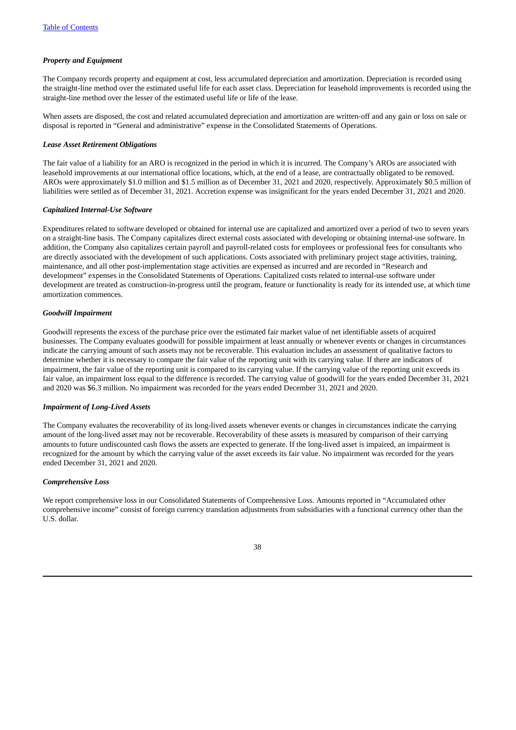## *Property and Equipment*

The Company records property and equipment at cost, less accumulated depreciation and amortization. Depreciation is recorded using the straight-line method over the estimated useful life for each asset class. Depreciation for leasehold improvements is recorded using the straight-line method over the lesser of the estimated useful life or life of the lease.

When assets are disposed, the cost and related accumulated depreciation and amortization are written-off and any gain or loss on sale or disposal is reported in "General and administrative" expense in the Consolidated Statements of Operations.

### *Lease Asset Retirement Obligations*

The fair value of a liability for an ARO is recognized in the period in which it is incurred. The Company's AROs are associated with leasehold improvements at our international office locations, which, at the end of a lease, are contractually obligated to be removed. AROs were approximately \$1.0 million and \$1.5 million as of December 31, 2021 and 2020, respectively. Approximately \$0.5 million of liabilities were settled as of December 31, 2021. Accretion expense was insignificant for the years ended December 31, 2021 and 2020.

#### *Capitalized Internal-Use Software*

Expenditures related to software developed or obtained for internal use are capitalized and amortized over a period of two to seven years on a straight-line basis. The Company capitalizes direct external costs associated with developing or obtaining internal-use software. In addition, the Company also capitalizes certain payroll and payroll-related costs for employees or professional fees for consultants who are directly associated with the development of such applications. Costs associated with preliminary project stage activities, training, maintenance, and all other post-implementation stage activities are expensed as incurred and are recorded in "Research and development" expenses in the Consolidated Statements of Operations. Capitalized costs related to internal-use software under development are treated as construction-in-progress until the program, feature or functionality is ready for its intended use, at which time amortization commences.

### *Goodwill Impairment*

Goodwill represents the excess of the purchase price over the estimated fair market value of net identifiable assets of acquired businesses. The Company evaluates goodwill for possible impairment at least annually or whenever events or changes in circumstances indicate the carrying amount of such assets may not be recoverable. This evaluation includes an assessment of qualitative factors to determine whether it is necessary to compare the fair value of the reporting unit with its carrying value. If there are indicators of impairment, the fair value of the reporting unit is compared to its carrying value. If the carrying value of the reporting unit exceeds its fair value, an impairment loss equal to the difference is recorded. The carrying value of goodwill for the years ended December 31, 2021 and 2020 was \$6.3 million. No impairment was recorded for the years ended December 31, 2021 and 2020.

#### *Impairment of Long-Lived Assets*

The Company evaluates the recoverability of its long-lived assets whenever events or changes in circumstances indicate the carrying amount of the long-lived asset may not be recoverable. Recoverability of these assets is measured by comparison of their carrying amounts to future undiscounted cash flows the assets are expected to generate. If the long-lived asset is impaired, an impairment is recognized for the amount by which the carrying value of the asset exceeds its fair value. No impairment was recorded for the years ended December 31, 2021 and 2020.

#### *Comprehensive Loss*

We report comprehensive loss in our Consolidated Statements of Comprehensive Loss. Amounts reported in "Accumulated other comprehensive income" consist of foreign currency translation adjustments from subsidiaries with a functional currency other than the U.S. dollar.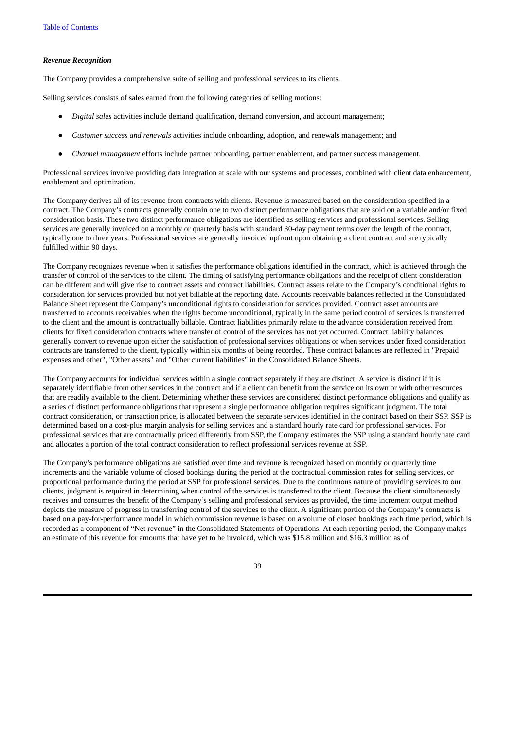### *Revenue Recognition*

The Company provides a comprehensive suite of selling and professional services to its clients.

Selling services consists of sales earned from the following categories of selling motions:

- *Digital sales* activities include demand qualification, demand conversion, and account management;
- *Customer success and renewals* activities include onboarding, adoption, and renewals management; and
- *Channel management* efforts include partner onboarding, partner enablement, and partner success management.

Professional services involve providing data integration at scale with our systems and processes, combined with client data enhancement, enablement and optimization.

The Company derives all of its revenue from contracts with clients. Revenue is measured based on the consideration specified in a contract. The Company's contracts generally contain one to two distinct performance obligations that are sold on a variable and/or fixed consideration basis. These two distinct performance obligations are identified as selling services and professional services. Selling services are generally invoiced on a monthly or quarterly basis with standard 30-day payment terms over the length of the contract, typically one to three years. Professional services are generally invoiced upfront upon obtaining a client contract and are typically fulfilled within 90 days.

The Company recognizes revenue when it satisfies the performance obligations identified in the contract, which is achieved through the transfer of control of the services to the client. The timing of satisfying performance obligations and the receipt of client consideration can be different and will give rise to contract assets and contract liabilities. Contract assets relate to the Company's conditional rights to consideration for services provided but not yet billable at the reporting date. Accounts receivable balances reflected in the Consolidated Balance Sheet represent the Company's unconditional rights to consideration for services provided. Contract asset amounts are transferred to accounts receivables when the rights become unconditional, typically in the same period control of services is transferred to the client and the amount is contractually billable. Contract liabilities primarily relate to the advance consideration received from clients for fixed consideration contracts where transfer of control of the services has not yet occurred. Contract liability balances generally convert to revenue upon either the satisfaction of professional services obligations or when services under fixed consideration contracts are transferred to the client, typically within six months of being recorded. These contract balances are reflected in "Prepaid expenses and other", "Other assets" and "Other current liabilities" in the Consolidated Balance Sheets.

The Company accounts for individual services within a single contract separately if they are distinct. A service is distinct if it is separately identifiable from other services in the contract and if a client can benefit from the service on its own or with other resources that are readily available to the client. Determining whether these services are considered distinct performance obligations and qualify as a series of distinct performance obligations that represent a single performance obligation requires significant judgment. The total contract consideration, or transaction price, is allocated between the separate services identified in the contract based on their SSP. SSP is determined based on a cost-plus margin analysis for selling services and a standard hourly rate card for professional services. For professional services that are contractually priced differently from SSP, the Company estimates the SSP using a standard hourly rate card and allocates a portion of the total contract consideration to reflect professional services revenue at SSP.

The Company's performance obligations are satisfied over time and revenue is recognized based on monthly or quarterly time increments and the variable volume of closed bookings during the period at the contractual commission rates for selling services, or proportional performance during the period at SSP for professional services. Due to the continuous nature of providing services to our clients, judgment is required in determining when control of the services is transferred to the client. Because the client simultaneously receives and consumes the benefit of the Company's selling and professional services as provided, the time increment output method depicts the measure of progress in transferring control of the services to the client. A significant portion of the Company's contracts is based on a pay-for-performance model in which commission revenue is based on a volume of closed bookings each time period, which is recorded as a component of "Net revenue" in the Consolidated Statements of Operations. At each reporting period, the Company makes an estimate of this revenue for amounts that have yet to be invoiced, which was \$15.8 million and \$16.3 million as of

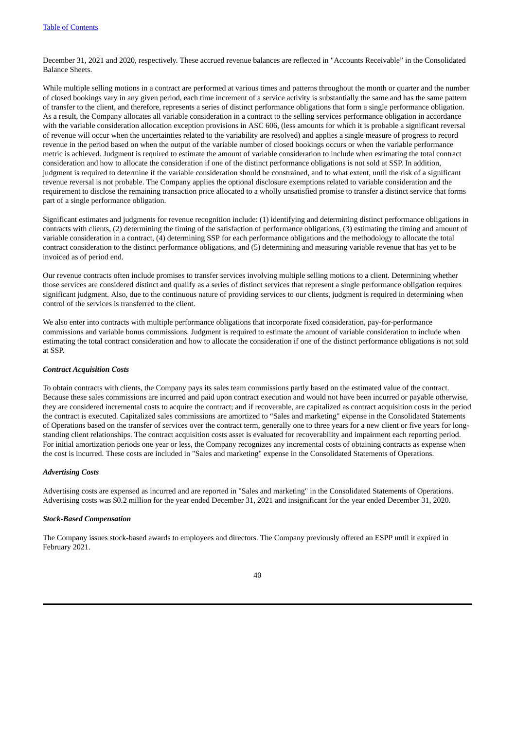December 31, 2021 and 2020, respectively. These accrued revenue balances are reflected in "Accounts Receivable" in the Consolidated Balance Sheets.

While multiple selling motions in a contract are performed at various times and patterns throughout the month or quarter and the number of closed bookings vary in any given period, each time increment of a service activity is substantially the same and has the same pattern of transfer to the client, and therefore, represents a series of distinct performance obligations that form a single performance obligation. As a result, the Company allocates all variable consideration in a contract to the selling services performance obligation in accordance with the variable consideration allocation exception provisions in ASC 606, (less amounts for which it is probable a significant reversal of revenue will occur when the uncertainties related to the variability are resolved) and applies a single measure of progress to record revenue in the period based on when the output of the variable number of closed bookings occurs or when the variable performance metric is achieved. Judgment is required to estimate the amount of variable consideration to include when estimating the total contract consideration and how to allocate the consideration if one of the distinct performance obligations is not sold at SSP. In addition, judgment is required to determine if the variable consideration should be constrained, and to what extent, until the risk of a significant revenue reversal is not probable. The Company applies the optional disclosure exemptions related to variable consideration and the requirement to disclose the remaining transaction price allocated to a wholly unsatisfied promise to transfer a distinct service that forms part of a single performance obligation.

Significant estimates and judgments for revenue recognition include: (1) identifying and determining distinct performance obligations in contracts with clients, (2) determining the timing of the satisfaction of performance obligations, (3) estimating the timing and amount of variable consideration in a contract, (4) determining SSP for each performance obligations and the methodology to allocate the total contract consideration to the distinct performance obligations, and (5) determining and measuring variable revenue that has yet to be invoiced as of period end.

Our revenue contracts often include promises to transfer services involving multiple selling motions to a client. Determining whether those services are considered distinct and qualify as a series of distinct services that represent a single performance obligation requires significant judgment. Also, due to the continuous nature of providing services to our clients, judgment is required in determining when control of the services is transferred to the client.

We also enter into contracts with multiple performance obligations that incorporate fixed consideration, pay-for-performance commissions and variable bonus commissions. Judgment is required to estimate the amount of variable consideration to include when estimating the total contract consideration and how to allocate the consideration if one of the distinct performance obligations is not sold at SSP.

#### *Contract Acquisition Costs*

To obtain contracts with clients, the Company pays its sales team commissions partly based on the estimated value of the contract. Because these sales commissions are incurred and paid upon contract execution and would not have been incurred or payable otherwise, they are considered incremental costs to acquire the contract; and if recoverable, are capitalized as contract acquisition costs in the period the contract is executed. Capitalized sales commissions are amortized to "Sales and marketing" expense in the Consolidated Statements of Operations based on the transfer of services over the contract term, generally one to three years for a new client or five years for longstanding client relationships. The contract acquisition costs asset is evaluated for recoverability and impairment each reporting period. For initial amortization periods one year or less, the Company recognizes any incremental costs of obtaining contracts as expense when the cost is incurred. These costs are included in "Sales and marketing" expense in the Consolidated Statements of Operations.

### *Advertising Costs*

Advertising costs are expensed as incurred and are reported in "Sales and marketing" in the Consolidated Statements of Operations. Advertising costs was \$0.2 million for the year ended December 31, 2021 and insignificant for the year ended December 31, 2020.

#### *Stock-Based Compensation*

The Company issues stock-based awards to employees and directors. The Company previously offered an ESPP until it expired in February 2021.

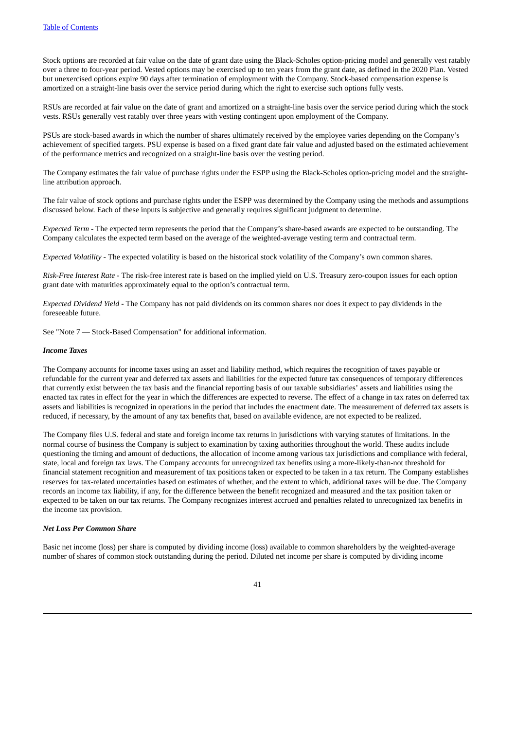Stock options are recorded at fair value on the date of grant date using the Black-Scholes option-pricing model and generally vest ratably over a three to four-year period. Vested options may be exercised up to ten years from the grant date, as defined in the 2020 Plan. Vested but unexercised options expire 90 days after termination of employment with the Company. Stock-based compensation expense is amortized on a straight-line basis over the service period during which the right to exercise such options fully vests.

RSUs are recorded at fair value on the date of grant and amortized on a straight-line basis over the service period during which the stock vests. RSUs generally vest ratably over three years with vesting contingent upon employment of the Company.

PSUs are stock-based awards in which the number of shares ultimately received by the employee varies depending on the Company's achievement of specified targets. PSU expense is based on a fixed grant date fair value and adjusted based on the estimated achievement of the performance metrics and recognized on a straight-line basis over the vesting period.

The Company estimates the fair value of purchase rights under the ESPP using the Black-Scholes option-pricing model and the straightline attribution approach.

The fair value of stock options and purchase rights under the ESPP was determined by the Company using the methods and assumptions discussed below. Each of these inputs is subjective and generally requires significant judgment to determine.

*Expected Term -* The expected term represents the period that the Company's share-based awards are expected to be outstanding. The Company calculates the expected term based on the average of the weighted-average vesting term and contractual term.

*Expected Volatility -* The expected volatility is based on the historical stock volatility of the Company's own common shares.

*Risk-Free Interest Rate -* The risk-free interest rate is based on the implied yield on U.S. Treasury zero-coupon issues for each option grant date with maturities approximately equal to the option's contractual term.

*Expected Dividend Yield -* The Company has not paid dividends on its common shares nor does it expect to pay dividends in the foreseeable future.

See "Note 7 — Stock-Based Compensation" for additional information.

#### *Income Taxes*

The Company accounts for income taxes using an asset and liability method, which requires the recognition of taxes payable or refundable for the current year and deferred tax assets and liabilities for the expected future tax consequences of temporary differences that currently exist between the tax basis and the financial reporting basis of our taxable subsidiaries' assets and liabilities using the enacted tax rates in effect for the year in which the differences are expected to reverse. The effect of a change in tax rates on deferred tax assets and liabilities is recognized in operations in the period that includes the enactment date. The measurement of deferred tax assets is reduced, if necessary, by the amount of any tax benefits that, based on available evidence, are not expected to be realized.

The Company files U.S. federal and state and foreign income tax returns in jurisdictions with varying statutes of limitations. In the normal course of business the Company is subject to examination by taxing authorities throughout the world. These audits include questioning the timing and amount of deductions, the allocation of income among various tax jurisdictions and compliance with federal, state, local and foreign tax laws. The Company accounts for unrecognized tax benefits using a more-likely-than-not threshold for financial statement recognition and measurement of tax positions taken or expected to be taken in a tax return. The Company establishes reserves for tax-related uncertainties based on estimates of whether, and the extent to which, additional taxes will be due. The Company records an income tax liability, if any, for the difference between the benefit recognized and measured and the tax position taken or expected to be taken on our tax returns. The Company recognizes interest accrued and penalties related to unrecognized tax benefits in the income tax provision.

## *Net Loss Per Common Share*

Basic net income (loss) per share is computed by dividing income (loss) available to common shareholders by the weighted-average number of shares of common stock outstanding during the period. Diluted net income per share is computed by dividing income

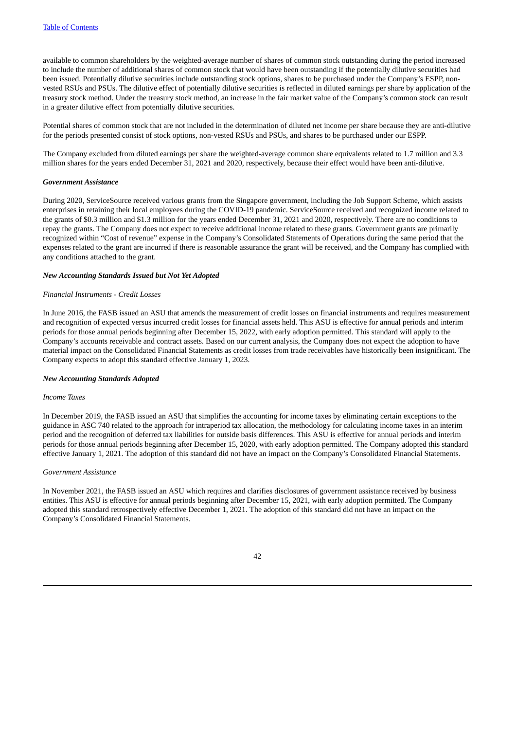available to common shareholders by the weighted-average number of shares of common stock outstanding during the period increased to include the number of additional shares of common stock that would have been outstanding if the potentially dilutive securities had been issued. Potentially dilutive securities include outstanding stock options, shares to be purchased under the Company's ESPP, nonvested RSUs and PSUs. The dilutive effect of potentially dilutive securities is reflected in diluted earnings per share by application of the treasury stock method. Under the treasury stock method, an increase in the fair market value of the Company's common stock can result in a greater dilutive effect from potentially dilutive securities.

Potential shares of common stock that are not included in the determination of diluted net income per share because they are anti-dilutive for the periods presented consist of stock options, non-vested RSUs and PSUs, and shares to be purchased under our ESPP.

The Company excluded from diluted earnings per share the weighted-average common share equivalents related to 1.7 million and 3.3 million shares for the years ended December 31, 2021 and 2020, respectively, because their effect would have been anti-dilutive.

#### *Government Assistance*

During 2020, ServiceSource received various grants from the Singapore government, including the Job Support Scheme, which assists enterprises in retaining their local employees during the COVID-19 pandemic. ServiceSource received and recognized income related to the grants of \$0.3 million and \$1.3 million for the years ended December 31, 2021 and 2020, respectively. There are no conditions to repay the grants. The Company does not expect to receive additional income related to these grants. Government grants are primarily recognized within "Cost of revenue" expense in the Company's Consolidated Statements of Operations during the same period that the expenses related to the grant are incurred if there is reasonable assurance the grant will be received, and the Company has complied with any conditions attached to the grant.

#### *New Accounting Standards Issued but Not Yet Adopted*

#### *Financial Instruments - Credit Losses*

In June 2016, the FASB issued an ASU that amends the measurement of credit losses on financial instruments and requires measurement and recognition of expected versus incurred credit losses for financial assets held. This ASU is effective for annual periods and interim periods for those annual periods beginning after December 15, 2022, with early adoption permitted. This standard will apply to the Company's accounts receivable and contract assets. Based on our current analysis, the Company does not expect the adoption to have material impact on the Consolidated Financial Statements as credit losses from trade receivables have historically been insignificant. The Company expects to adopt this standard effective January 1, 2023.

#### *New Accounting Standards Adopted*

#### *Income Taxes*

In December 2019, the FASB issued an ASU that simplifies the accounting for income taxes by eliminating certain exceptions to the guidance in ASC 740 related to the approach for intraperiod tax allocation, the methodology for calculating income taxes in an interim period and the recognition of deferred tax liabilities for outside basis differences. This ASU is effective for annual periods and interim periods for those annual periods beginning after December 15, 2020, with early adoption permitted. The Company adopted this standard effective January 1, 2021. The adoption of this standard did not have an impact on the Company's Consolidated Financial Statements.

#### *Government Assistance*

In November 2021, the FASB issued an ASU which requires and clarifies disclosures of government assistance received by business entities. This ASU is effective for annual periods beginning after December 15, 2021, with early adoption permitted. The Company adopted this standard retrospectively effective December 1, 2021. The adoption of this standard did not have an impact on the Company's Consolidated Financial Statements.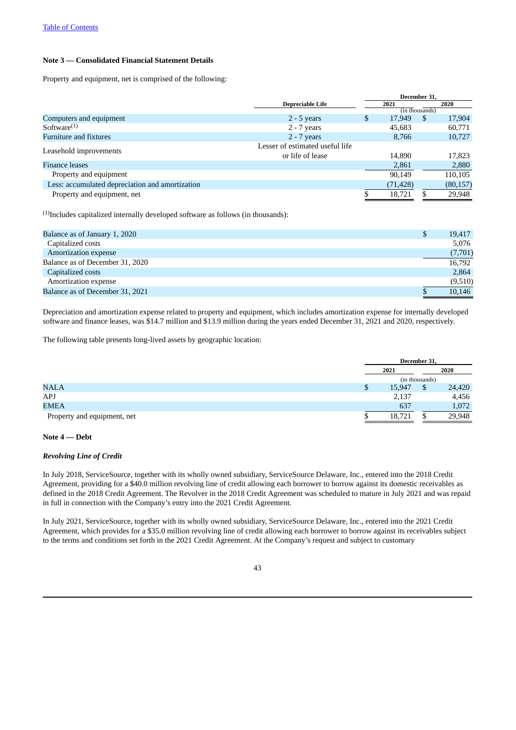## **Note 3 — Consolidated Financial Statement Details**

Property and equipment, net is comprised of the following:

|                                                 |                                 | December 31. |           |                |           |
|-------------------------------------------------|---------------------------------|--------------|-----------|----------------|-----------|
|                                                 | <b>Depreciable Life</b>         |              | 2021      |                | 2020      |
|                                                 |                                 |              |           | (in thousands) |           |
| Computers and equipment                         | $2 - 5$ years                   | \$           | 17,949    | \$             | 17,904    |
| Software <sup>(1)</sup>                         | $2 - 7$ years                   |              | 45,683    |                | 60,771    |
| Furniture and fixtures                          | $2 - 7$ years                   |              | 8.766     |                | 10,727    |
|                                                 | Lesser of estimated useful life |              |           |                |           |
| Leasehold improvements                          | or life of lease                |              | 14,890    |                | 17,823    |
| Finance leases                                  |                                 |              | 2,861     |                | 2,880     |
| Property and equipment                          |                                 |              | 90.149    |                | 110,105   |
| Less: accumulated depreciation and amortization |                                 |              | (71, 428) |                | (80, 157) |
| Property and equipment, net                     |                                 |              | 18,721    |                | 29,948    |
|                                                 |                                 |              |           |                |           |

(1)Includes capitalized internally developed software as follows (in thousands):

| Balance as of January 1, 2020   | \$<br>19,417 |
|---------------------------------|--------------|
| Capitalized costs               | 5,076        |
| <b>Amortization expense</b>     | (7,701)      |
| Balance as of December 31, 2020 | 16,792       |
| Capitalized costs               | 2,864        |
| Amortization expense            | (9,510)      |
| Balance as of December 31, 2021 | 10,146       |

Depreciation and amortization expense related to property and equipment, which includes amortization expense for internally developed software and finance leases, was \$14.7 million and \$13.9 million during the years ended December 31, 2021 and 2020, respectively.

The following table presents long-lived assets by geographic location:

|                             | December 31, |                |        |  |
|-----------------------------|--------------|----------------|--------|--|
|                             | 2021         |                | 2020   |  |
|                             |              | (in thousands) |        |  |
| <b>NALA</b>                 | \$<br>15,947 | ¢<br>۰D        | 24,420 |  |
| APJ                         | 2,137        |                | 4,456  |  |
| <b>EMEA</b>                 | 637          |                | 1,072  |  |
| Property and equipment, net | 18,721       |                | 29,948 |  |

## **Note 4 — Debt**

#### *Revolving Line of Credit*

In July 2018, ServiceSource, together with its wholly owned subsidiary, ServiceSource Delaware, Inc., entered into the 2018 Credit Agreement, providing for a \$40.0 million revolving line of credit allowing each borrower to borrow against its domestic receivables as defined in the 2018 Credit Agreement. The Revolver in the 2018 Credit Agreement was scheduled to mature in July 2021 and was repaid in full in connection with the Company's entry into the 2021 Credit Agreement.

In July 2021, ServiceSource, together with its wholly owned subsidiary, ServiceSource Delaware, Inc., entered into the 2021 Credit Agreement, which provides for a \$35.0 million revolving line of credit allowing each borrower to borrow against its receivables subject to the terms and conditions set forth in the 2021 Credit Agreement. At the Company's request and subject to customary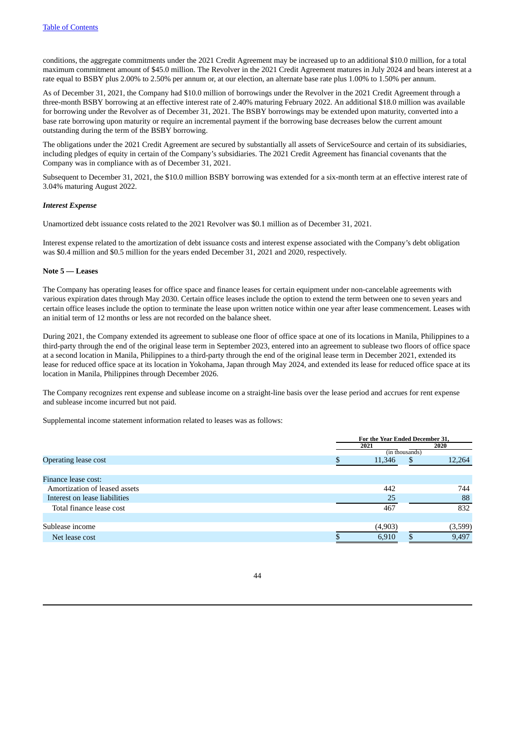conditions, the aggregate commitments under the 2021 Credit Agreement may be increased up to an additional \$10.0 million, for a total maximum commitment amount of \$45.0 million. The Revolver in the 2021 Credit Agreement matures in July 2024 and bears interest at a rate equal to BSBY plus 2.00% to 2.50% per annum or, at our election, an alternate base rate plus 1.00% to 1.50% per annum.

As of December 31, 2021, the Company had \$10.0 million of borrowings under the Revolver in the 2021 Credit Agreement through a three-month BSBY borrowing at an effective interest rate of 2.40% maturing February 2022. An additional \$18.0 million was available for borrowing under the Revolver as of December 31, 2021. The BSBY borrowings may be extended upon maturity, converted into a base rate borrowing upon maturity or require an incremental payment if the borrowing base decreases below the current amount outstanding during the term of the BSBY borrowing.

The obligations under the 2021 Credit Agreement are secured by substantially all assets of ServiceSource and certain of its subsidiaries, including pledges of equity in certain of the Company's subsidiaries. The 2021 Credit Agreement has financial covenants that the Company was in compliance with as of December 31, 2021.

Subsequent to December 31, 2021, the \$10.0 million BSBY borrowing was extended for a six-month term at an effective interest rate of 3.04% maturing August 2022.

### *Interest Expense*

Unamortized debt issuance costs related to the 2021 Revolver was \$0.1 million as of December 31, 2021.

Interest expense related to the amortization of debt issuance costs and interest expense associated with the Company's debt obligation was \$0.4 million and \$0.5 million for the years ended December 31, 2021 and 2020, respectively.

### **Note 5 — Leases**

The Company has operating leases for office space and finance leases for certain equipment under non-cancelable agreements with various expiration dates through May 2030. Certain office leases include the option to extend the term between one to seven years and certain office leases include the option to terminate the lease upon written notice within one year after lease commencement. Leases with an initial term of 12 months or less are not recorded on the balance sheet.

During 2021, the Company extended its agreement to sublease one floor of office space at one of its locations in Manila, Philippines to a third-party through the end of the original lease term in September 2023, entered into an agreement to sublease two floors of office space at a second location in Manila, Philippines to a third-party through the end of the original lease term in December 2021, extended its lease for reduced office space at its location in Yokohama, Japan through May 2024, and extended its lease for reduced office space at its location in Manila, Philippines through December 2026.

The Company recognizes rent expense and sublease income on a straight-line basis over the lease period and accrues for rent expense and sublease income incurred but not paid.

Supplemental income statement information related to leases was as follows:

|                               | For the Year Ended December 31, |         |  |  |  |
|-------------------------------|---------------------------------|---------|--|--|--|
|                               | 2021                            |         |  |  |  |
|                               | (in thousands)                  |         |  |  |  |
| Operating lease cost          | 11,346                          | 12,264  |  |  |  |
|                               |                                 |         |  |  |  |
| Finance lease cost:           |                                 |         |  |  |  |
| Amortization of leased assets | 442                             | 744     |  |  |  |
| Interest on lease liabilities | 25                              | 88      |  |  |  |
| Total finance lease cost      | 467                             | 832     |  |  |  |
|                               |                                 |         |  |  |  |
| Sublease income               | (4,903)                         | (3,599) |  |  |  |
| Net lease cost                | 6,910                           | 9,497   |  |  |  |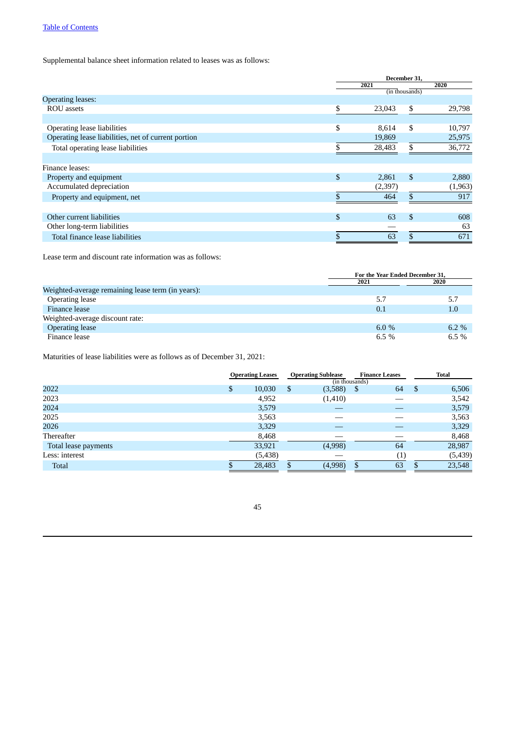# Table of [Contents](#page-2-0)

Supplemental balance sheet information related to leases was as follows:

|                                                     |              | December 31, |                |         |  |
|-----------------------------------------------------|--------------|--------------|----------------|---------|--|
|                                                     |              | 2021         |                | 2020    |  |
| <b>Operating leases:</b>                            |              |              | (in thousands) |         |  |
| <b>ROU</b> assets                                   | \$           | 23,043       | \$             | 29,798  |  |
|                                                     |              |              |                |         |  |
| Operating lease liabilities                         | \$           | 8,614        | \$             | 10,797  |  |
| Operating lease liabilities, net of current portion |              | 19,869       |                | 25,975  |  |
| Total operating lease liabilities                   |              | 28,483       | \$             | 36,772  |  |
|                                                     |              |              |                |         |  |
| Finance leases:                                     |              |              |                |         |  |
| Property and equipment                              | $\mathbb{S}$ | 2,861        | \$             | 2,880   |  |
| Accumulated depreciation                            |              | (2,397)      |                | (1,963) |  |
| Property and equipment, net                         |              | 464          | \$             | 917     |  |
|                                                     |              |              |                |         |  |
| Other current liabilities                           | \$           | 63           | \$             | 608     |  |
| Other long-term liabilities                         |              |              |                | 63      |  |
| Total finance lease liabilities                     |              | 63           |                | 671     |  |

Lease term and discount rate information was as follows:

|                                                   | For the Year Ended December 31, |         |  |
|---------------------------------------------------|---------------------------------|---------|--|
|                                                   | 2021                            | 2020    |  |
| Weighted-average remaining lease term (in years): |                                 |         |  |
| Operating lease                                   | -5.7                            | 5.7     |  |
| Finance lease                                     | 0.1                             | 1.0     |  |
| Weighted-average discount rate:                   |                                 |         |  |
| <b>Operating lease</b>                            | $6.0\%$                         | 6.2 $%$ |  |
| Finance lease                                     | 6.5 $%$                         | 6.5 $%$ |  |

Maturities of lease liabilities were as follows as of December 31, 2021:

|                      | <b>Operating Leases</b> |               | <b>Operating Sublease</b> | (in thousands) | <b>Finance Leases</b> |    | <b>Total</b> |
|----------------------|-------------------------|---------------|---------------------------|----------------|-----------------------|----|--------------|
| 2022                 | \$<br>10,030            | <sup>\$</sup> | (3,588)                   | -S             | 64                    | -S | 6,506        |
| 2023                 | 4,952                   |               | (1, 410)                  |                |                       |    | 3,542        |
| 2024                 | 3,579                   |               |                           |                |                       |    | 3,579        |
| 2025                 | 3,563                   |               |                           |                |                       |    | 3,563        |
| 2026                 | 3,329                   |               |                           |                |                       |    | 3,329        |
| Thereafter           | 8,468                   |               |                           |                |                       |    | 8,468        |
| Total lease payments | 33,921                  |               | (4,998)                   |                | 64                    |    | 28,987       |
| Less: interest       | (5, 438)                |               |                           |                | $\left( 1\right)$     |    | (5, 439)     |
| <b>Total</b>         | 28,483                  |               | (4,998)                   |                | 63                    |    | 23,548       |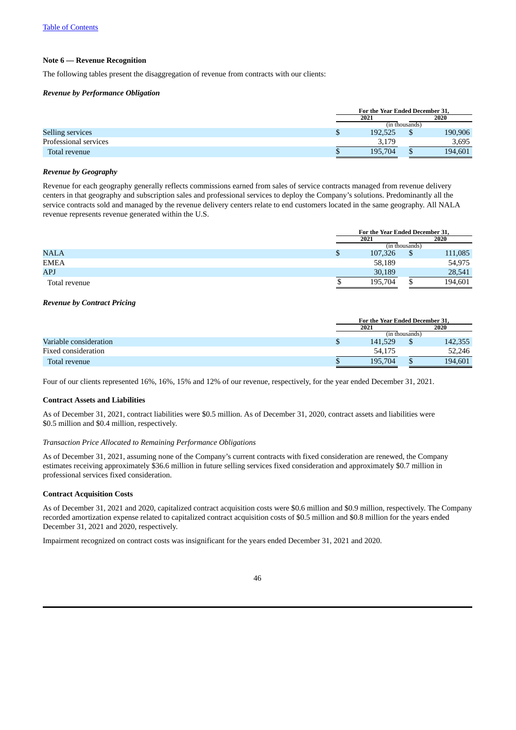## **Note 6 — Revenue Recognition**

The following tables present the disaggregation of revenue from contracts with our clients:

### *Revenue by Performance Obligation*

|                       | For the Year Ended December 31, |   |         |  |  |
|-----------------------|---------------------------------|---|---------|--|--|
|                       | 2021                            |   | 2020    |  |  |
|                       | (in thousands)                  |   |         |  |  |
| Selling services      | 192.525                         | ω | 190,906 |  |  |
| Professional services | 3.179                           |   | 3.695   |  |  |
| Total revenue         | 195.704                         |   | 194,601 |  |  |

#### *Revenue by Geography*

Revenue for each geography generally reflects commissions earned from sales of service contracts managed from revenue delivery centers in that geography and subscription sales and professional services to deploy the Company's solutions. Predominantly all the service contracts sold and managed by the revenue delivery centers relate to end customers located in the same geography. All NALA revenue represents revenue generated within the U.S.

|               | For the Year Ended December 31, |                |         |  |  |
|---------------|---------------------------------|----------------|---------|--|--|
|               | 2021                            | 2020           |         |  |  |
|               |                                 | (in thousands) |         |  |  |
| NALA          | 107,326                         | Φ              | 111,085 |  |  |
| EMEA          | 58,189                          |                | 54,975  |  |  |
| <b>APJ</b>    | 30,189                          |                | 28,541  |  |  |
| Total revenue | 195,704                         |                | 194,601 |  |  |

## *Revenue by Contract Pricing*

|                        | For the Year Ended December 31, |    |         |  |  |
|------------------------|---------------------------------|----|---------|--|--|
|                        | 2021                            |    | 2020    |  |  |
|                        | (in thousands)                  |    |         |  |  |
| Variable consideration | 141,529                         | ۰υ | 142,355 |  |  |
| Fixed consideration    | 54,175                          |    | 52,246  |  |  |
| Total revenue          | 195.704                         |    | 194,601 |  |  |

Four of our clients represented 16%, 16%, 15% and 12% of our revenue, respectively, for the year ended December 31, 2021.

#### **Contract Assets and Liabilities**

As of December 31, 2021, contract liabilities were \$0.5 million. As of December 31, 2020, contract assets and liabilities were \$0.5 million and \$0.4 million, respectively.

#### *Transaction Price Allocated to Remaining Performance Obligations*

As of December 31, 2021, assuming none of the Company's current contracts with fixed consideration are renewed, the Company estimates receiving approximately \$36.6 million in future selling services fixed consideration and approximately \$0.7 million in professional services fixed consideration.

## **Contract Acquisition Costs**

As of December 31, 2021 and 2020, capitalized contract acquisition costs were \$0.6 million and \$0.9 million, respectively. The Company recorded amortization expense related to capitalized contract acquisition costs of \$0.5 million and \$0.8 million for the years ended December 31, 2021 and 2020, respectively.

Impairment recognized on contract costs was insignificant for the years ended December 31, 2021 and 2020.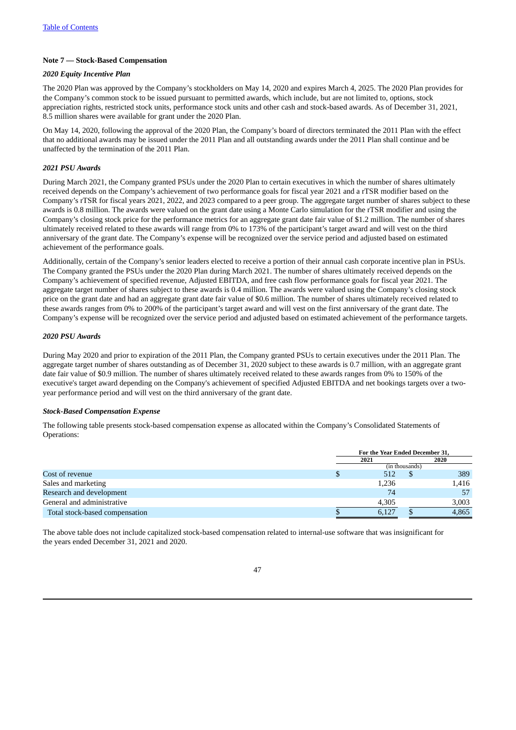## **Note 7 — Stock-Based Compensation**

## *2020 Equity Incentive Plan*

The 2020 Plan was approved by the Company's stockholders on May 14, 2020 and expires March 4, 2025. The 2020 Plan provides for the Company's common stock to be issued pursuant to permitted awards, which include, but are not limited to, options, stock appreciation rights, restricted stock units, performance stock units and other cash and stock-based awards. As of December 31, 2021, 8.5 million shares were available for grant under the 2020 Plan.

On May 14, 2020, following the approval of the 2020 Plan, the Company's board of directors terminated the 2011 Plan with the effect that no additional awards may be issued under the 2011 Plan and all outstanding awards under the 2011 Plan shall continue and be unaffected by the termination of the 2011 Plan.

## *2021 PSU Awards*

During March 2021, the Company granted PSUs under the 2020 Plan to certain executives in which the number of shares ultimately received depends on the Company's achievement of two performance goals for fiscal year 2021 and a rTSR modifier based on the Company's rTSR for fiscal years 2021, 2022, and 2023 compared to a peer group. The aggregate target number of shares subject to these awards is 0.8 million. The awards were valued on the grant date using a Monte Carlo simulation for the rTSR modifier and using the Company's closing stock price for the performance metrics for an aggregate grant date fair value of \$1.2 million. The number of shares ultimately received related to these awards will range from 0% to 173% of the participant's target award and will vest on the third anniversary of the grant date. The Company's expense will be recognized over the service period and adjusted based on estimated achievement of the performance goals.

Additionally, certain of the Company's senior leaders elected to receive a portion of their annual cash corporate incentive plan in PSUs. The Company granted the PSUs under the 2020 Plan during March 2021. The number of shares ultimately received depends on the Company's achievement of specified revenue, Adjusted EBITDA, and free cash flow performance goals for fiscal year 2021. The aggregate target number of shares subject to these awards is 0.4 million. The awards were valued using the Company's closing stock price on the grant date and had an aggregate grant date fair value of \$0.6 million. The number of shares ultimately received related to these awards ranges from 0% to 200% of the participant's target award and will vest on the first anniversary of the grant date. The Company's expense will be recognized over the service period and adjusted based on estimated achievement of the performance targets.

## *2020 PSU Awards*

During May 2020 and prior to expiration of the 2011 Plan, the Company granted PSUs to certain executives under the 2011 Plan. The aggregate target number of shares outstanding as of December 31, 2020 subject to these awards is 0.7 million, with an aggregate grant date fair value of \$0.9 million. The number of shares ultimately received related to these awards ranges from 0% to 150% of the executive's target award depending on the Company's achievement of specified Adjusted EBITDA and net bookings targets over a twoyear performance period and will vest on the third anniversary of the grant date.

## *Stock-Based Compensation Expense*

The following table presents stock-based compensation expense as allocated within the Company's Consolidated Statements of Operations:

|                                | For the Year Ended December 31, |                  |       |  |
|--------------------------------|---------------------------------|------------------|-------|--|
|                                | 2020<br>2021                    |                  |       |  |
|                                |                                 | $(in$ thousands) |       |  |
| Cost of revenue                | 512                             |                  | 389   |  |
| Sales and marketing            | 1,236                           |                  | 1,416 |  |
| Research and development       | 74                              |                  | 57    |  |
| General and administrative     | 4,305                           |                  | 3,003 |  |
| Total stock-based compensation | 6,127                           |                  | 4,865 |  |

The above table does not include capitalized stock-based compensation related to internal-use software that was insignificant for the years ended December 31, 2021 and 2020.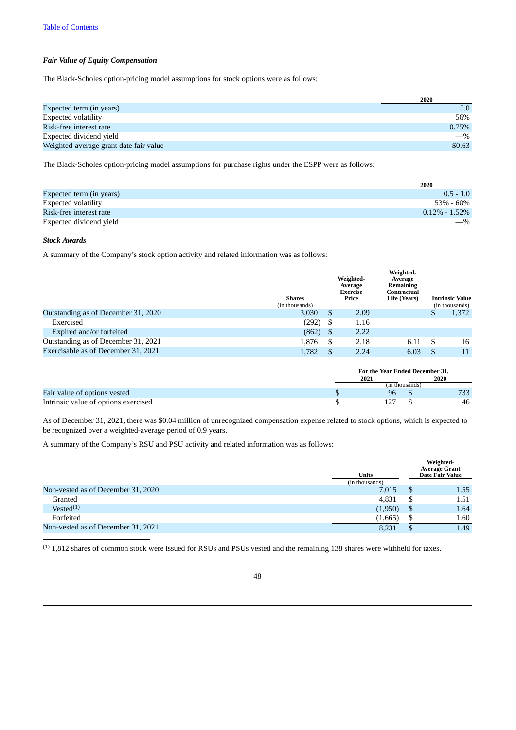## *Fair Value of Equity Compensation*

The Black-Scholes option-pricing model assumptions for stock options were as follows:

|                                        | 2020   |
|----------------------------------------|--------|
| Expected term (in years)               | 5.0    |
| Expected volatility                    | 56%    |
| Risk-free interest rate                | 0.75%  |
| Expected dividend vield                | $-$ %  |
| Weighted-average grant date fair value | \$0.63 |
|                                        |        |

The Black-Scholes option-pricing model assumptions for purchase rights under the ESPP were as follows:

|                          | 2020             |
|--------------------------|------------------|
| Expected term (in years) | $0.5 - 1.0$      |
| Expected volatility      | 53% - 60%        |
| Risk-free interest rate  | $0.12\%$ - 1.52% |
| Expected dividend yield  | $-$ %            |

### *Stock Awards*

A summary of the Company's stock option activity and related information was as follows:

|                                     | Shares<br>(in thousands) | Weighted-<br>Average<br><b>Exercise</b><br>Price |      | Weighted-<br>Average<br>Remaining<br>Contractual<br>Life (Years) |      | <b>Intrinsic Value</b><br>(in thousands) |
|-------------------------------------|--------------------------|--------------------------------------------------|------|------------------------------------------------------------------|------|------------------------------------------|
| Outstanding as of December 31, 2020 | 3,030                    | \$.                                              | 2.09 |                                                                  | D    | 1,372                                    |
| Exercised                           | (292)                    | S                                                | 1.16 |                                                                  |      |                                          |
| Expired and/or forfeited            | (862)                    | \$                                               | 2.22 |                                                                  |      |                                          |
| Outstanding as of December 31, 2021 | 1,876                    | S                                                | 2.18 | 6.11                                                             | \$   | 16                                       |
| Exercisable as of December 31, 2021 | 1.782                    |                                                  | 2.24 | 6.03                                                             | ж    | 11                                       |
|                                     |                          |                                                  | 2021 | For the Year Ended December 31.<br>(in thousands)                | 2020 |                                          |

Fair value of options vested **5** 96 \$ 733 Intrinsic value of options exercised and the set of the set of the set of the set of the set of the set of the set of the set of the set of the set of the set of the set of the set of the set of the set of the set of the s

As of December 31, 2021, there was \$0.04 million of unrecognized compensation expense related to stock options, which is expected to be recognized over a weighted-average period of 0.9 years.

A summary of the Company's RSU and PSU activity and related information was as follows:

|                                    | <b>Units</b>   |    | Weighted-<br><b>Average Grant</b><br><b>Date Fair Value</b> |
|------------------------------------|----------------|----|-------------------------------------------------------------|
|                                    | (in thousands) |    |                                                             |
| Non-vested as of December 31, 2020 | 7,015          | \$ | 1.55                                                        |
| Granted                            | 4,831          | S  | 1.51                                                        |
| $Vested^{(1)}$                     | (1,950)        | S  | 1.64                                                        |
| Forfeited                          | (1,665)        | \$ | 1.60                                                        |
| Non-vested as of December 31, 2021 | 8.231          |    | 1.49                                                        |

(1) 1,812 shares of common stock were issued for RSUs and PSUs vested and the remaining 138 shares were withheld for taxes.

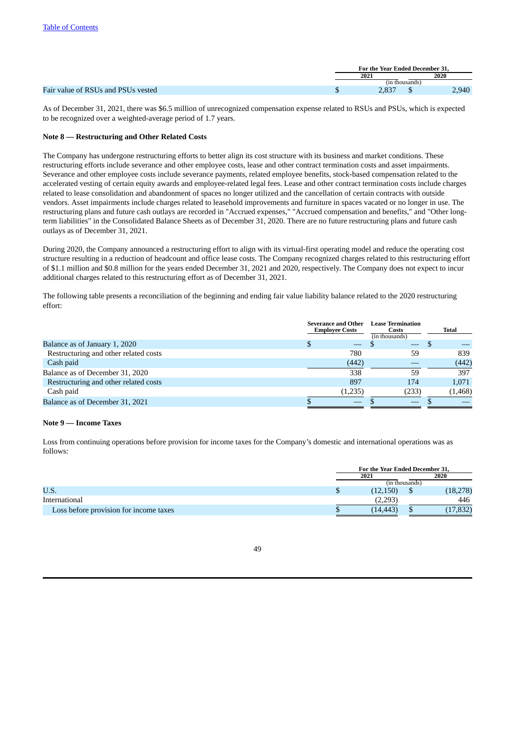|                                    | For the Year Ended December 31. |  |       |  |
|------------------------------------|---------------------------------|--|-------|--|
|                                    | 2021                            |  | 2020  |  |
|                                    | (in thousands)                  |  |       |  |
| Fair value of RSUs and PSUs vested | 2,837                           |  | 2,940 |  |

As of December 31, 2021, there was \$6.5 million of unrecognized compensation expense related to RSUs and PSUs, which is expected to be recognized over a weighted-average period of 1.7 years.

## **Note 8 — Restructuring and Other Related Costs**

The Company has undergone restructuring efforts to better align its cost structure with its business and market conditions. These restructuring efforts include severance and other employee costs, lease and other contract termination costs and asset impairments. Severance and other employee costs include severance payments, related employee benefits, stock-based compensation related to the accelerated vesting of certain equity awards and employee-related legal fees. Lease and other contract termination costs include charges related to lease consolidation and abandonment of spaces no longer utilized and the cancellation of certain contracts with outside vendors. Asset impairments include charges related to leasehold improvements and furniture in spaces vacated or no longer in use. The restructuring plans and future cash outlays are recorded in "Accrued expenses," "Accrued compensation and benefits," and "Other longterm liabilities" in the Consolidated Balance Sheets as of December 31, 2020. There are no future restructuring plans and future cash outlays as of December 31, 2021.

During 2020, the Company announced a restructuring effort to align with its virtual-first operating model and reduce the operating cost structure resulting in a reduction of headcount and office lease costs. The Company recognized charges related to this restructuring effort of \$1.1 million and \$0.8 million for the years ended December 31, 2021 and 2020, respectively. The Company does not expect to incur additional charges related to this restructuring effort as of December 31, 2021.

The following table presents a reconciliation of the beginning and ending fair value liability balance related to the 2020 restructuring effort:

|                                       | <b>Severance and Other</b><br><b>Employee Costs</b> | <b>Lease Termination</b><br>Costs<br>(in thousands) | Total    |
|---------------------------------------|-----------------------------------------------------|-----------------------------------------------------|----------|
| Balance as of January 1, 2020         | S                                                   |                                                     |          |
| Restructuring and other related costs | 780                                                 | 59                                                  | 839      |
| Cash paid                             | (442)                                               |                                                     | (442)    |
| Balance as of December 31, 2020       | 338                                                 | 59                                                  | 397      |
| Restructuring and other related costs | 897                                                 | 174                                                 | 1,071    |
| Cash paid                             | (1,235)                                             | (233)                                               | (1, 468) |
| Balance as of December 31, 2021       |                                                     |                                                     |          |

## **Note 9 — Income Taxes**

Loss from continuing operations before provision for income taxes for the Company's domestic and international operations was as follows:

|                                        | For the Year Ended December 31, |                |               |
|----------------------------------------|---------------------------------|----------------|---------------|
|                                        | 2021                            |                | 2020          |
|                                        |                                 | (in thousands) |               |
| U.S.                                   | (12, 150)                       | ω              | 18,278)       |
| International                          | (2,293)                         |                | 446           |
| Loss before provision for income taxes | (14, 443)                       | ω              | $7,832^\circ$ |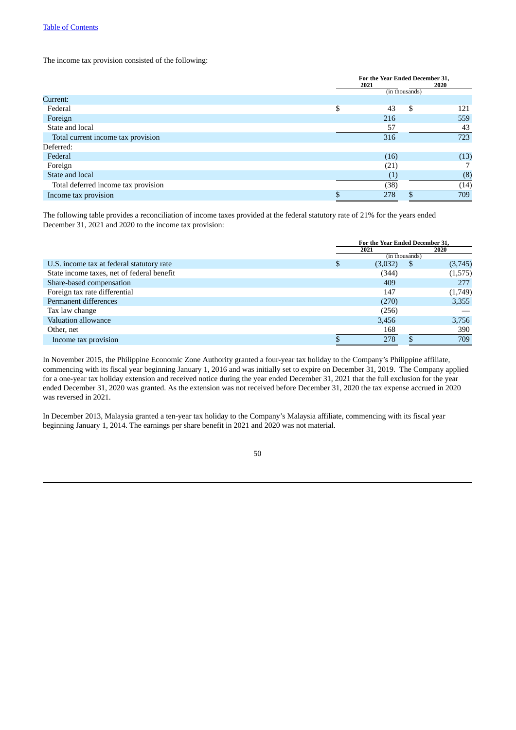The income tax provision consisted of the following:

|                                     | For the Year Ended December 31, |      |                |      |
|-------------------------------------|---------------------------------|------|----------------|------|
|                                     |                                 | 2021 |                | 2020 |
|                                     |                                 |      | (in thousands) |      |
| Current:                            |                                 |      |                |      |
| Federal                             | \$                              | 43   | \$             | 121  |
| Foreign                             |                                 | 216  |                | 559  |
| State and local                     |                                 | 57   |                | 43   |
| Total current income tax provision  |                                 | 316  |                | 723  |
| Deferred:                           |                                 |      |                |      |
| Federal                             |                                 | (16) |                | (13) |
| Foreign                             |                                 | (21) |                |      |
| State and local                     |                                 | (1)  |                | (8)  |
| Total deferred income tax provision |                                 | (38) |                | (14) |
| Income tax provision                |                                 | 278  | œ              | 709  |

The following table provides a reconciliation of income taxes provided at the federal statutory rate of 21% for the years ended December 31, 2021 and 2020 to the income tax provision:

|                                            | For the Year Ended December 31, |         |                |         |
|--------------------------------------------|---------------------------------|---------|----------------|---------|
|                                            | 2021                            |         |                | 2020    |
|                                            |                                 |         | (in thousands) |         |
| U.S. income tax at federal statutory rate  | D                               | (3,032) | - S            | (3,745) |
| State income taxes, net of federal benefit |                                 | (344)   |                | (1,575) |
| Share-based compensation                   |                                 | 409     |                | 277     |
| Foreign tax rate differential              |                                 | 147     |                | (1,749) |
| Permanent differences                      |                                 | (270)   |                | 3,355   |
| Tax law change                             |                                 | (256)   |                |         |
| Valuation allowance                        |                                 | 3,456   |                | 3,756   |
| Other, net                                 |                                 | 168     |                | 390     |
| Income tax provision                       |                                 | 278     |                | 709     |

In November 2015, the Philippine Economic Zone Authority granted a four-year tax holiday to the Company's Philippine affiliate, commencing with its fiscal year beginning January 1, 2016 and was initially set to expire on December 31, 2019. The Company applied for a one-year tax holiday extension and received notice during the year ended December 31, 2021 that the full exclusion for the year ended December 31, 2020 was granted. As the extension was not received before December 31, 2020 the tax expense accrued in 2020 was reversed in 2021.

In December 2013, Malaysia granted a ten-year tax holiday to the Company's Malaysia affiliate, commencing with its fiscal year beginning January 1, 2014. The earnings per share benefit in 2021 and 2020 was not material.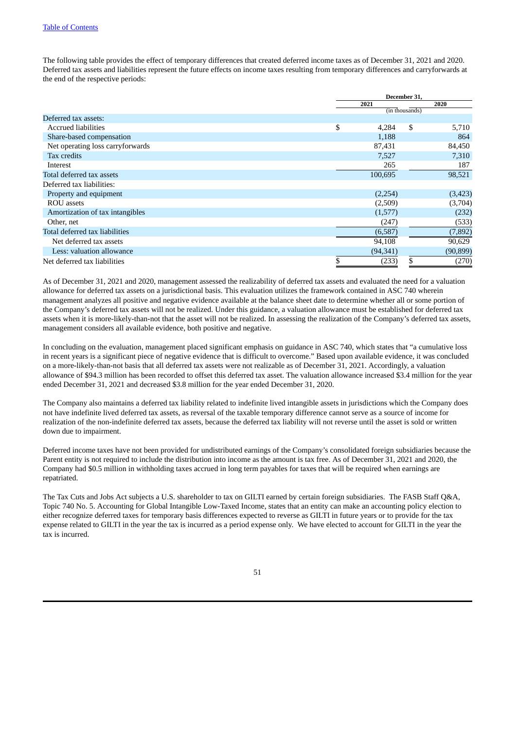The following table provides the effect of temporary differences that created deferred income taxes as of December 31, 2021 and 2020. Deferred tax assets and liabilities represent the future effects on income taxes resulting from temporary differences and carryforwards at the end of the respective periods:

|                                  | December 31, |                |           |
|----------------------------------|--------------|----------------|-----------|
|                                  | 2021         | (in thousands) | 2020      |
| Deferred tax assets:             |              |                |           |
| <b>Accrued liabilities</b>       | \$<br>4,284  | \$             | 5,710     |
| Share-based compensation         | 1,188        |                | 864       |
| Net operating loss carryforwards | 87,431       |                | 84,450    |
| Tax credits                      | 7,527        |                | 7,310     |
| Interest                         | 265          |                | 187       |
| Total deferred tax assets        | 100,695      |                | 98,521    |
| Deferred tax liabilities:        |              |                |           |
| Property and equipment           | (2,254)      |                | (3, 423)  |
| <b>ROU</b> assets                | (2,509)      |                | (3,704)   |
| Amortization of tax intangibles  | (1,577)      |                | (232)     |
| Other, net                       | (247)        |                | (533)     |
| Total deferred tax liabilities   | (6,587)      |                | (7, 892)  |
| Net deferred tax assets          | 94,108       |                | 90,629    |
| Less: valuation allowance        | (94, 341)    |                | (90, 899) |
| Net deferred tax liabilities     | (233)        | \$             | (270)     |

As of December 31, 2021 and 2020, management assessed the realizability of deferred tax assets and evaluated the need for a valuation allowance for deferred tax assets on a jurisdictional basis. This evaluation utilizes the framework contained in ASC 740 wherein management analyzes all positive and negative evidence available at the balance sheet date to determine whether all or some portion of the Company's deferred tax assets will not be realized. Under this guidance, a valuation allowance must be established for deferred tax assets when it is more-likely-than-not that the asset will not be realized. In assessing the realization of the Company's deferred tax assets, management considers all available evidence, both positive and negative.

In concluding on the evaluation, management placed significant emphasis on guidance in ASC 740, which states that "a cumulative loss in recent years is a significant piece of negative evidence that is difficult to overcome." Based upon available evidence, it was concluded on a more-likely-than-not basis that all deferred tax assets were not realizable as of December 31, 2021. Accordingly, a valuation allowance of \$94.3 million has been recorded to offset this deferred tax asset. The valuation allowance increased \$3.4 million for the year ended December 31, 2021 and decreased \$3.8 million for the year ended December 31, 2020.

The Company also maintains a deferred tax liability related to indefinite lived intangible assets in jurisdictions which the Company does not have indefinite lived deferred tax assets, as reversal of the taxable temporary difference cannot serve as a source of income for realization of the non-indefinite deferred tax assets, because the deferred tax liability will not reverse until the asset is sold or written down due to impairment.

Deferred income taxes have not been provided for undistributed earnings of the Company's consolidated foreign subsidiaries because the Parent entity is not required to include the distribution into income as the amount is tax free. As of December 31, 2021 and 2020, the Company had \$0.5 million in withholding taxes accrued in long term payables for taxes that will be required when earnings are repatriated.

The Tax Cuts and Jobs Act subjects a U.S. shareholder to tax on GILTI earned by certain foreign subsidiaries. The FASB Staff Q&A, Topic 740 No. 5. Accounting for Global Intangible Low-Taxed Income, states that an entity can make an accounting policy election to either recognize deferred taxes for temporary basis differences expected to reverse as GILTI in future years or to provide for the tax expense related to GILTI in the year the tax is incurred as a period expense only. We have elected to account for GILTI in the year the tax is incurred.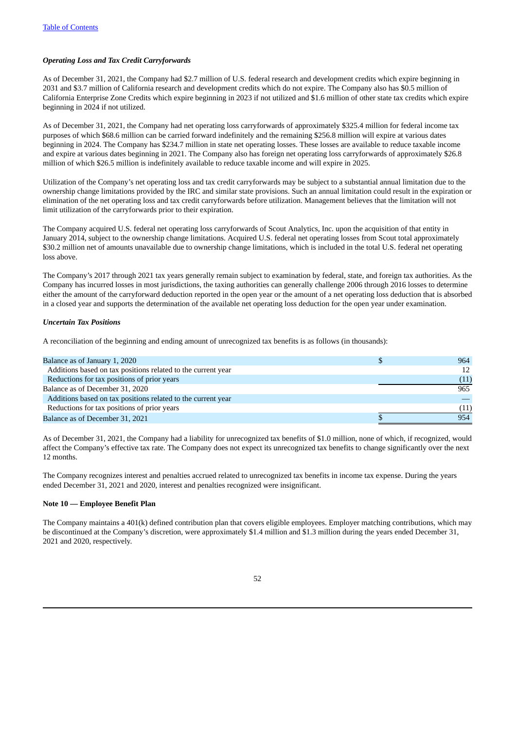## *Operating Loss and Tax Credit Carryforwards*

As of December 31, 2021, the Company had \$2.7 million of U.S. federal research and development credits which expire beginning in 2031 and \$3.7 million of California research and development credits which do not expire. The Company also has \$0.5 million of California Enterprise Zone Credits which expire beginning in 2023 if not utilized and \$1.6 million of other state tax credits which expire beginning in 2024 if not utilized.

As of December 31, 2021, the Company had net operating loss carryforwards of approximately \$325.4 million for federal income tax purposes of which \$68.6 million can be carried forward indefinitely and the remaining \$256.8 million will expire at various dates beginning in 2024. The Company has \$234.7 million in state net operating losses. These losses are available to reduce taxable income and expire at various dates beginning in 2021. The Company also has foreign net operating loss carryforwards of approximately \$26.8 million of which \$26.5 million is indefinitely available to reduce taxable income and will expire in 2025.

Utilization of the Company's net operating loss and tax credit carryforwards may be subject to a substantial annual limitation due to the ownership change limitations provided by the IRC and similar state provisions. Such an annual limitation could result in the expiration or elimination of the net operating loss and tax credit carryforwards before utilization. Management believes that the limitation will not limit utilization of the carryforwards prior to their expiration.

The Company acquired U.S. federal net operating loss carryforwards of Scout Analytics, Inc. upon the acquisition of that entity in January 2014, subject to the ownership change limitations. Acquired U.S. federal net operating losses from Scout total approximately \$30.2 million net of amounts unavailable due to ownership change limitations, which is included in the total U.S. federal net operating loss above.

The Company's 2017 through 2021 tax years generally remain subject to examination by federal, state, and foreign tax authorities. As the Company has incurred losses in most jurisdictions, the taxing authorities can generally challenge 2006 through 2016 losses to determine either the amount of the carryforward deduction reported in the open year or the amount of a net operating loss deduction that is absorbed in a closed year and supports the determination of the available net operating loss deduction for the open year under examination.

#### *Uncertain Tax Positions*

A reconciliation of the beginning and ending amount of unrecognized tax benefits is as follows (in thousands):

| Balance as of January 1, 2020                                | 964  |
|--------------------------------------------------------------|------|
| Additions based on tax positions related to the current year | 12   |
| Reductions for tax positions of prior years                  | (11) |
| Balance as of December 31, 2020                              | 965  |
| Additions based on tax positions related to the current year |      |
| Reductions for tax positions of prior years                  | (11) |
| Balance as of December 31, 2021                              | 954  |

As of December 31, 2021, the Company had a liability for unrecognized tax benefits of \$1.0 million, none of which, if recognized, would affect the Company's effective tax rate. The Company does not expect its unrecognized tax benefits to change significantly over the next 12 months.

The Company recognizes interest and penalties accrued related to unrecognized tax benefits in income tax expense. During the years ended December 31, 2021 and 2020, interest and penalties recognized were insignificant.

#### **Note 10 — Employee Benefit Plan**

The Company maintains a 401(k) defined contribution plan that covers eligible employees. Employer matching contributions, which may be discontinued at the Company's discretion, were approximately \$1.4 million and \$1.3 million during the years ended December 31, 2021 and 2020, respectively.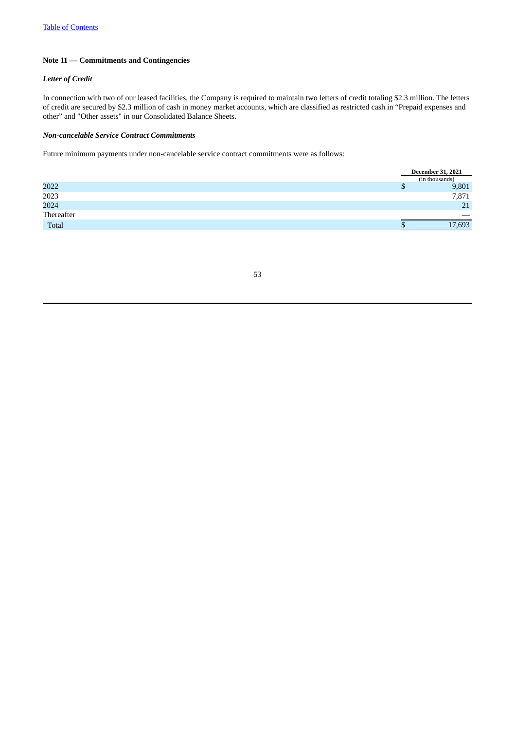## **Note 11 — Commitments and Contingencies**

# *Letter of Credit*

In connection with two of our leased facilities, the Company is required to maintain two letters of credit totaling \$2.3 million. The letters of credit are secured by \$2.3 million of cash in money market accounts, which are classified as restricted cash in "Prepaid expenses and other" and "Other assets" in our Consolidated Balance Sheets.

## *Non-cancelable Service Contract Commitments*

Future minimum payments under non-cancelable service contract commitments were as follows:

|            | <b>December 31, 2021</b> |                |
|------------|--------------------------|----------------|
|            |                          | (in thousands) |
| 2022       | ц                        | 9,801          |
| 2023       |                          | 7,871          |
| 2024       |                          | 21             |
| Thereafter |                          | _              |
| Total      |                          | 17,693         |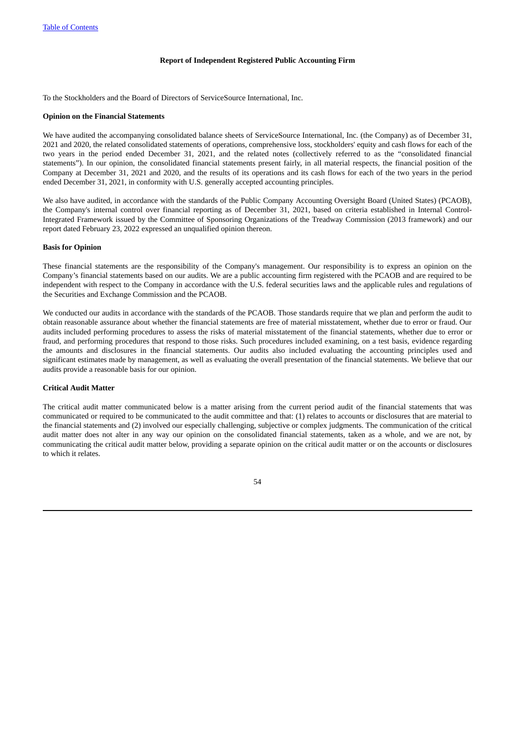#### **Report of Independent Registered Public Accounting Firm**

To the Stockholders and the Board of Directors of ServiceSource International, Inc.

#### **Opinion on the Financial Statements**

We have audited the accompanying consolidated balance sheets of ServiceSource International, Inc. (the Company) as of December 31, 2021 and 2020, the related consolidated statements of operations, comprehensive loss, stockholders' equity and cash flows for each of the two years in the period ended December 31, 2021, and the related notes (collectively referred to as the "consolidated financial statements"). In our opinion, the consolidated financial statements present fairly, in all material respects, the financial position of the Company at December 31, 2021 and 2020, and the results of its operations and its cash flows for each of the two years in the period ended December 31, 2021, in conformity with U.S. generally accepted accounting principles.

We also have audited, in accordance with the standards of the Public Company Accounting Oversight Board (United States) (PCAOB), the Company's internal control over financial reporting as of December 31, 2021, based on criteria established in Internal Control-Integrated Framework issued by the Committee of Sponsoring Organizations of the Treadway Commission (2013 framework) and our report dated February 23, 2022 expressed an unqualified opinion thereon.

#### **Basis for Opinion**

These financial statements are the responsibility of the Company's management. Our responsibility is to express an opinion on the Company's financial statements based on our audits. We are a public accounting firm registered with the PCAOB and are required to be independent with respect to the Company in accordance with the U.S. federal securities laws and the applicable rules and regulations of the Securities and Exchange Commission and the PCAOB.

We conducted our audits in accordance with the standards of the PCAOB. Those standards require that we plan and perform the audit to obtain reasonable assurance about whether the financial statements are free of material misstatement, whether due to error or fraud. Our audits included performing procedures to assess the risks of material misstatement of the financial statements, whether due to error or fraud, and performing procedures that respond to those risks. Such procedures included examining, on a test basis, evidence regarding the amounts and disclosures in the financial statements. Our audits also included evaluating the accounting principles used and significant estimates made by management, as well as evaluating the overall presentation of the financial statements. We believe that our audits provide a reasonable basis for our opinion.

#### **Critical Audit Matter**

The critical audit matter communicated below is a matter arising from the current period audit of the financial statements that was communicated or required to be communicated to the audit committee and that: (1) relates to accounts or disclosures that are material to the financial statements and (2) involved our especially challenging, subjective or complex judgments. The communication of the critical audit matter does not alter in any way our opinion on the consolidated financial statements, taken as a whole, and we are not, by communicating the critical audit matter below, providing a separate opinion on the critical audit matter or on the accounts or disclosures to which it relates.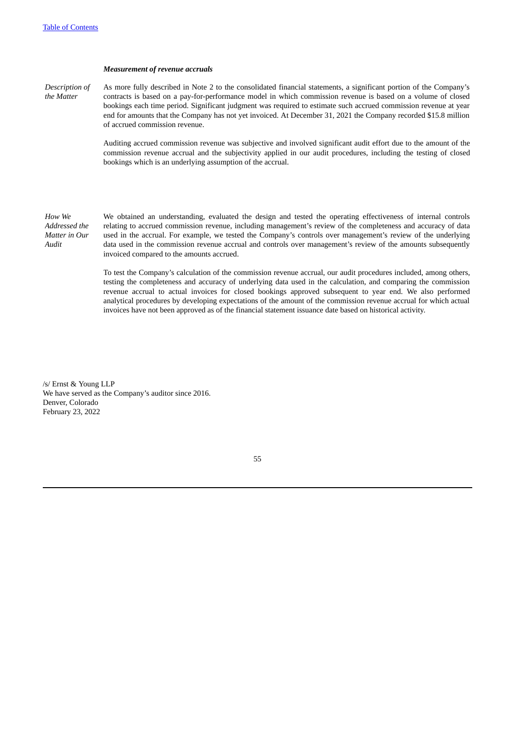#### *Measurement of revenue accruals*

*Description of the Matter*

As more fully described in Note 2 to the consolidated financial statements, a significant portion of the Company's contracts is based on a pay-for-performance model in which commission revenue is based on a volume of closed bookings each time period. Significant judgment was required to estimate such accrued commission revenue at year end for amounts that the Company has not yet invoiced. At December 31, 2021 the Company recorded \$15.8 million of accrued commission revenue.

Auditing accrued commission revenue was subjective and involved significant audit effort due to the amount of the commission revenue accrual and the subjectivity applied in our audit procedures, including the testing of closed bookings which is an underlying assumption of the accrual.

*How We Addressed the Matter in Our Audit*

We obtained an understanding, evaluated the design and tested the operating effectiveness of internal controls relating to accrued commission revenue, including management's review of the completeness and accuracy of data used in the accrual. For example, we tested the Company's controls over management's review of the underlying data used in the commission revenue accrual and controls over management's review of the amounts subsequently invoiced compared to the amounts accrued.

To test the Company's calculation of the commission revenue accrual, our audit procedures included, among others, testing the completeness and accuracy of underlying data used in the calculation, and comparing the commission revenue accrual to actual invoices for closed bookings approved subsequent to year end. We also performed analytical procedures by developing expectations of the amount of the commission revenue accrual for which actual invoices have not been approved as of the financial statement issuance date based on historical activity.

/s/ Ernst & Young LLP We have served as the Company's auditor since 2016. Denver, Colorado February 23, 2022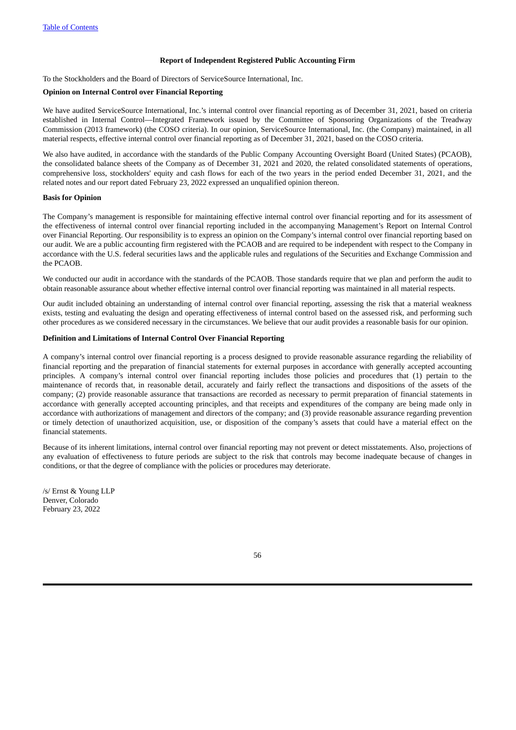#### **Report of Independent Registered Public Accounting Firm**

To the Stockholders and the Board of Directors of ServiceSource International, Inc.

#### **Opinion on Internal Control over Financial Reporting**

We have audited ServiceSource International, Inc.'s internal control over financial reporting as of December 31, 2021, based on criteria established in Internal Control—Integrated Framework issued by the Committee of Sponsoring Organizations of the Treadway Commission (2013 framework) (the COSO criteria). In our opinion, ServiceSource International, Inc. (the Company) maintained, in all material respects, effective internal control over financial reporting as of December 31, 2021, based on the COSO criteria.

We also have audited, in accordance with the standards of the Public Company Accounting Oversight Board (United States) (PCAOB), the consolidated balance sheets of the Company as of December 31, 2021 and 2020, the related consolidated statements of operations, comprehensive loss, stockholders' equity and cash flows for each of the two years in the period ended December 31, 2021, and the related notes and our report dated February 23, 2022 expressed an unqualified opinion thereon.

## **Basis for Opinion**

The Company's management is responsible for maintaining effective internal control over financial reporting and for its assessment of the effectiveness of internal control over financial reporting included in the accompanying Management's Report on Internal Control over Financial Reporting. Our responsibility is to express an opinion on the Company's internal control over financial reporting based on our audit. We are a public accounting firm registered with the PCAOB and are required to be independent with respect to the Company in accordance with the U.S. federal securities laws and the applicable rules and regulations of the Securities and Exchange Commission and the PCAOB.

We conducted our audit in accordance with the standards of the PCAOB. Those standards require that we plan and perform the audit to obtain reasonable assurance about whether effective internal control over financial reporting was maintained in all material respects.

Our audit included obtaining an understanding of internal control over financial reporting, assessing the risk that a material weakness exists, testing and evaluating the design and operating effectiveness of internal control based on the assessed risk, and performing such other procedures as we considered necessary in the circumstances. We believe that our audit provides a reasonable basis for our opinion.

## **Definition and Limitations of Internal Control Over Financial Reporting**

A company's internal control over financial reporting is a process designed to provide reasonable assurance regarding the reliability of financial reporting and the preparation of financial statements for external purposes in accordance with generally accepted accounting principles. A company's internal control over financial reporting includes those policies and procedures that (1) pertain to the maintenance of records that, in reasonable detail, accurately and fairly reflect the transactions and dispositions of the assets of the company; (2) provide reasonable assurance that transactions are recorded as necessary to permit preparation of financial statements in accordance with generally accepted accounting principles, and that receipts and expenditures of the company are being made only in accordance with authorizations of management and directors of the company; and (3) provide reasonable assurance regarding prevention or timely detection of unauthorized acquisition, use, or disposition of the company's assets that could have a material effect on the financial statements.

Because of its inherent limitations, internal control over financial reporting may not prevent or detect misstatements. Also, projections of any evaluation of effectiveness to future periods are subject to the risk that controls may become inadequate because of changes in conditions, or that the degree of compliance with the policies or procedures may deteriorate.

/s/ Ernst & Young LLP Denver, Colorado February 23, 2022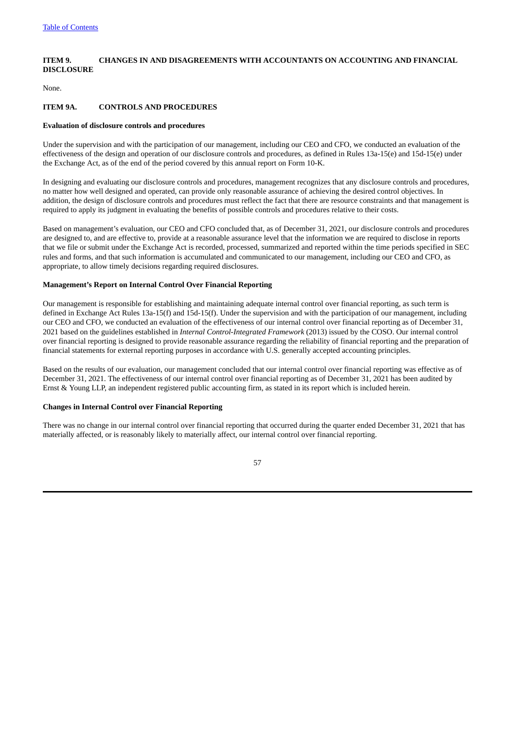## **ITEM 9. CHANGES IN AND DISAGREEMENTS WITH ACCOUNTANTS ON ACCOUNTING AND FINANCIAL DISCLOSURE**

None.

## **ITEM 9A. CONTROLS AND PROCEDURES**

## **Evaluation of disclosure controls and procedures**

Under the supervision and with the participation of our management, including our CEO and CFO, we conducted an evaluation of the effectiveness of the design and operation of our disclosure controls and procedures, as defined in Rules 13a-15(e) and 15d-15(e) under the Exchange Act, as of the end of the period covered by this annual report on Form 10-K.

In designing and evaluating our disclosure controls and procedures, management recognizes that any disclosure controls and procedures, no matter how well designed and operated, can provide only reasonable assurance of achieving the desired control objectives. In addition, the design of disclosure controls and procedures must reflect the fact that there are resource constraints and that management is required to apply its judgment in evaluating the benefits of possible controls and procedures relative to their costs.

Based on management's evaluation, our CEO and CFO concluded that, as of December 31, 2021, our disclosure controls and procedures are designed to, and are effective to, provide at a reasonable assurance level that the information we are required to disclose in reports that we file or submit under the Exchange Act is recorded, processed, summarized and reported within the time periods specified in SEC rules and forms, and that such information is accumulated and communicated to our management, including our CEO and CFO, as appropriate, to allow timely decisions regarding required disclosures.

### **Management's Report on Internal Control Over Financial Reporting**

Our management is responsible for establishing and maintaining adequate internal control over financial reporting, as such term is defined in Exchange Act Rules 13a-15(f) and 15d-15(f). Under the supervision and with the participation of our management, including our CEO and CFO, we conducted an evaluation of the effectiveness of our internal control over financial reporting as of December 31, 2021 based on the guidelines established in *Internal Control-Integrated Framework* (2013) issued by the COSO. Our internal control over financial reporting is designed to provide reasonable assurance regarding the reliability of financial reporting and the preparation of financial statements for external reporting purposes in accordance with U.S. generally accepted accounting principles.

Based on the results of our evaluation, our management concluded that our internal control over financial reporting was effective as of December 31, 2021. The effectiveness of our internal control over financial reporting as of December 31, 2021 has been audited by Ernst & Young LLP, an independent registered public accounting firm, as stated in its report which is included herein.

## **Changes in Internal Control over Financial Reporting**

There was no change in our internal control over financial reporting that occurred during the quarter ended December 31, 2021 that has materially affected, or is reasonably likely to materially affect, our internal control over financial reporting.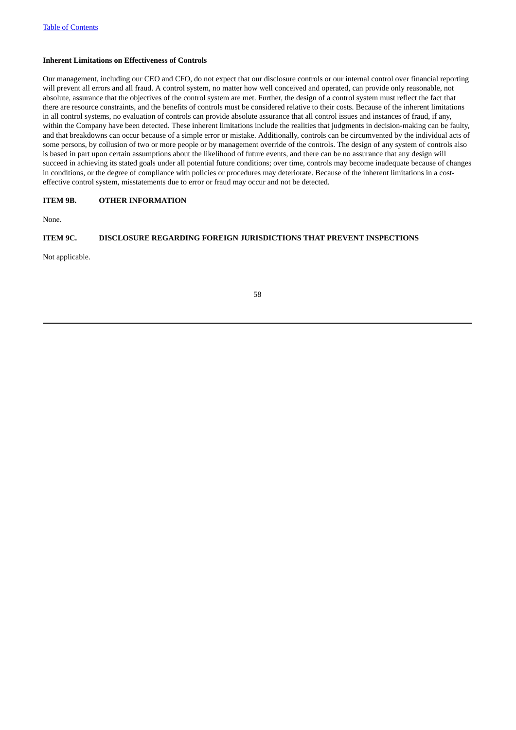### **Inherent Limitations on Effectiveness of Controls**

Our management, including our CEO and CFO, do not expect that our disclosure controls or our internal control over financial reporting will prevent all errors and all fraud. A control system, no matter how well conceived and operated, can provide only reasonable, not absolute, assurance that the objectives of the control system are met. Further, the design of a control system must reflect the fact that there are resource constraints, and the benefits of controls must be considered relative to their costs. Because of the inherent limitations in all control systems, no evaluation of controls can provide absolute assurance that all control issues and instances of fraud, if any, within the Company have been detected. These inherent limitations include the realities that judgments in decision-making can be faulty, and that breakdowns can occur because of a simple error or mistake. Additionally, controls can be circumvented by the individual acts of some persons, by collusion of two or more people or by management override of the controls. The design of any system of controls also is based in part upon certain assumptions about the likelihood of future events, and there can be no assurance that any design will succeed in achieving its stated goals under all potential future conditions; over time, controls may become inadequate because of changes in conditions, or the degree of compliance with policies or procedures may deteriorate. Because of the inherent limitations in a costeffective control system, misstatements due to error or fraud may occur and not be detected.

#### **ITEM 9B. OTHER INFORMATION**

None.

## **ITEM 9C. DISCLOSURE REGARDING FOREIGN JURISDICTIONS THAT PREVENT INSPECTIONS**

Not applicable.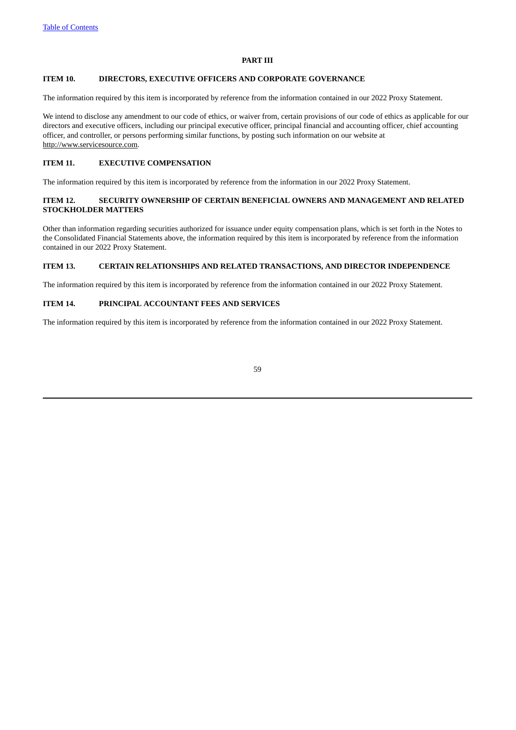## **PART III**

## **ITEM 10. DIRECTORS, EXECUTIVE OFFICERS AND CORPORATE GOVERNANCE**

The information required by this item is incorporated by reference from the information contained in our 2022 Proxy Statement.

We intend to disclose any amendment to our code of ethics, or waiver from, certain provisions of our code of ethics as applicable for our directors and executive officers, including our principal executive officer, principal financial and accounting officer, chief accounting officer, and controller, or persons performing similar functions, by posting such information on our website at http://www.servicesource.com.

## **ITEM 11. EXECUTIVE COMPENSATION**

The information required by this item is incorporated by reference from the information in our 2022 Proxy Statement.

### **ITEM 12. SECURITY OWNERSHIP OF CERTAIN BENEFICIAL OWNERS AND MANAGEMENT AND RELATED STOCKHOLDER MATTERS**

Other than information regarding securities authorized for issuance under equity compensation plans, which is set forth in the Notes to the Consolidated Financial Statements above, the information required by this item is incorporated by reference from the information contained in our 2022 Proxy Statement.

## **ITEM 13. CERTAIN RELATIONSHIPS AND RELATED TRANSACTIONS, AND DIRECTOR INDEPENDENCE**

The information required by this item is incorporated by reference from the information contained in our 2022 Proxy Statement.

## **ITEM 14. PRINCIPAL ACCOUNTANT FEES AND SERVICES**

The information required by this item is incorporated by reference from the information contained in our 2022 Proxy Statement.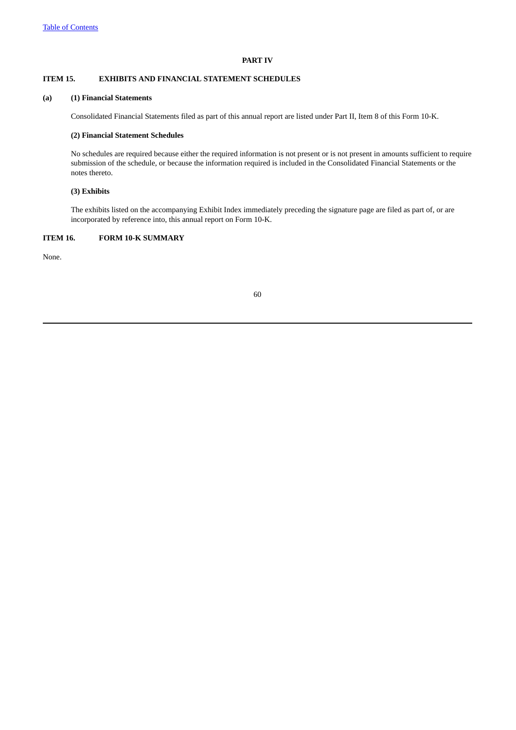#### **PART IV**

# **ITEM 15. EXHIBITS AND FINANCIAL STATEMENT SCHEDULES**

# **(a) (1) Financial Statements**

Consolidated Financial Statements filed as part of this annual report are listed under Part II, Item 8 of this Form 10-K.

# **(2) Financial Statement Schedules**

No schedules are required because either the required information is not present or is not present in amounts sufficient to require submission of the schedule, or because the information required is included in the Consolidated Financial Statements or the notes thereto.

# **(3) Exhibits**

The exhibits listed on the accompanying Exhibit Index immediately preceding the signature page are filed as part of, or are incorporated by reference into, this annual report on Form 10-K.

# **ITEM 16. FORM 10-K SUMMARY**

None.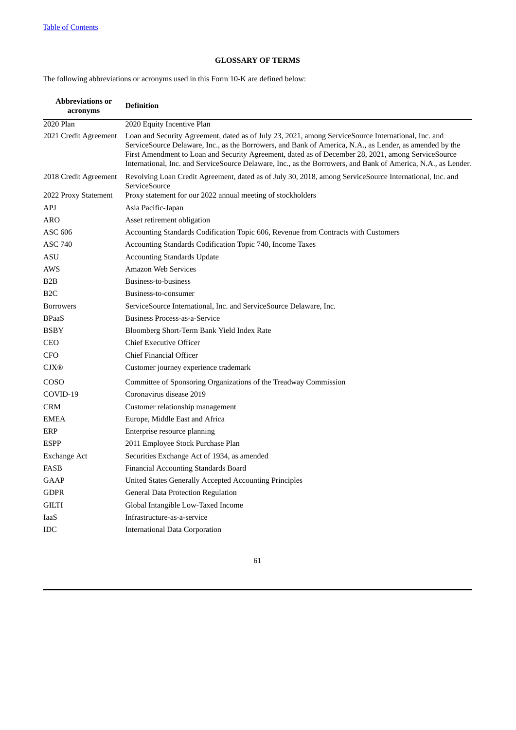# **GLOSSARY OF TERMS**

The following abbreviations or acronyms used in this Form 10-K are defined below:

| <b>Abbreviations or</b><br>acronyms | <b>Definition</b>                                                                                                                                                                                                                                                                                                                                                                                                                     |
|-------------------------------------|---------------------------------------------------------------------------------------------------------------------------------------------------------------------------------------------------------------------------------------------------------------------------------------------------------------------------------------------------------------------------------------------------------------------------------------|
| 2020 Plan                           | 2020 Equity Incentive Plan                                                                                                                                                                                                                                                                                                                                                                                                            |
| 2021 Credit Agreement               | Loan and Security Agreement, dated as of July 23, 2021, among ServiceSource International, Inc. and<br>ServiceSource Delaware, Inc., as the Borrowers, and Bank of America, N.A., as Lender, as amended by the<br>First Amendment to Loan and Security Agreement, dated as of December 28, 2021, among ServiceSource<br>International, Inc. and ServiceSource Delaware, Inc., as the Borrowers, and Bank of America, N.A., as Lender. |
| 2018 Credit Agreement               | Revolving Loan Credit Agreement, dated as of July 30, 2018, among ServiceSource International, Inc. and<br><b>ServiceSource</b>                                                                                                                                                                                                                                                                                                       |
| 2022 Proxy Statement                | Proxy statement for our 2022 annual meeting of stockholders                                                                                                                                                                                                                                                                                                                                                                           |
| APJ                                 | Asia Pacific-Japan                                                                                                                                                                                                                                                                                                                                                                                                                    |
| ARO                                 | Asset retirement obligation                                                                                                                                                                                                                                                                                                                                                                                                           |
| ASC 606                             | Accounting Standards Codification Topic 606, Revenue from Contracts with Customers                                                                                                                                                                                                                                                                                                                                                    |
| <b>ASC 740</b>                      | Accounting Standards Codification Topic 740, Income Taxes                                                                                                                                                                                                                                                                                                                                                                             |
| ASU                                 | <b>Accounting Standards Update</b>                                                                                                                                                                                                                                                                                                                                                                                                    |
| AWS                                 | <b>Amazon Web Services</b>                                                                                                                                                                                                                                                                                                                                                                                                            |
| B2B                                 | Business-to-business                                                                                                                                                                                                                                                                                                                                                                                                                  |
| B <sub>2</sub> C                    | Business-to-consumer                                                                                                                                                                                                                                                                                                                                                                                                                  |
| <b>Borrowers</b>                    | ServiceSource International, Inc. and ServiceSource Delaware, Inc.                                                                                                                                                                                                                                                                                                                                                                    |
| BPaaS                               | <b>Business Process-as-a-Service</b>                                                                                                                                                                                                                                                                                                                                                                                                  |
| BSBY                                | Bloomberg Short-Term Bank Yield Index Rate                                                                                                                                                                                                                                                                                                                                                                                            |
| CEO                                 | <b>Chief Executive Officer</b>                                                                                                                                                                                                                                                                                                                                                                                                        |
| CFO                                 | <b>Chief Financial Officer</b>                                                                                                                                                                                                                                                                                                                                                                                                        |
| CJX@                                | Customer journey experience trademark                                                                                                                                                                                                                                                                                                                                                                                                 |
| COSO                                | Committee of Sponsoring Organizations of the Treadway Commission                                                                                                                                                                                                                                                                                                                                                                      |
| COVID-19                            | Coronavirus disease 2019                                                                                                                                                                                                                                                                                                                                                                                                              |
| CRM                                 | Customer relationship management                                                                                                                                                                                                                                                                                                                                                                                                      |
| EMEA                                | Europe, Middle East and Africa                                                                                                                                                                                                                                                                                                                                                                                                        |
| ERP                                 | Enterprise resource planning                                                                                                                                                                                                                                                                                                                                                                                                          |
| <b>ESPP</b>                         | 2011 Employee Stock Purchase Plan                                                                                                                                                                                                                                                                                                                                                                                                     |
| Exchange Act                        | Securities Exchange Act of 1934, as amended                                                                                                                                                                                                                                                                                                                                                                                           |
| FASB                                | <b>Financial Accounting Standards Board</b>                                                                                                                                                                                                                                                                                                                                                                                           |
| GAAP                                | United States Generally Accepted Accounting Principles                                                                                                                                                                                                                                                                                                                                                                                |
| GDPR                                | General Data Protection Regulation                                                                                                                                                                                                                                                                                                                                                                                                    |
| <b>GILTI</b>                        | Global Intangible Low-Taxed Income                                                                                                                                                                                                                                                                                                                                                                                                    |
| IaaS                                | Infrastructure-as-a-service                                                                                                                                                                                                                                                                                                                                                                                                           |
| IDC                                 | <b>International Data Corporation</b>                                                                                                                                                                                                                                                                                                                                                                                                 |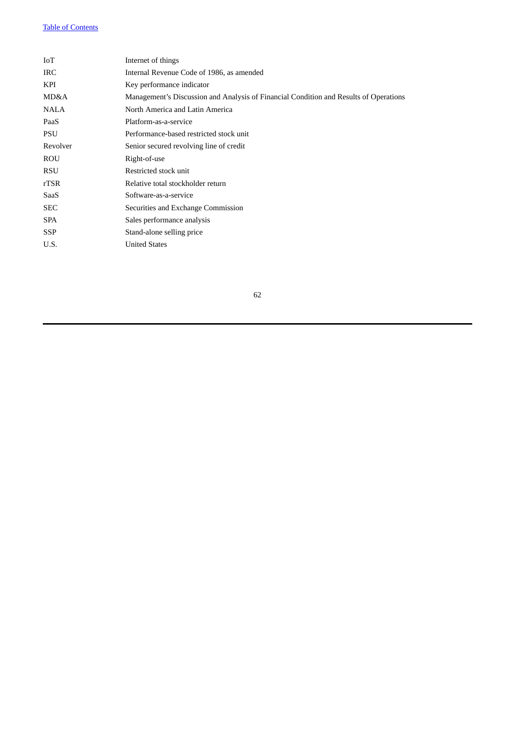# Table of [Contents](#page-2-0)

| IoT        | Internet of things                                                                    |
|------------|---------------------------------------------------------------------------------------|
| <b>IRC</b> | Internal Revenue Code of 1986, as amended                                             |
| <b>KPI</b> | Key performance indicator                                                             |
| MD&A       | Management's Discussion and Analysis of Financial Condition and Results of Operations |
| NALA       | North America and Latin America                                                       |
| PaaS       | Platform-as-a-service                                                                 |
| <b>PSU</b> | Performance-based restricted stock unit                                               |
| Revolver   | Senior secured revolving line of credit                                               |
| ROU        | Right-of-use                                                                          |
| <b>RSU</b> | Restricted stock unit                                                                 |
| rTSR       | Relative total stockholder return                                                     |
| SaaS       | Software-as-a-service                                                                 |
| <b>SEC</b> | Securities and Exchange Commission                                                    |
| <b>SPA</b> | Sales performance analysis                                                            |
| <b>SSP</b> | Stand-alone selling price                                                             |
| U.S.       | <b>United States</b>                                                                  |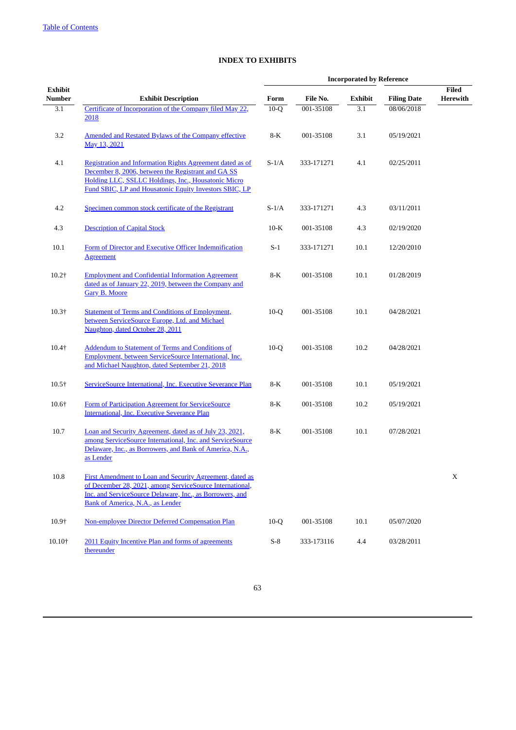# **INDEX TO EXHIBITS**

|                   |                                                                                                                                                                                                                                  | <b>Incorporated by Reference</b> |            |                |                    |                          |
|-------------------|----------------------------------------------------------------------------------------------------------------------------------------------------------------------------------------------------------------------------------|----------------------------------|------------|----------------|--------------------|--------------------------|
| Exhibit<br>Number | <b>Exhibit Description</b>                                                                                                                                                                                                       | Form                             | File No.   | <b>Exhibit</b> | <b>Filing Date</b> | <b>Filed</b><br>Herewith |
| 3.1               | Certificate of Incorporation of the Company filed May 22,<br>2018                                                                                                                                                                | $10-Q$                           | 001-35108  | 3.1            | 08/06/2018         |                          |
| 3.2               | Amended and Restated Bylaws of the Company effective<br>May 13, 2021                                                                                                                                                             | $8-K$                            | 001-35108  | 3.1            | 05/19/2021         |                          |
| 4.1               | Registration and Information Rights Agreement dated as of<br>December 8, 2006, between the Registrant and GA SS<br>Holding LLC, SSLLC Holdings, Inc., Housatonic Micro<br>Fund SBIC, LP and Housatonic Equity Investors SBIC, LP | $S-1/A$                          | 333-171271 | 4.1            | 02/25/2011         |                          |
| 4.2               | Specimen common stock certificate of the Registrant                                                                                                                                                                              | $S-1/A$                          | 333-171271 | 4.3            | 03/11/2011         |                          |
| 4.3               | <b>Description of Capital Stock</b>                                                                                                                                                                                              | $10-K$                           | 001-35108  | 4.3            | 02/19/2020         |                          |
| 10.1              | Form of Director and Executive Officer Indemnification<br><b>Agreement</b>                                                                                                                                                       | $S-1$                            | 333-171271 | 10.1           | 12/20/2010         |                          |
| 10.2†             | <b>Employment and Confidential Information Agreement</b><br>dated as of January 22, 2019, between the Company and<br><b>Gary B. Moore</b>                                                                                        | $8-K$                            | 001-35108  | 10.1           | 01/28/2019         |                          |
| 10.3 <sub>†</sub> | <b>Statement of Terms and Conditions of Employment,</b><br>between ServiceSource Europe, Ltd. and Michael<br>Naughton, dated October 28, 2011                                                                                    | $10-Q$                           | 001-35108  | 10.1           | 04/28/2021         |                          |
| 10.4†             | <b>Addendum to Statement of Terms and Conditions of</b><br>Employment, between ServiceSource International, Inc.<br>and Michael Naughton, dated September 21, 2018                                                               | $10-Q$                           | 001-35108  | 10.2           | 04/28/2021         |                          |
| 10.5†             | ServiceSource International, Inc. Executive Severance Plan                                                                                                                                                                       | $8-K$                            | 001-35108  | 10.1           | 05/19/2021         |                          |
| 10.6†             | Form of Participation Agreement for ServiceSource<br>International, Inc. Executive Severance Plan                                                                                                                                | $8-K$                            | 001-35108  | 10.2           | 05/19/2021         |                          |
| 10.7              | Loan and Security Agreement, dated as of July 23, 2021,<br>among ServiceSource International, Inc. and ServiceSource<br>Delaware, Inc., as Borrowers, and Bank of America, N.A.,<br>as Lender                                    | 8-K                              | 001-35108  | 10.1           | 07/28/2021         |                          |
| 10.8              | <b>First Amendment to Loan and Security Agreement, dated as</b><br>of December 28, 2021, among ServiceSource International,<br>Inc. and ServiceSource Delaware, Inc., as Borrowers, and<br>Bank of America, N.A., as Lender      |                                  |            |                |                    | X                        |
| 10.9†             | Non-employee Director Deferred Compensation Plan                                                                                                                                                                                 | $10-Q$                           | 001-35108  | 10.1           | 05/07/2020         |                          |
| 10.10+            | 2011 Equity Incentive Plan and forms of agreements<br>thereunder                                                                                                                                                                 | $S-8$                            | 333-173116 | 4.4            | 03/28/2011         |                          |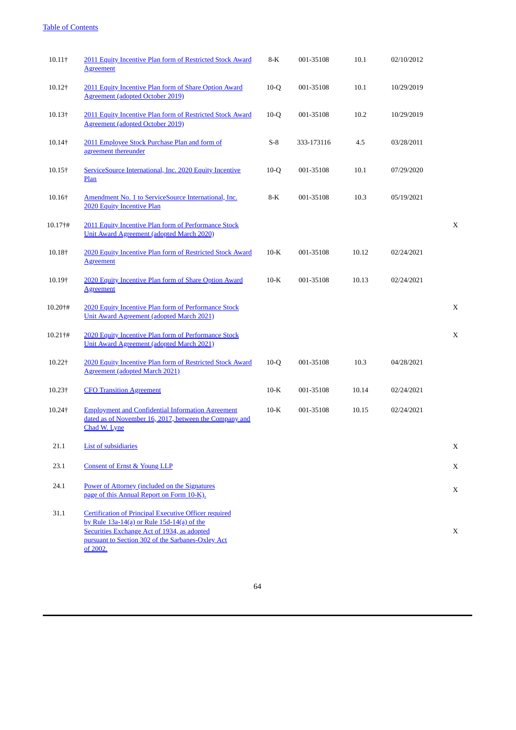# Table of [Contents](#page-2-0)

| 10.11+  | 2011 Equity Incentive Plan form of Restricted Stock Award<br><u>Agreement</u>                                                                                                                                                  | 8-K    | 001-35108  | 10.1  | 02/10/2012 |   |
|---------|--------------------------------------------------------------------------------------------------------------------------------------------------------------------------------------------------------------------------------|--------|------------|-------|------------|---|
| 10.12+  | 2011 Equity Incentive Plan form of Share Option Award<br><b>Agreement (adopted October 2019)</b>                                                                                                                               | $10-Q$ | 001-35108  | 10.1  | 10/29/2019 |   |
| 10.13+  | 2011 Equity Incentive Plan form of Restricted Stock Award<br><b>Agreement (adopted October 2019)</b>                                                                                                                           | $10-Q$ | 001-35108  | 10.2  | 10/29/2019 |   |
| 10.14+  | 2011 Employee Stock Purchase Plan and form of<br>agreement thereunder                                                                                                                                                          | $S-8$  | 333-173116 | 4.5   | 03/28/2011 |   |
| 10.15†  | ServiceSource International, Inc. 2020 Equity Incentive<br>Plan                                                                                                                                                                | $10-Q$ | 001-35108  | 10.1  | 07/29/2020 |   |
| 10.16†  | <b>Amendment No. 1 to ServiceSource International, Inc.</b><br>2020 Equity Incentive Plan                                                                                                                                      | 8-K    | 001-35108  | 10.3  | 05/19/2021 |   |
| 10.17†# | 2011 Equity Incentive Plan form of Performance Stock<br>Unit Award Agreement (adopted March 2020)                                                                                                                              |        |            |       |            | X |
| 10.18+  | 2020 Equity Incentive Plan form of Restricted Stock Award<br><b>Agreement</b>                                                                                                                                                  | $10-K$ | 001-35108  | 10.12 | 02/24/2021 |   |
| 10.19†  | 2020 Equity Incentive Plan form of Share Option Award<br><b>Agreement</b>                                                                                                                                                      | $10-K$ | 001-35108  | 10.13 | 02/24/2021 |   |
| 10.20†# | 2020 Equity Incentive Plan form of Performance Stock<br>Unit Award Agreement (adopted March 2021)                                                                                                                              |        |            |       |            | X |
| 10.21†# | 2020 Equity Incentive Plan form of Performance Stock<br>Unit Award Agreement (adopted March 2021)                                                                                                                              |        |            |       |            | X |
| 10.22†  | 2020 Equity Incentive Plan form of Restricted Stock Award<br><b>Agreement (adopted March 2021)</b>                                                                                                                             | $10-Q$ | 001-35108  | 10.3  | 04/28/2021 |   |
| 10.23†  | <b>CFO Transition Agreement</b>                                                                                                                                                                                                | $10-K$ | 001-35108  | 10.14 | 02/24/2021 |   |
| 10.24†  | <b>Employment and Confidential Information Agreement</b><br>dated as of November 16, 2017, between the Company and<br>Chad W. Lyne                                                                                             | $10-K$ | 001-35108  | 10.15 | 02/24/2021 |   |
| 21.1    | <b>List of subsidiaries</b>                                                                                                                                                                                                    |        |            |       |            | X |
| 23.1    | Consent of Ernst & Young LLP                                                                                                                                                                                                   |        |            |       |            | X |
| 24.1    | Power of Attorney (included on the Signatures<br>page of this Annual Report on Form 10-K).                                                                                                                                     |        |            |       |            | X |
| 31.1    | <b>Certification of Principal Executive Officer required</b><br>by Rule $13a-14(a)$ or Rule $15d-14(a)$ of the<br>Securities Exchange Act of 1934, as adopted<br>pursuant to Section 302 of the Sarbanes-Oxley Act<br>of 2002. |        |            |       |            | X |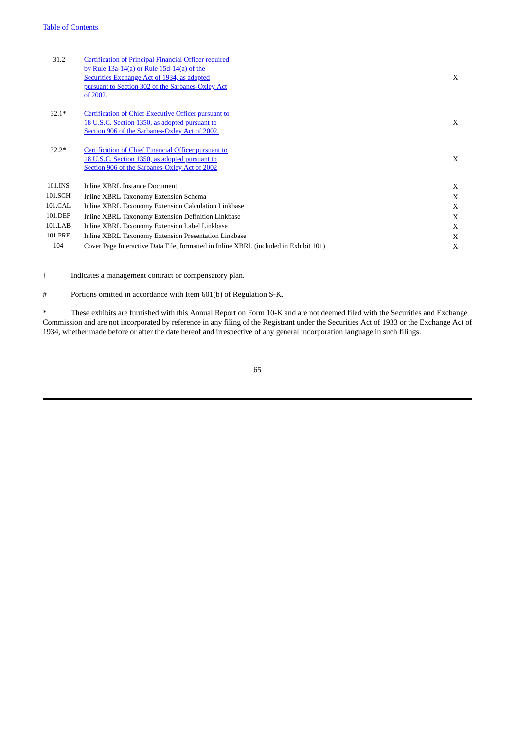| 31.2    | <b>Certification of Principal Financial Officer required</b><br>by Rule $13a-14(a)$ or Rule $15d-14(a)$ of the<br>Securities Exchange Act of 1934, as adopted<br>pursuant to Section 302 of the Sarbanes-Oxley Act<br>of 2002. | X |
|---------|--------------------------------------------------------------------------------------------------------------------------------------------------------------------------------------------------------------------------------|---|
| $32.1*$ | Certification of Chief Executive Officer pursuant to<br>18 U.S.C. Section 1350, as adopted pursuant to<br>Section 906 of the Sarbanes-Oxley Act of 2002.                                                                       | X |
| $32.2*$ | Certification of Chief Financial Officer pursuant to<br>18 U.S.C. Section 1350, as adopted pursuant to<br>Section 906 of the Sarbanes-Oxley Act of 2002                                                                        | X |
| 101.INS | Inline XBRL Instance Document                                                                                                                                                                                                  | X |
| 101.SCH | Inline XBRL Taxonomy Extension Schema                                                                                                                                                                                          | X |
| 101.CAL | Inline XBRL Taxonomy Extension Calculation Linkbase                                                                                                                                                                            | X |
| 101.DEF | Inline XBRL Taxonomy Extension Definition Linkbase                                                                                                                                                                             | X |
| 101.LAB | Inline XBRL Taxonomy Extension Label Linkbase                                                                                                                                                                                  | X |
| 101.PRE | Inline XBRL Taxonomy Extension Presentation Linkbase                                                                                                                                                                           | X |
| 104     | Cover Page Interactive Data File, formatted in Inline XBRL (included in Exhibit 101)                                                                                                                                           | X |

† Indicates a management contract or compensatory plan.

# Portions omitted in accordance with Item 601(b) of Regulation S-K.

\* These exhibits are furnished with this Annual Report on Form 10-K and are not deemed filed with the Securities and Exchange Commission and are not incorporated by reference in any filing of the Registrant under the Securities Act of 1933 or the Exchange Act of 1934, whether made before or after the date hereof and irrespective of any general incorporation language in such filings.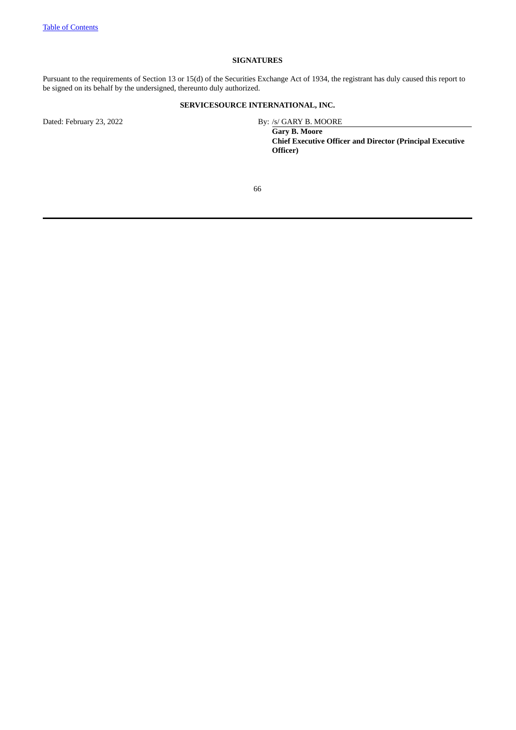#### **SIGNATURES**

Pursuant to the requirements of Section 13 or 15(d) of the Securities Exchange Act of 1934, the registrant has duly caused this report to be signed on its behalf by the undersigned, thereunto duly authorized.

# **SERVICESOURCE INTERNATIONAL, INC.**

Dated: February 23, 2022 By: /s/ GARY B. MOORE

**Gary B. Moore Chief Executive Officer and Director (Principal Executive Officer)**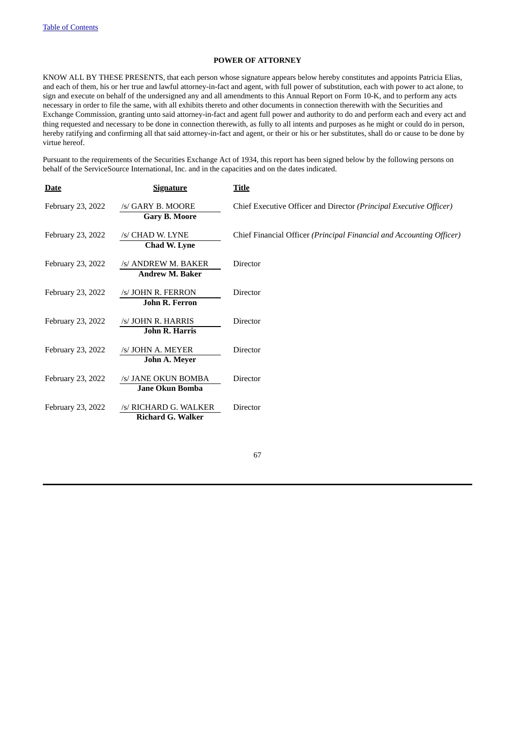## **POWER OF ATTORNEY**

<span id="page-69-0"></span>KNOW ALL BY THESE PRESENTS, that each person whose signature appears below hereby constitutes and appoints Patricia Elias, and each of them, his or her true and lawful attorney-in-fact and agent, with full power of substitution, each with power to act alone, to sign and execute on behalf of the undersigned any and all amendments to this Annual Report on Form 10-K, and to perform any acts necessary in order to file the same, with all exhibits thereto and other documents in connection therewith with the Securities and Exchange Commission, granting unto said attorney-in-fact and agent full power and authority to do and perform each and every act and thing requested and necessary to be done in connection therewith, as fully to all intents and purposes as he might or could do in person, hereby ratifying and confirming all that said attorney-in-fact and agent, or their or his or her substitutes, shall do or cause to be done by virtue hereof.

Pursuant to the requirements of the Securities Exchange Act of 1934, this report has been signed below by the following persons on behalf of the ServiceSource International, Inc. and in the capacities and on the dates indicated.

| <b>Date</b>       | <b>Signature</b>                                  | <b>Title</b>                                                         |
|-------------------|---------------------------------------------------|----------------------------------------------------------------------|
| February 23, 2022 | /s/ GARY B. MOORE<br>Gary B. Moore                | Chief Executive Officer and Director (Principal Executive Officer)   |
| February 23, 2022 | /s/ CHAD W. LYNE<br>Chad W. Lyne                  | Chief Financial Officer (Principal Financial and Accounting Officer) |
| February 23, 2022 | /s/ ANDREW M. BAKER<br><b>Andrew M. Baker</b>     | Director                                                             |
| February 23, 2022 | /s/ JOHN R. FERRON<br>John R. Ferron              | Director                                                             |
| February 23, 2022 | /s/ JOHN R. HARRIS<br><b>John R. Harris</b>       | Director                                                             |
| February 23, 2022 | /s/ JOHN A. MEYER<br><b>John A. Meyer</b>         | Director                                                             |
| February 23, 2022 | /s/ JANE OKUN BOMBA<br><b>Jane Okun Bomba</b>     | Director                                                             |
| February 23, 2022 | /s/ RICHARD G. WALKER<br><b>Richard G. Walker</b> | Director                                                             |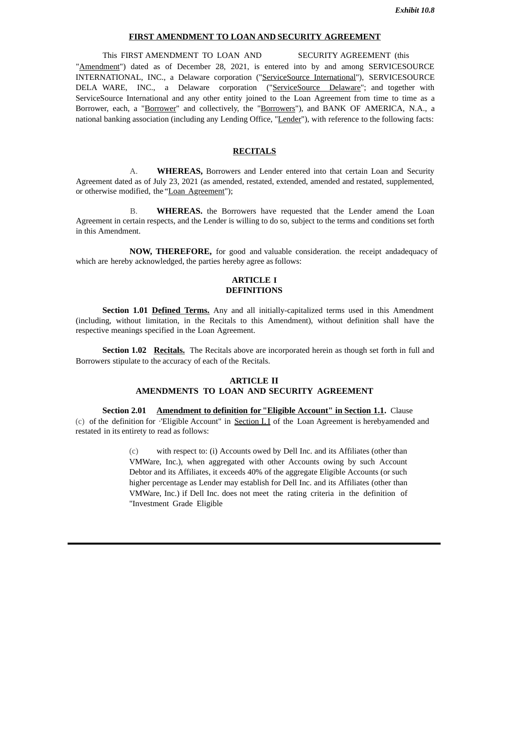## **FIRST AMENDMENT TO LOAN AND SECURITY AGREEMENT**

<span id="page-70-0"></span>This FIRST AMENDMENT TO LOAN AND SECURITY AGREEMENT (this "Amendment") dated as of December 28, 2021, is entered into by and among SERVICESOURCE INTERNATIONAL, INC., a Delaware corporation ("ServiceSource International"), SERVICESOURCE DELA WARE, INC., a Delaware corporation ("ServiceSource Delaware"; and together with ServiceSource International and any other entity joined to the Loan Agreement from time to time as a Borrower, each, a "Borrower" and collectively, the "Borrowers"), and BANK OF AMERICA, N.A., a national banking association (including any Lending Office, "Lender"), with reference to the following facts:

# **RECITALS**

A. **WHEREAS,** Borrowers and Lender entered into that certain Loan and Security Agreement dated as of July 23, 2021 (as amended, restated, extended, amended and restated, supplemented, or otherwise modified, the "Loan Agreement");

B. **WHEREAS.** the Borrowers have requested that the Lender amend the Loan Agreement in certain respects, and the Lender is willing to do so, subject to the terms and conditions set forth in this Amendment.

**NOW, THEREFORE,** for good and valuable consideration. the receipt andadequacy of which are hereby acknowledged, the parties hereby agree as follows:

# **ARTICLE I DEFINITIONS**

**Section 1.01 Defined Terms.** Any and all initially-capitalized terms used in this Amendment (including, without limitation, in the Recitals to this Amendment), without definition shall have the respective meanings specified in the Loan Agreement.

**Section 1.02 Recitals.** The Recitals above are incorporated herein as though set forth in full and Borrowers stipulate to the accuracy of each of the Recitals.

## **ARTICLE II**

# **AMENDMENTS TO LOAN AND SECURITY AGREEMENT**

**Section 2.01 Amendment to definition for "Eligible Account" in Section 1.1.** Clause (c) of the definition for ·'Eligible Account" in Section I. I of the Loan Agreement is herebyamended and restated in its entirety to read as follows:

> (c) with respect to: (i) Accounts owed by Dell Inc. and its Affiliates (other than VMWare, Inc.), when aggregated with other Accounts owing by such Account Debtor and its Affiliates, it exceeds 40% of the aggregate Eligible Accounts (or such higher percentage as Lender may establish for Dell Inc. and its Affiliates (other than VMWare, Inc.) if Dell Inc. does not meet the rating criteria in the definition of "Investment Grade Eligible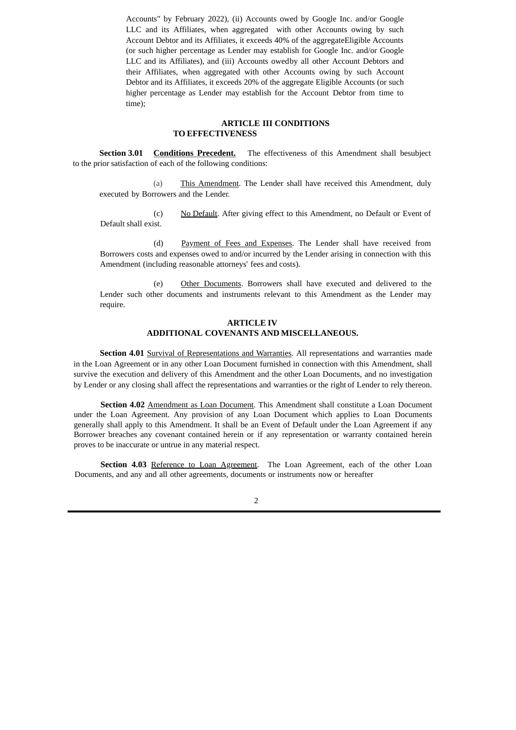Accounts" by February 2022), (ii) Accounts owed by Google Inc. and/or Google LLC and its Affiliates, when aggregated with other Accounts owing by such Account Debtor and its Affiliates, it exceeds 40% of the aggregateEligible Accounts (or such higher percentage as Lender may establish for Google Inc. and/or Google LLC and its Affiliates), and (iii) Accounts owedby all other Account Debtors and their Affiliates, when aggregated with other Accounts owing by such Account Debtor and its Affiliates, it exceeds 20% of the aggregate Eligible Accounts (or such higher percentage as Lender may establish for the Account Debtor from time to time);

# **ARTICLE III CONDITIONS TO EFFECTIVENESS**

**Section 3.01 Conditions Precedent.** The effectiveness of this Amendment shall besubject to the prior satisfaction of each of the following conditions:

(a) This Amendment. The Lender shall have received this Amendment, duly executed by Borrowers and the Lender.

(c) No Default. After giving effect to this Amendment, no Default or Event of Default shall exist.

(d) Payment of Fees and Expenses. The Lender shall have received from Borrowers costs and expenses owed to and/or incurred by the Lender arising in connection with this Amendment (including reasonable attorneys' fees and costs).

(e) Other Documents. Borrowers shall have executed and delivered to the Lender such other documents and instruments relevant to this Amendment as the Lender may require.

# **ARTICLE IV ADDITIONAL COVENANTS AND MISCELLANEOUS.**

Section 4.01 Survival of Representations and Warranties. All representations and warranties made in the Loan Agreement or in any other Loan Document furnished in connection with this Amendment, shall survive the execution and delivery of this Amendment and the other Loan Documents, and no investigation by Lender or any closing shall affect the representations and warranties or the right of Lender to rely thereon.

**Section 4.02** Amendment as Loan Document. This Amendment shall constitute a Loan Document under the Loan Agreement. Any provision of any Loan Document which applies to Loan Documents generally shall apply to this Amendment. It shall be an Event of Default under the Loan Agreement if any Borrower breaches any covenant contained herein or if any representation or warranty contained herein proves to be inaccurate or untrue in any material respect.

**Section 4.03** Reference to Loan Agreement. The Loan Agreement, each of the other Loan Documents, and any and all other agreements, documents or instruments now or hereafter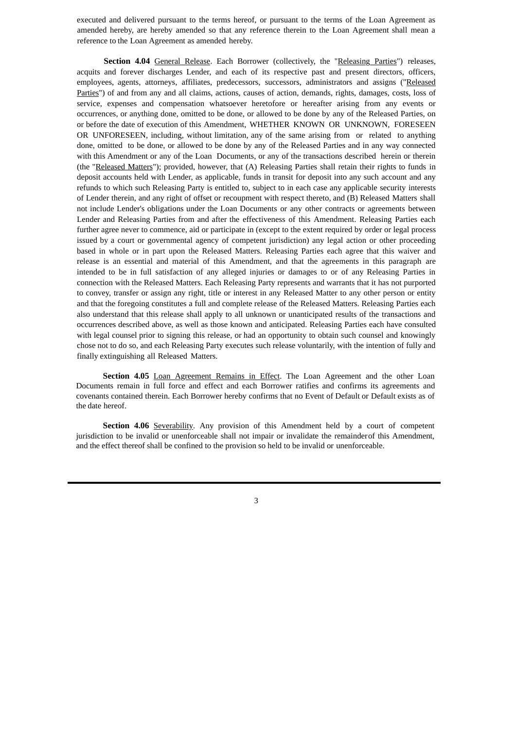executed and delivered pursuant to the terms hereof, or pursuant to the terms of the Loan Agreement as amended hereby, are hereby amended so that any reference therein to the Loan Agreement shall mean a reference to the Loan Agreement as amended hereby.

**Section 4.04** General Release. Each Borrower (collectively, the "Releasing Parties") releases, acquits and forever discharges Lender, and each of its respective past and present directors, officers, employees, agents, attorneys, affiliates, predecessors, successors, administrators and assigns ("Released Parties") of and from any and all claims, actions, causes of action, demands, rights, damages, costs, loss of service, expenses and compensation whatsoever heretofore or hereafter arising from any events or occurrences, or anything done, omitted to be done, or allowed to be done by any of the Released Parties, on or before the date of execution of this Amendment, WHETHER KNOWN OR UNKNOWN, FORESEEN OR UNFORESEEN, including, without limitation, any of the same arising from or related to anything done, omitted to be done, or allowed to be done by any of the Released Parties and in any way connected with this Amendment or any of the Loan Documents, or any of the transactions described herein or therein (the "Released Matters"); provided, however, that (A) Releasing Parties shall retain their rights to funds in deposit accounts held with Lender, as applicable, funds in transit for deposit into any such account and any refunds to which such Releasing Party is entitled to, subject to in each case any applicable security interests of Lender therein, and any right of offset or recoupment with respect thereto, and (B) Released Matters shall not include Lender's obligations under the Loan Documents or any other contracts or agreements between Lender and Releasing Parties from and after the effectiveness of this Amendment. Releasing Parties each further agree never to commence, aid or participate in (except to the extent required by order or legal process issued by a court or governmental agency of competent jurisdiction) any legal action or other proceeding based in whole or in part upon the Released Matters. Releasing Parties each agree that this waiver and release is an essential and material of this Amendment, and that the agreements in this paragraph are intended to be in full satisfaction of any alleged injuries or damages to or of any Releasing Parties in connection with the Released Matters. Each Releasing Party represents and warrants that it has not purported to convey, transfer or assign any right, title or interest in any Released Matter to any other person or entity and that the foregoing constitutes a full and complete release of the Released Matters. Releasing Parties each also understand that this release shall apply to all unknown or unanticipated results of the transactions and occurrences described above, as well as those known and anticipated. Releasing Parties each have consulted with legal counsel prior to signing this release, or had an opportunity to obtain such counsel and knowingly chose not to do so, and each Releasing Party executes such release voluntarily, with the intention of fully and finally extinguishing all Released Matters.

**Section 4.05** Loan Agreement Remains in Effect. The Loan Agreement and the other Loan Documents remain in full force and effect and each Borrower ratifies and confirms its agreements and covenants contained therein. Each Borrower hereby confirms that no Event of Default or Default exists as of the date hereof.

**Section 4.06** Severability. Any provision of this Amendment held by a court of competent jurisdiction to be invalid or unenforceable shall not impair or invalidate the remainderof this Amendment, and the effect thereof shall be confined to the provision so held to be invalid or unenforceable.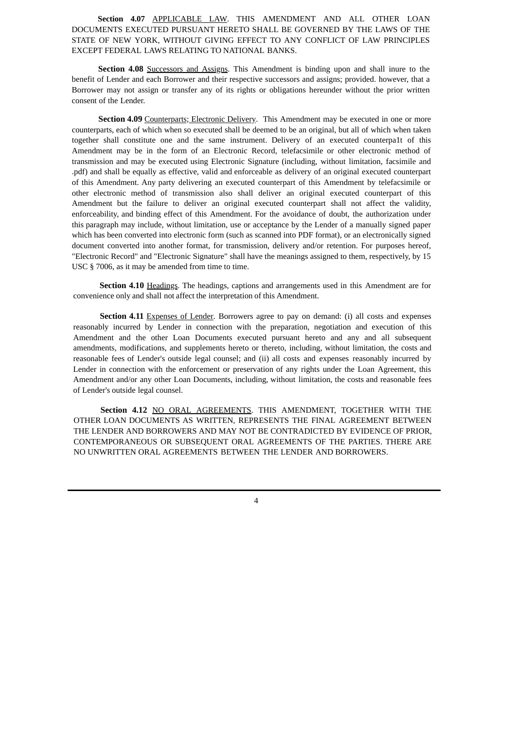**Section 4.07** APPLICABLE LAW. THIS AMENDMENT AND ALL OTHER LOAN DOCUMENTS EXECUTED PURSUANT HERETO SHALL BE GOVERNED BY THE LAWS OF THE STATE OF NEW YORK, WITHOUT GIVING EFFECT TO ANY CONFLICT OF LAW PRINCIPLES EXCEPT FEDERAL LAWS RELATING TO NATIONAL BANKS.

**Section 4.08** Successors and Assigns. This Amendment is binding upon and shall inure to the benefit of Lender and each Borrower and their respective successors and assigns; provided. however, that a Borrower may not assign or transfer any of its rights or obligations hereunder without the prior written consent of the Lender.

**Section 4.09** Counterparts; Electronic Delivery. This Amendment may be executed in one or more counterparts, each of which when so executed shall be deemed to be an original, but all of which when taken together shall constitute one and the same instrument. Delivery of an executed counterpa1t of this Amendment may be in the form of an Electronic Record, telefacsimile or other electronic method of transmission and may be executed using Electronic Signature (including, without limitation, facsimile and .pdf) and shall be equally as effective, valid and enforceable as delivery of an original executed counterpart of this Amendment. Any party delivering an executed counterpart of this Amendment by telefacsimile or other electronic method of transmission also shall deliver an original executed counterpart of this Amendment but the failure to deliver an original executed counterpart shall not affect the validity, enforceability, and binding effect of this Amendment. For the avoidance of doubt, the authorization under this paragraph may include, without limitation, use or acceptance by the Lender of a manually signed paper which has been converted into electronic form (such as scanned into PDF format), or an electronically signed document converted into another format, for transmission, delivery and/or retention. For purposes hereof, "Electronic Record" and "Electronic Signature" shall have the meanings assigned to them, respectively, by 15 USC § 7006, as it may be amended from time to time.

**Section 4.10** Headings. The headings, captions and arrangements used in this Amendment are for convenience only and shall not affect the interpretation of this Amendment.

**Section 4.11** Expenses of Lender. Borrowers agree to pay on demand: (i) all costs and expenses reasonably incurred by Lender in connection with the preparation, negotiation and execution of this Amendment and the other Loan Documents executed pursuant hereto and any and all subsequent amendments, modifications, and supplements hereto or thereto, including, without limitation, the costs and reasonable fees of Lender's outside legal counsel; and (ii) all costs and expenses reasonably incurred by Lender in connection with the enforcement or preservation of any rights under the Loan Agreement, this Amendment and/or any other Loan Documents, including, without limitation, the costs and reasonable fees of Lender's outside legal counsel.

**Section 4.12** NO ORAL AGREEMENTS. THIS AMENDMENT, TOGETHER WITH THE OTHER LOAN DOCUMENTS AS WRITTEN, REPRESENTS THE FINAL AGREEMENT BETWEEN THE LENDER AND BORROWERS AND MAY NOT BE CONTRADICTED BY EVIDENCE OF PRIOR, CONTEMPORANEOUS OR SUBSEQUENT ORAL AGREEMENTS OF THE PARTIES. THERE ARE NO UNWRITTEN ORAL AGREEMENTS BETWEEN THE LENDER AND BORROWERS.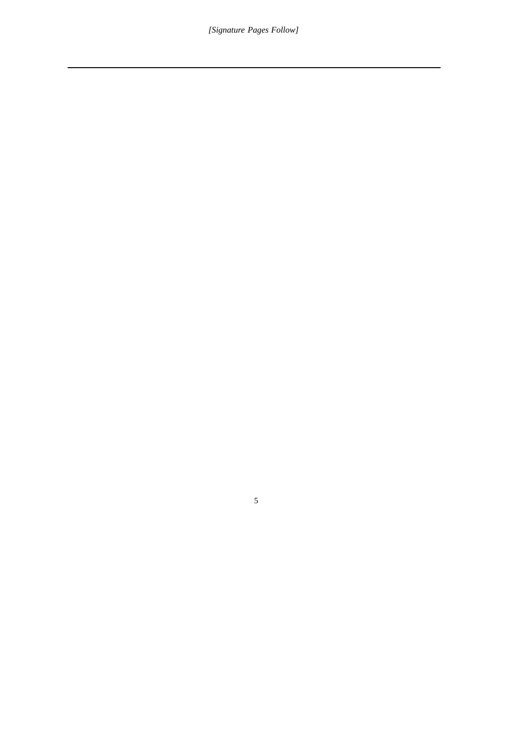*[Signature Pages Follow]*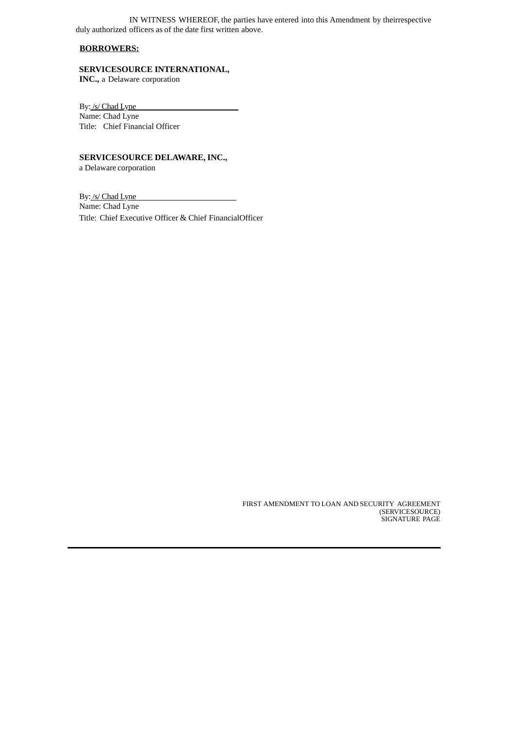IN WITNESS WHEREOF, the parties have entered into this Amendment by theirrespective duly authorized officers as of the date first written above.

### **BORROWERS:**

## **SERVICESOURCE INTERNATIONAL,**

**INC.,** a Delaware corporation

By: /s/ Chad Lyne Name: Chad Lyne Title: Chief Financial Officer

## **SERVICESOURCE DELAWARE, INC.,**

a Delaware corporation

By: /s/ Chad Lyne Name: Chad Lyne Title: Chief Executive Officer & Chief FinancialOfficer

> FIRST AMENDMENT TO LOAN AND SECURITY AGREEMENT (SERVICESOURCE) SIGNATURE PAGE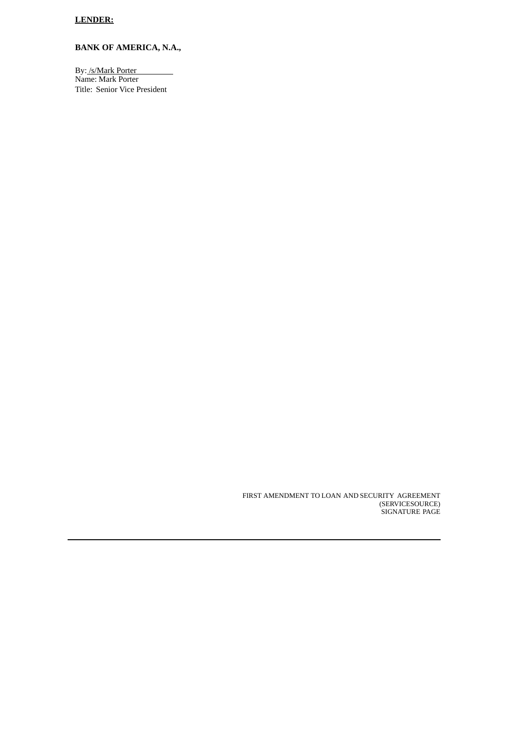## **LENDER:**

## **BANK OF AMERICA, N.A.,**

By: /s/Mark Porter  $\overline{\phantom{a}}$ Name: Mark Porter Title: Senior Vice President

> FIRST AMENDMENT TO LOAN AND SECURITY AGREEMENT (SERVICESOURCE) SIGNATURE PAGE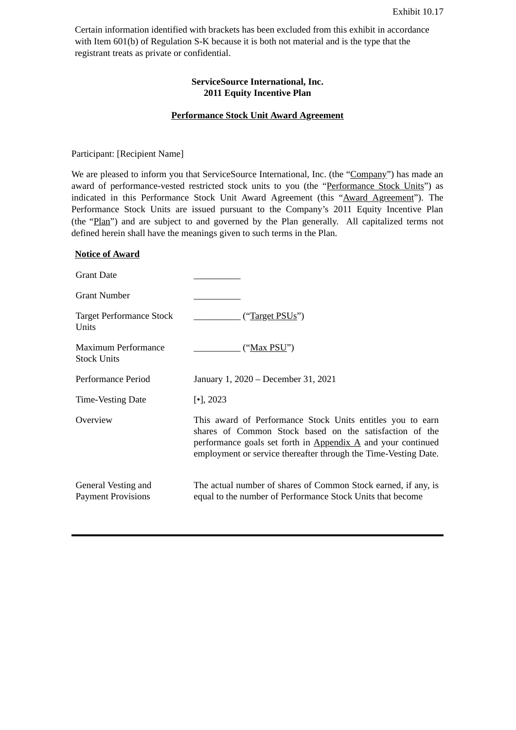Certain information identified with brackets has been excluded from this exhibit in accordance with Item 601(b) of Regulation S-K because it is both not material and is the type that the registrant treats as private or confidential.

## **ServiceSource International, Inc. 2011 Equity Incentive Plan**

## **Performance Stock Unit Award Agreement**

Participant: [Recipient Name]

We are pleased to inform you that ServiceSource International, Inc. (the "Company") has made an award of performance-vested restricted stock units to you (the "Performance Stock Units") as indicated in this Performance Stock Unit Award Agreement (this "Award Agreement"). The Performance Stock Units are issued pursuant to the Company's 2011 Equity Incentive Plan (the "Plan") and are subject to and governed by the Plan generally. All capitalized terms not defined herein shall have the meanings given to such terms in the Plan.

### **Notice of Award**

| <b>Grant Date</b>                                |                                                                                                                                                                                                                                                                         |
|--------------------------------------------------|-------------------------------------------------------------------------------------------------------------------------------------------------------------------------------------------------------------------------------------------------------------------------|
| Grant Number                                     |                                                                                                                                                                                                                                                                         |
| <b>Target Performance Stock</b><br>Units         | ("Target PSUs")                                                                                                                                                                                                                                                         |
| Maximum Performance<br><b>Stock Units</b>        | ("Max PSU")                                                                                                                                                                                                                                                             |
| Performance Period                               | January 1, 2020 – December 31, 2021                                                                                                                                                                                                                                     |
| Time-Vesting Date                                | $\lceil \cdot \rceil$ , 2023                                                                                                                                                                                                                                            |
| Overview                                         | This award of Performance Stock Units entitles you to earn<br>shares of Common Stock based on the satisfaction of the<br>performance goals set forth in $\Delta$ ppendix $\Delta$ and your continued<br>employment or service thereafter through the Time-Vesting Date. |
| General Vesting and<br><b>Payment Provisions</b> | The actual number of shares of Common Stock earned, if any, is<br>equal to the number of Performance Stock Units that become                                                                                                                                            |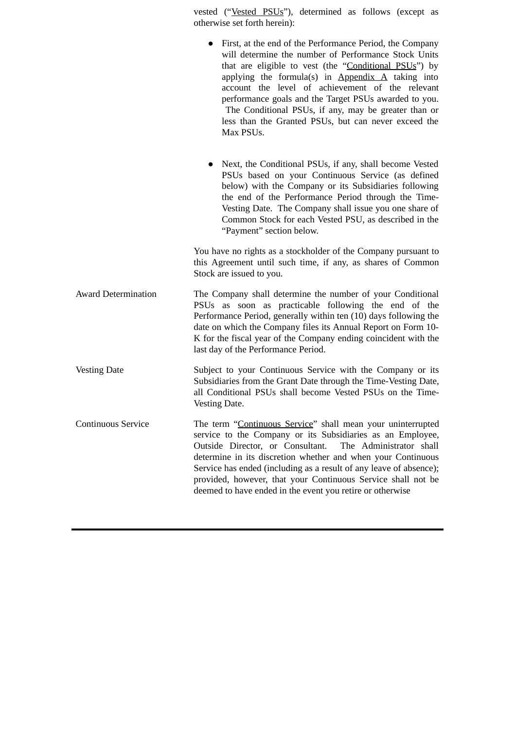vested ("Vested PSUs"), determined as follows (except as otherwise set forth herein):

● First, at the end of the Performance Period, the Company will determine the number of Performance Stock Units that are eligible to vest (the "Conditional PSUs") by applying the formula(s) in  $\Delta$ ppendix  $\Delta$  taking into account the level of achievement of the relevant performance goals and the Target PSUs awarded to you. The Conditional PSUs, if any, may be greater than or less than the Granted PSUs, but can never exceed the Max PSUs.

● Next, the Conditional PSUs, if any, shall become Vested PSUs based on your Continuous Service (as defined below) with the Company or its Subsidiaries following the end of the Performance Period through the Time-Vesting Date. The Company shall issue you one share of Common Stock for each Vested PSU, as described in the "Payment" section below.

You have no rights as a stockholder of the Company pursuant to this Agreement until such time, if any, as shares of Common Stock are issued to you.

- Award Determination The Company shall determine the number of your Conditional PSUs as soon as practicable following the end of the Performance Period, generally within ten (10) days following the date on which the Company files its Annual Report on Form 10- K for the fiscal year of the Company ending coincident with the last day of the Performance Period.
- Vesting Date Subject to your Continuous Service with the Company or its Subsidiaries from the Grant Date through the Time-Vesting Date, all Conditional PSUs shall become Vested PSUs on the Time-Vesting Date.
- Continuous Service The term "Continuous Service" shall mean your uninterrupted service to the Company or its Subsidiaries as an Employee, Outside Director, or Consultant. The Administrator shall determine in its discretion whether and when your Continuous Service has ended (including as a result of any leave of absence); provided, however, that your Continuous Service shall not be deemed to have ended in the event you retire or otherwise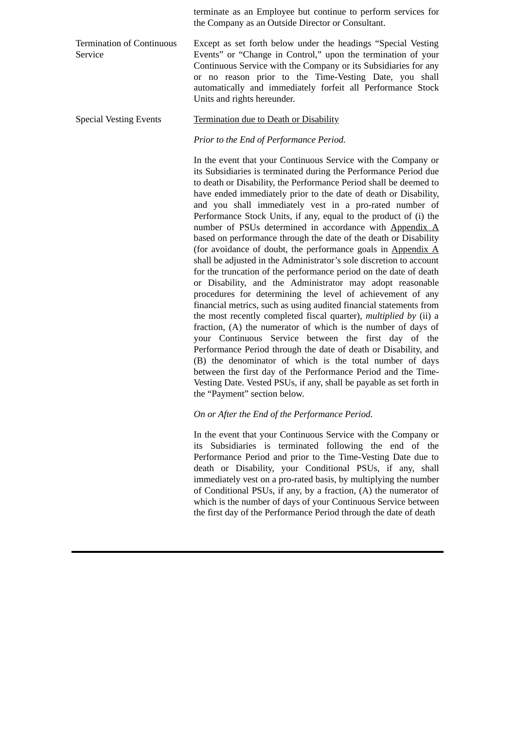terminate as an Employee but continue to perform services for the Company as an Outside Director or Consultant. Termination of Continuous Service Except as set forth below under the headings "Special Vesting Events" or "Change in Control," upon the termination of your Continuous Service with the Company or its Subsidiaries for any or no reason prior to the Time-Vesting Date, you shall automatically and immediately forfeit all Performance Stock Units and rights hereunder.

Special Vesting Events Termination due to Death or Disability

*Prior to the End of Performance Period.* 

In the event that your Continuous Service with the Company or its Subsidiaries is terminated during the Performance Period due to death or Disability, the Performance Period shall be deemed to have ended immediately prior to the date of death or Disability, and you shall immediately vest in a pro-rated number of Performance Stock Units, if any, equal to the product of (i) the number of PSUs determined in accordance with  $\Delta$ ppendix  $\Delta$ based on performance through the date of the death or Disability (for avoidance of doubt, the performance goals in  $\Delta$ ppendix  $\Delta$ shall be adjusted in the Administrator's sole discretion to account for the truncation of the performance period on the date of death or Disability, and the Administrator may adopt reasonable procedures for determining the level of achievement of any financial metrics, such as using audited financial statements from the most recently completed fiscal quarter), *multiplied by* (ii) a fraction, (A) the numerator of which is the number of days of your Continuous Service between the first day of the Performance Period through the date of death or Disability, and (B) the denominator of which is the total number of days between the first day of the Performance Period and the Time-Vesting Date. Vested PSUs, if any, shall be payable as set forth in the "Payment" section below.

*On or After the End of the Performance Period.*

In the event that your Continuous Service with the Company or its Subsidiaries is terminated following the end of the Performance Period and prior to the Time-Vesting Date due to death or Disability, your Conditional PSUs, if any, shall immediately vest on a pro-rated basis, by multiplying the number of Conditional PSUs, if any, by a fraction, (A) the numerator of which is the number of days of your Continuous Service between the first day of the Performance Period through the date of death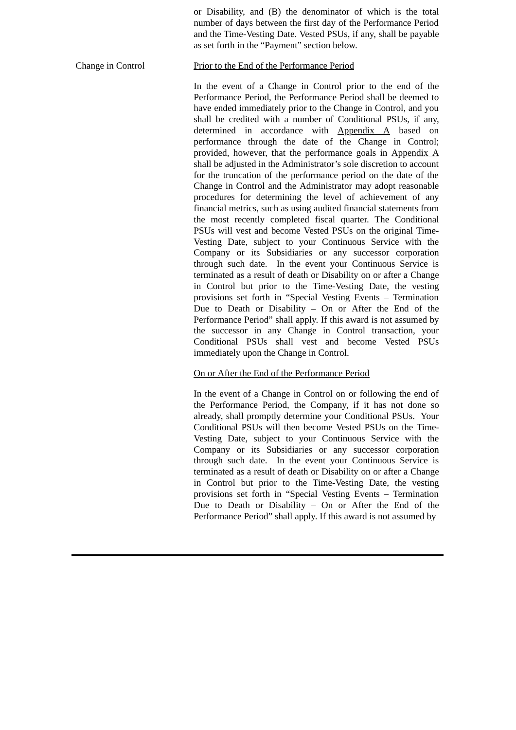or Disability, and (B) the denominator of which is the total number of days between the first day of the Performance Period and the Time-Vesting Date. Vested PSUs, if any, shall be payable as set forth in the "Payment" section below.

## Change in Control Prior to the End of the Performance Period

In the event of a Change in Control prior to the end of the Performance Period, the Performance Period shall be deemed to have ended immediately prior to the Change in Control, and you shall be credited with a number of Conditional PSUs, if any, determined in accordance with **Appendix A** based on performance through the date of the Change in Control; provided, however, that the performance goals in Appendix A shall be adjusted in the Administrator's sole discretion to account for the truncation of the performance period on the date of the Change in Control and the Administrator may adopt reasonable procedures for determining the level of achievement of any financial metrics, such as using audited financial statements from the most recently completed fiscal quarter. The Conditional PSUs will vest and become Vested PSUs on the original Time-Vesting Date, subject to your Continuous Service with the Company or its Subsidiaries or any successor corporation through such date. In the event your Continuous Service is terminated as a result of death or Disability on or after a Change in Control but prior to the Time-Vesting Date, the vesting provisions set forth in "Special Vesting Events – Termination Due to Death or Disability – On or After the End of the Performance Period" shall apply. If this award is not assumed by the successor in any Change in Control transaction, your Conditional PSUs shall vest and become Vested PSUs immediately upon the Change in Control.

## On or After the End of the Performance Period

In the event of a Change in Control on or following the end of the Performance Period, the Company, if it has not done so already, shall promptly determine your Conditional PSUs. Your Conditional PSUs will then become Vested PSUs on the Time-Vesting Date, subject to your Continuous Service with the Company or its Subsidiaries or any successor corporation through such date. In the event your Continuous Service is terminated as a result of death or Disability on or after a Change in Control but prior to the Time-Vesting Date, the vesting provisions set forth in "Special Vesting Events – Termination Due to Death or Disability – On or After the End of the Performance Period" shall apply. If this award is not assumed by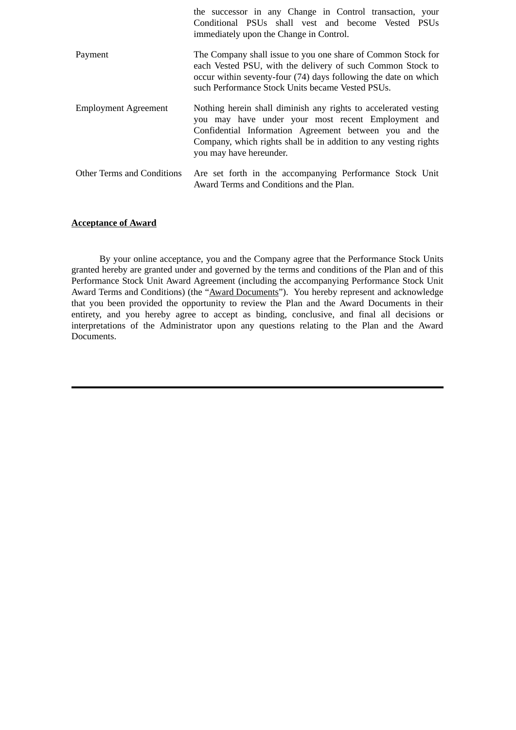|                             | the successor in any Change in Control transaction, your<br>Conditional PSUs shall vest and become Vested PSUs<br>immediately upon the Change in Control.                                                                                                                      |
|-----------------------------|--------------------------------------------------------------------------------------------------------------------------------------------------------------------------------------------------------------------------------------------------------------------------------|
| Payment                     | The Company shall issue to you one share of Common Stock for<br>each Vested PSU, with the delivery of such Common Stock to<br>occur within seventy-four (74) days following the date on which<br>such Performance Stock Units became Vested PSUs.                              |
| <b>Employment Agreement</b> | Nothing herein shall diminish any rights to accelerated vesting<br>you may have under your most recent Employment and<br>Confidential Information Agreement between you and the<br>Company, which rights shall be in addition to any vesting rights<br>you may have hereunder. |
| Other Terms and Conditions  | Are set forth in the accompanying Performance Stock Unit<br>Award Terms and Conditions and the Plan.                                                                                                                                                                           |

# **Acceptance of Award**

By your online acceptance, you and the Company agree that the Performance Stock Units granted hereby are granted under and governed by the terms and conditions of the Plan and of this Performance Stock Unit Award Agreement (including the accompanying Performance Stock Unit Award Terms and Conditions) (the "Award Documents"). You hereby represent and acknowledge that you been provided the opportunity to review the Plan and the Award Documents in their entirety, and you hereby agree to accept as binding, conclusive, and final all decisions or interpretations of the Administrator upon any questions relating to the Plan and the Award Documents.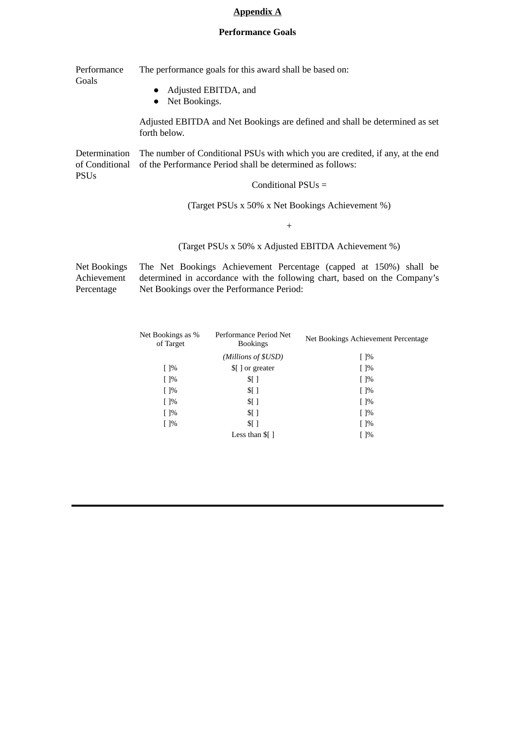#### **Appendix A**

## **Performance Goals**

Performance Goals The performance goals for this award shall be based on:

- Adjusted EBITDA, and
- Net Bookings.

Adjusted EBITDA and Net Bookings are defined and shall be determined as set forth below.

Determination of Conditional of the Performance Period shall be determined as follows: PSUs The number of Conditional PSUs with which you are credited, if any, at the end

## Conditional PSUs =

### (Target PSUs x 50% x Net Bookings Achievement %)

+

## (Target PSUs x 50% x Adjusted EBITDA Achievement %)

Net Bookings Achievement Percentage The Net Bookings Achievement Percentage (capped at 150%) shall be determined in accordance with the following chart, based on the Company's Net Bookings over the Performance Period:

| Net Bookings as %<br>of Target | Performance Period Net<br><b>Bookings</b> | Net Bookings Achievement Percentage |
|--------------------------------|-------------------------------------------|-------------------------------------|
|                                | (Millions of \$USD)                       | $\lceil \cdot \rceil\%$             |
| $\lceil \cdot \rceil\%$        | \$[] or greater                           | $\lceil \cdot \rceil\%$             |
| $\lceil \cdot \rceil\%$        | \$[]                                      | $\lceil \cdot \rceil\%$             |
| $\lceil \cdot \rceil\%$        | \$[]                                      | $\lceil \cdot \rceil\%$             |
| $\lceil \cdot \rceil\%$        | \$[]                                      | $\lceil \cdot \rceil\%$             |
| $\lceil \cdot \rceil\%$        | \$[]                                      | $\lceil \cdot \rceil\%$             |
| $\lceil \cdot \rceil\%$        | \$[]                                      | $\lceil \cdot \rceil\%$             |
|                                | Less than $\$$ [ ]                        | $\lceil \cdot \rceil\%$             |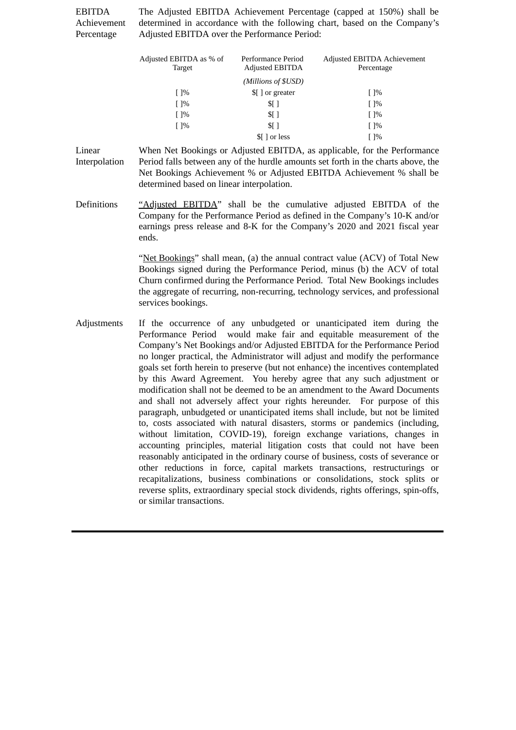EBITDA Achievement Percentage The Adjusted EBITDA Achievement Percentage (capped at 150%) shall be determined in accordance with the following chart, based on the Company's Adjusted EBITDA over the Performance Period:

| Adjusted EBITDA as % of<br><b>Target</b> | Performance Period<br><b>Adjusted EBITDA</b> | Adjusted EBITDA Achievement<br>Percentage |
|------------------------------------------|----------------------------------------------|-------------------------------------------|
|                                          | (Millions of \$USD)                          |                                           |
| $\lceil \cdot \rceil\%$                  | \$[] or greater                              | []%                                       |
| $\lceil \cdot \rceil\%$                  | $\mathbb{S}$ [ ]                             | $\lceil \cdot \rceil\%$                   |
| $\lceil \cdot \rceil\%$                  | SI 1                                         | $\lceil \cdot \rceil\%$                   |
| $\lceil \cdot \rceil\%$                  | <b>S</b> [ ]                                 | $\lceil \cdot \rceil\%$                   |
|                                          | or less                                      | $\lceil \cdot \rceil\%$                   |

- Linear Interpolation When Net Bookings or Adjusted EBITDA, as applicable, for the Performance Period falls between any of the hurdle amounts set forth in the charts above, the Net Bookings Achievement % or Adjusted EBITDA Achievement % shall be determined based on linear interpolation.
- Definitions "Adjusted EBITDA" shall be the cumulative adjusted EBITDA of the Company for the Performance Period as defined in the Company's 10-K and/or earnings press release and 8-K for the Company's 2020 and 2021 fiscal year ends.

"Net Bookings" shall mean, (a) the annual contract value (ACV) of Total New Bookings signed during the Performance Period, minus (b) the ACV of total Churn confirmed during the Performance Period. Total New Bookings includes the aggregate of recurring, non-recurring, technology services, and professional services bookings.

Adjustments If the occurrence of any unbudgeted or unanticipated item during the Performance Period would make fair and equitable measurement of the Company's Net Bookings and/or Adjusted EBITDA for the Performance Period no longer practical, the Administrator will adjust and modify the performance goals set forth herein to preserve (but not enhance) the incentives contemplated by this Award Agreement. You hereby agree that any such adjustment or modification shall not be deemed to be an amendment to the Award Documents and shall not adversely affect your rights hereunder. For purpose of this paragraph, unbudgeted or unanticipated items shall include, but not be limited to, costs associated with natural disasters, storms or pandemics (including, without limitation, COVID-19), foreign exchange variations, changes in accounting principles, material litigation costs that could not have been reasonably anticipated in the ordinary course of business, costs of severance or other reductions in force, capital markets transactions, restructurings or recapitalizations, business combinations or consolidations, stock splits or reverse splits, extraordinary special stock dividends, rights offerings, spin-offs, or similar transactions.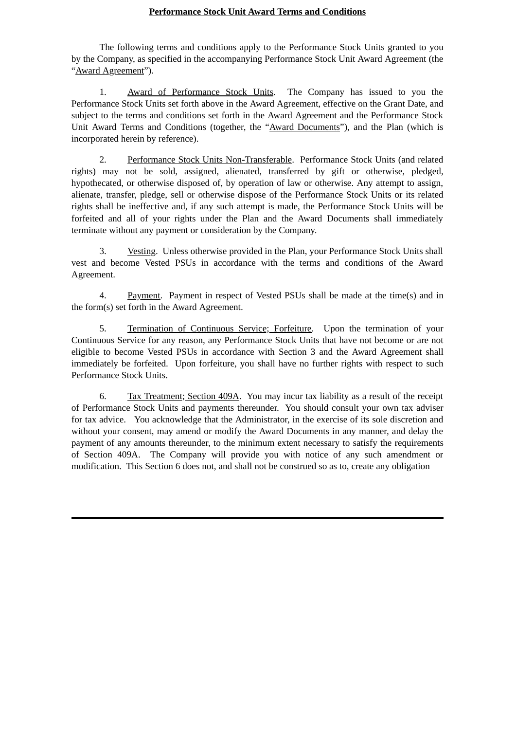## **Performance Stock Unit Award Terms and Conditions**

The following terms and conditions apply to the Performance Stock Units granted to you by the Company, as specified in the accompanying Performance Stock Unit Award Agreement (the "Award Agreement").

1. Award of Performance Stock Units. The Company has issued to you the Performance Stock Units set forth above in the Award Agreement, effective on the Grant Date, and subject to the terms and conditions set forth in the Award Agreement and the Performance Stock Unit Award Terms and Conditions (together, the "Award Documents"), and the Plan (which is incorporated herein by reference).

2. Performance Stock Units Non-Transferable. Performance Stock Units (and related rights) may not be sold, assigned, alienated, transferred by gift or otherwise, pledged, hypothecated, or otherwise disposed of, by operation of law or otherwise. Any attempt to assign, alienate, transfer, pledge, sell or otherwise dispose of the Performance Stock Units or its related rights shall be ineffective and, if any such attempt is made, the Performance Stock Units will be forfeited and all of your rights under the Plan and the Award Documents shall immediately terminate without any payment or consideration by the Company.

3. Vesting. Unless otherwise provided in the Plan, your Performance Stock Units shall vest and become Vested PSUs in accordance with the terms and conditions of the Award Agreement.

4. Payment. Payment in respect of Vested PSUs shall be made at the time(s) and in the form(s) set forth in the Award Agreement.

5. Termination of Continuous Service; Forfeiture. Upon the termination of your Continuous Service for any reason, any Performance Stock Units that have not become or are not eligible to become Vested PSUs in accordance with Section 3 and the Award Agreement shall immediately be forfeited. Upon forfeiture, you shall have no further rights with respect to such Performance Stock Units.

6. Tax Treatment; Section 409A. You may incur tax liability as a result of the receipt of Performance Stock Units and payments thereunder. You should consult your own tax adviser for tax advice. You acknowledge that the Administrator, in the exercise of its sole discretion and without your consent, may amend or modify the Award Documents in any manner, and delay the payment of any amounts thereunder, to the minimum extent necessary to satisfy the requirements of Section 409A. The Company will provide you with notice of any such amendment or modification. This Section 6 does not, and shall not be construed so as to, create any obligation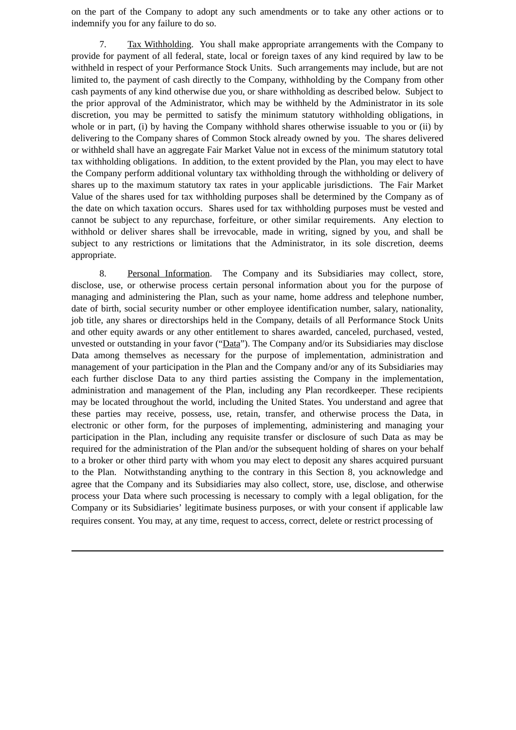on the part of the Company to adopt any such amendments or to take any other actions or to indemnify you for any failure to do so.

7. Tax Withholding. You shall make appropriate arrangements with the Company to provide for payment of all federal, state, local or foreign taxes of any kind required by law to be withheld in respect of your Performance Stock Units. Such arrangements may include, but are not limited to, the payment of cash directly to the Company, withholding by the Company from other cash payments of any kind otherwise due you, or share withholding as described below. Subject to the prior approval of the Administrator, which may be withheld by the Administrator in its sole discretion, you may be permitted to satisfy the minimum statutory withholding obligations, in whole or in part, (i) by having the Company withhold shares otherwise issuable to you or (ii) by delivering to the Company shares of Common Stock already owned by you. The shares delivered or withheld shall have an aggregate Fair Market Value not in excess of the minimum statutory total tax withholding obligations. In addition, to the extent provided by the Plan, you may elect to have the Company perform additional voluntary tax withholding through the withholding or delivery of shares up to the maximum statutory tax rates in your applicable jurisdictions. The Fair Market Value of the shares used for tax withholding purposes shall be determined by the Company as of the date on which taxation occurs. Shares used for tax withholding purposes must be vested and cannot be subject to any repurchase, forfeiture, or other similar requirements. Any election to withhold or deliver shares shall be irrevocable, made in writing, signed by you, and shall be subject to any restrictions or limitations that the Administrator, in its sole discretion, deems appropriate.

8. Personal Information. The Company and its Subsidiaries may collect, store, disclose, use, or otherwise process certain personal information about you for the purpose of managing and administering the Plan, such as your name, home address and telephone number, date of birth, social security number or other employee identification number, salary, nationality, job title, any shares or directorships held in the Company, details of all Performance Stock Units and other equity awards or any other entitlement to shares awarded, canceled, purchased, vested, unvested or outstanding in your favor ("Data"). The Company and/or its Subsidiaries may disclose Data among themselves as necessary for the purpose of implementation, administration and management of your participation in the Plan and the Company and/or any of its Subsidiaries may each further disclose Data to any third parties assisting the Company in the implementation, administration and management of the Plan, including any Plan recordkeeper. These recipients may be located throughout the world, including the United States. You understand and agree that these parties may receive, possess, use, retain, transfer, and otherwise process the Data, in electronic or other form, for the purposes of implementing, administering and managing your participation in the Plan, including any requisite transfer or disclosure of such Data as may be required for the administration of the Plan and/or the subsequent holding of shares on your behalf to a broker or other third party with whom you may elect to deposit any shares acquired pursuant to the Plan. Notwithstanding anything to the contrary in this Section 8, you acknowledge and agree that the Company and its Subsidiaries may also collect, store, use, disclose, and otherwise process your Data where such processing is necessary to comply with a legal obligation, for the Company or its Subsidiaries' legitimate business purposes, or with your consent if applicable law requires consent. You may, at any time, request to access, correct, delete or restrict processing of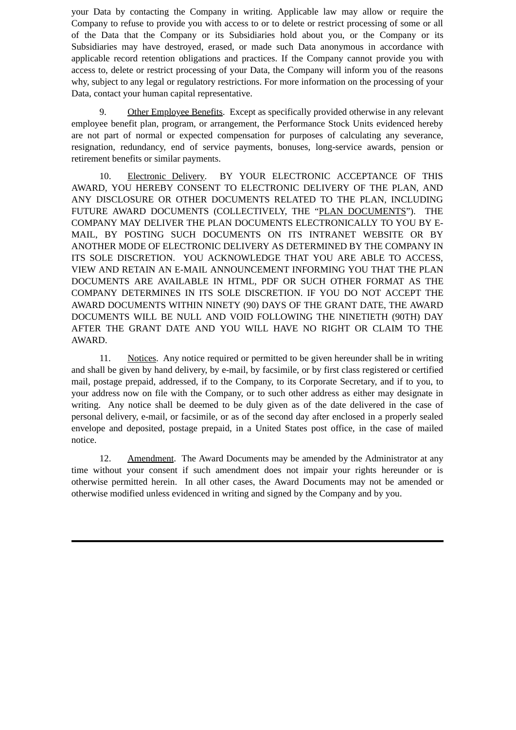your Data by contacting the Company in writing. Applicable law may allow or require the Company to refuse to provide you with access to or to delete or restrict processing of some or all of the Data that the Company or its Subsidiaries hold about you, or the Company or its Subsidiaries may have destroyed, erased, or made such Data anonymous in accordance with applicable record retention obligations and practices. If the Company cannot provide you with access to, delete or restrict processing of your Data, the Company will inform you of the reasons why, subject to any legal or regulatory restrictions. For more information on the processing of your Data, contact your human capital representative.

9. Other Employee Benefits. Except as specifically provided otherwise in any relevant employee benefit plan, program, or arrangement, the Performance Stock Units evidenced hereby are not part of normal or expected compensation for purposes of calculating any severance, resignation, redundancy, end of service payments, bonuses, long-service awards, pension or retirement benefits or similar payments.

10. Electronic Delivery. BY YOUR ELECTRONIC ACCEPTANCE OF THIS AWARD, YOU HEREBY CONSENT TO ELECTRONIC DELIVERY OF THE PLAN, AND ANY DISCLOSURE OR OTHER DOCUMENTS RELATED TO THE PLAN, INCLUDING FUTURE AWARD DOCUMENTS (COLLECTIVELY, THE "PLAN DOCUMENTS"). THE COMPANY MAY DELIVER THE PLAN DOCUMENTS ELECTRONICALLY TO YOU BY E-MAIL, BY POSTING SUCH DOCUMENTS ON ITS INTRANET WEBSITE OR BY ANOTHER MODE OF ELECTRONIC DELIVERY AS DETERMINED BY THE COMPANY IN ITS SOLE DISCRETION. YOU ACKNOWLEDGE THAT YOU ARE ABLE TO ACCESS, VIEW AND RETAIN AN E-MAIL ANNOUNCEMENT INFORMING YOU THAT THE PLAN DOCUMENTS ARE AVAILABLE IN HTML, PDF OR SUCH OTHER FORMAT AS THE COMPANY DETERMINES IN ITS SOLE DISCRETION. IF YOU DO NOT ACCEPT THE AWARD DOCUMENTS WITHIN NINETY (90) DAYS OF THE GRANT DATE, THE AWARD DOCUMENTS WILL BE NULL AND VOID FOLLOWING THE NINETIETH (90TH) DAY AFTER THE GRANT DATE AND YOU WILL HAVE NO RIGHT OR CLAIM TO THE AWARD.

11. Notices. Any notice required or permitted to be given hereunder shall be in writing and shall be given by hand delivery, by e-mail, by facsimile, or by first class registered or certified mail, postage prepaid, addressed, if to the Company, to its Corporate Secretary, and if to you, to your address now on file with the Company, or to such other address as either may designate in writing. Any notice shall be deemed to be duly given as of the date delivered in the case of personal delivery, e-mail, or facsimile, or as of the second day after enclosed in a properly sealed envelope and deposited, postage prepaid, in a United States post office, in the case of mailed notice.

12. Amendment. The Award Documents may be amended by the Administrator at any time without your consent if such amendment does not impair your rights hereunder or is otherwise permitted herein. In all other cases, the Award Documents may not be amended or otherwise modified unless evidenced in writing and signed by the Company and by you.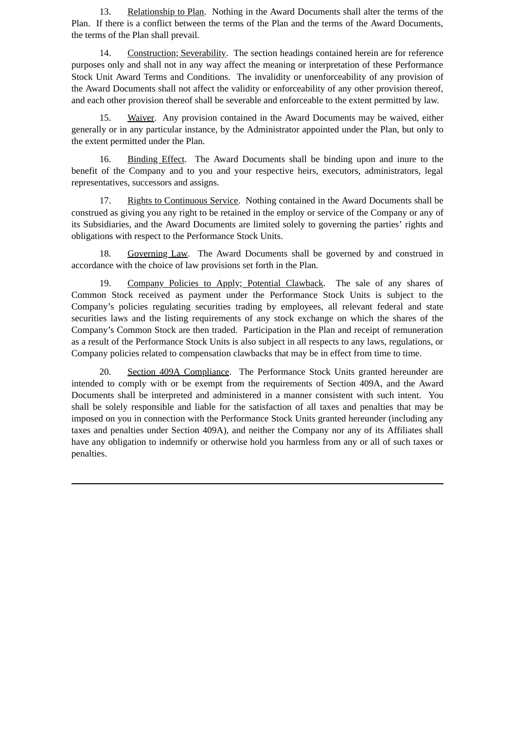13. Relationship to Plan. Nothing in the Award Documents shall alter the terms of the Plan. If there is a conflict between the terms of the Plan and the terms of the Award Documents, the terms of the Plan shall prevail.

14. Construction; Severability. The section headings contained herein are for reference purposes only and shall not in any way affect the meaning or interpretation of these Performance Stock Unit Award Terms and Conditions. The invalidity or unenforceability of any provision of the Award Documents shall not affect the validity or enforceability of any other provision thereof, and each other provision thereof shall be severable and enforceable to the extent permitted by law.

15. Waiver. Any provision contained in the Award Documents may be waived, either generally or in any particular instance, by the Administrator appointed under the Plan, but only to the extent permitted under the Plan.

16. Binding Effect. The Award Documents shall be binding upon and inure to the benefit of the Company and to you and your respective heirs, executors, administrators, legal representatives, successors and assigns.

17. Rights to Continuous Service. Nothing contained in the Award Documents shall be construed as giving you any right to be retained in the employ or service of the Company or any of its Subsidiaries, and the Award Documents are limited solely to governing the parties' rights and obligations with respect to the Performance Stock Units.

18. Governing Law. The Award Documents shall be governed by and construed in accordance with the choice of law provisions set forth in the Plan.

19. Company Policies to Apply; Potential Clawback. The sale of any shares of Common Stock received as payment under the Performance Stock Units is subject to the Company's policies regulating securities trading by employees, all relevant federal and state securities laws and the listing requirements of any stock exchange on which the shares of the Company's Common Stock are then traded. Participation in the Plan and receipt of remuneration as a result of the Performance Stock Units is also subject in all respects to any laws, regulations, or Company policies related to compensation clawbacks that may be in effect from time to time.

20. Section 409A Compliance. The Performance Stock Units granted hereunder are intended to comply with or be exempt from the requirements of Section 409A, and the Award Documents shall be interpreted and administered in a manner consistent with such intent. You shall be solely responsible and liable for the satisfaction of all taxes and penalties that may be imposed on you in connection with the Performance Stock Units granted hereunder (including any taxes and penalties under Section 409A), and neither the Company nor any of its Affiliates shall have any obligation to indemnify or otherwise hold you harmless from any or all of such taxes or penalties.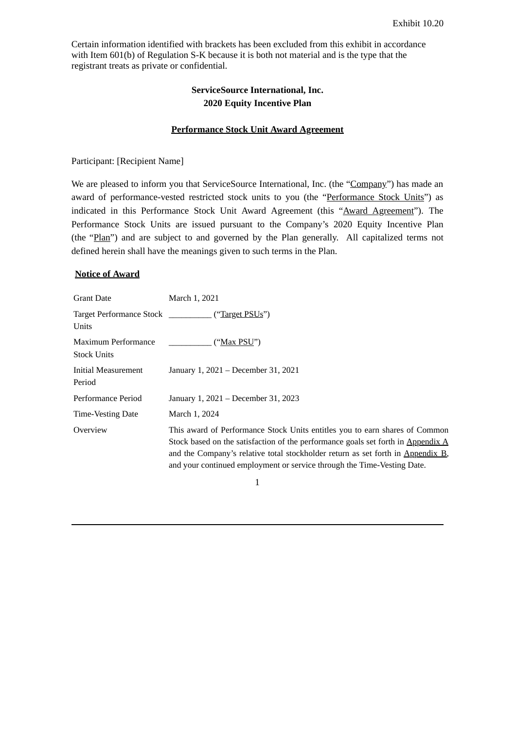Certain information identified with brackets has been excluded from this exhibit in accordance with Item 601(b) of Regulation S-K because it is both not material and is the type that the registrant treats as private or confidential.

# **ServiceSource International, Inc. 2020 Equity Incentive Plan**

## **Performance Stock Unit Award Agreement**

Participant: [Recipient Name]

We are pleased to inform you that ServiceSource International, Inc. (the "Company") has made an award of performance-vested restricted stock units to you (the "Performance Stock Units") as indicated in this Performance Stock Unit Award Agreement (this "Award Agreement"). The Performance Stock Units are issued pursuant to the Company's 2020 Equity Incentive Plan (the "Plan") and are subject to and governed by the Plan generally. All capitalized terms not defined herein shall have the meanings given to such terms in the Plan.

## **Notice of Award**

| <b>Grant Date</b>                         | March 1, 2021                                                                                                                                                                                                                                                                                                                 |
|-------------------------------------------|-------------------------------------------------------------------------------------------------------------------------------------------------------------------------------------------------------------------------------------------------------------------------------------------------------------------------------|
| Units                                     | Target Performance Stock ______________ ("Target PSUs")                                                                                                                                                                                                                                                                       |
| Maximum Performance<br><b>Stock Units</b> | ("Max PSU")                                                                                                                                                                                                                                                                                                                   |
| Initial Measurement<br>Period             | January 1, 2021 – December 31, 2021                                                                                                                                                                                                                                                                                           |
| Performance Period                        | January 1, 2021 – December 31, 2023                                                                                                                                                                                                                                                                                           |
| Time-Vesting Date                         | March 1, 2024                                                                                                                                                                                                                                                                                                                 |
| Overview                                  | This award of Performance Stock Units entitles you to earn shares of Common<br>Stock based on the satisfaction of the performance goals set forth in Appendix A<br>and the Company's relative total stockholder return as set forth in Appendix B,<br>and your continued employment or service through the Time-Vesting Date. |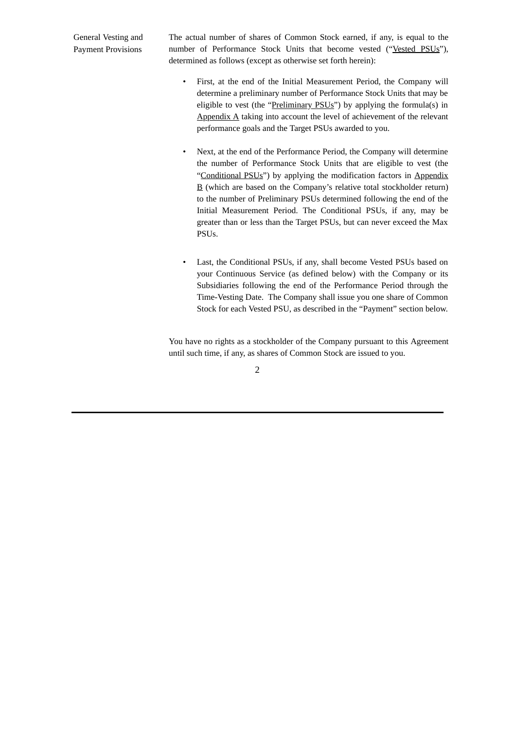General Vesting and Payment Provisions

The actual number of shares of Common Stock earned, if any, is equal to the number of Performance Stock Units that become vested ("Vested PSUs"), determined as follows (except as otherwise set forth herein):

- First, at the end of the Initial Measurement Period, the Company will determine a preliminary number of Performance Stock Units that may be eligible to vest (the "Preliminary PSUs") by applying the formula(s) in Appendix  $\overline{A}$  taking into account the level of achievement of the relevant performance goals and the Target PSUs awarded to you.
- Next, at the end of the Performance Period, the Company will determine the number of Performance Stock Units that are eligible to vest (the "Conditional PSUs") by applying the modification factors in Appendix B (which are based on the Company's relative total stockholder return) to the number of Preliminary PSUs determined following the end of the Initial Measurement Period. The Conditional PSUs, if any, may be greater than or less than the Target PSUs, but can never exceed the Max PSUs.
- Last, the Conditional PSUs, if any, shall become Vested PSUs based on your Continuous Service (as defined below) with the Company or its Subsidiaries following the end of the Performance Period through the Time-Vesting Date. The Company shall issue you one share of Common Stock for each Vested PSU, as described in the "Payment" section below.

You have no rights as a stockholder of the Company pursuant to this Agreement until such time, if any, as shares of Common Stock are issued to you.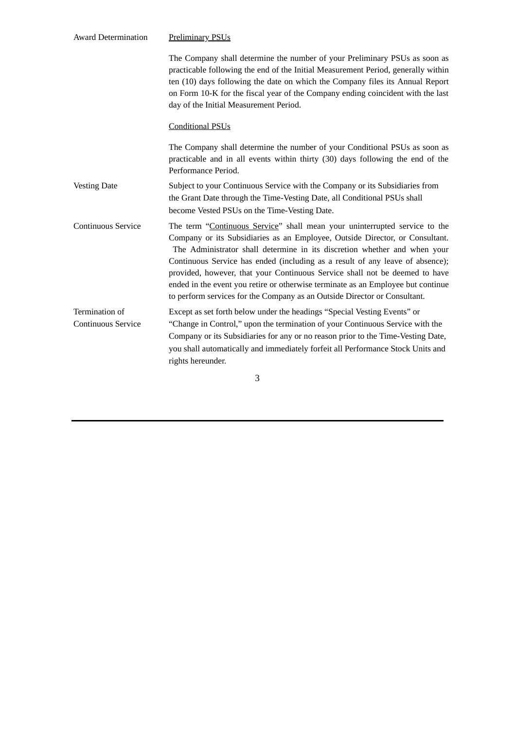#### Award Determination Preliminary PSUs

The Company shall determine the number of your Preliminary PSUs as soon as practicable following the end of the Initial Measurement Period, generally within ten (10) days following the date on which the Company files its Annual Report on Form 10-K for the fiscal year of the Company ending coincident with the last day of the Initial Measurement Period.

#### Conditional PSUs

The Company shall determine the number of your Conditional PSUs as soon as practicable and in all events within thirty (30) days following the end of the Performance Period.

Vesting Date Subject to your Continuous Service with the Company or its Subsidiaries from the Grant Date through the Time-Vesting Date, all Conditional PSUs shall become Vested PSUs on the Time-Vesting Date.

- Continuous Service The term "Continuous Service" shall mean your uninterrupted service to the Company or its Subsidiaries as an Employee, Outside Director, or Consultant. The Administrator shall determine in its discretion whether and when your Continuous Service has ended (including as a result of any leave of absence); provided, however, that your Continuous Service shall not be deemed to have ended in the event you retire or otherwise terminate as an Employee but continue to perform services for the Company as an Outside Director or Consultant.
- Termination of Continuous Service Except as set forth below under the headings "Special Vesting Events" or "Change in Control," upon the termination of your Continuous Service with the Company or its Subsidiaries for any or no reason prior to the Time-Vesting Date, you shall automatically and immediately forfeit all Performance Stock Units and rights hereunder.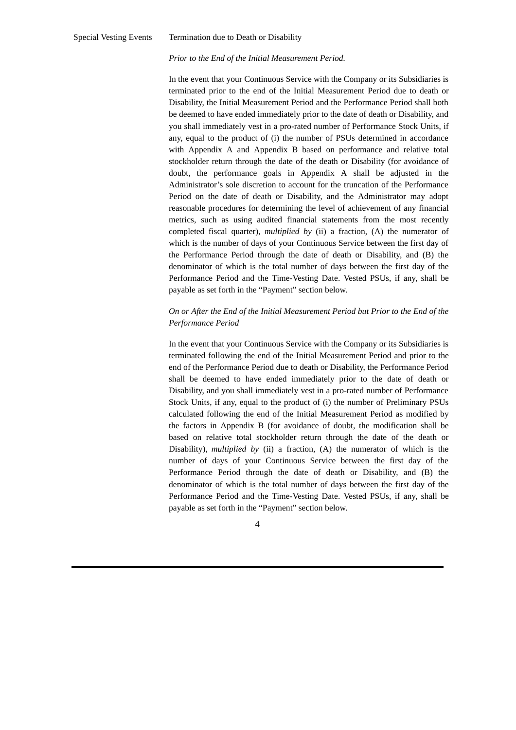#### *Prior to the End of the Initial Measurement Period.*

In the event that your Continuous Service with the Company or its Subsidiaries is terminated prior to the end of the Initial Measurement Period due to death or Disability, the Initial Measurement Period and the Performance Period shall both be deemed to have ended immediately prior to the date of death or Disability, and you shall immediately vest in a pro-rated number of Performance Stock Units, if any, equal to the product of (i) the number of PSUs determined in accordance with Appendix A and Appendix B based on performance and relative total stockholder return through the date of the death or Disability (for avoidance of doubt, the performance goals in Appendix A shall be adjusted in the Administrator's sole discretion to account for the truncation of the Performance Period on the date of death or Disability, and the Administrator may adopt reasonable procedures for determining the level of achievement of any financial metrics, such as using audited financial statements from the most recently completed fiscal quarter), *multiplied by* (ii) a fraction, (A) the numerator of which is the number of days of your Continuous Service between the first day of the Performance Period through the date of death or Disability, and (B) the denominator of which is the total number of days between the first day of the Performance Period and the Time-Vesting Date. Vested PSUs, if any, shall be payable as set forth in the "Payment" section below.

### *On or After the End of the Initial Measurement Period but Prior to the End of the Performance Period*

In the event that your Continuous Service with the Company or its Subsidiaries is terminated following the end of the Initial Measurement Period and prior to the end of the Performance Period due to death or Disability, the Performance Period shall be deemed to have ended immediately prior to the date of death or Disability, and you shall immediately vest in a pro-rated number of Performance Stock Units, if any, equal to the product of (i) the number of Preliminary PSUs calculated following the end of the Initial Measurement Period as modified by the factors in Appendix B (for avoidance of doubt, the modification shall be based on relative total stockholder return through the date of the death or Disability), *multiplied by* (ii) a fraction, (A) the numerator of which is the number of days of your Continuous Service between the first day of the Performance Period through the date of death or Disability, and (B) the denominator of which is the total number of days between the first day of the Performance Period and the Time-Vesting Date. Vested PSUs, if any, shall be payable as set forth in the "Payment" section below.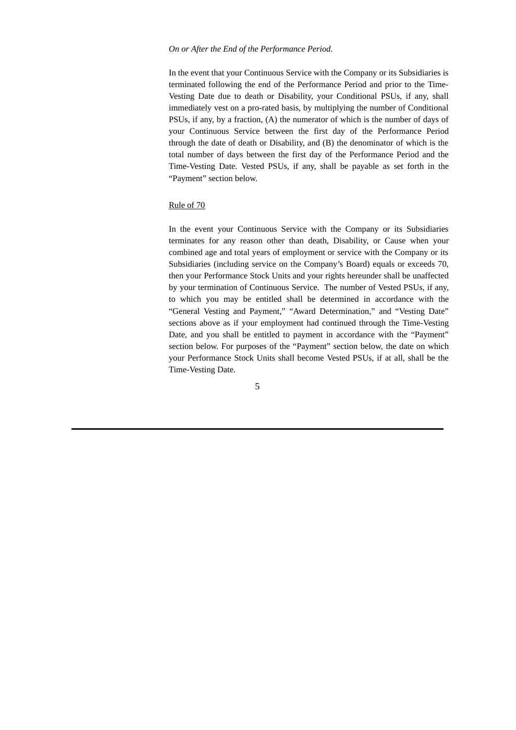#### *On or After the End of the Performance Period.*

In the event that your Continuous Service with the Company or its Subsidiaries is terminated following the end of the Performance Period and prior to the Time-Vesting Date due to death or Disability, your Conditional PSUs, if any, shall immediately vest on a pro-rated basis, by multiplying the number of Conditional PSUs, if any, by a fraction, (A) the numerator of which is the number of days of your Continuous Service between the first day of the Performance Period through the date of death or Disability, and (B) the denominator of which is the total number of days between the first day of the Performance Period and the Time-Vesting Date. Vested PSUs, if any, shall be payable as set forth in the "Payment" section below.

#### Rule of 70

In the event your Continuous Service with the Company or its Subsidiaries terminates for any reason other than death, Disability, or Cause when your combined age and total years of employment or service with the Company or its Subsidiaries (including service on the Company's Board) equals or exceeds 70, then your Performance Stock Units and your rights hereunder shall be unaffected by your termination of Continuous Service. The number of Vested PSUs, if any, to which you may be entitled shall be determined in accordance with the "General Vesting and Payment," "Award Determination," and "Vesting Date" sections above as if your employment had continued through the Time-Vesting Date, and you shall be entitled to payment in accordance with the "Payment" section below. For purposes of the "Payment" section below, the date on which your Performance Stock Units shall become Vested PSUs, if at all, shall be the Time-Vesting Date.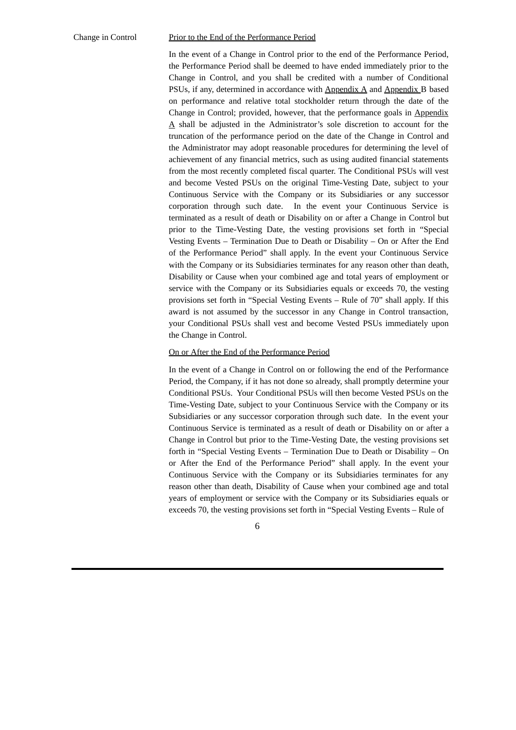#### Change in Control Prior to the End of the Performance Period

In the event of a Change in Control prior to the end of the Performance Period, the Performance Period shall be deemed to have ended immediately prior to the Change in Control, and you shall be credited with a number of Conditional PSUs, if any, determined in accordance with  $\Delta$ ppendix  $\Delta$  and  $\Delta$ ppendix B based on performance and relative total stockholder return through the date of the Change in Control; provided, however, that the performance goals in  $\Delta$ ppendix  $\Delta$  shall be adjusted in the Administrator's sole discretion to account for the truncation of the performance period on the date of the Change in Control and the Administrator may adopt reasonable procedures for determining the level of achievement of any financial metrics, such as using audited financial statements from the most recently completed fiscal quarter. The Conditional PSUs will vest and become Vested PSUs on the original Time-Vesting Date, subject to your Continuous Service with the Company or its Subsidiaries or any successor corporation through such date. In the event your Continuous Service is terminated as a result of death or Disability on or after a Change in Control but prior to the Time-Vesting Date, the vesting provisions set forth in "Special Vesting Events – Termination Due to Death or Disability – On or After the End of the Performance Period" shall apply. In the event your Continuous Service with the Company or its Subsidiaries terminates for any reason other than death, Disability or Cause when your combined age and total years of employment or service with the Company or its Subsidiaries equals or exceeds 70, the vesting provisions set forth in "Special Vesting Events – Rule of 70" shall apply. If this award is not assumed by the successor in any Change in Control transaction, your Conditional PSUs shall vest and become Vested PSUs immediately upon the Change in Control.

#### On or After the End of the Performance Period

In the event of a Change in Control on or following the end of the Performance Period, the Company, if it has not done so already, shall promptly determine your Conditional PSUs. Your Conditional PSUs will then become Vested PSUs on the Time-Vesting Date, subject to your Continuous Service with the Company or its Subsidiaries or any successor corporation through such date. In the event your Continuous Service is terminated as a result of death or Disability on or after a Change in Control but prior to the Time-Vesting Date, the vesting provisions set forth in "Special Vesting Events – Termination Due to Death or Disability – On or After the End of the Performance Period" shall apply. In the event your Continuous Service with the Company or its Subsidiaries terminates for any reason other than death, Disability of Cause when your combined age and total years of employment or service with the Company or its Subsidiaries equals or exceeds 70, the vesting provisions set forth in "Special Vesting Events – Rule of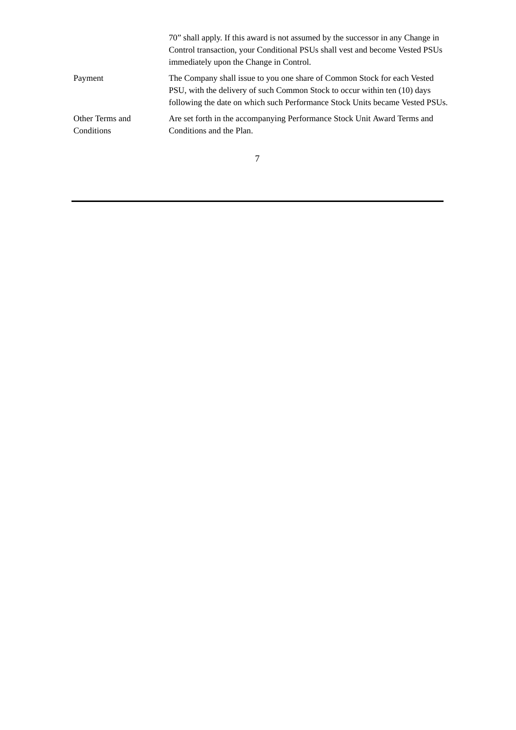|                               | 70" shall apply. If this award is not assumed by the successor in any Change in<br>Control transaction, your Conditional PSUs shall vest and become Vested PSUs<br>immediately upon the Change in Control.                            |
|-------------------------------|---------------------------------------------------------------------------------------------------------------------------------------------------------------------------------------------------------------------------------------|
| Payment                       | The Company shall issue to you one share of Common Stock for each Vested<br>PSU, with the delivery of such Common Stock to occur within ten (10) days<br>following the date on which such Performance Stock Units became Vested PSUs. |
| Other Terms and<br>Conditions | Are set forth in the accompanying Performance Stock Unit Award Terms and<br>Conditions and the Plan.                                                                                                                                  |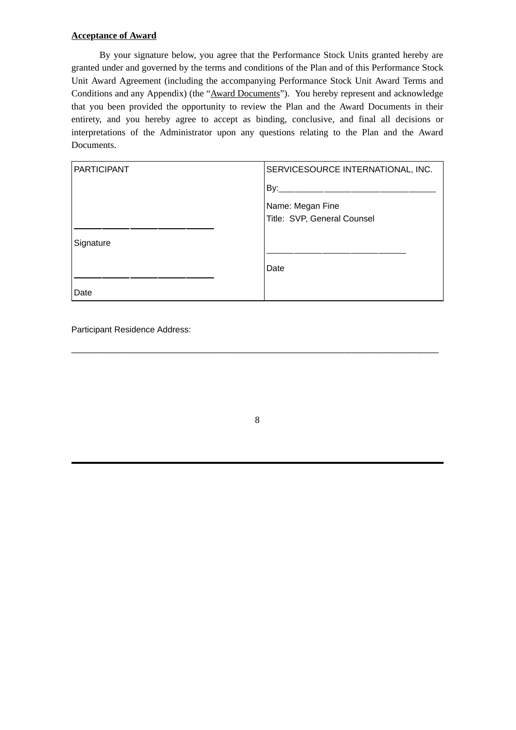# **Acceptance of Award**

By your signature below, you agree that the Performance Stock Units granted hereby are granted under and governed by the terms and conditions of the Plan and of this Performance Stock Unit Award Agreement (including the accompanying Performance Stock Unit Award Terms and Conditions and any Appendix) (the "Award Documents"). You hereby represent and acknowledge that you been provided the opportunity to review the Plan and the Award Documents in their entirety, and you hereby agree to accept as binding, conclusive, and final all decisions or interpretations of the Administrator upon any questions relating to the Plan and the Award Documents.

| <b>PARTICIPANT</b> | SERVICESOURCE INTERNATIONAL, INC. |
|--------------------|-----------------------------------|
|                    |                                   |
|                    | Name: Megan Fine                  |
|                    | Title: SVP, General Counsel       |
| Signature          |                                   |
|                    | Date                              |
|                    |                                   |
| Date               |                                   |

Participant Residence Address:

| ٠ |          |   |  |
|---|----------|---|--|
|   | ۰.<br>۰. | I |  |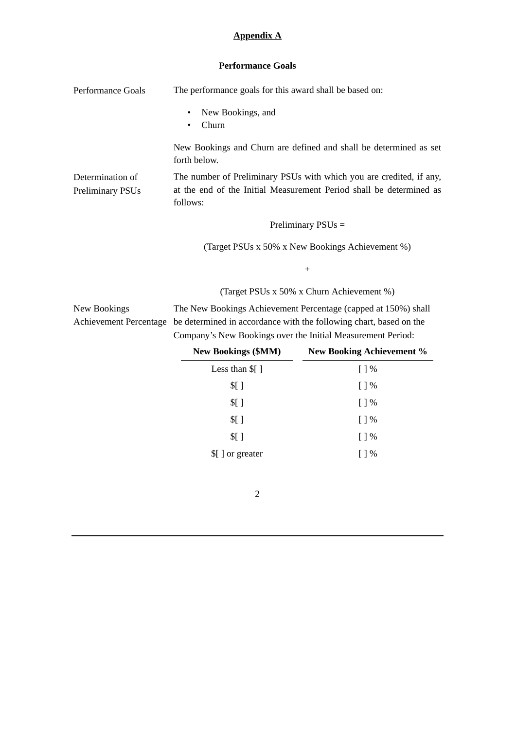# **Appendix A**

# **Performance Goals**

| Performance Goals                                       | The performance goals for this award shall be based on:                                                                                                                                             |                                                                                                                                            |  |
|---------------------------------------------------------|-----------------------------------------------------------------------------------------------------------------------------------------------------------------------------------------------------|--------------------------------------------------------------------------------------------------------------------------------------------|--|
|                                                         | New Bookings, and<br>Churn                                                                                                                                                                          |                                                                                                                                            |  |
|                                                         | forth below.                                                                                                                                                                                        | New Bookings and Churn are defined and shall be determined as set                                                                          |  |
| Determination of<br><b>Preliminary PSUs</b><br>follows: |                                                                                                                                                                                                     | The number of Preliminary PSUs with which you are credited, if any,<br>at the end of the Initial Measurement Period shall be determined as |  |
|                                                         |                                                                                                                                                                                                     | Preliminary PSUs =                                                                                                                         |  |
|                                                         |                                                                                                                                                                                                     | (Target PSUs x 50% x New Bookings Achievement %)                                                                                           |  |
|                                                         |                                                                                                                                                                                                     | $\overline{+}$                                                                                                                             |  |
|                                                         |                                                                                                                                                                                                     | (Target PSUs x 50% x Churn Achievement %)                                                                                                  |  |
| New Bookings<br>Achievement Percentage                  | The New Bookings Achievement Percentage (capped at 150%) shall<br>be determined in accordance with the following chart, based on the<br>Company's New Bookings over the Initial Measurement Period: |                                                                                                                                            |  |
|                                                         | <b>New Bookings (\$MM)</b>                                                                                                                                                                          | <b>New Booking Achievement %</b>                                                                                                           |  |
|                                                         | Less than $\mathcal{S}$ [ ]                                                                                                                                                                         | $[$ $]$ %                                                                                                                                  |  |
|                                                         | \$[]                                                                                                                                                                                                | $[$ $]$ %                                                                                                                                  |  |
|                                                         | \$[]                                                                                                                                                                                                | $[$ $]$ %                                                                                                                                  |  |
|                                                         | \$[]                                                                                                                                                                                                | $[$ $]$ %                                                                                                                                  |  |
|                                                         | \$[]                                                                                                                                                                                                | []%                                                                                                                                        |  |
|                                                         | \$[] or greater                                                                                                                                                                                     | $[$ $]$ %                                                                                                                                  |  |
|                                                         |                                                                                                                                                                                                     |                                                                                                                                            |  |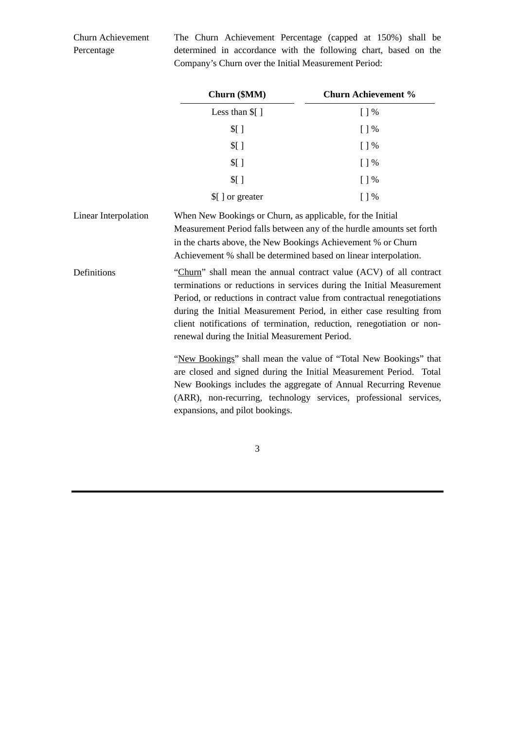# Churn Achievement Percentage

The Churn Achievement Percentage (capped at 150%) shall be determined in accordance with the following chart, based on the Company's Churn over the Initial Measurement Period:

|                      | Churn (\$MM)                                                                                                                                                                                                                                                                                                                                                                                                              | <b>Churn Achievement %</b>                                                                                                                                                                                                                                                     |
|----------------------|---------------------------------------------------------------------------------------------------------------------------------------------------------------------------------------------------------------------------------------------------------------------------------------------------------------------------------------------------------------------------------------------------------------------------|--------------------------------------------------------------------------------------------------------------------------------------------------------------------------------------------------------------------------------------------------------------------------------|
|                      | Less than $\mathcal{S}$ []                                                                                                                                                                                                                                                                                                                                                                                                | []%                                                                                                                                                                                                                                                                            |
|                      | $\mathbb{S}$ []                                                                                                                                                                                                                                                                                                                                                                                                           | []%                                                                                                                                                                                                                                                                            |
|                      | $\mathbb{S}$ []                                                                                                                                                                                                                                                                                                                                                                                                           | []%                                                                                                                                                                                                                                                                            |
|                      | \$[]                                                                                                                                                                                                                                                                                                                                                                                                                      | $\lceil \cdot \rceil\%$                                                                                                                                                                                                                                                        |
|                      | \$[]                                                                                                                                                                                                                                                                                                                                                                                                                      | $[$ $]$ %                                                                                                                                                                                                                                                                      |
|                      | \$[] or greater                                                                                                                                                                                                                                                                                                                                                                                                           | $[$ $]$ %                                                                                                                                                                                                                                                                      |
| Linear Interpolation | When New Bookings or Churn, as applicable, for the Initial<br>Measurement Period falls between any of the hurdle amounts set forth<br>in the charts above, the New Bookings Achievement % or Churn<br>Achievement % shall be determined based on linear interpolation.                                                                                                                                                    |                                                                                                                                                                                                                                                                                |
| <b>Definitions</b>   | "Churn" shall mean the annual contract value (ACV) of all contract<br>terminations or reductions in services during the Initial Measurement<br>Period, or reductions in contract value from contractual renegotiations<br>during the Initial Measurement Period, in either case resulting from<br>client notifications of termination, reduction, renegotiation or non-<br>renewal during the Initial Measurement Period. |                                                                                                                                                                                                                                                                                |
|                      | expansions, and pilot bookings.                                                                                                                                                                                                                                                                                                                                                                                           | "New Bookings" shall mean the value of "Total New Bookings" that<br>are closed and signed during the Initial Measurement Period. Total<br>New Bookings includes the aggregate of Annual Recurring Revenue<br>(ARR), non-recurring, technology services, professional services, |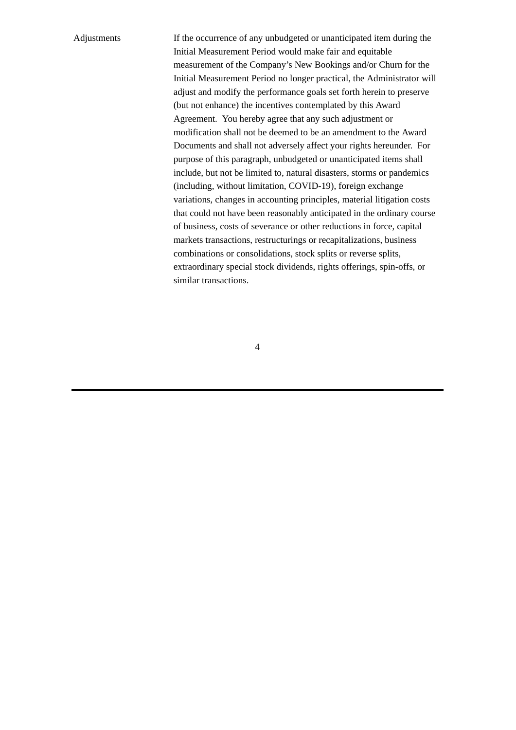Adjustments If the occurrence of any unbudgeted or unanticipated item during the Initial Measurement Period would make fair and equitable measurement of the Company's New Bookings and/or Churn for the Initial Measurement Period no longer practical, the Administrator will adjust and modify the performance goals set forth herein to preserve (but not enhance) the incentives contemplated by this Award Agreement. You hereby agree that any such adjustment or modification shall not be deemed to be an amendment to the Award Documents and shall not adversely affect your rights hereunder. For purpose of this paragraph, unbudgeted or unanticipated items shall include, but not be limited to, natural disasters, storms or pandemics (including, without limitation, COVID-19), foreign exchange variations, changes in accounting principles, material litigation costs that could not have been reasonably anticipated in the ordinary course of business, costs of severance or other reductions in force, capital markets transactions, restructurings or recapitalizations, business combinations or consolidations, stock splits or reverse splits, extraordinary special stock dividends, rights offerings, spin-offs, or similar transactions.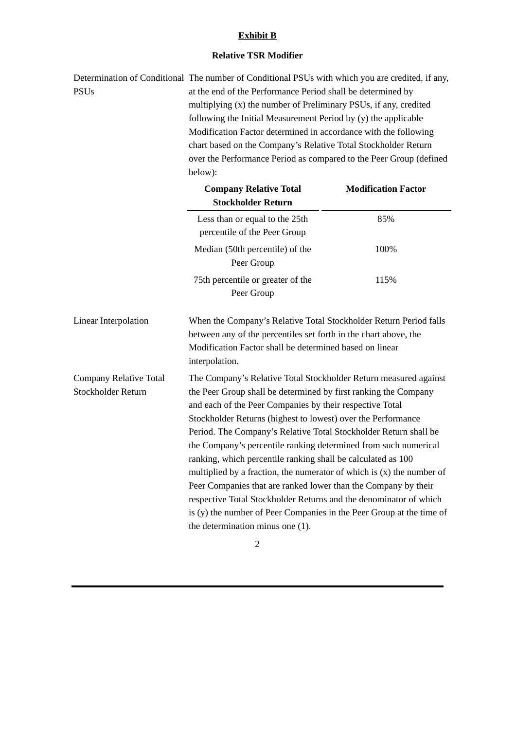# **Exhibit B**

# **Relative TSR Modifier**

| <b>PSUs</b>                                         | Determination of Conditional The number of Conditional PSUs with which you are credited, if any,<br>at the end of the Performance Period shall be determined by<br>multiplying (x) the number of Preliminary PSUs, if any, credited<br>following the Initial Measurement Period by (y) the applicable<br>Modification Factor determined in accordance with the following<br>chart based on the Company's Relative Total Stockholder Return<br>over the Performance Period as compared to the Peer Group (defined<br>below):                                                                                                                                                                                                                                                                          |                            |
|-----------------------------------------------------|------------------------------------------------------------------------------------------------------------------------------------------------------------------------------------------------------------------------------------------------------------------------------------------------------------------------------------------------------------------------------------------------------------------------------------------------------------------------------------------------------------------------------------------------------------------------------------------------------------------------------------------------------------------------------------------------------------------------------------------------------------------------------------------------------|----------------------------|
|                                                     | <b>Company Relative Total</b>                                                                                                                                                                                                                                                                                                                                                                                                                                                                                                                                                                                                                                                                                                                                                                        | <b>Modification Factor</b> |
|                                                     | <b>Stockholder Return</b>                                                                                                                                                                                                                                                                                                                                                                                                                                                                                                                                                                                                                                                                                                                                                                            |                            |
|                                                     | Less than or equal to the 25th<br>percentile of the Peer Group                                                                                                                                                                                                                                                                                                                                                                                                                                                                                                                                                                                                                                                                                                                                       | 85%                        |
|                                                     | Median (50th percentile) of the<br>Peer Group                                                                                                                                                                                                                                                                                                                                                                                                                                                                                                                                                                                                                                                                                                                                                        | 100%                       |
|                                                     | 75th percentile or greater of the<br>Peer Group                                                                                                                                                                                                                                                                                                                                                                                                                                                                                                                                                                                                                                                                                                                                                      | 115%                       |
| Linear Interpolation                                | When the Company's Relative Total Stockholder Return Period falls<br>between any of the percentiles set forth in the chart above, the<br>Modification Factor shall be determined based on linear<br>interpolation.                                                                                                                                                                                                                                                                                                                                                                                                                                                                                                                                                                                   |                            |
| <b>Company Relative Total</b><br>Stockholder Return | The Company's Relative Total Stockholder Return measured against<br>the Peer Group shall be determined by first ranking the Company<br>and each of the Peer Companies by their respective Total<br>Stockholder Returns (highest to lowest) over the Performance<br>Period. The Company's Relative Total Stockholder Return shall be<br>the Company's percentile ranking determined from such numerical<br>ranking, which percentile ranking shall be calculated as 100<br>multiplied by a fraction, the numerator of which is $(x)$ the number of<br>Peer Companies that are ranked lower than the Company by their<br>respective Total Stockholder Returns and the denominator of which<br>is (y) the number of Peer Companies in the Peer Group at the time of<br>the determination minus one (1). |                            |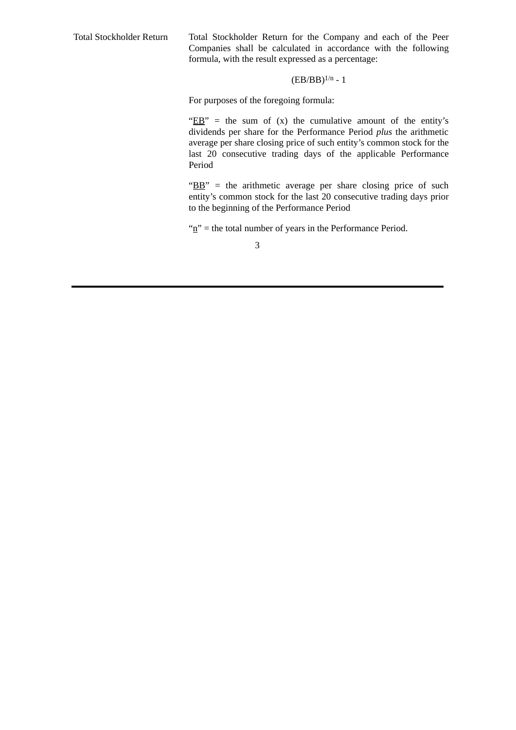Total Stockholder Return Total Stockholder Return for the Company and each of the Peer Companies shall be calculated in accordance with the following formula, with the result expressed as a percentage:

#### $(EB/BB)^{1/n} - 1$

For purposes of the foregoing formula:

" $EB$ " = the sum of (x) the cumulative amount of the entity's dividends per share for the Performance Period *plus* the arithmetic average per share closing price of such entity's common stock for the last 20 consecutive trading days of the applicable Performance Period

"BB" = the arithmetic average per share closing price of such entity's common stock for the last 20 consecutive trading days prior to the beginning of the Performance Period

" $n'' =$  the total number of years in the Performance Period.

<sup>3</sup>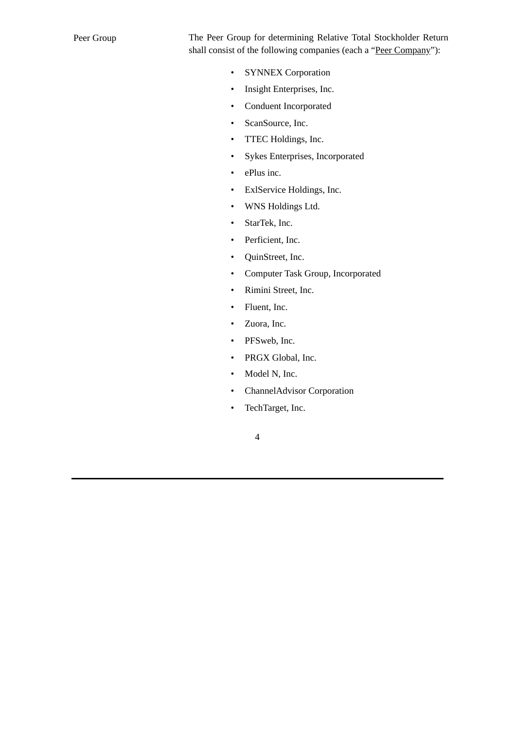Peer Group The Peer Group for determining Relative Total Stockholder Return shall consist of the following companies (each a "Peer Company"):

- SYNNEX Corporation
- Insight Enterprises, Inc.
- Conduent Incorporated
- ScanSource, Inc.
- TTEC Holdings, Inc.
- Sykes Enterprises, Incorporated
- ePlus inc.
- ExlService Holdings, Inc.
- WNS Holdings Ltd.
- StarTek, Inc.
- Perficient, Inc.
- QuinStreet, Inc.
- Computer Task Group, Incorporated
- Rimini Street, Inc.
- Fluent, Inc.
- Zuora, Inc.
- PFSweb, Inc.
- PRGX Global, Inc.
- Model N, Inc.
- ChannelAdvisor Corporation
- TechTarget, Inc.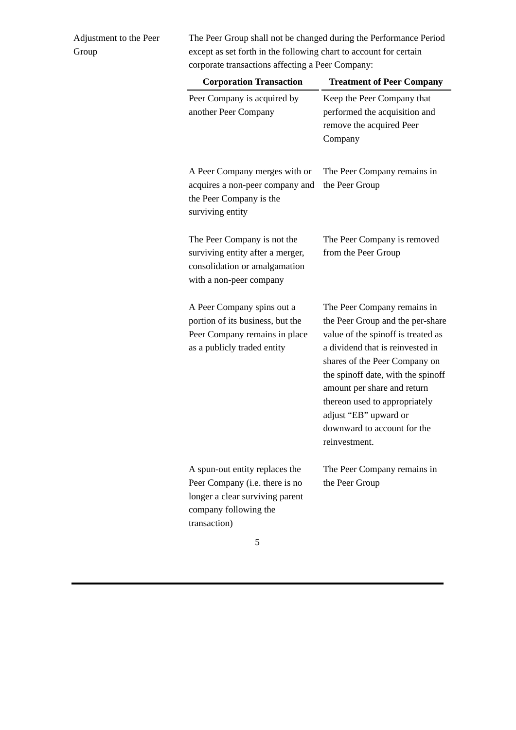Adjustment to the Peer Group

The Peer Group shall not be changed during the Performance Period except as set forth in the following chart to account for certain corporate transactions affecting a Peer Company:

| <b>Corporation Transaction</b>                                                                                                               | <b>Treatment of Peer Company</b>                                                                                                                                                                                                                                                                                                                          |
|----------------------------------------------------------------------------------------------------------------------------------------------|-----------------------------------------------------------------------------------------------------------------------------------------------------------------------------------------------------------------------------------------------------------------------------------------------------------------------------------------------------------|
| Peer Company is acquired by<br>another Peer Company                                                                                          | Keep the Peer Company that<br>performed the acquisition and<br>remove the acquired Peer<br>Company                                                                                                                                                                                                                                                        |
| A Peer Company merges with or<br>acquires a non-peer company and<br>the Peer Company is the<br>surviving entity                              | The Peer Company remains in<br>the Peer Group                                                                                                                                                                                                                                                                                                             |
| The Peer Company is not the<br>surviving entity after a merger,<br>consolidation or amalgamation<br>with a non-peer company                  | The Peer Company is removed<br>from the Peer Group                                                                                                                                                                                                                                                                                                        |
| A Peer Company spins out a<br>portion of its business, but the<br>Peer Company remains in place<br>as a publicly traded entity               | The Peer Company remains in<br>the Peer Group and the per-share<br>value of the spinoff is treated as<br>a dividend that is reinvested in<br>shares of the Peer Company on<br>the spinoff date, with the spinoff<br>amount per share and return<br>thereon used to appropriately<br>adjust "EB" upward or<br>downward to account for the<br>reinvestment. |
| A spun-out entity replaces the<br>Peer Company (i.e. there is no<br>longer a clear surviving parent<br>company following the<br>transaction) | The Peer Company remains in<br>the Peer Group                                                                                                                                                                                                                                                                                                             |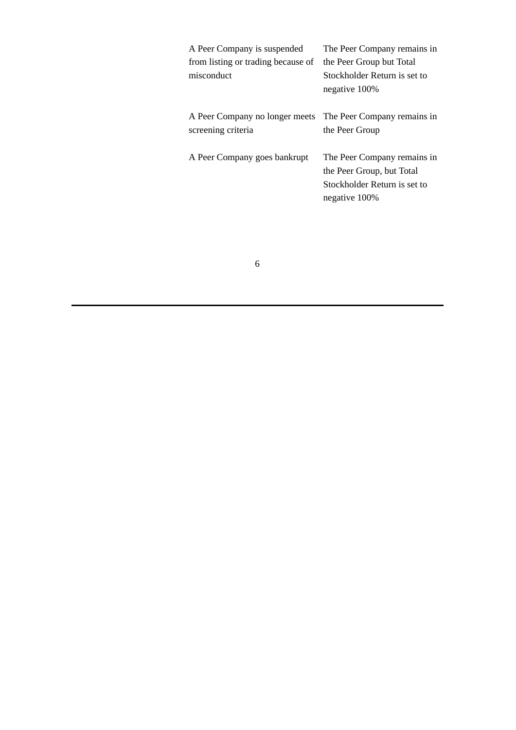| A Peer Company is suspended        | The Peer Company remains in  |
|------------------------------------|------------------------------|
| from listing or trading because of | the Peer Group but Total     |
| misconduct                         | Stockholder Return is set to |
|                                    | negative 100%                |
|                                    |                              |
| A Peer Company no longer meets     | The Peer Company remains in  |
| screening criteria                 | the Peer Group               |
|                                    |                              |
| A Peer Company goes bankrupt       | The Peer Company remains in  |
|                                    | the Peer Group, but Total    |
|                                    | Stockholder Return is set to |
|                                    | negative 100%                |
|                                    |                              |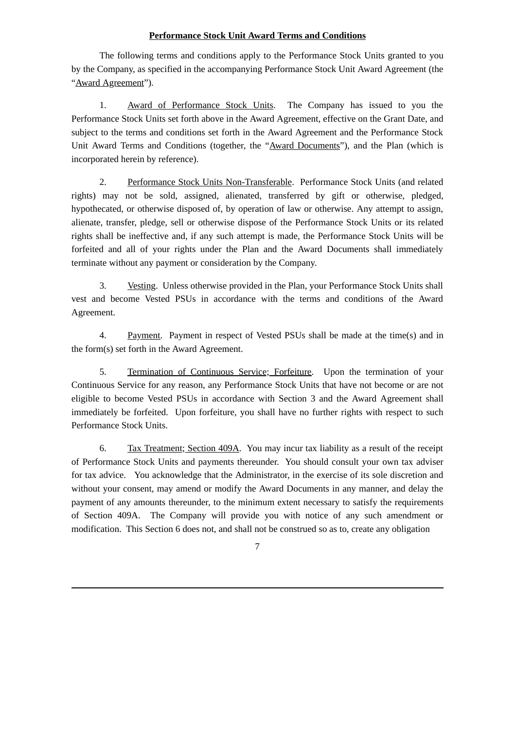## **Performance Stock Unit Award Terms and Conditions**

The following terms and conditions apply to the Performance Stock Units granted to you by the Company, as specified in the accompanying Performance Stock Unit Award Agreement (the "Award Agreement").

1. Award of Performance Stock Units. The Company has issued to you the Performance Stock Units set forth above in the Award Agreement, effective on the Grant Date, and subject to the terms and conditions set forth in the Award Agreement and the Performance Stock Unit Award Terms and Conditions (together, the "Award Documents"), and the Plan (which is incorporated herein by reference).

2. Performance Stock Units Non-Transferable. Performance Stock Units (and related rights) may not be sold, assigned, alienated, transferred by gift or otherwise, pledged, hypothecated, or otherwise disposed of, by operation of law or otherwise. Any attempt to assign, alienate, transfer, pledge, sell or otherwise dispose of the Performance Stock Units or its related rights shall be ineffective and, if any such attempt is made, the Performance Stock Units will be forfeited and all of your rights under the Plan and the Award Documents shall immediately terminate without any payment or consideration by the Company.

3. Vesting. Unless otherwise provided in the Plan, your Performance Stock Units shall vest and become Vested PSUs in accordance with the terms and conditions of the Award Agreement.

4. Payment. Payment in respect of Vested PSUs shall be made at the time(s) and in the form(s) set forth in the Award Agreement.

5. Termination of Continuous Service; Forfeiture. Upon the termination of your Continuous Service for any reason, any Performance Stock Units that have not become or are not eligible to become Vested PSUs in accordance with Section 3 and the Award Agreement shall immediately be forfeited. Upon forfeiture, you shall have no further rights with respect to such Performance Stock Units.

6. Tax Treatment; Section 409A. You may incur tax liability as a result of the receipt of Performance Stock Units and payments thereunder. You should consult your own tax adviser for tax advice. You acknowledge that the Administrator, in the exercise of its sole discretion and without your consent, may amend or modify the Award Documents in any manner, and delay the payment of any amounts thereunder, to the minimum extent necessary to satisfy the requirements of Section 409A. The Company will provide you with notice of any such amendment or modification. This Section 6 does not, and shall not be construed so as to, create any obligation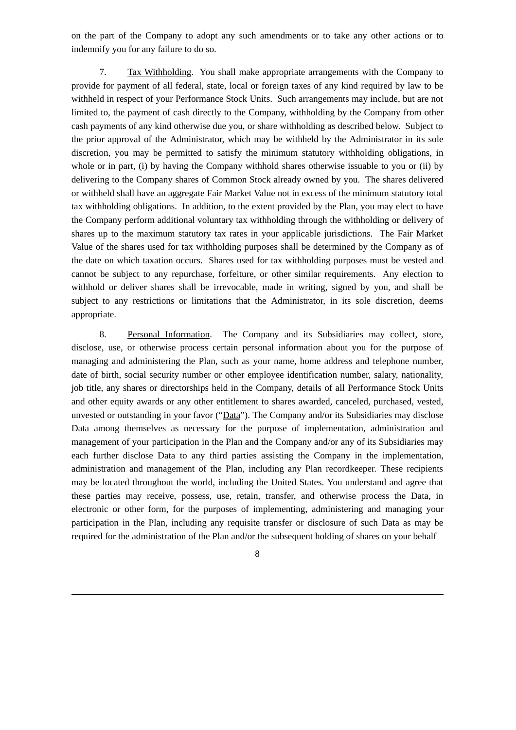on the part of the Company to adopt any such amendments or to take any other actions or to indemnify you for any failure to do so.

7. Tax Withholding. You shall make appropriate arrangements with the Company to provide for payment of all federal, state, local or foreign taxes of any kind required by law to be withheld in respect of your Performance Stock Units. Such arrangements may include, but are not limited to, the payment of cash directly to the Company, withholding by the Company from other cash payments of any kind otherwise due you, or share withholding as described below. Subject to the prior approval of the Administrator, which may be withheld by the Administrator in its sole discretion, you may be permitted to satisfy the minimum statutory withholding obligations, in whole or in part, (i) by having the Company withhold shares otherwise issuable to you or (ii) by delivering to the Company shares of Common Stock already owned by you. The shares delivered or withheld shall have an aggregate Fair Market Value not in excess of the minimum statutory total tax withholding obligations. In addition, to the extent provided by the Plan, you may elect to have the Company perform additional voluntary tax withholding through the withholding or delivery of shares up to the maximum statutory tax rates in your applicable jurisdictions. The Fair Market Value of the shares used for tax withholding purposes shall be determined by the Company as of the date on which taxation occurs. Shares used for tax withholding purposes must be vested and cannot be subject to any repurchase, forfeiture, or other similar requirements. Any election to withhold or deliver shares shall be irrevocable, made in writing, signed by you, and shall be subject to any restrictions or limitations that the Administrator, in its sole discretion, deems appropriate.

8. Personal Information. The Company and its Subsidiaries may collect, store, disclose, use, or otherwise process certain personal information about you for the purpose of managing and administering the Plan, such as your name, home address and telephone number, date of birth, social security number or other employee identification number, salary, nationality, job title, any shares or directorships held in the Company, details of all Performance Stock Units and other equity awards or any other entitlement to shares awarded, canceled, purchased, vested, unvested or outstanding in your favor ("Data"). The Company and/or its Subsidiaries may disclose Data among themselves as necessary for the purpose of implementation, administration and management of your participation in the Plan and the Company and/or any of its Subsidiaries may each further disclose Data to any third parties assisting the Company in the implementation, administration and management of the Plan, including any Plan recordkeeper. These recipients may be located throughout the world, including the United States. You understand and agree that these parties may receive, possess, use, retain, transfer, and otherwise process the Data, in electronic or other form, for the purposes of implementing, administering and managing your participation in the Plan, including any requisite transfer or disclosure of such Data as may be required for the administration of the Plan and/or the subsequent holding of shares on your behalf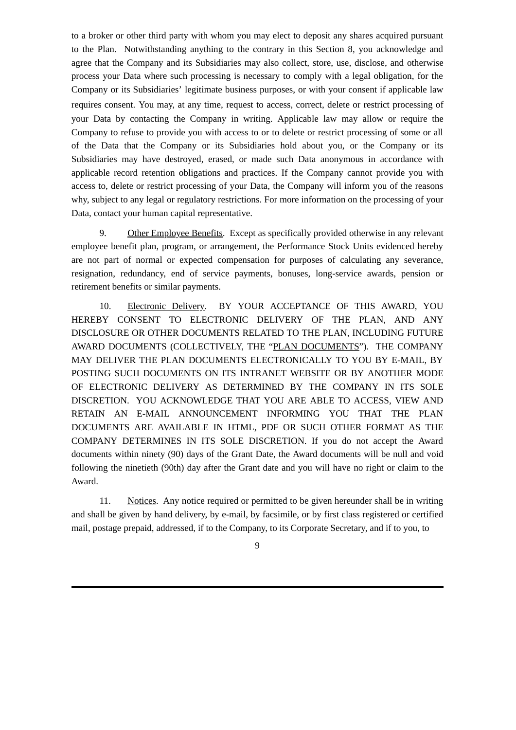to a broker or other third party with whom you may elect to deposit any shares acquired pursuant to the Plan. Notwithstanding anything to the contrary in this Section 8, you acknowledge and agree that the Company and its Subsidiaries may also collect, store, use, disclose, and otherwise process your Data where such processing is necessary to comply with a legal obligation, for the Company or its Subsidiaries' legitimate business purposes, or with your consent if applicable law requires consent. You may, at any time, request to access, correct, delete or restrict processing of your Data by contacting the Company in writing. Applicable law may allow or require the Company to refuse to provide you with access to or to delete or restrict processing of some or all of the Data that the Company or its Subsidiaries hold about you, or the Company or its Subsidiaries may have destroyed, erased, or made such Data anonymous in accordance with applicable record retention obligations and practices. If the Company cannot provide you with access to, delete or restrict processing of your Data, the Company will inform you of the reasons why, subject to any legal or regulatory restrictions. For more information on the processing of your Data, contact your human capital representative.

9. Other Employee Benefits. Except as specifically provided otherwise in any relevant employee benefit plan, program, or arrangement, the Performance Stock Units evidenced hereby are not part of normal or expected compensation for purposes of calculating any severance, resignation, redundancy, end of service payments, bonuses, long-service awards, pension or retirement benefits or similar payments.

10. Electronic Delivery. BY YOUR ACCEPTANCE OF THIS AWARD, YOU HEREBY CONSENT TO ELECTRONIC DELIVERY OF THE PLAN, AND ANY DISCLOSURE OR OTHER DOCUMENTS RELATED TO THE PLAN, INCLUDING FUTURE AWARD DOCUMENTS (COLLECTIVELY, THE "PLAN DOCUMENTS"). THE COMPANY MAY DELIVER THE PLAN DOCUMENTS ELECTRONICALLY TO YOU BY E-MAIL, BY POSTING SUCH DOCUMENTS ON ITS INTRANET WEBSITE OR BY ANOTHER MODE OF ELECTRONIC DELIVERY AS DETERMINED BY THE COMPANY IN ITS SOLE DISCRETION. YOU ACKNOWLEDGE THAT YOU ARE ABLE TO ACCESS, VIEW AND RETAIN AN E-MAIL ANNOUNCEMENT INFORMING YOU THAT THE PLAN DOCUMENTS ARE AVAILABLE IN HTML, PDF OR SUCH OTHER FORMAT AS THE COMPANY DETERMINES IN ITS SOLE DISCRETION. If you do not accept the Award documents within ninety (90) days of the Grant Date, the Award documents will be null and void following the ninetieth (90th) day after the Grant date and you will have no right or claim to the Award.

11. Notices. Any notice required or permitted to be given hereunder shall be in writing and shall be given by hand delivery, by e-mail, by facsimile, or by first class registered or certified mail, postage prepaid, addressed, if to the Company, to its Corporate Secretary, and if to you, to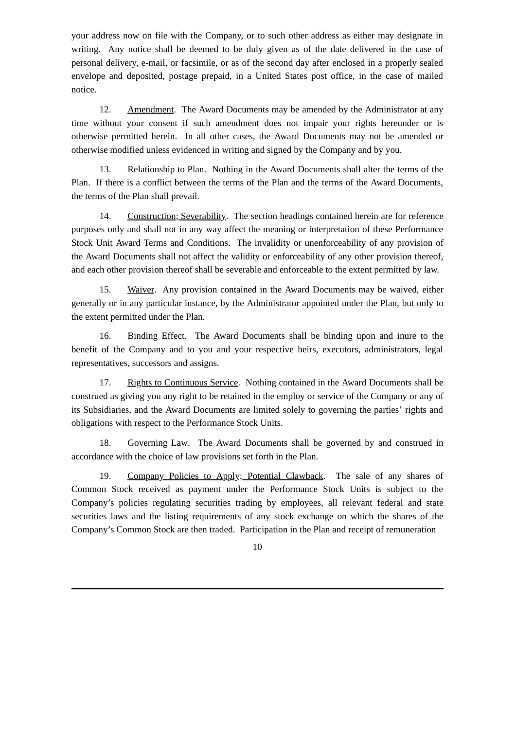your address now on file with the Company, or to such other address as either may designate in writing. Any notice shall be deemed to be duly given as of the date delivered in the case of personal delivery, e-mail, or facsimile, or as of the second day after enclosed in a properly sealed envelope and deposited, postage prepaid, in a United States post office, in the case of mailed notice.

12. Amendment. The Award Documents may be amended by the Administrator at any time without your consent if such amendment does not impair your rights hereunder or is otherwise permitted herein. In all other cases, the Award Documents may not be amended or otherwise modified unless evidenced in writing and signed by the Company and by you.

13. Relationship to Plan. Nothing in the Award Documents shall alter the terms of the Plan. If there is a conflict between the terms of the Plan and the terms of the Award Documents, the terms of the Plan shall prevail.

14. Construction; Severability. The section headings contained herein are for reference purposes only and shall not in any way affect the meaning or interpretation of these Performance Stock Unit Award Terms and Conditions. The invalidity or unenforceability of any provision of the Award Documents shall not affect the validity or enforceability of any other provision thereof, and each other provision thereof shall be severable and enforceable to the extent permitted by law.

15. Waiver. Any provision contained in the Award Documents may be waived, either generally or in any particular instance, by the Administrator appointed under the Plan, but only to the extent permitted under the Plan.

16. Binding Effect. The Award Documents shall be binding upon and inure to the benefit of the Company and to you and your respective heirs, executors, administrators, legal representatives, successors and assigns.

17. Rights to Continuous Service. Nothing contained in the Award Documents shall be construed as giving you any right to be retained in the employ or service of the Company or any of its Subsidiaries, and the Award Documents are limited solely to governing the parties' rights and obligations with respect to the Performance Stock Units.

18. Governing Law. The Award Documents shall be governed by and construed in accordance with the choice of law provisions set forth in the Plan.

19. Company Policies to Apply; Potential Clawback. The sale of any shares of Common Stock received as payment under the Performance Stock Units is subject to the Company's policies regulating securities trading by employees, all relevant federal and state securities laws and the listing requirements of any stock exchange on which the shares of the Company's Common Stock are then traded. Participation in the Plan and receipt of remuneration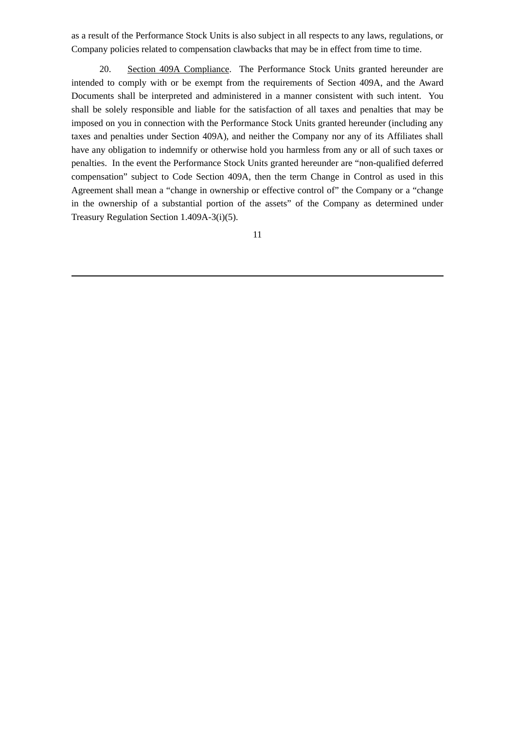as a result of the Performance Stock Units is also subject in all respects to any laws, regulations, or Company policies related to compensation clawbacks that may be in effect from time to time.

20. Section 409A Compliance. The Performance Stock Units granted hereunder are intended to comply with or be exempt from the requirements of Section 409A, and the Award Documents shall be interpreted and administered in a manner consistent with such intent. You shall be solely responsible and liable for the satisfaction of all taxes and penalties that may be imposed on you in connection with the Performance Stock Units granted hereunder (including any taxes and penalties under Section 409A), and neither the Company nor any of its Affiliates shall have any obligation to indemnify or otherwise hold you harmless from any or all of such taxes or penalties. In the event the Performance Stock Units granted hereunder are "non-qualified deferred compensation" subject to Code Section 409A, then the term Change in Control as used in this Agreement shall mean a "change in ownership or effective control of" the Company or a "change in the ownership of a substantial portion of the assets" of the Company as determined under Treasury Regulation Section 1.409A-3(i)(5).

11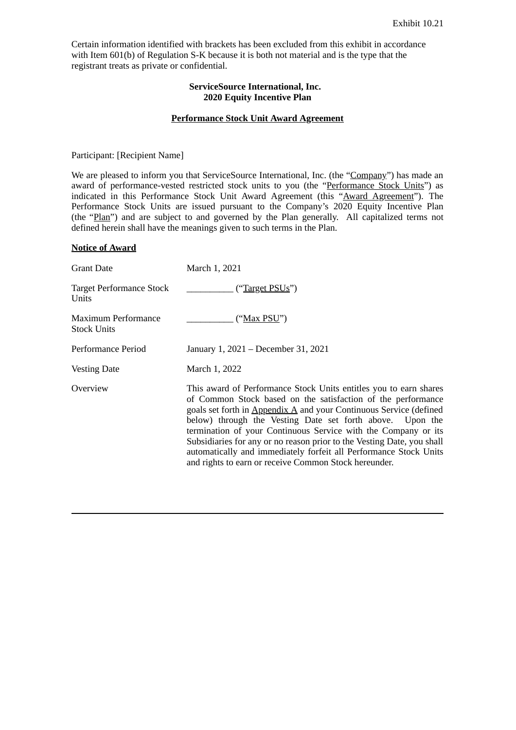Certain information identified with brackets has been excluded from this exhibit in accordance with Item 601(b) of Regulation S-K because it is both not material and is the type that the registrant treats as private or confidential.

## **ServiceSource International, Inc. 2020 Equity Incentive Plan**

#### **Performance Stock Unit Award Agreement**

Participant: [Recipient Name]

We are pleased to inform you that ServiceSource International, Inc. (the "Company") has made an award of performance-vested restricted stock units to you (the "Performance Stock Units") as indicated in this Performance Stock Unit Award Agreement (this "Award Agreement"). The Performance Stock Units are issued pursuant to the Company's 2020 Equity Incentive Plan (the "Plan") and are subject to and governed by the Plan generally. All capitalized terms not defined herein shall have the meanings given to such terms in the Plan.

### **Notice of Award**

| <b>Grant Date</b>                         | March 1, 2021                                                                                                                                                                                                                                                                                                                                                                                                                                                                                                                                                 |
|-------------------------------------------|---------------------------------------------------------------------------------------------------------------------------------------------------------------------------------------------------------------------------------------------------------------------------------------------------------------------------------------------------------------------------------------------------------------------------------------------------------------------------------------------------------------------------------------------------------------|
| Target Performance Stock<br>Units         | ("Target PSUs")                                                                                                                                                                                                                                                                                                                                                                                                                                                                                                                                               |
| Maximum Performance<br><b>Stock Units</b> | ("Max PSU")                                                                                                                                                                                                                                                                                                                                                                                                                                                                                                                                                   |
| Performance Period                        | January 1, 2021 – December 31, 2021                                                                                                                                                                                                                                                                                                                                                                                                                                                                                                                           |
| <b>Vesting Date</b>                       | March 1, 2022                                                                                                                                                                                                                                                                                                                                                                                                                                                                                                                                                 |
| Overview                                  | This award of Performance Stock Units entitles you to earn shares<br>of Common Stock based on the satisfaction of the performance<br>goals set forth in $\Delta$ ppendix $\Delta$ and your Continuous Service (defined<br>below) through the Vesting Date set forth above. Upon the<br>termination of your Continuous Service with the Company or its<br>Subsidiaries for any or no reason prior to the Vesting Date, you shall<br>automatically and immediately forfeit all Performance Stock Units<br>and rights to earn or receive Common Stock hereunder. |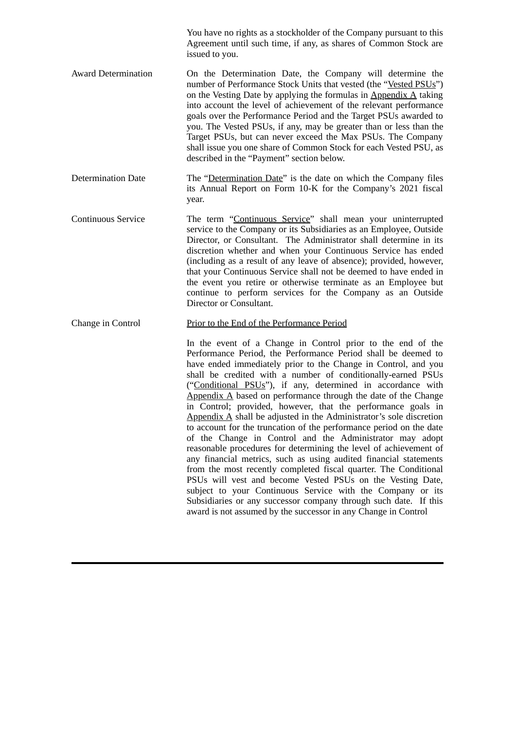You have no rights as a stockholder of the Company pursuant to this Agreement until such time, if any, as shares of Common Stock are issued to you.

Award Determination On the Determination Date, the Company will determine the number of Performance Stock Units that vested (the "Vested PSUs") on the Vesting Date by applying the formulas in Appendix A taking into account the level of achievement of the relevant performance goals over the Performance Period and the Target PSUs awarded to you. The Vested PSUs, if any, may be greater than or less than the Target PSUs, but can never exceed the Max PSUs. The Company shall issue you one share of Common Stock for each Vested PSU, as described in the "Payment" section below.

Determination Date The "Determination Date" is the date on which the Company files its Annual Report on Form 10-K for the Company's 2021 fiscal year.

Continuous Service The term "Continuous Service" shall mean your uninterrupted service to the Company or its Subsidiaries as an Employee, Outside Director, or Consultant. The Administrator shall determine in its discretion whether and when your Continuous Service has ended (including as a result of any leave of absence); provided, however, that your Continuous Service shall not be deemed to have ended in the event you retire or otherwise terminate as an Employee but continue to perform services for the Company as an Outside Director or Consultant.

### Change in Control Prior to the End of the Performance Period

In the event of a Change in Control prior to the end of the Performance Period, the Performance Period shall be deemed to have ended immediately prior to the Change in Control, and you shall be credited with a number of conditionally-earned PSUs ("Conditional PSUs"), if any, determined in accordance with Appendix A based on performance through the date of the Change in Control; provided, however, that the performance goals in Appendix A shall be adjusted in the Administrator's sole discretion to account for the truncation of the performance period on the date of the Change in Control and the Administrator may adopt reasonable procedures for determining the level of achievement of any financial metrics, such as using audited financial statements from the most recently completed fiscal quarter. The Conditional PSUs will vest and become Vested PSUs on the Vesting Date, subject to your Continuous Service with the Company or its Subsidiaries or any successor company through such date. If this award is not assumed by the successor in any Change in Control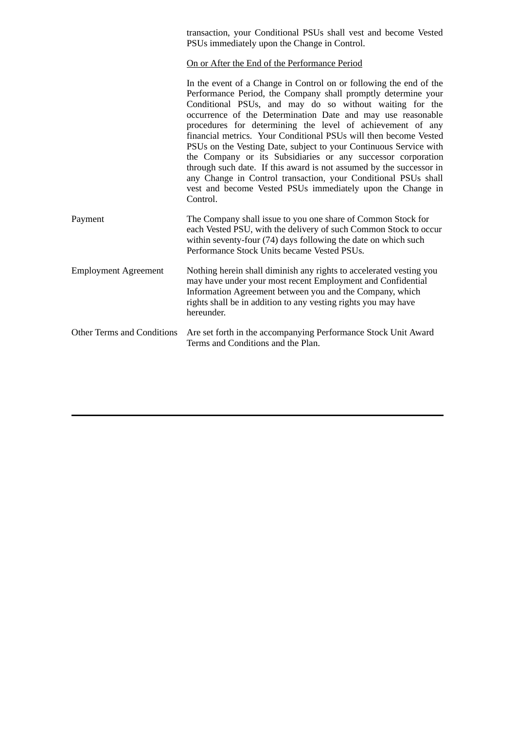transaction, your Conditional PSUs shall vest and become Vested PSUs immediately upon the Change in Control.

On or After the End of the Performance Period

|                                   | In the event of a Change in Control on or following the end of the<br>Performance Period, the Company shall promptly determine your<br>Conditional PSUs, and may do so without waiting for the<br>occurrence of the Determination Date and may use reasonable<br>procedures for determining the level of achievement of any<br>financial metrics. Your Conditional PSUs will then become Vested<br>PSUs on the Vesting Date, subject to your Continuous Service with<br>the Company or its Subsidiaries or any successor corporation<br>through such date. If this award is not assumed by the successor in<br>any Change in Control transaction, your Conditional PSUs shall<br>vest and become Vested PSUs immediately upon the Change in<br>Control. |
|-----------------------------------|---------------------------------------------------------------------------------------------------------------------------------------------------------------------------------------------------------------------------------------------------------------------------------------------------------------------------------------------------------------------------------------------------------------------------------------------------------------------------------------------------------------------------------------------------------------------------------------------------------------------------------------------------------------------------------------------------------------------------------------------------------|
| Payment                           | The Company shall issue to you one share of Common Stock for<br>each Vested PSU, with the delivery of such Common Stock to occur<br>within seventy-four (74) days following the date on which such<br>Performance Stock Units became Vested PSUs.                                                                                                                                                                                                                                                                                                                                                                                                                                                                                                       |
| <b>Employment Agreement</b>       | Nothing herein shall diminish any rights to accelerated vesting you<br>may have under your most recent Employment and Confidential<br>Information Agreement between you and the Company, which<br>rights shall be in addition to any vesting rights you may have<br>hereunder.                                                                                                                                                                                                                                                                                                                                                                                                                                                                          |
| <b>Other Terms and Conditions</b> | Are set forth in the accompanying Performance Stock Unit Award<br>Terms and Conditions and the Plan.                                                                                                                                                                                                                                                                                                                                                                                                                                                                                                                                                                                                                                                    |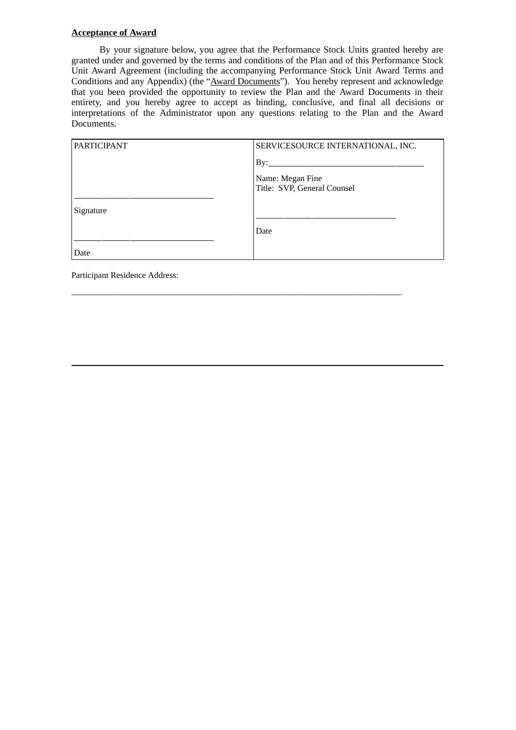## **Acceptance of Award**

By your signature below, you agree that the Performance Stock Units granted hereby are granted under and governed by the terms and conditions of the Plan and of this Performance Stock Unit Award Agreement (including the accompanying Performance Stock Unit Award Terms and Conditions and any Appendix) (the "Award Documents"). You hereby represent and acknowledge that you been provided the opportunity to review the Plan and the Award Documents in their entirety, and you hereby agree to accept as binding, conclusive, and final all decisions or interpretations of the Administrator upon any questions relating to the Plan and the Award Documents.

| PARTICIPANT | SERVICESOURCE INTERNATIONAL, INC.               |
|-------------|-------------------------------------------------|
|             | By:                                             |
|             | Name: Megan Fine<br>Title: SVP, General Counsel |
| Signature   |                                                 |
|             | Date                                            |
| Date        |                                                 |

\_\_\_\_\_\_\_\_\_\_\_\_\_\_\_\_\_\_\_\_\_\_\_\_\_\_\_\_\_\_\_\_\_\_\_\_\_\_\_\_\_\_\_\_\_\_\_\_\_\_\_\_\_\_\_\_\_\_\_\_\_\_\_\_\_\_\_\_\_\_\_\_\_\_\_\_\_

Participant Residence Address: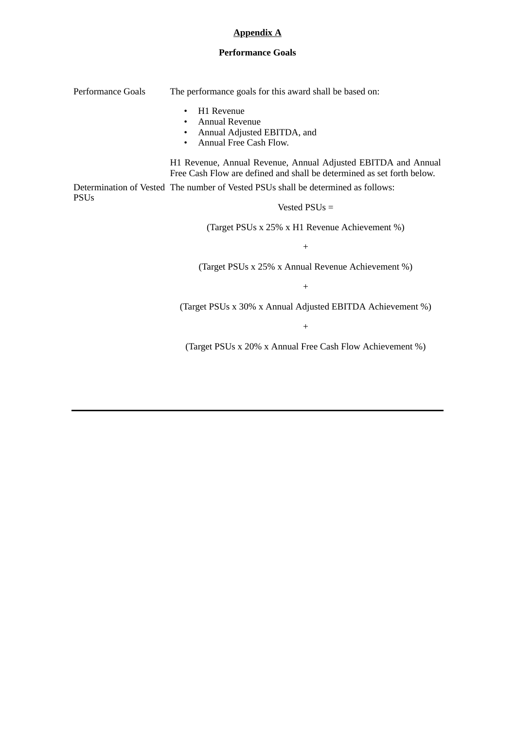# **Appendix A**

# **Performance Goals**

Performance Goals The performance goals for this award shall be based on: • H1 Revenue • Annual Revenue • Annual Adjusted EBITDA, and • Annual Free Cash Flow. H1 Revenue, Annual Revenue, Annual Adjusted EBITDA and Annual Free Cash Flow are defined and shall be determined as set forth below. Determination of Vested The number of Vested PSUs shall be determined as follows: PSUs Vested PSUs = (Target PSUs x 25% x H1 Revenue Achievement %) + (Target PSUs x 25% x Annual Revenue Achievement %) + (Target PSUs x 30% x Annual Adjusted EBITDA Achievement %) + (Target PSUs x 20% x Annual Free Cash Flow Achievement %)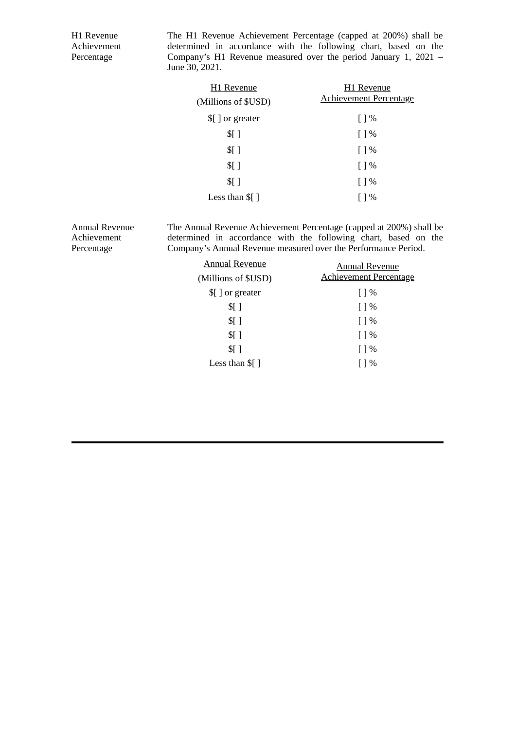H1 Revenue Achievement Percentage The H1 Revenue Achievement Percentage (capped at 200%) shall be determined in accordance with the following chart, based on the Company's H1 Revenue measured over the period January 1, 2021 – June 30, 2021. H1 Revenue (Millions of \$USD) H1 Revenue Achievement Percentage \$[ ] or greater [ ] % \$[ ] [ ] % \$[ ] [ ] % \$[ ] [ ] % \$[ ] [ ] % Less than  $\{$ [ ]  $\%$ Annual Revenue Achievement Percentage The Annual Revenue Achievement Percentage (capped at 200%) shall be determined in accordance with the following chart, based on the Company's Annual Revenue measured over the Performance Period.

| <b>Annual Revenue</b> | <b>Annual Revenue</b>         |
|-----------------------|-------------------------------|
| (Millions of \$USD)   | <b>Achievement Percentage</b> |
| \$[] or greater       | $\lceil \cdot \rceil$ %       |
| \$1]                  | $\lceil \cdot \rceil\%$       |
| $\mathbb{S}$ []       | $\lceil \cdot \rceil\%$       |
| \$1]                  | $\lceil \cdot \rceil\%$       |
| \$1]                  | $\lceil \cdot \rceil\%$       |
| Less than $$$ []      | $1\%$                         |
|                       |                               |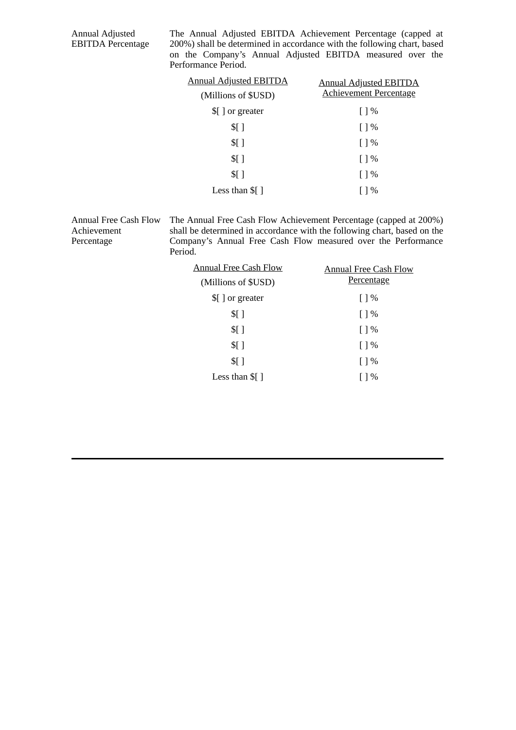Annual Adjusted EBITDA Percentage The Annual Adjusted EBITDA Achievement Percentage (capped at 200%) shall be determined in accordance with the following chart, based on the Company's Annual Adjusted EBITDA measured over the Performance Period.

| <b>Annual Adjusted EBITDA</b><br>(Millions of \$USD) | <b>Annual Adjusted EBITDA</b><br><b>Achievement Percentage</b> |
|------------------------------------------------------|----------------------------------------------------------------|
| \$[] or greater                                      | $\lceil \cdot \rceil\%$                                        |
| \$[]                                                 | $\lceil \cdot \rceil\%$                                        |
| \$[ ]                                                | $\lceil \cdot \rceil\%$                                        |
| \$[]                                                 | $\lceil \cdot \rceil\%$                                        |
| \$1]                                                 | $\lceil \cdot \rceil\%$                                        |
| Less than $\mathcal{S}$ [ ]                          | [ ] %                                                          |

Achievement Percentage

Annual Free Cash Flow The Annual Free Cash Flow Achievement Percentage (capped at 200%) shall be determined in accordance with the following chart, based on the Company's Annual Free Cash Flow measured over the Performance Period.

| <b>Annual Free Cash Flow</b> | <b>Annual Free Cash Flow</b> |
|------------------------------|------------------------------|
| (Millions of \$USD)          | <b>Percentage</b>            |
| \$[] or greater              | $\lceil \cdot \rceil\%$      |
| $\mathbb{S}$ []              | $\lceil \cdot \rceil\%$      |
| \$1]                         | $\lceil \cdot \rceil\%$      |
| $\mathbb{S}$ []              | $\lceil \cdot \rceil\%$      |
| \$[]                         | $\lceil \cdot \rceil\%$      |
| Less than $$$ []             | $\lceil \cdot \rceil\%$      |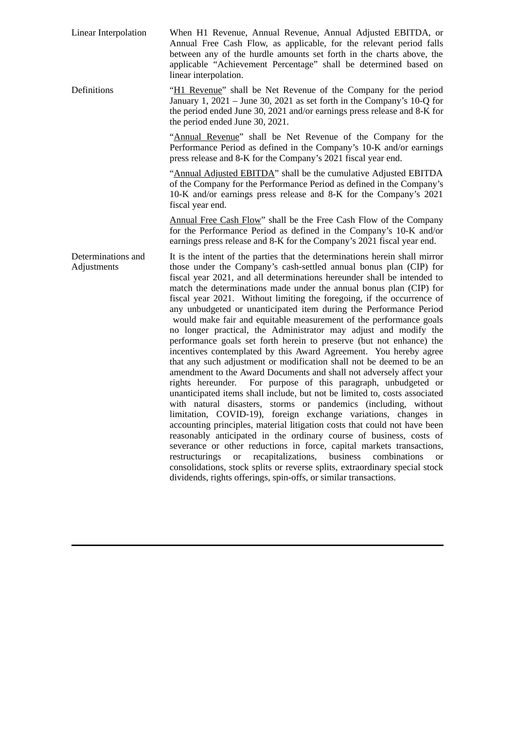Linear Interpolation When H1 Revenue, Annual Revenue, Annual Adjusted EBITDA, or Annual Free Cash Flow, as applicable, for the relevant period falls between any of the hurdle amounts set forth in the charts above, the applicable "Achievement Percentage" shall be determined based on linear interpolation. Definitions "H1 Revenue" shall be Net Revenue of the Company for the period January 1, 2021 – June 30, 2021 as set forth in the Company's 10-Q for the period ended June 30, 2021 and/or earnings press release and 8-K for the period ended June 30, 2021. "Annual Revenue" shall be Net Revenue of the Company for the Performance Period as defined in the Company's 10-K and/or earnings press release and 8-K for the Company's 2021 fiscal year end. "Annual Adjusted EBITDA" shall be the cumulative Adjusted EBITDA of the Company for the Performance Period as defined in the Company's 10-K and/or earnings press release and 8-K for the Company's 2021 fiscal year end. Annual Free Cash Flow" shall be the Free Cash Flow of the Company for the Performance Period as defined in the Company's 10-K and/or earnings press release and 8-K for the Company's 2021 fiscal year end. Determinations and **Adjustments** It is the intent of the parties that the determinations herein shall mirror those under the Company's cash-settled annual bonus plan (CIP) for fiscal year 2021, and all determinations hereunder shall be intended to match the determinations made under the annual bonus plan (CIP) for fiscal year 2021. Without limiting the foregoing, if the occurrence of any unbudgeted or unanticipated item during the Performance Period would make fair and equitable measurement of the performance goals no longer practical, the Administrator may adjust and modify the performance goals set forth herein to preserve (but not enhance) the incentives contemplated by this Award Agreement. You hereby agree that any such adjustment or modification shall not be deemed to be an amendment to the Award Documents and shall not adversely affect your rights hereunder. For purpose of this paragraph, unbudgeted or unanticipated items shall include, but not be limited to, costs associated with natural disasters, storms or pandemics (including, without limitation, COVID-19), foreign exchange variations, changes in accounting principles, material litigation costs that could not have been reasonably anticipated in the ordinary course of business, costs of severance or other reductions in force, capital markets transactions, restructurings or recapitalizations, business combinations or consolidations, stock splits or reverse splits, extraordinary special stock dividends, rights offerings, spin-offs, or similar transactions.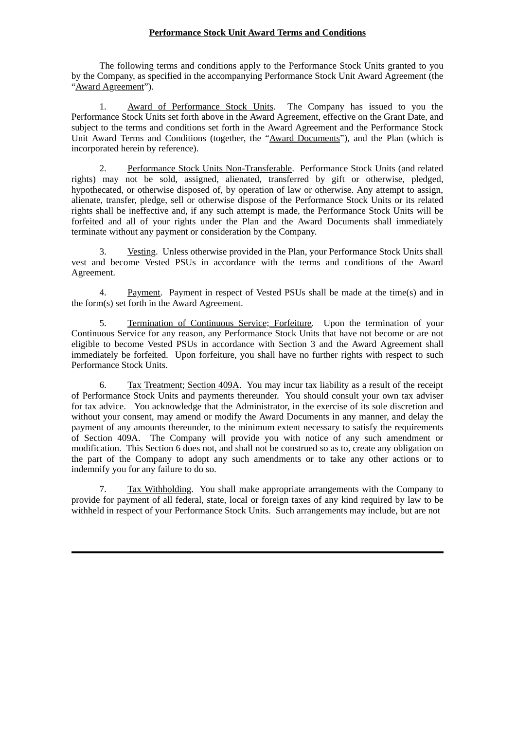### **Performance Stock Unit Award Terms and Conditions**

The following terms and conditions apply to the Performance Stock Units granted to you by the Company, as specified in the accompanying Performance Stock Unit Award Agreement (the "Award Agreement").

1. Award of Performance Stock Units. The Company has issued to you the Performance Stock Units set forth above in the Award Agreement, effective on the Grant Date, and subject to the terms and conditions set forth in the Award Agreement and the Performance Stock Unit Award Terms and Conditions (together, the "Award Documents"), and the Plan (which is incorporated herein by reference).

2. Performance Stock Units Non-Transferable. Performance Stock Units (and related rights) may not be sold, assigned, alienated, transferred by gift or otherwise, pledged, hypothecated, or otherwise disposed of, by operation of law or otherwise. Any attempt to assign, alienate, transfer, pledge, sell or otherwise dispose of the Performance Stock Units or its related rights shall be ineffective and, if any such attempt is made, the Performance Stock Units will be forfeited and all of your rights under the Plan and the Award Documents shall immediately terminate without any payment or consideration by the Company.

3. Vesting. Unless otherwise provided in the Plan, your Performance Stock Units shall vest and become Vested PSUs in accordance with the terms and conditions of the Award Agreement.

4. Payment. Payment in respect of Vested PSUs shall be made at the time(s) and in the form(s) set forth in the Award Agreement.

5. Termination of Continuous Service; Forfeiture. Upon the termination of your Continuous Service for any reason, any Performance Stock Units that have not become or are not eligible to become Vested PSUs in accordance with Section 3 and the Award Agreement shall immediately be forfeited. Upon forfeiture, you shall have no further rights with respect to such Performance Stock Units.

6. Tax Treatment; Section 409A. You may incur tax liability as a result of the receipt of Performance Stock Units and payments thereunder. You should consult your own tax adviser for tax advice. You acknowledge that the Administrator, in the exercise of its sole discretion and without your consent, may amend or modify the Award Documents in any manner, and delay the payment of any amounts thereunder, to the minimum extent necessary to satisfy the requirements of Section 409A. The Company will provide you with notice of any such amendment or modification. This Section 6 does not, and shall not be construed so as to, create any obligation on the part of the Company to adopt any such amendments or to take any other actions or to indemnify you for any failure to do so.

7. Tax Withholding. You shall make appropriate arrangements with the Company to provide for payment of all federal, state, local or foreign taxes of any kind required by law to be withheld in respect of your Performance Stock Units. Such arrangements may include, but are not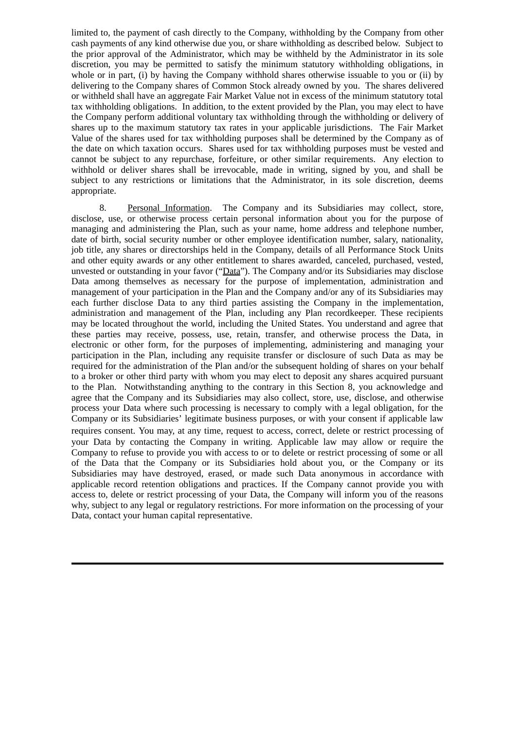limited to, the payment of cash directly to the Company, withholding by the Company from other cash payments of any kind otherwise due you, or share withholding as described below. Subject to the prior approval of the Administrator, which may be withheld by the Administrator in its sole discretion, you may be permitted to satisfy the minimum statutory withholding obligations, in whole or in part, (i) by having the Company withhold shares otherwise issuable to you or (ii) by delivering to the Company shares of Common Stock already owned by you. The shares delivered or withheld shall have an aggregate Fair Market Value not in excess of the minimum statutory total tax withholding obligations. In addition, to the extent provided by the Plan, you may elect to have the Company perform additional voluntary tax withholding through the withholding or delivery of shares up to the maximum statutory tax rates in your applicable jurisdictions. The Fair Market Value of the shares used for tax withholding purposes shall be determined by the Company as of the date on which taxation occurs. Shares used for tax withholding purposes must be vested and cannot be subject to any repurchase, forfeiture, or other similar requirements. Any election to withhold or deliver shares shall be irrevocable, made in writing, signed by you, and shall be subject to any restrictions or limitations that the Administrator, in its sole discretion, deems appropriate.

8. Personal Information. The Company and its Subsidiaries may collect, store, disclose, use, or otherwise process certain personal information about you for the purpose of managing and administering the Plan, such as your name, home address and telephone number, date of birth, social security number or other employee identification number, salary, nationality, job title, any shares or directorships held in the Company, details of all Performance Stock Units and other equity awards or any other entitlement to shares awarded, canceled, purchased, vested, unvested or outstanding in your favor ("Data"). The Company and/or its Subsidiaries may disclose Data among themselves as necessary for the purpose of implementation, administration and management of your participation in the Plan and the Company and/or any of its Subsidiaries may each further disclose Data to any third parties assisting the Company in the implementation, administration and management of the Plan, including any Plan recordkeeper. These recipients may be located throughout the world, including the United States. You understand and agree that these parties may receive, possess, use, retain, transfer, and otherwise process the Data, in electronic or other form, for the purposes of implementing, administering and managing your participation in the Plan, including any requisite transfer or disclosure of such Data as may be required for the administration of the Plan and/or the subsequent holding of shares on your behalf to a broker or other third party with whom you may elect to deposit any shares acquired pursuant to the Plan. Notwithstanding anything to the contrary in this Section 8, you acknowledge and agree that the Company and its Subsidiaries may also collect, store, use, disclose, and otherwise process your Data where such processing is necessary to comply with a legal obligation, for the Company or its Subsidiaries' legitimate business purposes, or with your consent if applicable law requires consent. You may, at any time, request to access, correct, delete or restrict processing of your Data by contacting the Company in writing. Applicable law may allow or require the Company to refuse to provide you with access to or to delete or restrict processing of some or all of the Data that the Company or its Subsidiaries hold about you, or the Company or its Subsidiaries may have destroyed, erased, or made such Data anonymous in accordance with applicable record retention obligations and practices. If the Company cannot provide you with access to, delete or restrict processing of your Data, the Company will inform you of the reasons why, subject to any legal or regulatory restrictions. For more information on the processing of your Data, contact your human capital representative.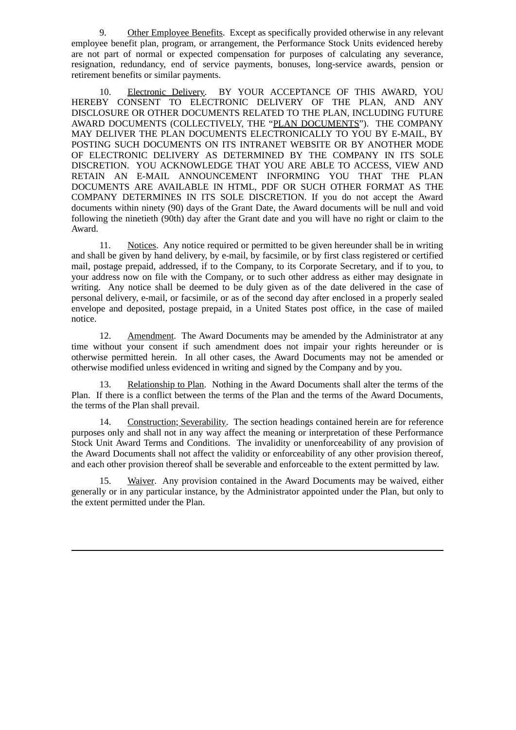9. Other Employee Benefits. Except as specifically provided otherwise in any relevant employee benefit plan, program, or arrangement, the Performance Stock Units evidenced hereby are not part of normal or expected compensation for purposes of calculating any severance, resignation, redundancy, end of service payments, bonuses, long-service awards, pension or retirement benefits or similar payments.

10. Electronic Delivery. BY YOUR ACCEPTANCE OF THIS AWARD, YOU HEREBY CONSENT TO ELECTRONIC DELIVERY OF THE PLAN, AND ANY DISCLOSURE OR OTHER DOCUMENTS RELATED TO THE PLAN, INCLUDING FUTURE AWARD DOCUMENTS (COLLECTIVELY, THE "PLAN DOCUMENTS"). THE COMPANY MAY DELIVER THE PLAN DOCUMENTS ELECTRONICALLY TO YOU BY E-MAIL, BY POSTING SUCH DOCUMENTS ON ITS INTRANET WEBSITE OR BY ANOTHER MODE OF ELECTRONIC DELIVERY AS DETERMINED BY THE COMPANY IN ITS SOLE DISCRETION. YOU ACKNOWLEDGE THAT YOU ARE ABLE TO ACCESS, VIEW AND RETAIN AN E-MAIL ANNOUNCEMENT INFORMING YOU THAT THE PLAN DOCUMENTS ARE AVAILABLE IN HTML, PDF OR SUCH OTHER FORMAT AS THE COMPANY DETERMINES IN ITS SOLE DISCRETION. If you do not accept the Award documents within ninety (90) days of the Grant Date, the Award documents will be null and void following the ninetieth (90th) day after the Grant date and you will have no right or claim to the Award.

11. Notices. Any notice required or permitted to be given hereunder shall be in writing and shall be given by hand delivery, by e-mail, by facsimile, or by first class registered or certified mail, postage prepaid, addressed, if to the Company, to its Corporate Secretary, and if to you, to your address now on file with the Company, or to such other address as either may designate in writing. Any notice shall be deemed to be duly given as of the date delivered in the case of personal delivery, e-mail, or facsimile, or as of the second day after enclosed in a properly sealed envelope and deposited, postage prepaid, in a United States post office, in the case of mailed notice.

12. Amendment. The Award Documents may be amended by the Administrator at any time without your consent if such amendment does not impair your rights hereunder or is otherwise permitted herein. In all other cases, the Award Documents may not be amended or otherwise modified unless evidenced in writing and signed by the Company and by you.

13. Relationship to Plan. Nothing in the Award Documents shall alter the terms of the Plan. If there is a conflict between the terms of the Plan and the terms of the Award Documents, the terms of the Plan shall prevail.

14. Construction; Severability. The section headings contained herein are for reference purposes only and shall not in any way affect the meaning or interpretation of these Performance Stock Unit Award Terms and Conditions. The invalidity or unenforceability of any provision of the Award Documents shall not affect the validity or enforceability of any other provision thereof, and each other provision thereof shall be severable and enforceable to the extent permitted by law.

15. Waiver. Any provision contained in the Award Documents may be waived, either generally or in any particular instance, by the Administrator appointed under the Plan, but only to the extent permitted under the Plan.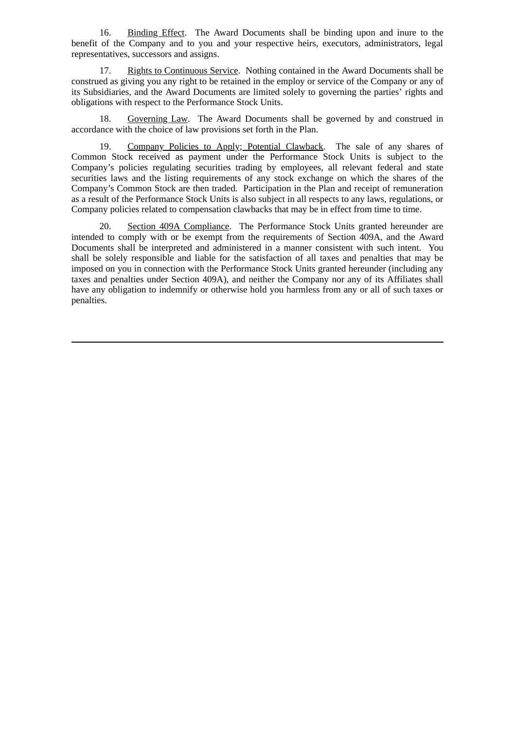16. Binding Effect. The Award Documents shall be binding upon and inure to the benefit of the Company and to you and your respective heirs, executors, administrators, legal representatives, successors and assigns.

17. Rights to Continuous Service. Nothing contained in the Award Documents shall be construed as giving you any right to be retained in the employ or service of the Company or any of its Subsidiaries, and the Award Documents are limited solely to governing the parties' rights and obligations with respect to the Performance Stock Units.

18. Governing Law. The Award Documents shall be governed by and construed in accordance with the choice of law provisions set forth in the Plan.

19. Company Policies to Apply; Potential Clawback. The sale of any shares of Common Stock received as payment under the Performance Stock Units is subject to the Company's policies regulating securities trading by employees, all relevant federal and state securities laws and the listing requirements of any stock exchange on which the shares of the Company's Common Stock are then traded. Participation in the Plan and receipt of remuneration as a result of the Performance Stock Units is also subject in all respects to any laws, regulations, or Company policies related to compensation clawbacks that may be in effect from time to time.

20. Section 409A Compliance. The Performance Stock Units granted hereunder are intended to comply with or be exempt from the requirements of Section 409A, and the Award Documents shall be interpreted and administered in a manner consistent with such intent. You shall be solely responsible and liable for the satisfaction of all taxes and penalties that may be imposed on you in connection with the Performance Stock Units granted hereunder (including any taxes and penalties under Section 409A), and neither the Company nor any of its Affiliates shall have any obligation to indemnify or otherwise hold you harmless from any or all of such taxes or penalties.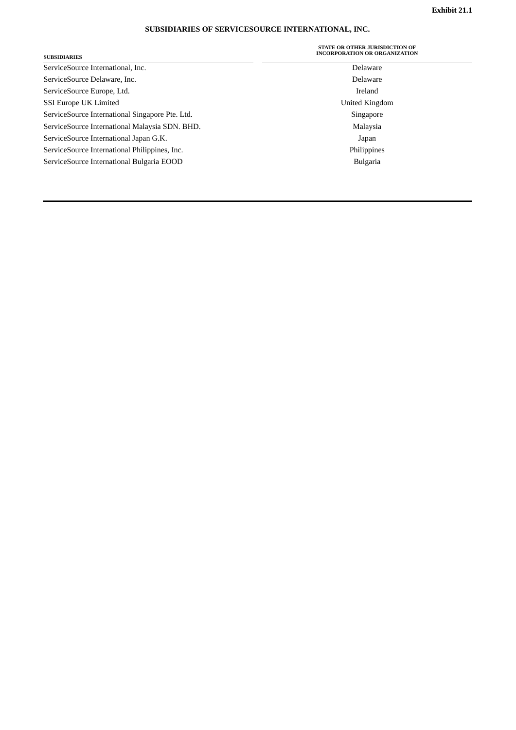**Exhibit 21.1**

## **SUBSIDIARIES OF SERVICESOURCE INTERNATIONAL, INC.**

| <b>SUBSIDIARIES</b>                             | <b>STATE OR OTHER JURISDICTION OF</b><br><b>INCORPORATION OR ORGANIZATION</b> |
|-------------------------------------------------|-------------------------------------------------------------------------------|
| ServiceSource International, Inc.               | Delaware                                                                      |
| ServiceSource Delaware, Inc.                    | Delaware                                                                      |
| ServiceSource Europe, Ltd.                      | Ireland                                                                       |
| SSI Europe UK Limited                           | United Kingdom                                                                |
| ServiceSource International Singapore Pte. Ltd. | Singapore                                                                     |
| ServiceSource International Malaysia SDN. BHD.  | Malaysia                                                                      |
| ServiceSource International Japan G.K.          | Japan                                                                         |
| ServiceSource International Philippines, Inc.   | Philippines                                                                   |
| ServiceSource International Bulgaria EOOD       | <b>Bulgaria</b>                                                               |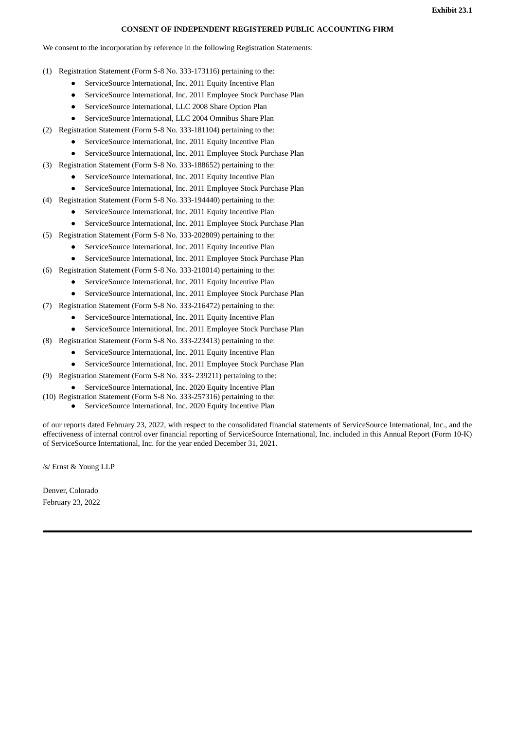#### **CONSENT OF INDEPENDENT REGISTERED PUBLIC ACCOUNTING FIRM**

We consent to the incorporation by reference in the following Registration Statements:

- (1) Registration Statement (Form S-8 No. 333-173116) pertaining to the:
	- ServiceSource International, Inc. 2011 Equity Incentive Plan
	- ServiceSource International, Inc. 2011 Employee Stock Purchase Plan
	- ServiceSource International, LLC 2008 Share Option Plan
	- ServiceSource International, LLC 2004 Omnibus Share Plan
- (2) Registration Statement (Form S-8 No. 333-181104) pertaining to the:
	- ServiceSource International, Inc. 2011 Equity Incentive Plan
	- ServiceSource International, Inc. 2011 Employee Stock Purchase Plan
- (3) Registration Statement (Form S-8 No. 333-188652) pertaining to the:
	- ServiceSource International, Inc. 2011 Equity Incentive Plan
	- ServiceSource International, Inc. 2011 Employee Stock Purchase Plan
- (4) Registration Statement (Form S-8 No. 333-194440) pertaining to the:
	- ServiceSource International, Inc. 2011 Equity Incentive Plan
	- ServiceSource International, Inc. 2011 Employee Stock Purchase Plan
- (5) Registration Statement (Form S-8 No. 333-202809) pertaining to the:
	- ServiceSource International, Inc. 2011 Equity Incentive Plan
	- ServiceSource International, Inc. 2011 Employee Stock Purchase Plan
- (6) Registration Statement (Form S-8 No. 333-210014) pertaining to the:
	- ServiceSource International, Inc. 2011 Equity Incentive Plan
	- ServiceSource International, Inc. 2011 Employee Stock Purchase Plan
- (7) Registration Statement (Form S-8 No. 333-216472) pertaining to the:
	- ServiceSource International, Inc. 2011 Equity Incentive Plan
	- ServiceSource International, Inc. 2011 Employee Stock Purchase Plan
- (8) Registration Statement (Form S-8 No. 333-223413) pertaining to the:
	- ServiceSource International, Inc. 2011 Equity Incentive Plan
	- ServiceSource International, Inc. 2011 Employee Stock Purchase Plan
- (9) Registration Statement (Form S-8 No. 333- 239211) pertaining to the:
	- ServiceSource International, Inc. 2020 Equity Incentive Plan
- (10) Registration Statement (Form S-8 No. 333-257316) pertaining to the:
	- ServiceSource International, Inc. 2020 Equity Incentive Plan

of our reports dated February 23, 2022, with respect to the consolidated financial statements of ServiceSource International, Inc., and the effectiveness of internal control over financial reporting of ServiceSource International, Inc. included in this Annual Report (Form 10-K) of ServiceSource International, Inc. for the year ended December 31, 2021.

/s/ Ernst & Young LLP

Denver, Colorado February 23, 2022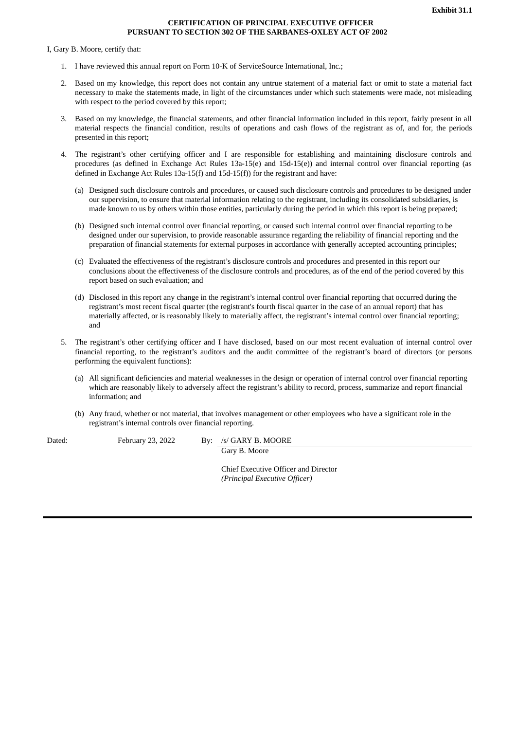#### **CERTIFICATION OF PRINCIPAL EXECUTIVE OFFICER PURSUANT TO SECTION 302 OF THE SARBANES-OXLEY ACT OF 2002**

## I, Gary B. Moore, certify that:

- 1. I have reviewed this annual report on Form 10-K of ServiceSource International, Inc.;
- 2. Based on my knowledge, this report does not contain any untrue statement of a material fact or omit to state a material fact necessary to make the statements made, in light of the circumstances under which such statements were made, not misleading with respect to the period covered by this report;
- 3. Based on my knowledge, the financial statements, and other financial information included in this report, fairly present in all material respects the financial condition, results of operations and cash flows of the registrant as of, and for, the periods presented in this report;
- 4. The registrant's other certifying officer and I are responsible for establishing and maintaining disclosure controls and procedures (as defined in Exchange Act Rules 13a-15(e) and 15d-15(e)) and internal control over financial reporting (as defined in Exchange Act Rules 13a-15(f) and 15d-15(f)) for the registrant and have:
	- (a) Designed such disclosure controls and procedures, or caused such disclosure controls and procedures to be designed under our supervision, to ensure that material information relating to the registrant, including its consolidated subsidiaries, is made known to us by others within those entities, particularly during the period in which this report is being prepared;
	- (b) Designed such internal control over financial reporting, or caused such internal control over financial reporting to be designed under our supervision, to provide reasonable assurance regarding the reliability of financial reporting and the preparation of financial statements for external purposes in accordance with generally accepted accounting principles;
	- (c) Evaluated the effectiveness of the registrant's disclosure controls and procedures and presented in this report our conclusions about the effectiveness of the disclosure controls and procedures, as of the end of the period covered by this report based on such evaluation; and
	- (d) Disclosed in this report any change in the registrant's internal control over financial reporting that occurred during the registrant's most recent fiscal quarter (the registrant's fourth fiscal quarter in the case of an annual report) that has materially affected, or is reasonably likely to materially affect, the registrant's internal control over financial reporting; and
- 5. The registrant's other certifying officer and I have disclosed, based on our most recent evaluation of internal control over financial reporting, to the registrant's auditors and the audit committee of the registrant's board of directors (or persons performing the equivalent functions):
	- (a) All significant deficiencies and material weaknesses in the design or operation of internal control over financial reporting which are reasonably likely to adversely affect the registrant's ability to record, process, summarize and report financial information; and
	- (b) Any fraud, whether or not material, that involves management or other employees who have a significant role in the registrant's internal controls over financial reporting.

Dated: February 23, 2022 By: /s/ GARY B. MOORE Gary B. Moore

> Chief Executive Officer and Director *(Principal Executive Officer)*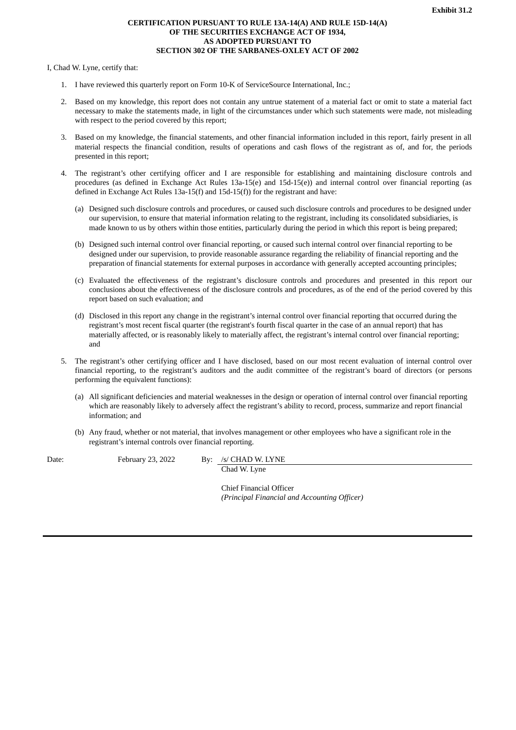#### **CERTIFICATION PURSUANT TO RULE 13A-14(A) AND RULE 15D-14(A) OF THE SECURITIES EXCHANGE ACT OF 1934, AS ADOPTED PURSUANT TO SECTION 302 OF THE SARBANES-OXLEY ACT OF 2002**

I, Chad W. Lyne, certify that:

- 1. I have reviewed this quarterly report on Form 10-K of ServiceSource International, Inc.;
- 2. Based on my knowledge, this report does not contain any untrue statement of a material fact or omit to state a material fact necessary to make the statements made, in light of the circumstances under which such statements were made, not misleading with respect to the period covered by this report;
- 3. Based on my knowledge, the financial statements, and other financial information included in this report, fairly present in all material respects the financial condition, results of operations and cash flows of the registrant as of, and for, the periods presented in this report;
- 4. The registrant's other certifying officer and I are responsible for establishing and maintaining disclosure controls and procedures (as defined in Exchange Act Rules 13a-15(e) and 15d-15(e)) and internal control over financial reporting (as defined in Exchange Act Rules 13a-15(f) and 15d-15(f)) for the registrant and have:
	- (a) Designed such disclosure controls and procedures, or caused such disclosure controls and procedures to be designed under our supervision, to ensure that material information relating to the registrant, including its consolidated subsidiaries, is made known to us by others within those entities, particularly during the period in which this report is being prepared;
	- (b) Designed such internal control over financial reporting, or caused such internal control over financial reporting to be designed under our supervision, to provide reasonable assurance regarding the reliability of financial reporting and the preparation of financial statements for external purposes in accordance with generally accepted accounting principles;
	- (c) Evaluated the effectiveness of the registrant's disclosure controls and procedures and presented in this report our conclusions about the effectiveness of the disclosure controls and procedures, as of the end of the period covered by this report based on such evaluation; and
	- (d) Disclosed in this report any change in the registrant's internal control over financial reporting that occurred during the registrant's most recent fiscal quarter (the registrant's fourth fiscal quarter in the case of an annual report) that has materially affected, or is reasonably likely to materially affect, the registrant's internal control over financial reporting; and
- 5. The registrant's other certifying officer and I have disclosed, based on our most recent evaluation of internal control over financial reporting, to the registrant's auditors and the audit committee of the registrant's board of directors (or persons performing the equivalent functions):
	- (a) All significant deficiencies and material weaknesses in the design or operation of internal control over financial reporting which are reasonably likely to adversely affect the registrant's ability to record, process, summarize and report financial information; and
	- (b) Any fraud, whether or not material, that involves management or other employees who have a significant role in the registrant's internal controls over financial reporting.

Date: February 23, 2022 By: /s/ CHAD W. LYNE Chad W. Lyne

> Chief Financial Officer *(Principal Financial and Accounting Officer)*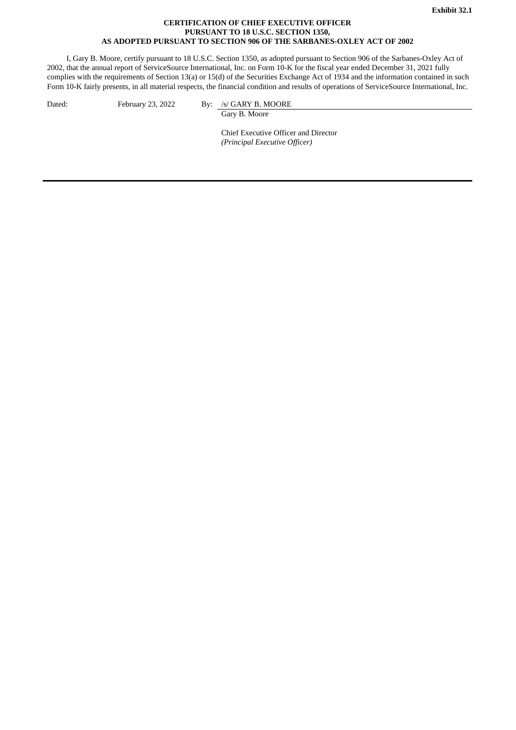#### **CERTIFICATION OF CHIEF EXECUTIVE OFFICER PURSUANT TO 18 U.S.C. SECTION 1350, AS ADOPTED PURSUANT TO SECTION 906 OF THE SARBANES-OXLEY ACT OF 2002**

I, Gary B. Moore, certify pursuant to 18 U.S.C. Section 1350, as adopted pursuant to Section 906 of the Sarbanes-Oxley Act of 2002, that the annual report of ServiceSource International, Inc. on Form 10-K for the fiscal year ended December 31, 2021 fully complies with the requirements of Section 13(a) or 15(d) of the Securities Exchange Act of 1934 and the information contained in such Form 10-K fairly presents, in all material respects, the financial condition and results of operations of ServiceSource International, Inc.

Dated: February 23, 2022 By: /s/ GARY B. MOORE Gary B. Moore

> Chief Executive Officer and Director *(Principal Executive Officer)*